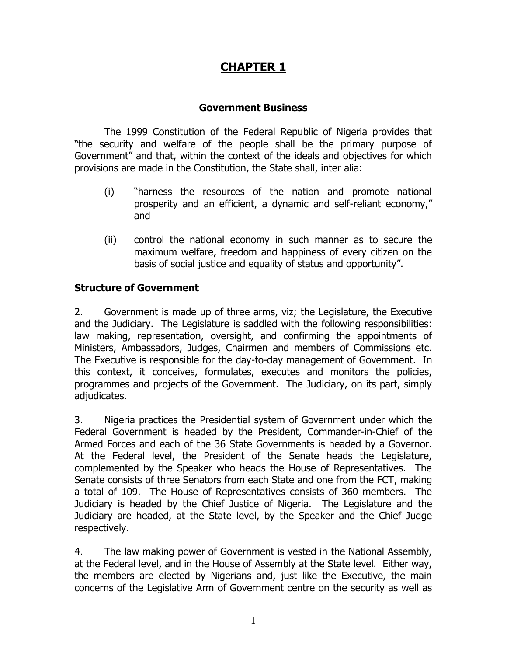# **CHAPTER 1**

#### **Government Business**

The 1999 Constitution of the Federal Republic of Nigeria provides that "the security and welfare of the people shall be the primary purpose of Government" and that, within the context of the ideals and objectives for which provisions are made in the Constitution, the State shall, inter alia:

- (i) Tharness the resources of the nation and promote national prosperity and an efficient, a dynamic and self-reliant economy," and
- (ii) control the national economy in such manner as to secure the maximum welfare, freedom and happiness of every citizen on the basis of social justice and equality of status and opportunity".

# **Structure of Government**

2. Government is made up of three arms, viz; the Legislature, the Executive and the Judiciary. The Legislature is saddled with the following responsibilities: law making, representation, oversight, and confirming the appointments of Ministers, Ambassadors, Judges, Chairmen and members of Commissions etc. The Executive is responsible for the day-to-day management of Government. In this context, it conceives, formulates, executes and monitors the policies, programmes and projects of the Government. The Judiciary, on its part, simply adjudicates.

3. Nigeria practices the Presidential system of Government under which the Federal Government is headed by the President, Commander-in-Chief of the Armed Forces and each of the 36 State Governments is headed by a Governor. At the Federal level, the President of the Senate heads the Legislature, complemented by the Speaker who heads the House of Representatives. The Senate consists of three Senators from each State and one from the FCT, making a total of 109. The House of Representatives consists of 360 members. The Judiciary is headed by the Chief Justice of Nigeria. The Legislature and the Judiciary are headed, at the State level, by the Speaker and the Chief Judge respectively.

4. The law making power of Government is vested in the National Assembly, at the Federal level, and in the House of Assembly at the State level. Either way, the members are elected by Nigerians and, just like the Executive, the main concerns of the Legislative Arm of Government centre on the security as well as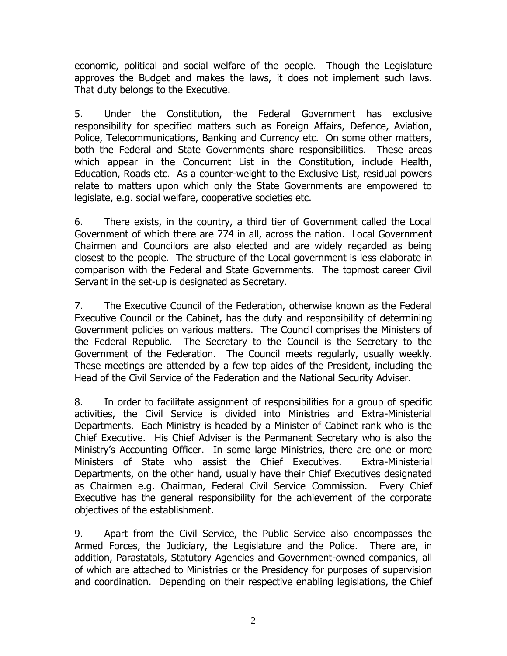economic, political and social welfare of the people. Though the Legislature approves the Budget and makes the laws, it does not implement such laws. That duty belongs to the Executive.

5. Under the Constitution, the Federal Government has exclusive responsibility for specified matters such as Foreign Affairs, Defence, Aviation, Police, Telecommunications, Banking and Currency etc. On some other matters, both the Federal and State Governments share responsibilities. These areas which appear in the Concurrent List in the Constitution, include Health, Education, Roads etc. As a counter-weight to the Exclusive List, residual powers relate to matters upon which only the State Governments are empowered to legislate, e.g. social welfare, cooperative societies etc.

6. There exists, in the country, a third tier of Government called the Local Government of which there are 774 in all, across the nation. Local Government Chairmen and Councilors are also elected and are widely regarded as being closest to the people. The structure of the Local government is less elaborate in comparison with the Federal and State Governments. The topmost career Civil Servant in the set-up is designated as Secretary.

7. The Executive Council of the Federation, otherwise known as the Federal Executive Council or the Cabinet, has the duty and responsibility of determining Government policies on various matters. The Council comprises the Ministers of the Federal Republic. The Secretary to the Council is the Secretary to the Government of the Federation. The Council meets regularly, usually weekly. These meetings are attended by a few top aides of the President, including the Head of the Civil Service of the Federation and the National Security Adviser.

8. In order to facilitate assignment of responsibilities for a group of specific activities, the Civil Service is divided into Ministries and Extra-Ministerial Departments. Each Ministry is headed by a Minister of Cabinet rank who is the Chief Executive. His Chief Adviser is the Permanent Secretary who is also the Ministry's Accounting Officer. In some large Ministries, there are one or more Ministers of State who assist the Chief Executives. Extra-Ministerial Departments, on the other hand, usually have their Chief Executives designated as Chairmen e.g. Chairman, Federal Civil Service Commission. Every Chief Executive has the general responsibility for the achievement of the corporate objectives of the establishment.

9. Apart from the Civil Service, the Public Service also encompasses the Armed Forces, the Judiciary, the Legislature and the Police. There are, in addition, Parastatals, Statutory Agencies and Government-owned companies, all of which are attached to Ministries or the Presidency for purposes of supervision and coordination. Depending on their respective enabling legislations, the Chief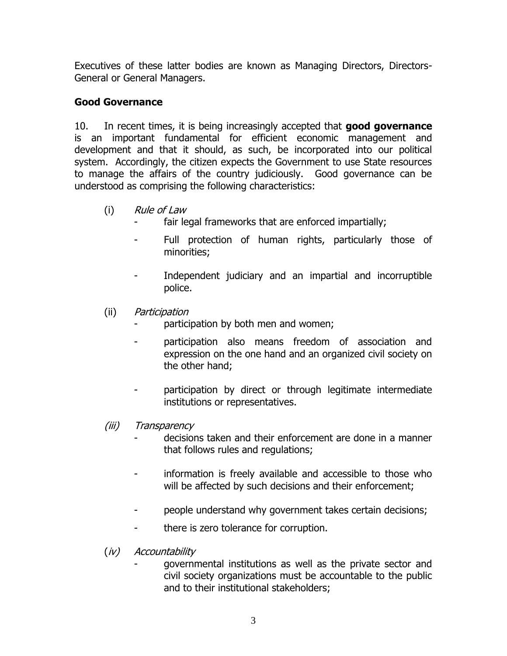Executives of these latter bodies are known as Managing Directors, Directors-General or General Managers.

# **Good Governance**

10. In recent times, it is being increasingly accepted that **good governance** is an important fundamental for efficient economic management and development and that it should, as such, be incorporated into our political system. Accordingly, the citizen expects the Government to use State resources to manage the affairs of the country judiciously. Good governance can be understood as comprising the following characteristics:

- (i) Rule of Law
	- fair legal frameworks that are enforced impartially;
	- Full protection of human rights, particularly those of minorities;
	- Independent judiciary and an impartial and incorruptible police.
- (ii) Participation
	- participation by both men and women;
	- participation also means freedom of association and expression on the one hand and an organized civil society on the other hand;
	- participation by direct or through legitimate intermediate institutions or representatives.
- (iii) Transparency
	- decisions taken and their enforcement are done in a manner that follows rules and regulations;
	- information is freely available and accessible to those who will be affected by such decisions and their enforcement;
	- people understand why government takes certain decisions;
	- there is zero tolerance for corruption.
- (iv) Accountability
	- governmental institutions as well as the private sector and civil society organizations must be accountable to the public and to their institutional stakeholders;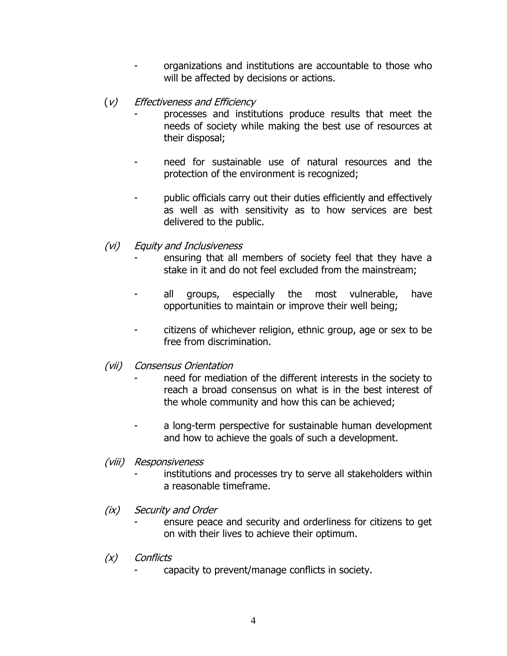- organizations and institutions are accountable to those who will be affected by decisions or actions.
- (v) Effectiveness and Efficiency
	- processes and institutions produce results that meet the needs of society while making the best use of resources at their disposal;
	- need for sustainable use of natural resources and the protection of the environment is recognized;
	- public officials carry out their duties efficiently and effectively as well as with sensitivity as to how services are best delivered to the public.
- (vi) Equity and Inclusiveness
	- ensuring that all members of society feel that they have a stake in it and do not feel excluded from the mainstream;
	- all groups, especially the most vulnerable, have opportunities to maintain or improve their well being;
	- citizens of whichever religion, ethnic group, age or sex to be free from discrimination.
- (vii) Consensus Orientation
	- need for mediation of the different interests in the society to reach a broad consensus on what is in the best interest of the whole community and how this can be achieved;
	- a long-term perspective for sustainable human development and how to achieve the goals of such a development.
- (viii) Responsiveness
	- institutions and processes try to serve all stakeholders within a reasonable timeframe.
- (ix) Security and Order
	- ensure peace and security and orderliness for citizens to get on with their lives to achieve their optimum.
- (x) Conflicts
	- capacity to prevent/manage conflicts in society.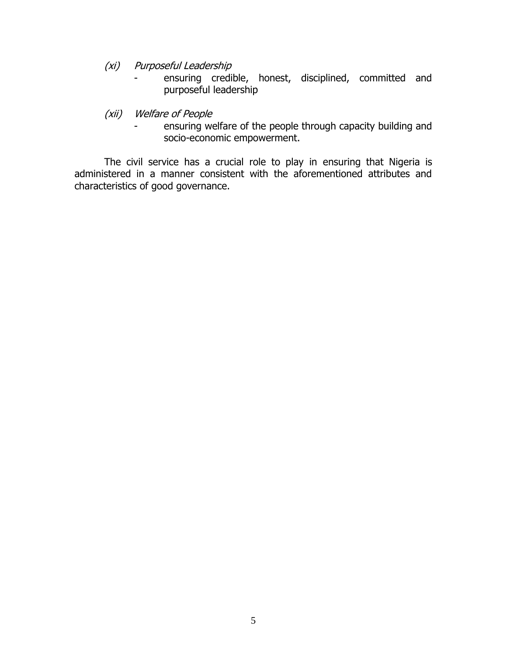- (xi) Purposeful Leadership
	- ensuring credible, honest, disciplined, committed and purposeful leadership
- (xii) Welfare of People
	- ensuring welfare of the people through capacity building and socio-economic empowerment.

The civil service has a crucial role to play in ensuring that Nigeria is administered in a manner consistent with the aforementioned attributes and characteristics of good governance.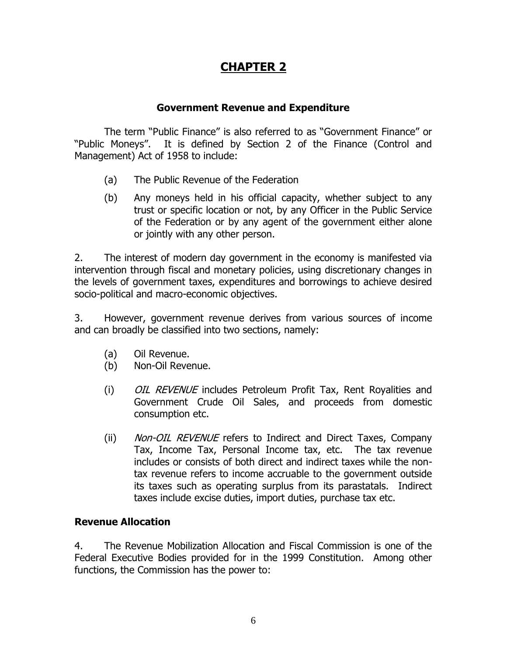# **CHAPTER 2**

### **Government Revenue and Expenditure**

The term "Public Finance" is also referred to as "Government Finance" or "Public Moneys". It is defined by Section 2 of the Finance (Control and Management) Act of 1958 to include:

- (a) The Public Revenue of the Federation
- (b) Any moneys held in his official capacity, whether subject to any trust or specific location or not, by any Officer in the Public Service of the Federation or by any agent of the government either alone or jointly with any other person.

2. The interest of modern day government in the economy is manifested via intervention through fiscal and monetary policies, using discretionary changes in the levels of government taxes, expenditures and borrowings to achieve desired socio-political and macro-economic objectives.

3. However, government revenue derives from various sources of income and can broadly be classified into two sections, namely:

- (a) Oil Revenue.
- (b) Non-Oil Revenue.
- (i) OIL REVENUE includes Petroleum Profit Tax, Rent Royalities and Government Crude Oil Sales, and proceeds from domestic consumption etc.
- (ii) *Non-OIL REVENUE* refers to Indirect and Direct Taxes, Company Tax, Income Tax, Personal Income tax, etc. The tax revenue includes or consists of both direct and indirect taxes while the nontax revenue refers to income accruable to the government outside its taxes such as operating surplus from its parastatals. Indirect taxes include excise duties, import duties, purchase tax etc.

#### **Revenue Allocation**

4. The Revenue Mobilization Allocation and Fiscal Commission is one of the Federal Executive Bodies provided for in the 1999 Constitution. Among other functions, the Commission has the power to: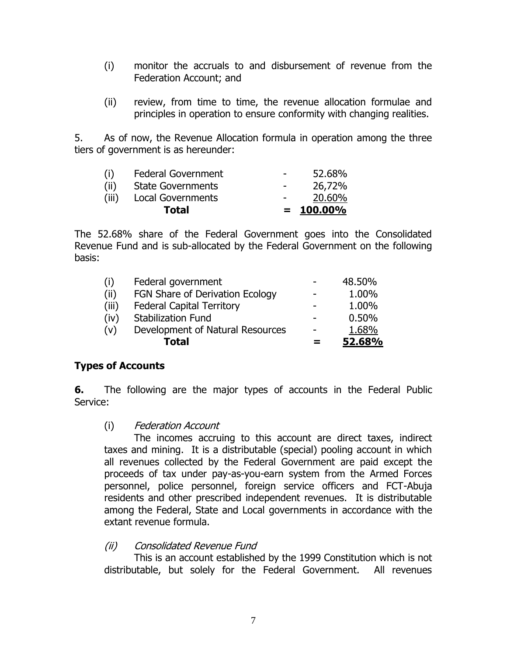- (i) monitor the accruals to and disbursement of revenue from the Federation Account; and
- (ii) review, from time to time, the revenue allocation formulae and principles in operation to ensure conformity with changing realities.

5. As of now, the Revenue Allocation formula in operation among the three tiers of government is as hereunder:

|       | Total                     |                          | $= 100.00\%$ |
|-------|---------------------------|--------------------------|--------------|
| (iii) | Local Governments         | $\sim$ $\sim$            | 20.60%       |
| (ii)  | <b>State Governments</b>  | $\overline{\phantom{0}}$ | 26,72%       |
| (i)   | <b>Federal Government</b> | $\overline{\phantom{0}}$ | 52.68%       |

The 52.68% share of the Federal Government goes into the Consolidated Revenue Fund and is sub-allocated by the Federal Government on the following basis:

|       | <b>Total</b>                     | 52.68% |
|-------|----------------------------------|--------|
| (v)   | Development of Natural Resources | 1.68%  |
| (iv)  | <b>Stabilization Fund</b>        | 0.50%  |
| (iii) | <b>Federal Capital Territory</b> | 1.00%  |
| (ii)  | FGN Share of Derivation Ecology  | 1.00%  |
| (i)   | Federal government               | 48.50% |

#### **Types of Accounts**

**6.** The following are the major types of accounts in the Federal Public Service:

(i) Federation Account

The incomes accruing to this account are direct taxes, indirect taxes and mining. It is a distributable (special) pooling account in which all revenues collected by the Federal Government are paid except the proceeds of tax under pay-as-you-earn system from the Armed Forces personnel, police personnel, foreign service officers and FCT-Abuja residents and other prescribed independent revenues. It is distributable among the Federal, State and Local governments in accordance with the extant revenue formula.

#### (ii) Consolidated Revenue Fund

This is an account established by the 1999 Constitution which is not distributable, but solely for the Federal Government. All revenues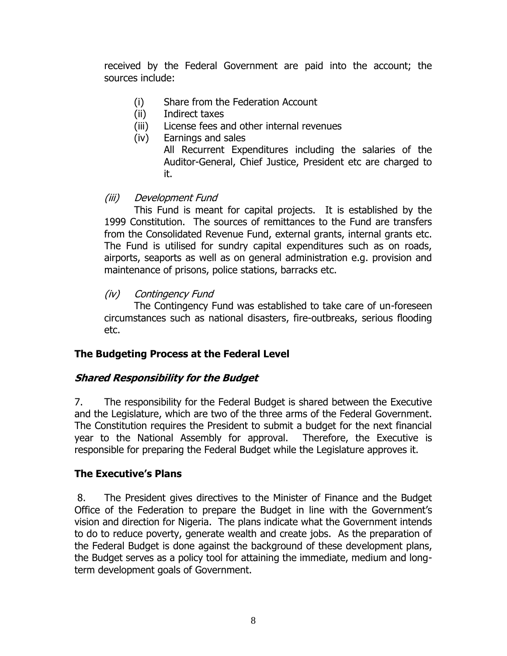received by the Federal Government are paid into the account; the sources include:

- (i) Share from the Federation Account
- (ii) Indirect taxes
- (iii) License fees and other internal revenues
- (iv) Earnings and sales All Recurrent Expenditures including the salaries of the Auditor-General, Chief Justice, President etc are charged to it.

### (iii) Development Fund

This Fund is meant for capital projects. It is established by the 1999 Constitution. The sources of remittances to the Fund are transfers from the Consolidated Revenue Fund, external grants, internal grants etc. The Fund is utilised for sundry capital expenditures such as on roads, airports, seaports as well as on general administration e.g. provision and maintenance of prisons, police stations, barracks etc.

### (iv) Contingency Fund

The Contingency Fund was established to take care of un-foreseen circumstances such as national disasters, fire-outbreaks, serious flooding etc.

#### **The Budgeting Process at the Federal Level**

# **Shared Responsibility for the Budget**

7. The responsibility for the Federal Budget is shared between the Executive and the Legislature, which are two of the three arms of the Federal Government. The Constitution requires the President to submit a budget for the next financial year to the National Assembly for approval. Therefore, the Executive is responsible for preparing the Federal Budget while the Legislature approves it.

#### **The Executive's Plans**

8. The President gives directives to the Minister of Finance and the Budget Office of the Federation to prepare the Budget in line with the Government's vision and direction for Nigeria. The plans indicate what the Government intends to do to reduce poverty, generate wealth and create jobs. As the preparation of the Federal Budget is done against the background of these development plans, the Budget serves as a policy tool for attaining the immediate, medium and longterm development goals of Government.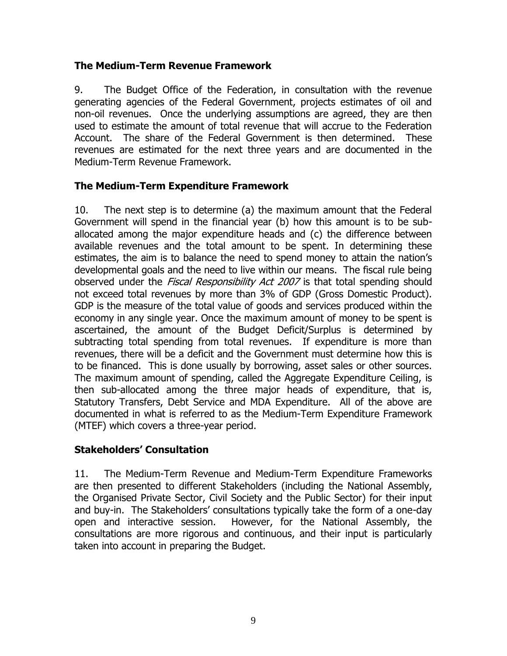#### **The Medium-Term Revenue Framework**

9. The Budget Office of the Federation, in consultation with the revenue generating agencies of the Federal Government, projects estimates of oil and non-oil revenues. Once the underlying assumptions are agreed, they are then used to estimate the amount of total revenue that will accrue to the Federation Account. The share of the Federal Government is then determined. These revenues are estimated for the next three years and are documented in the Medium-Term Revenue Framework.

# **The Medium-Term Expenditure Framework**

10. The next step is to determine (a) the maximum amount that the Federal Government will spend in the financial year (b) how this amount is to be suballocated among the major expenditure heads and (c) the difference between available revenues and the total amount to be spent. In determining these estimates, the aim is to balance the need to spend money to attain the nation's developmental goals and the need to live within our means. The fiscal rule being observed under the *Fiscal Responsibility Act 2007* is that total spending should not exceed total revenues by more than 3% of GDP (Gross Domestic Product). GDP is the measure of the total value of goods and services produced within the economy in any single year. Once the maximum amount of money to be spent is ascertained, the amount of the Budget Deficit/Surplus is determined by subtracting total spending from total revenues. If expenditure is more than revenues, there will be a deficit and the Government must determine how this is to be financed. This is done usually by borrowing, asset sales or other sources. The maximum amount of spending, called the Aggregate Expenditure Ceiling, is then sub-allocated among the three major heads of expenditure, that is, Statutory Transfers, Debt Service and MDA Expenditure. All of the above are documented in what is referred to as the Medium-Term Expenditure Framework (MTEF) which covers a three-year period.

# **Stakeholders' Consultation**

11. The Medium-Term Revenue and Medium-Term Expenditure Frameworks are then presented to different Stakeholders (including the National Assembly, the Organised Private Sector, Civil Society and the Public Sector) for their input and buy-in. The Stakeholders' consultations typically take the form of a one-day open and interactive session. However, for the National Assembly, the consultations are more rigorous and continuous, and their input is particularly taken into account in preparing the Budget.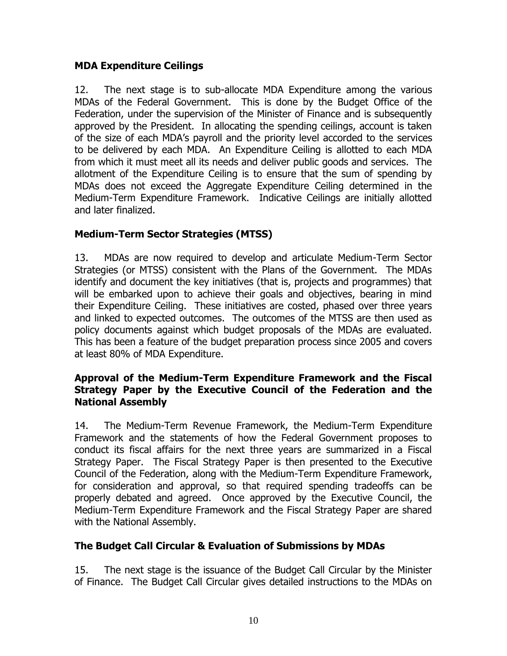#### **MDA Expenditure Ceilings**

12. The next stage is to sub-allocate MDA Expenditure among the various MDAs of the Federal Government. This is done by the Budget Office of the Federation, under the supervision of the Minister of Finance and is subsequently approved by the President. In allocating the spending ceilings, account is taken of the size of each MDA's payroll and the priority level accorded to the services to be delivered by each MDA. An Expenditure Ceiling is allotted to each MDA from which it must meet all its needs and deliver public goods and services. The allotment of the Expenditure Ceiling is to ensure that the sum of spending by MDAs does not exceed the Aggregate Expenditure Ceiling determined in the Medium-Term Expenditure Framework. Indicative Ceilings are initially allotted and later finalized.

# **Medium-Term Sector Strategies (MTSS)**

13. MDAs are now required to develop and articulate Medium-Term Sector Strategies (or MTSS) consistent with the Plans of the Government. The MDAs identify and document the key initiatives (that is, projects and programmes) that will be embarked upon to achieve their goals and objectives, bearing in mind their Expenditure Ceiling. These initiatives are costed, phased over three years and linked to expected outcomes. The outcomes of the MTSS are then used as policy documents against which budget proposals of the MDAs are evaluated. This has been a feature of the budget preparation process since 2005 and covers at least 80% of MDA Expenditure.

#### **Approval of the Medium-Term Expenditure Framework and the Fiscal Strategy Paper by the Executive Council of the Federation and the National Assembly**

14. The Medium-Term Revenue Framework, the Medium-Term Expenditure Framework and the statements of how the Federal Government proposes to conduct its fiscal affairs for the next three years are summarized in a Fiscal Strategy Paper. The Fiscal Strategy Paper is then presented to the Executive Council of the Federation, along with the Medium-Term Expenditure Framework, for consideration and approval, so that required spending tradeoffs can be properly debated and agreed. Once approved by the Executive Council, the Medium-Term Expenditure Framework and the Fiscal Strategy Paper are shared with the National Assembly.

# **The Budget Call Circular & Evaluation of Submissions by MDAs**

15. The next stage is the issuance of the Budget Call Circular by the Minister of Finance. The Budget Call Circular gives detailed instructions to the MDAs on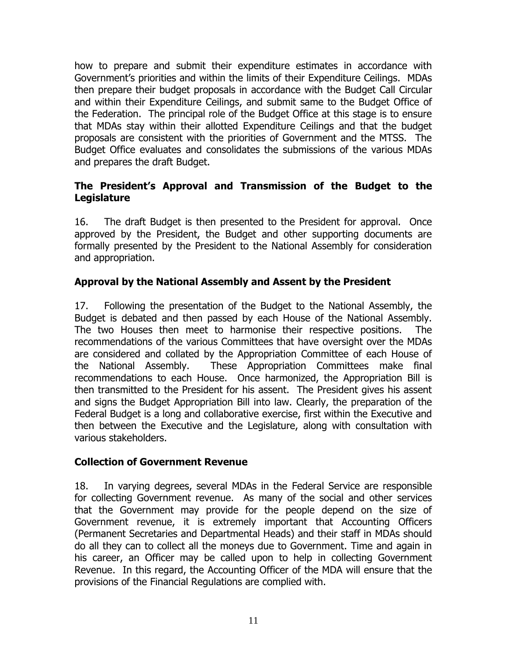how to prepare and submit their expenditure estimates in accordance with Government's priorities and within the limits of their Expenditure Ceilings. MDAs then prepare their budget proposals in accordance with the Budget Call Circular and within their Expenditure Ceilings, and submit same to the Budget Office of the Federation. The principal role of the Budget Office at this stage is to ensure that MDAs stay within their allotted Expenditure Ceilings and that the budget proposals are consistent with the priorities of Government and the MTSS. The Budget Office evaluates and consolidates the submissions of the various MDAs and prepares the draft Budget.

### **The President's Approval and Transmission of the Budget to the Legislature**

16. The draft Budget is then presented to the President for approval. Once approved by the President, the Budget and other supporting documents are formally presented by the President to the National Assembly for consideration and appropriation.

# **Approval by the National Assembly and Assent by the President**

17. Following the presentation of the Budget to the National Assembly, the Budget is debated and then passed by each House of the National Assembly. The two Houses then meet to harmonise their respective positions. The recommendations of the various Committees that have oversight over the MDAs are considered and collated by the Appropriation Committee of each House of the National Assembly. These Appropriation Committees make final recommendations to each House. Once harmonized, the Appropriation Bill is then transmitted to the President for his assent. The President gives his assent and signs the Budget Appropriation Bill into law. Clearly, the preparation of the Federal Budget is a long and collaborative exercise, first within the Executive and then between the Executive and the Legislature, along with consultation with various stakeholders.

# **Collection of Government Revenue**

18. In varying degrees, several MDAs in the Federal Service are responsible for collecting Government revenue. As many of the social and other services that the Government may provide for the people depend on the size of Government revenue, it is extremely important that Accounting Officers (Permanent Secretaries and Departmental Heads) and their staff in MDAs should do all they can to collect all the moneys due to Government. Time and again in his career, an Officer may be called upon to help in collecting Government Revenue. In this regard, the Accounting Officer of the MDA will ensure that the provisions of the Financial Regulations are complied with.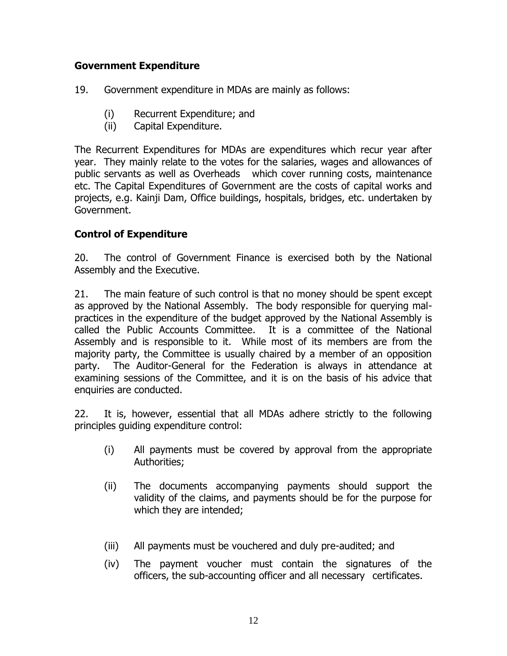### **Government Expenditure**

- 19. Government expenditure in MDAs are mainly as follows:
	- (i) Recurrent Expenditure; and
	- (ii) Capital Expenditure.

The Recurrent Expenditures for MDAs are expenditures which recur year after year. They mainly relate to the votes for the salaries, wages and allowances of public servants as well as Overheads which cover running costs, maintenance etc. The Capital Expenditures of Government are the costs of capital works and projects, e.g. Kainji Dam, Office buildings, hospitals, bridges, etc. undertaken by Government.

# **Control of Expenditure**

20. The control of Government Finance is exercised both by the National Assembly and the Executive.

21. The main feature of such control is that no money should be spent except as approved by the National Assembly. The body responsible for querying malpractices in the expenditure of the budget approved by the National Assembly is called the Public Accounts Committee. It is a committee of the National Assembly and is responsible to it. While most of its members are from the majority party, the Committee is usually chaired by a member of an opposition party. The Auditor-General for the Federation is always in attendance at examining sessions of the Committee, and it is on the basis of his advice that enquiries are conducted.

22. It is, however, essential that all MDAs adhere strictly to the following principles guiding expenditure control:

- (i) All payments must be covered by approval from the appropriate Authorities;
- (ii) The documents accompanying payments should support the validity of the claims, and payments should be for the purpose for which they are intended;
- (iii) All payments must be vouchered and duly pre-audited; and
- (iv) The payment voucher must contain the signatures of the officers, the sub-accounting officer and all necessary certificates.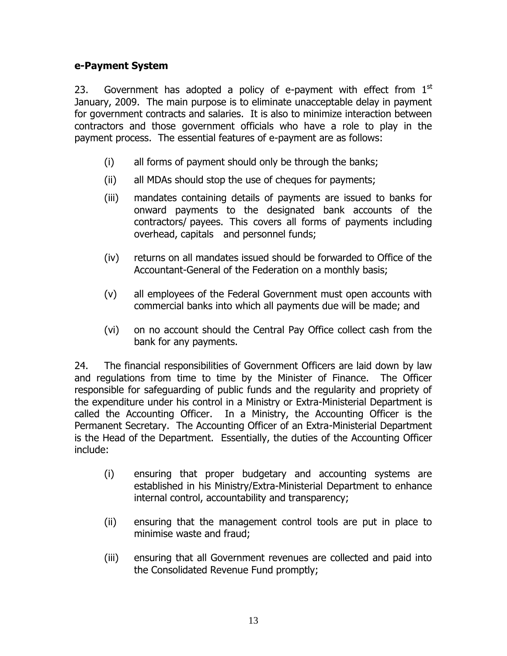### **e-Payment System**

23. Government has adopted a policy of e-payment with effect from  $1<sup>st</sup>$ January, 2009. The main purpose is to eliminate unacceptable delay in payment for government contracts and salaries. It is also to minimize interaction between contractors and those government officials who have a role to play in the payment process. The essential features of e-payment are as follows:

- (i) all forms of payment should only be through the banks;
- (ii) all MDAs should stop the use of cheques for payments;
- (iii) mandates containing details of payments are issued to banks for onward payments to the designated bank accounts of the contractors/ payees. This covers all forms of payments including overhead, capitals and personnel funds;
- (iv) returns on all mandates issued should be forwarded to Office of the Accountant-General of the Federation on a monthly basis;
- (v) all employees of the Federal Government must open accounts with commercial banks into which all payments due will be made; and
- (vi) on no account should the Central Pay Office collect cash from the bank for any payments.

24. The financial responsibilities of Government Officers are laid down by law and regulations from time to time by the Minister of Finance. The Officer responsible for safeguarding of public funds and the regularity and propriety of the expenditure under his control in a Ministry or Extra-Ministerial Department is called the Accounting Officer. In a Ministry, the Accounting Officer is the Permanent Secretary. The Accounting Officer of an Extra-Ministerial Department is the Head of the Department. Essentially, the duties of the Accounting Officer include:

- (i) ensuring that proper budgetary and accounting systems are established in his Ministry/Extra-Ministerial Department to enhance internal control, accountability and transparency;
- (ii) ensuring that the management control tools are put in place to minimise waste and fraud;
- (iii) ensuring that all Government revenues are collected and paid into the Consolidated Revenue Fund promptly;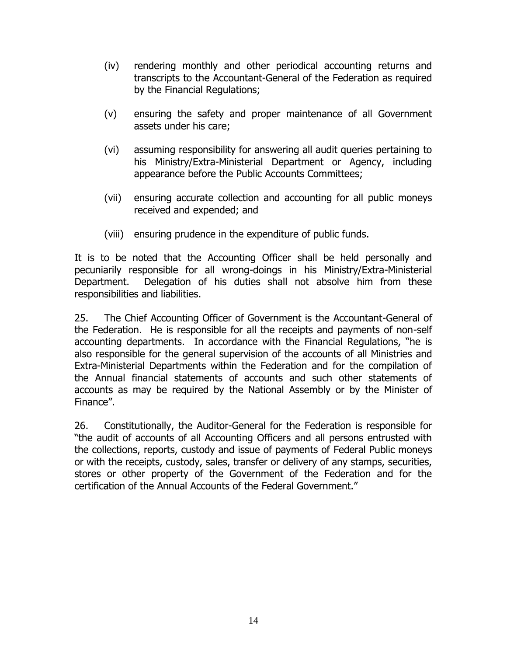- (iv) rendering monthly and other periodical accounting returns and transcripts to the Accountant-General of the Federation as required by the Financial Regulations;
- (v) ensuring the safety and proper maintenance of all Government assets under his care;
- (vi) assuming responsibility for answering all audit queries pertaining to his Ministry/Extra-Ministerial Department or Agency, including appearance before the Public Accounts Committees;
- (vii) ensuring accurate collection and accounting for all public moneys received and expended; and
- (viii) ensuring prudence in the expenditure of public funds.

It is to be noted that the Accounting Officer shall be held personally and pecuniarily responsible for all wrong-doings in his Ministry/Extra-Ministerial Department. Delegation of his duties shall not absolve him from these responsibilities and liabilities.

25. The Chief Accounting Officer of Government is the Accountant-General of the Federation. He is responsible for all the receipts and payments of non-self accounting departments. In accordance with the Financial Regulations, "he is also responsible for the general supervision of the accounts of all Ministries and Extra-Ministerial Departments within the Federation and for the compilation of the Annual financial statements of accounts and such other statements of accounts as may be required by the National Assembly or by the Minister of Finance".

26. Constitutionally, the Auditor-General for the Federation is responsible for "the audit of accounts of all Accounting Officers and all persons entrusted with the collections, reports, custody and issue of payments of Federal Public moneys or with the receipts, custody, sales, transfer or delivery of any stamps, securities, stores or other property of the Government of the Federation and for the certification of the Annual Accounts of the Federal Government."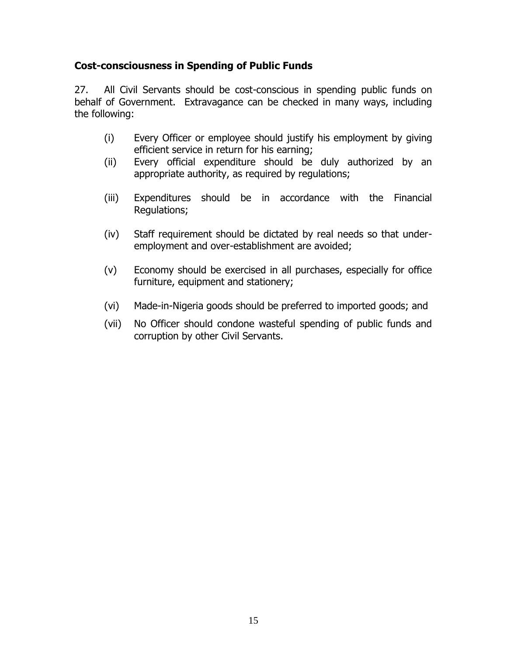#### **Cost-consciousness in Spending of Public Funds**

27. All Civil Servants should be cost-conscious in spending public funds on behalf of Government. Extravagance can be checked in many ways, including the following:

- (i) Every Officer or employee should justify his employment by giving efficient service in return for his earning;
- (ii) Every official expenditure should be duly authorized by an appropriate authority, as required by regulations;
- (iii) Expenditures should be in accordance with the Financial Regulations;
- (iv) Staff requirement should be dictated by real needs so that underemployment and over-establishment are avoided;
- (v) Economy should be exercised in all purchases, especially for office furniture, equipment and stationery;
- (vi) Made-in-Nigeria goods should be preferred to imported goods; and
- (vii) No Officer should condone wasteful spending of public funds and corruption by other Civil Servants.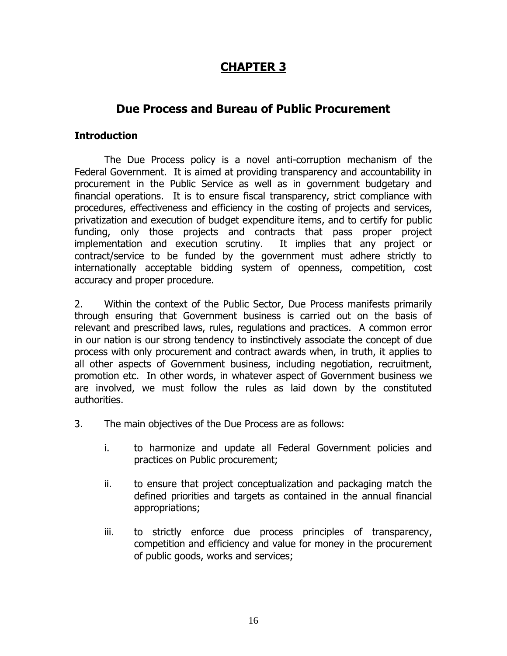# **CHAPTER 3**

# **Due Process and Bureau of Public Procurement**

#### **Introduction**

The Due Process policy is a novel anti-corruption mechanism of the Federal Government. It is aimed at providing transparency and accountability in procurement in the Public Service as well as in government budgetary and financial operations. It is to ensure fiscal transparency, strict compliance with procedures, effectiveness and efficiency in the costing of projects and services, privatization and execution of budget expenditure items, and to certify for public funding, only those projects and contracts that pass proper project implementation and execution scrutiny. It implies that any project or contract/service to be funded by the government must adhere strictly to internationally acceptable bidding system of openness, competition, cost accuracy and proper procedure.

2. Within the context of the Public Sector, Due Process manifests primarily through ensuring that Government business is carried out on the basis of relevant and prescribed laws, rules, regulations and practices. A common error in our nation is our strong tendency to instinctively associate the concept of due process with only procurement and contract awards when, in truth, it applies to all other aspects of Government business, including negotiation, recruitment, promotion etc. In other words, in whatever aspect of Government business we are involved, we must follow the rules as laid down by the constituted authorities.

- 3. The main objectives of the Due Process are as follows:
	- i. to harmonize and update all Federal Government policies and practices on Public procurement;
	- ii. to ensure that project conceptualization and packaging match the defined priorities and targets as contained in the annual financial appropriations;
	- iii. to strictly enforce due process principles of transparency, competition and efficiency and value for money in the procurement of public goods, works and services;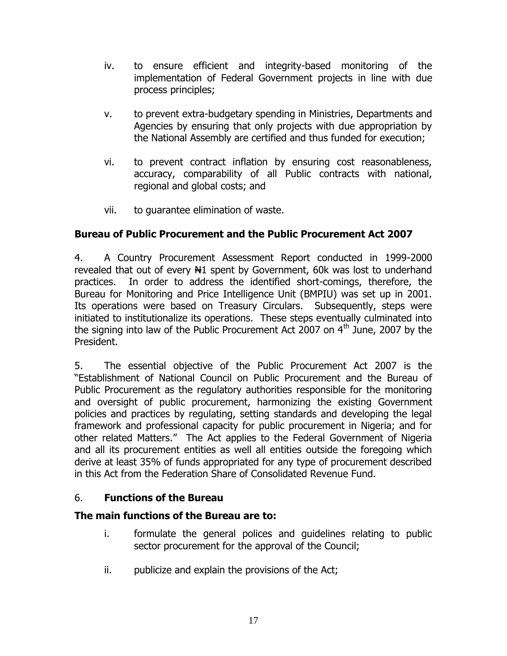- iv. to ensure efficient and integrity-based monitoring of the implementation of Federal Government projects in line with due process principles;
- v. to prevent extra-budgetary spending in Ministries, Departments and Agencies by ensuring that only projects with due appropriation by the National Assembly are certified and thus funded for execution;
- vi. to prevent contract inflation by ensuring cost reasonableness, accuracy, comparability of all Public contracts with national, regional and global costs; and
- vii. to guarantee elimination of waste.

# **Bureau of Public Procurement and the Public Procurement Act 2007**

4. A Country Procurement Assessment Report conducted in 1999-2000 revealed that out of every  $H1$  spent by Government, 60k was lost to underhand practices. In order to address the identified short-comings, therefore, the Bureau for Monitoring and Price Intelligence Unit (BMPIU) was set up in 2001. Its operations were based on Treasury Circulars. Subsequently, steps were initiated to institutionalize its operations. These steps eventually culminated into the signing into law of the Public Procurement Act 2007 on  $4<sup>th</sup>$  June, 2007 by the President.

5. The essential objective of the Public Procurement Act 2007 is the ―Establishment of National Council on Public Procurement and the Bureau of Public Procurement as the regulatory authorities responsible for the monitoring and oversight of public procurement, harmonizing the existing Government policies and practices by regulating, setting standards and developing the legal framework and professional capacity for public procurement in Nigeria; and for other related Matters." The Act applies to the Federal Government of Nigeria and all its procurement entities as well all entities outside the foregoing which derive at least 35% of funds appropriated for any type of procurement described in this Act from the Federation Share of Consolidated Revenue Fund.

# 6. **Functions of the Bureau**

# **The main functions of the Bureau are to:**

- i. formulate the general polices and guidelines relating to public sector procurement for the approval of the Council;
- ii. publicize and explain the provisions of the Act;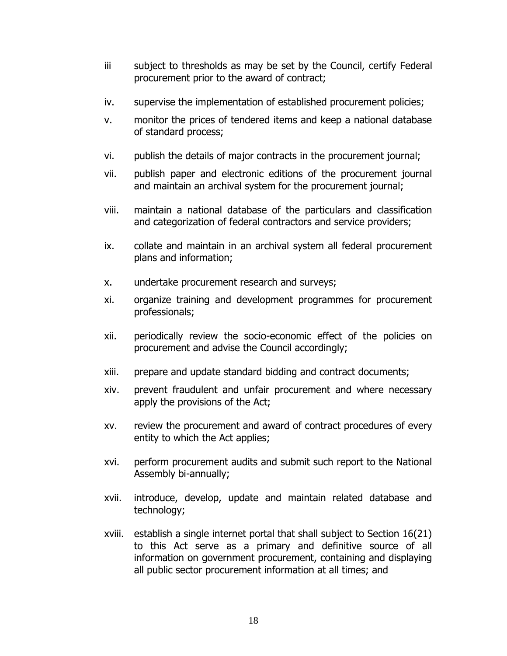- iii subject to thresholds as may be set by the Council, certify Federal procurement prior to the award of contract;
- iv. supervise the implementation of established procurement policies;
- v. monitor the prices of tendered items and keep a national database of standard process;
- vi. publish the details of major contracts in the procurement journal;
- vii. publish paper and electronic editions of the procurement journal and maintain an archival system for the procurement journal;
- viii. maintain a national database of the particulars and classification and categorization of federal contractors and service providers;
- ix. collate and maintain in an archival system all federal procurement plans and information;
- x. undertake procurement research and surveys;
- xi. organize training and development programmes for procurement professionals;
- xii. periodically review the socio-economic effect of the policies on procurement and advise the Council accordingly;
- xiii. prepare and update standard bidding and contract documents;
- xiv. prevent fraudulent and unfair procurement and where necessary apply the provisions of the Act;
- xv. review the procurement and award of contract procedures of every entity to which the Act applies;
- xvi. perform procurement audits and submit such report to the National Assembly bi-annually;
- xvii. introduce, develop, update and maintain related database and technology;
- xviii. establish a single internet portal that shall subject to Section 16(21) to this Act serve as a primary and definitive source of all information on government procurement, containing and displaying all public sector procurement information at all times; and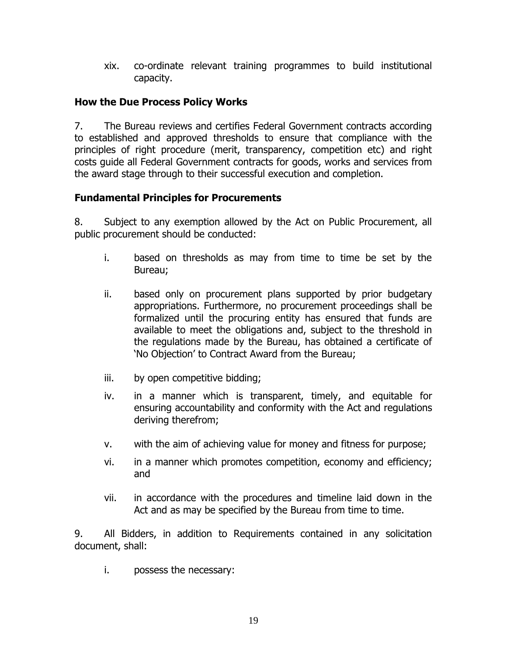xix. co-ordinate relevant training programmes to build institutional capacity.

#### **How the Due Process Policy Works**

7. The Bureau reviews and certifies Federal Government contracts according to established and approved thresholds to ensure that compliance with the principles of right procedure (merit, transparency, competition etc) and right costs guide all Federal Government contracts for goods, works and services from the award stage through to their successful execution and completion.

### **Fundamental Principles for Procurements**

8. Subject to any exemption allowed by the Act on Public Procurement, all public procurement should be conducted:

- i. based on thresholds as may from time to time be set by the Bureau;
- ii. based only on procurement plans supported by prior budgetary appropriations. Furthermore, no procurement proceedings shall be formalized until the procuring entity has ensured that funds are available to meet the obligations and, subject to the threshold in the regulations made by the Bureau, has obtained a certificate of 'No Objection' to Contract Award from the Bureau;
- iii. by open competitive bidding;
- iv. in a manner which is transparent, timely, and equitable for ensuring accountability and conformity with the Act and regulations deriving therefrom;
- v. with the aim of achieving value for money and fitness for purpose;
- vi. in a manner which promotes competition, economy and efficiency; and
- vii. in accordance with the procedures and timeline laid down in the Act and as may be specified by the Bureau from time to time.

9. All Bidders, in addition to Requirements contained in any solicitation document, shall:

i. possess the necessary: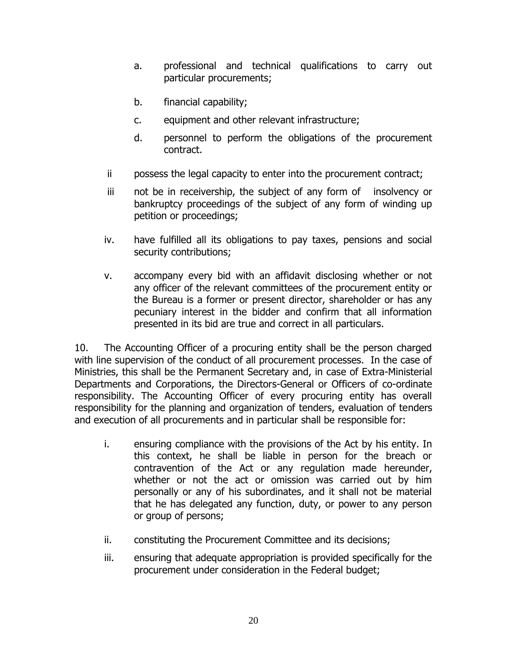- a. professional and technical qualifications to carry out particular procurements;
- b. financial capability;
- c. equipment and other relevant infrastructure;
- d. personnel to perform the obligations of the procurement contract.
- ii possess the legal capacity to enter into the procurement contract;
- iii not be in receivership, the subject of any form of insolvency or bankruptcy proceedings of the subject of any form of winding up petition or proceedings;
- iv. have fulfilled all its obligations to pay taxes, pensions and social security contributions;
- v. accompany every bid with an affidavit disclosing whether or not any officer of the relevant committees of the procurement entity or the Bureau is a former or present director, shareholder or has any pecuniary interest in the bidder and confirm that all information presented in its bid are true and correct in all particulars.

10. The Accounting Officer of a procuring entity shall be the person charged with line supervision of the conduct of all procurement processes. In the case of Ministries, this shall be the Permanent Secretary and, in case of Extra-Ministerial Departments and Corporations, the Directors-General or Officers of co-ordinate responsibility. The Accounting Officer of every procuring entity has overall responsibility for the planning and organization of tenders, evaluation of tenders and execution of all procurements and in particular shall be responsible for:

- i. ensuring compliance with the provisions of the Act by his entity. In this context, he shall be liable in person for the breach or contravention of the Act or any regulation made hereunder, whether or not the act or omission was carried out by him personally or any of his subordinates, and it shall not be material that he has delegated any function, duty, or power to any person or group of persons;
- ii. constituting the Procurement Committee and its decisions;
- iii. ensuring that adequate appropriation is provided specifically for the procurement under consideration in the Federal budget;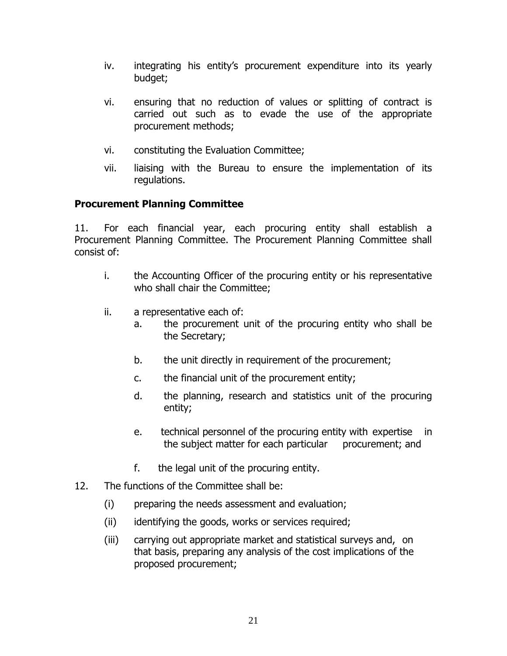- iv. integrating his entity's procurement expenditure into its yearly budget;
- vi. ensuring that no reduction of values or splitting of contract is carried out such as to evade the use of the appropriate procurement methods;
- vi. constituting the Evaluation Committee;
- vii. liaising with the Bureau to ensure the implementation of its regulations.

#### **Procurement Planning Committee**

11. For each financial year, each procuring entity shall establish a Procurement Planning Committee. The Procurement Planning Committee shall consist of:

- i. the Accounting Officer of the procuring entity or his representative who shall chair the Committee;
- ii. a representative each of:
	- a. the procurement unit of the procuring entity who shall be the Secretary;
	- b. the unit directly in requirement of the procurement;
	- c. the financial unit of the procurement entity;
	- d. the planning, research and statistics unit of the procuring entity;
	- e. technical personnel of the procuring entity with expertise in the subject matter for each particular procurement; and
	- f. the legal unit of the procuring entity.
- 12. The functions of the Committee shall be:
	- (i) preparing the needs assessment and evaluation;
	- (ii) identifying the goods, works or services required;
	- (iii) carrying out appropriate market and statistical surveys and, on that basis, preparing any analysis of the cost implications of the proposed procurement;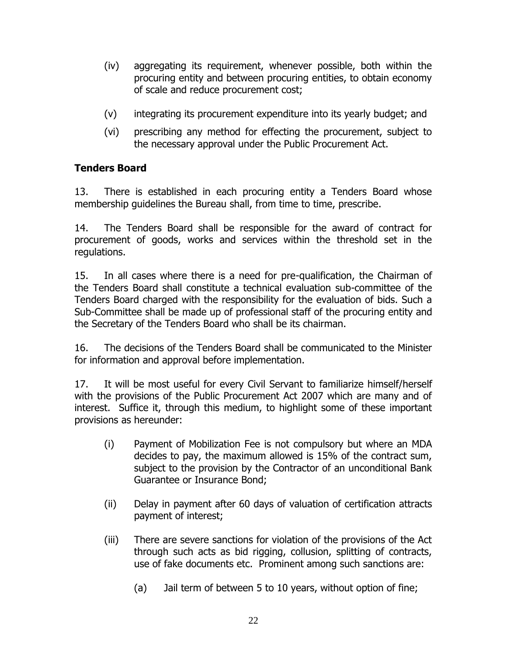- (iv) aggregating its requirement, whenever possible, both within the procuring entity and between procuring entities, to obtain economy of scale and reduce procurement cost;
- (v) integrating its procurement expenditure into its yearly budget; and
- (vi) prescribing any method for effecting the procurement, subject to the necessary approval under the Public Procurement Act.

#### **Tenders Board**

13. There is established in each procuring entity a Tenders Board whose membership guidelines the Bureau shall, from time to time, prescribe.

14. The Tenders Board shall be responsible for the award of contract for procurement of goods, works and services within the threshold set in the regulations.

15. In all cases where there is a need for pre-qualification, the Chairman of the Tenders Board shall constitute a technical evaluation sub-committee of the Tenders Board charged with the responsibility for the evaluation of bids. Such a Sub-Committee shall be made up of professional staff of the procuring entity and the Secretary of the Tenders Board who shall be its chairman.

16. The decisions of the Tenders Board shall be communicated to the Minister for information and approval before implementation.

17. It will be most useful for every Civil Servant to familiarize himself/herself with the provisions of the Public Procurement Act 2007 which are many and of interest. Suffice it, through this medium, to highlight some of these important provisions as hereunder:

- (i) Payment of Mobilization Fee is not compulsory but where an MDA decides to pay, the maximum allowed is 15% of the contract sum, subject to the provision by the Contractor of an unconditional Bank Guarantee or Insurance Bond;
- (ii) Delay in payment after 60 days of valuation of certification attracts payment of interest;
- (iii) There are severe sanctions for violation of the provisions of the Act through such acts as bid rigging, collusion, splitting of contracts, use of fake documents etc. Prominent among such sanctions are:
	- (a) Jail term of between 5 to 10 years, without option of fine;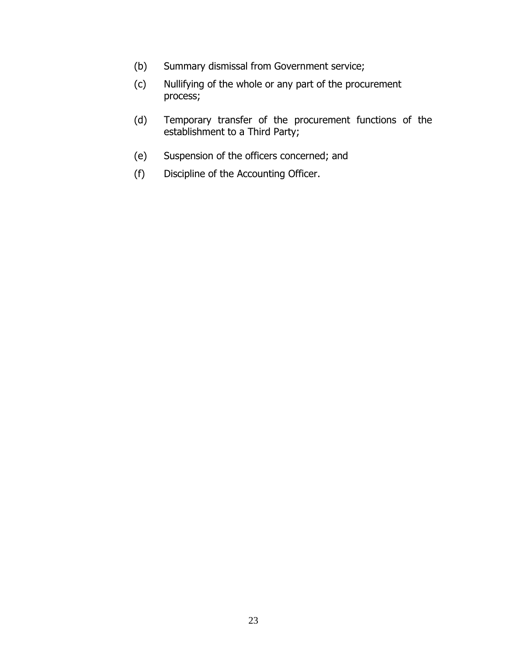- (b) Summary dismissal from Government service;
- (c) Nullifying of the whole or any part of the procurement process;
- (d) Temporary transfer of the procurement functions of the establishment to a Third Party;
- (e) Suspension of the officers concerned; and
- (f) Discipline of the Accounting Officer.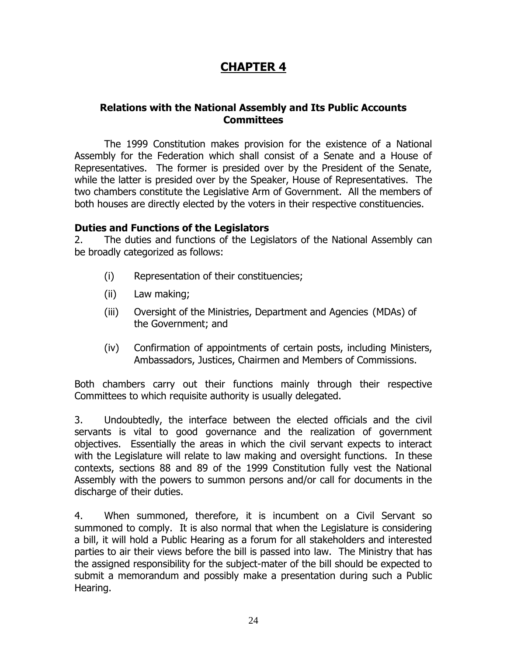# **CHAPTER 4**

#### **Relations with the National Assembly and Its Public Accounts Committees**

The 1999 Constitution makes provision for the existence of a National Assembly for the Federation which shall consist of a Senate and a House of Representatives. The former is presided over by the President of the Senate, while the latter is presided over by the Speaker, House of Representatives. The two chambers constitute the Legislative Arm of Government. All the members of both houses are directly elected by the voters in their respective constituencies.

#### **Duties and Functions of the Legislators**

2. The duties and functions of the Legislators of the National Assembly can be broadly categorized as follows:

- (i) Representation of their constituencies;
- (ii) Law making;
- (iii) Oversight of the Ministries, Department and Agencies (MDAs) of the Government; and
- (iv) Confirmation of appointments of certain posts, including Ministers, Ambassadors, Justices, Chairmen and Members of Commissions.

Both chambers carry out their functions mainly through their respective Committees to which requisite authority is usually delegated.

3. Undoubtedly, the interface between the elected officials and the civil servants is vital to good governance and the realization of government objectives. Essentially the areas in which the civil servant expects to interact with the Legislature will relate to law making and oversight functions. In these contexts, sections 88 and 89 of the 1999 Constitution fully vest the National Assembly with the powers to summon persons and/or call for documents in the discharge of their duties.

4. When summoned, therefore, it is incumbent on a Civil Servant so summoned to comply. It is also normal that when the Legislature is considering a bill, it will hold a Public Hearing as a forum for all stakeholders and interested parties to air their views before the bill is passed into law. The Ministry that has the assigned responsibility for the subject-mater of the bill should be expected to submit a memorandum and possibly make a presentation during such a Public Hearing.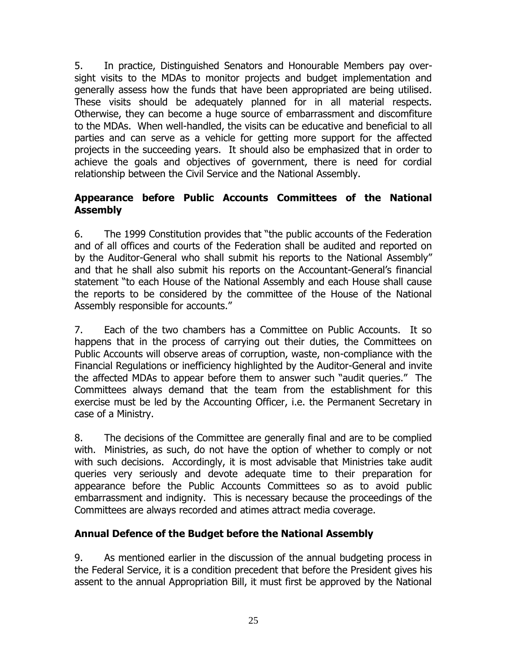5. In practice, Distinguished Senators and Honourable Members pay oversight visits to the MDAs to monitor projects and budget implementation and generally assess how the funds that have been appropriated are being utilised. These visits should be adequately planned for in all material respects. Otherwise, they can become a huge source of embarrassment and discomfiture to the MDAs. When well-handled, the visits can be educative and beneficial to all parties and can serve as a vehicle for getting more support for the affected projects in the succeeding years. It should also be emphasized that in order to achieve the goals and objectives of government, there is need for cordial relationship between the Civil Service and the National Assembly.

### **Appearance before Public Accounts Committees of the National Assembly**

6. The 1999 Constitution provides that "the public accounts of the Federation and of all offices and courts of the Federation shall be audited and reported on by the Auditor-General who shall submit his reports to the National Assembly" and that he shall also submit his reports on the Accountant-General's financial statement "to each House of the National Assembly and each House shall cause the reports to be considered by the committee of the House of the National Assembly responsible for accounts."

7. Each of the two chambers has a Committee on Public Accounts. It so happens that in the process of carrying out their duties, the Committees on Public Accounts will observe areas of corruption, waste, non-compliance with the Financial Regulations or inefficiency highlighted by the Auditor-General and invite the affected MDAs to appear before them to answer such "audit queries." The Committees always demand that the team from the establishment for this exercise must be led by the Accounting Officer, i.e. the Permanent Secretary in case of a Ministry.

8. The decisions of the Committee are generally final and are to be complied with. Ministries, as such, do not have the option of whether to comply or not with such decisions. Accordingly, it is most advisable that Ministries take audit queries very seriously and devote adequate time to their preparation for appearance before the Public Accounts Committees so as to avoid public embarrassment and indignity. This is necessary because the proceedings of the Committees are always recorded and atimes attract media coverage.

# **Annual Defence of the Budget before the National Assembly**

9. As mentioned earlier in the discussion of the annual budgeting process in the Federal Service, it is a condition precedent that before the President gives his assent to the annual Appropriation Bill, it must first be approved by the National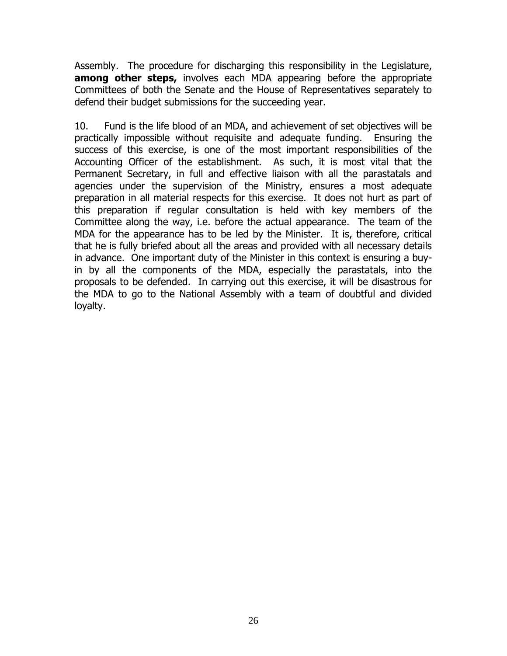Assembly. The procedure for discharging this responsibility in the Legislature, **among other steps,** involves each MDA appearing before the appropriate Committees of both the Senate and the House of Representatives separately to defend their budget submissions for the succeeding year.

10. Fund is the life blood of an MDA, and achievement of set objectives will be practically impossible without requisite and adequate funding. Ensuring the success of this exercise, is one of the most important responsibilities of the Accounting Officer of the establishment. As such, it is most vital that the Permanent Secretary, in full and effective liaison with all the parastatals and agencies under the supervision of the Ministry, ensures a most adequate preparation in all material respects for this exercise. It does not hurt as part of this preparation if regular consultation is held with key members of the Committee along the way, i.e. before the actual appearance. The team of the MDA for the appearance has to be led by the Minister. It is, therefore, critical that he is fully briefed about all the areas and provided with all necessary details in advance. One important duty of the Minister in this context is ensuring a buyin by all the components of the MDA, especially the parastatals, into the proposals to be defended. In carrying out this exercise, it will be disastrous for the MDA to go to the National Assembly with a team of doubtful and divided loyalty.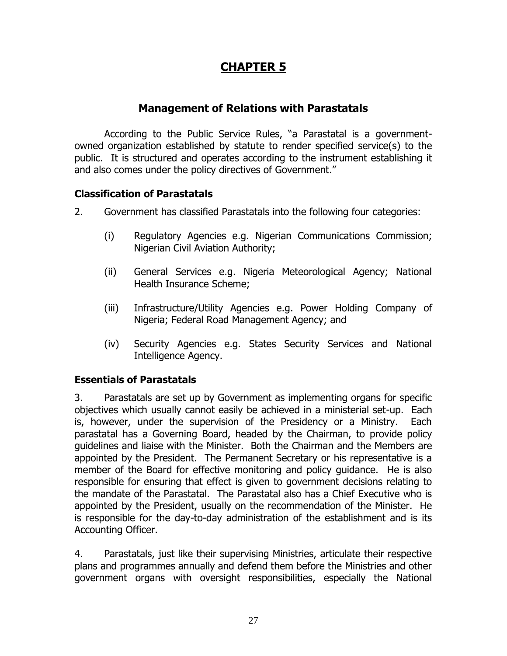# **CHAPTER 5**

# **Management of Relations with Parastatals**

According to the Public Service Rules, "a Parastatal is a governmentowned organization established by statute to render specified service(s) to the public. It is structured and operates according to the instrument establishing it and also comes under the policy directives of Government."

### **Classification of Parastatals**

- 2. Government has classified Parastatals into the following four categories:
	- (i) Regulatory Agencies e.g. Nigerian Communications Commission; Nigerian Civil Aviation Authority;
	- (ii) General Services e.g. Nigeria Meteorological Agency; National Health Insurance Scheme;
	- (iii) Infrastructure/Utility Agencies e.g. Power Holding Company of Nigeria; Federal Road Management Agency; and
	- (iv) Security Agencies e.g. States Security Services and National Intelligence Agency.

# **Essentials of Parastatals**

3. Parastatals are set up by Government as implementing organs for specific objectives which usually cannot easily be achieved in a ministerial set-up. Each is, however, under the supervision of the Presidency or a Ministry. Each parastatal has a Governing Board, headed by the Chairman, to provide policy guidelines and liaise with the Minister. Both the Chairman and the Members are appointed by the President. The Permanent Secretary or his representative is a member of the Board for effective monitoring and policy guidance. He is also responsible for ensuring that effect is given to government decisions relating to the mandate of the Parastatal. The Parastatal also has a Chief Executive who is appointed by the President, usually on the recommendation of the Minister. He is responsible for the day-to-day administration of the establishment and is its Accounting Officer.

4. Parastatals, just like their supervising Ministries, articulate their respective plans and programmes annually and defend them before the Ministries and other government organs with oversight responsibilities, especially the National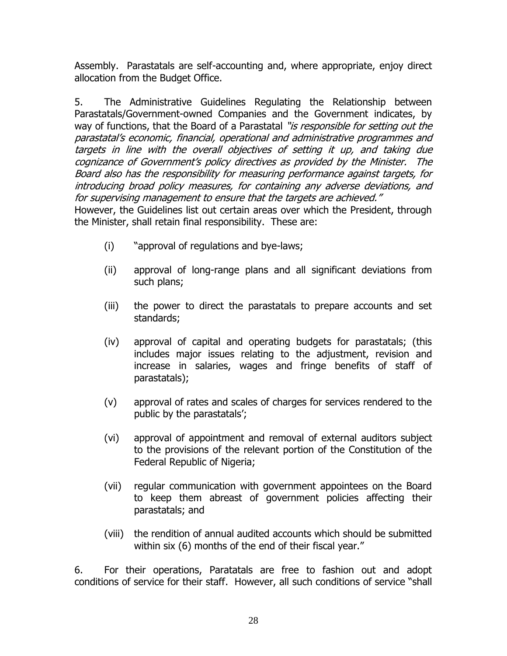Assembly. Parastatals are self-accounting and, where appropriate, enjoy direct allocation from the Budget Office.

5. The Administrative Guidelines Regulating the Relationship between Parastatals/Government-owned Companies and the Government indicates, by way of functions, that the Board of a Parastatal "is responsible for setting out the parastatal's economic, financial, operational and administrative programmes and targets in line with the overall objectives of setting it up, and taking due cognizance of Government's policy directives as provided by the Minister. The Board also has the responsibility for measuring performance against targets, for introducing broad policy measures, for containing any adverse deviations, and for supervising management to ensure that the targets are achieved."

However, the Guidelines list out certain areas over which the President, through the Minister, shall retain final responsibility. These are:

- $(i)$  "approval of regulations and bye-laws;
- (ii) approval of long-range plans and all significant deviations from such plans;
- (iii) the power to direct the parastatals to prepare accounts and set standards;
- (iv) approval of capital and operating budgets for parastatals; (this includes major issues relating to the adjustment, revision and increase in salaries, wages and fringe benefits of staff of parastatals);
- (v) approval of rates and scales of charges for services rendered to the public by the parastatals';
- (vi) approval of appointment and removal of external auditors subject to the provisions of the relevant portion of the Constitution of the Federal Republic of Nigeria;
- (vii) regular communication with government appointees on the Board to keep them abreast of government policies affecting their parastatals; and
- (viii) the rendition of annual audited accounts which should be submitted within six (6) months of the end of their fiscal year."

6. For their operations, Paratatals are free to fashion out and adopt conditions of service for their staff. However, all such conditions of service "shall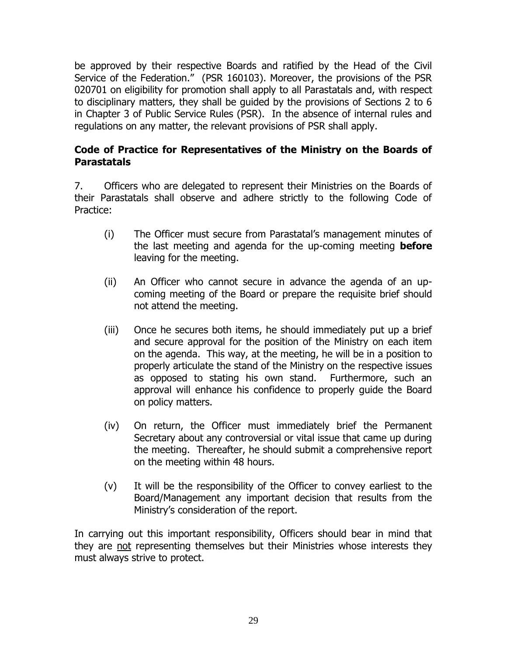be approved by their respective Boards and ratified by the Head of the Civil Service of the Federation." (PSR 160103). Moreover, the provisions of the PSR 020701 on eligibility for promotion shall apply to all Parastatals and, with respect to disciplinary matters, they shall be guided by the provisions of Sections 2 to 6 in Chapter 3 of Public Service Rules (PSR). In the absence of internal rules and regulations on any matter, the relevant provisions of PSR shall apply.

### **Code of Practice for Representatives of the Ministry on the Boards of Parastatals**

7. Officers who are delegated to represent their Ministries on the Boards of their Parastatals shall observe and adhere strictly to the following Code of Practice:

- (i) The Officer must secure from Parastatal's management minutes of the last meeting and agenda for the up-coming meeting **before** leaving for the meeting.
- (ii) An Officer who cannot secure in advance the agenda of an upcoming meeting of the Board or prepare the requisite brief should not attend the meeting.
- (iii) Once he secures both items, he should immediately put up a brief and secure approval for the position of the Ministry on each item on the agenda. This way, at the meeting, he will be in a position to properly articulate the stand of the Ministry on the respective issues as opposed to stating his own stand. Furthermore, such an approval will enhance his confidence to properly guide the Board on policy matters.
- (iv) On return, the Officer must immediately brief the Permanent Secretary about any controversial or vital issue that came up during the meeting. Thereafter, he should submit a comprehensive report on the meeting within 48 hours.
- (v) It will be the responsibility of the Officer to convey earliest to the Board/Management any important decision that results from the Ministry's consideration of the report.

In carrying out this important responsibility, Officers should bear in mind that they are not representing themselves but their Ministries whose interests they must always strive to protect.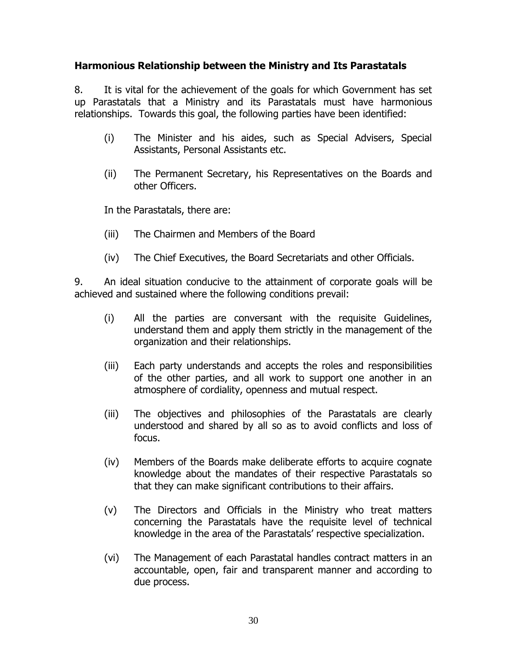#### **Harmonious Relationship between the Ministry and Its Parastatals**

8. It is vital for the achievement of the goals for which Government has set up Parastatals that a Ministry and its Parastatals must have harmonious relationships. Towards this goal, the following parties have been identified:

- (i) The Minister and his aides, such as Special Advisers, Special Assistants, Personal Assistants etc.
- (ii) The Permanent Secretary, his Representatives on the Boards and other Officers.

In the Parastatals, there are:

- (iii) The Chairmen and Members of the Board
- (iv) The Chief Executives, the Board Secretariats and other Officials.

9. An ideal situation conducive to the attainment of corporate goals will be achieved and sustained where the following conditions prevail:

- (i) All the parties are conversant with the requisite Guidelines, understand them and apply them strictly in the management of the organization and their relationships.
- (iii) Each party understands and accepts the roles and responsibilities of the other parties, and all work to support one another in an atmosphere of cordiality, openness and mutual respect.
- (iii) The objectives and philosophies of the Parastatals are clearly understood and shared by all so as to avoid conflicts and loss of focus.
- (iv) Members of the Boards make deliberate efforts to acquire cognate knowledge about the mandates of their respective Parastatals so that they can make significant contributions to their affairs.
- (v) The Directors and Officials in the Ministry who treat matters concerning the Parastatals have the requisite level of technical knowledge in the area of the Parastatals' respective specialization.
- (vi) The Management of each Parastatal handles contract matters in an accountable, open, fair and transparent manner and according to due process.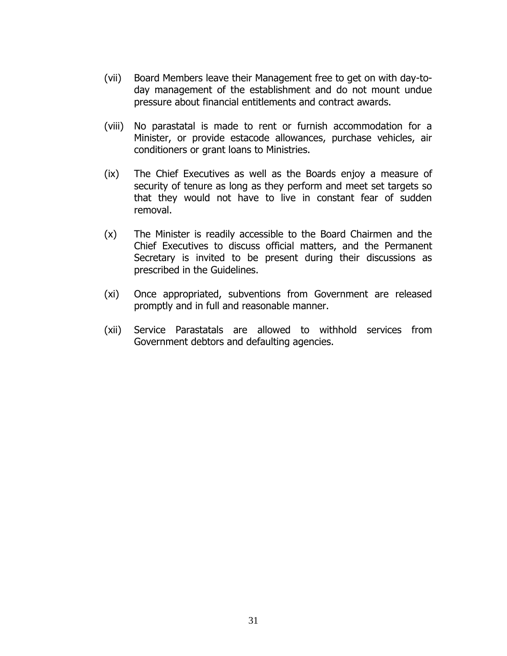- (vii) Board Members leave their Management free to get on with day-today management of the establishment and do not mount undue pressure about financial entitlements and contract awards.
- (viii) No parastatal is made to rent or furnish accommodation for a Minister, or provide estacode allowances, purchase vehicles, air conditioners or grant loans to Ministries.
- (ix) The Chief Executives as well as the Boards enjoy a measure of security of tenure as long as they perform and meet set targets so that they would not have to live in constant fear of sudden removal.
- (x) The Minister is readily accessible to the Board Chairmen and the Chief Executives to discuss official matters, and the Permanent Secretary is invited to be present during their discussions as prescribed in the Guidelines.
- (xi) Once appropriated, subventions from Government are released promptly and in full and reasonable manner.
- (xii) Service Parastatals are allowed to withhold services from Government debtors and defaulting agencies.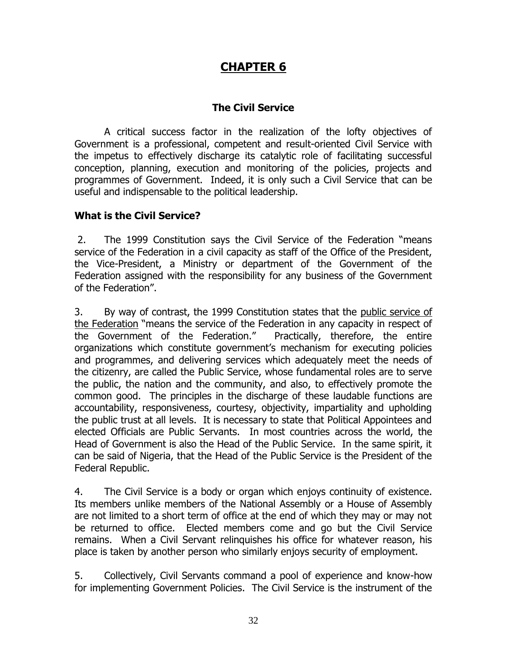# **CHAPTER 6**

### **The Civil Service**

A critical success factor in the realization of the lofty objectives of Government is a professional, competent and result-oriented Civil Service with the impetus to effectively discharge its catalytic role of facilitating successful conception, planning, execution and monitoring of the policies, projects and programmes of Government. Indeed, it is only such a Civil Service that can be useful and indispensable to the political leadership.

# **What is the Civil Service?**

2. The 1999 Constitution says the Civil Service of the Federation "means" service of the Federation in a civil capacity as staff of the Office of the President, the Vice-President, a Ministry or department of the Government of the Federation assigned with the responsibility for any business of the Government of the Federation".

3. By way of contrast, the 1999 Constitution states that the public service of the Federation "means the service of the Federation in any capacity in respect of the Government of the Federation.‖ Practically, therefore, the entire organizations which constitute government's mechanism for executing policies and programmes, and delivering services which adequately meet the needs of the citizenry, are called the Public Service, whose fundamental roles are to serve the public, the nation and the community, and also, to effectively promote the common good. The principles in the discharge of these laudable functions are accountability, responsiveness, courtesy, objectivity, impartiality and upholding the public trust at all levels. It is necessary to state that Political Appointees and elected Officials are Public Servants. In most countries across the world, the Head of Government is also the Head of the Public Service. In the same spirit, it can be said of Nigeria, that the Head of the Public Service is the President of the Federal Republic.

4. The Civil Service is a body or organ which enjoys continuity of existence. Its members unlike members of the National Assembly or a House of Assembly are not limited to a short term of office at the end of which they may or may not be returned to office. Elected members come and go but the Civil Service remains. When a Civil Servant relinquishes his office for whatever reason, his place is taken by another person who similarly enjoys security of employment.

5. Collectively, Civil Servants command a pool of experience and know-how for implementing Government Policies. The Civil Service is the instrument of the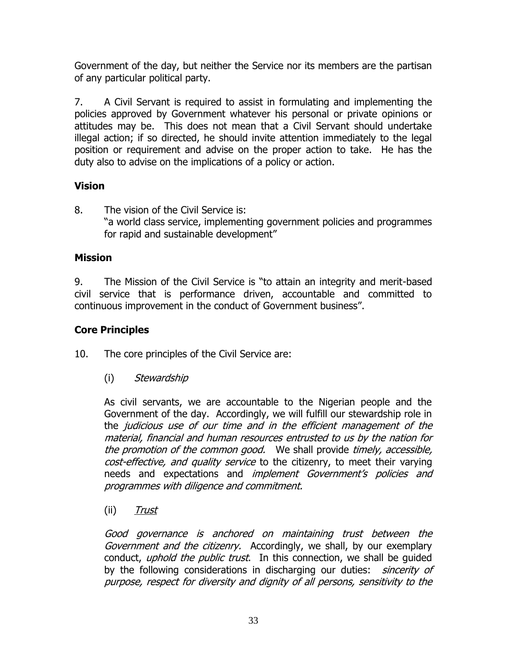Government of the day, but neither the Service nor its members are the partisan of any particular political party.

7. A Civil Servant is required to assist in formulating and implementing the policies approved by Government whatever his personal or private opinions or attitudes may be. This does not mean that a Civil Servant should undertake illegal action; if so directed, he should invite attention immediately to the legal position or requirement and advise on the proper action to take. He has the duty also to advise on the implications of a policy or action.

# **Vision**

8. The vision of the Civil Service is: "a world class service, implementing government policies and programmes for rapid and sustainable development"

# **Mission**

9. The Mission of the Civil Service is "to attain an integrity and merit-based civil service that is performance driven, accountable and committed to continuous improvement in the conduct of Government business".

# **Core Principles**

10. The core principles of the Civil Service are:

(i) Stewardship

As civil servants, we are accountable to the Nigerian people and the Government of the day. Accordingly, we will fulfill our stewardship role in the judicious use of our time and in the efficient management of the material, financial and human resources entrusted to us by the nation for the promotion of the common good. We shall provide timely, accessible, cost-effective, and quality service to the citizenry, to meet their varying needs and expectations and *implement Government's policies and* programmes with diligence and commitment.

(ii) Trust

Good governance is anchored on maintaining trust between the Government and the citizenry. Accordingly, we shall, by our exemplary conduct, *uphold the public trust*. In this connection, we shall be quided by the following considerations in discharging our duties: *sincerity of* purpose, respect for diversity and dignity of all persons, sensitivity to the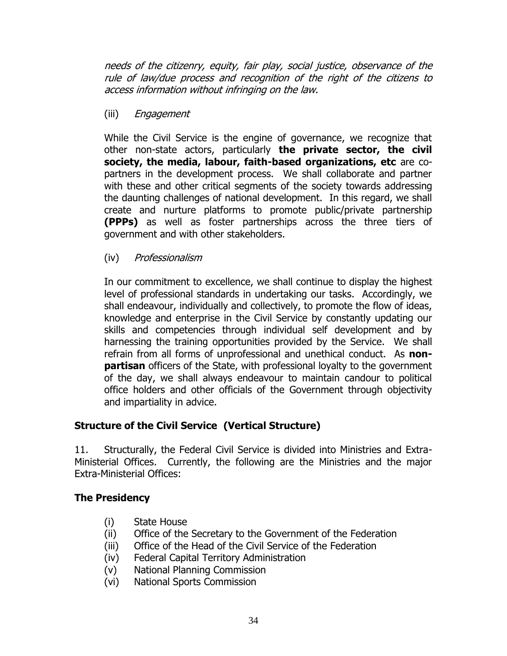needs of the citizenry, equity, fair play, social justice, observance of the rule of law/due process and recognition of the right of the citizens to access information without infringing on the law.

(iii) Engagement

While the Civil Service is the engine of governance, we recognize that other non-state actors, particularly **the private sector, the civil society, the media, labour, faith-based organizations, etc** are copartners in the development process. We shall collaborate and partner with these and other critical segments of the society towards addressing the daunting challenges of national development. In this regard, we shall create and nurture platforms to promote public/private partnership **(PPPs)** as well as foster partnerships across the three tiers of government and with other stakeholders.

### (iv) Professionalism

In our commitment to excellence, we shall continue to display the highest level of professional standards in undertaking our tasks. Accordingly, we shall endeavour, individually and collectively, to promote the flow of ideas, knowledge and enterprise in the Civil Service by constantly updating our skills and competencies through individual self development and by harnessing the training opportunities provided by the Service.We shall refrain from all forms of unprofessional and unethical conduct. As **nonpartisan** officers of the State, with professional loyalty to the government of the day, we shall always endeavour to maintain candour to political office holders and other officials of the Government through objectivity and impartiality in advice.

# **Structure of the Civil Service (Vertical Structure)**

11. Structurally, the Federal Civil Service is divided into Ministries and Extra-Ministerial Offices. Currently, the following are the Ministries and the major Extra-Ministerial Offices:

#### **The Presidency**

- (i) State House
- (ii) Office of the Secretary to the Government of the Federation
- (iii) Office of the Head of the Civil Service of the Federation
- (iv) Federal Capital Territory Administration
- (v) National Planning Commission
- (vi) National Sports Commission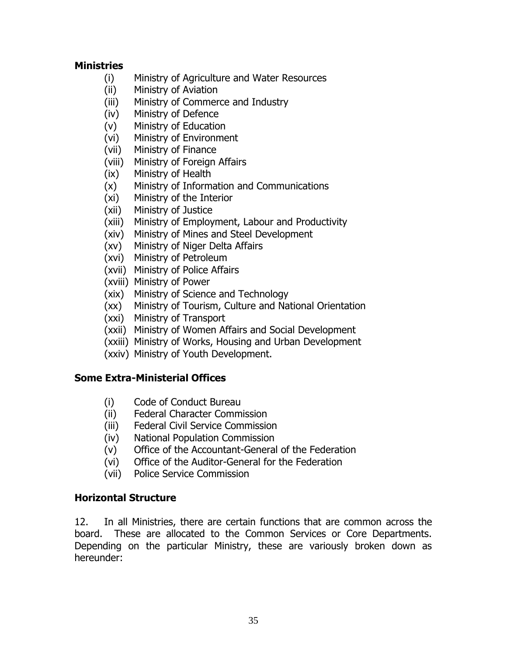#### **Ministries**

- (i) Ministry of Agriculture and Water Resources
- (ii) Ministry of Aviation
- (iii) Ministry of Commerce and Industry
- (iv) Ministry of Defence
- (v) Ministry of Education
- (vi) Ministry of Environment
- (vii) Ministry of Finance
- (viii) Ministry of Foreign Affairs
- (ix) Ministry of Health
- (x) Ministry of Information and Communications
- (xi) Ministry of the Interior
- (xii) Ministry of Justice
- (xiii) Ministry of Employment, Labour and Productivity
- (xiv) Ministry of Mines and Steel Development
- (xv) Ministry of Niger Delta Affairs
- (xvi) Ministry of Petroleum
- (xvii) Ministry of Police Affairs
- (xviii) Ministry of Power
- (xix) Ministry of Science and Technology
- (xx) Ministry of Tourism, Culture and National Orientation
- (xxi) Ministry of Transport
- (xxii) Ministry of Women Affairs and Social Development
- (xxiii) Ministry of Works, Housing and Urban Development
- (xxiv) Ministry of Youth Development.

#### **Some Extra-Ministerial Offices**

- (i) Code of Conduct Bureau
- (ii) Federal Character Commission
- (iii) Federal Civil Service Commission
- (iv) National Population Commission
- (v) Office of the Accountant-General of the Federation
- (vi) Office of the Auditor-General for the Federation
- (vii) Police Service Commission

#### **Horizontal Structure**

12. In all Ministries, there are certain functions that are common across the board. These are allocated to the Common Services or Core Departments. Depending on the particular Ministry, these are variously broken down as hereunder: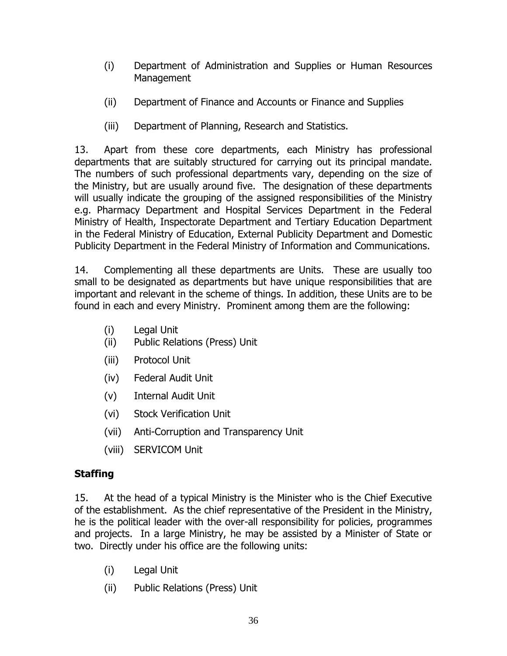- (i) Department of Administration and Supplies or Human Resources Management
- (ii) Department of Finance and Accounts or Finance and Supplies
- (iii) Department of Planning, Research and Statistics.

13. Apart from these core departments, each Ministry has professional departments that are suitably structured for carrying out its principal mandate. The numbers of such professional departments vary, depending on the size of the Ministry, but are usually around five. The designation of these departments will usually indicate the grouping of the assigned responsibilities of the Ministry e.g. Pharmacy Department and Hospital Services Department in the Federal Ministry of Health, Inspectorate Department and Tertiary Education Department in the Federal Ministry of Education, External Publicity Department and Domestic Publicity Department in the Federal Ministry of Information and Communications.

14. Complementing all these departments are Units. These are usually too small to be designated as departments but have unique responsibilities that are important and relevant in the scheme of things. In addition, these Units are to be found in each and every Ministry. Prominent among them are the following:

- (i) Legal Unit
- (ii) Public Relations (Press) Unit
- (iii) Protocol Unit
- (iv) Federal Audit Unit
- (v) Internal Audit Unit
- (vi) Stock Verification Unit
- (vii) Anti-Corruption and Transparency Unit
- (viii) SERVICOM Unit

# **Staffing**

15. At the head of a typical Ministry is the Minister who is the Chief Executive of the establishment. As the chief representative of the President in the Ministry, he is the political leader with the over-all responsibility for policies, programmes and projects. In a large Ministry, he may be assisted by a Minister of State or two. Directly under his office are the following units:

- (i) Legal Unit
- (ii) Public Relations (Press) Unit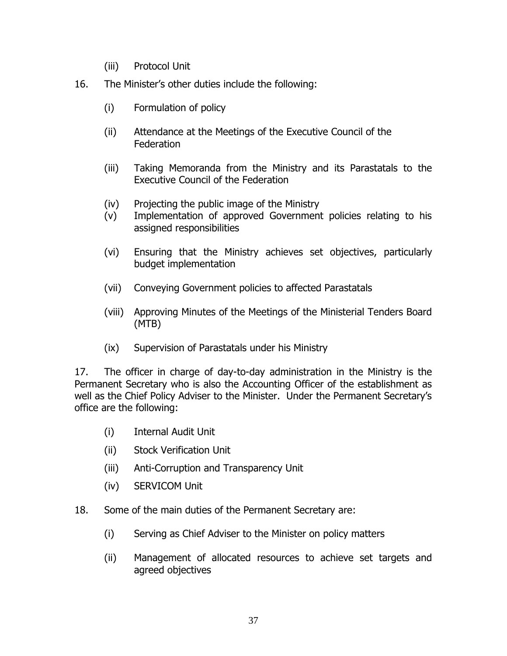- (iii) Protocol Unit
- 16. The Minister's other duties include the following:
	- (i) Formulation of policy
	- (ii) Attendance at the Meetings of the Executive Council of the **Federation**
	- (iii) Taking Memoranda from the Ministry and its Parastatals to the Executive Council of the Federation
	- (iv) Projecting the public image of the Ministry
	- (v) Implementation of approved Government policies relating to his assigned responsibilities
	- (vi) Ensuring that the Ministry achieves set objectives, particularly budget implementation
	- (vii) Conveying Government policies to affected Parastatals
	- (viii) Approving Minutes of the Meetings of the Ministerial Tenders Board (MTB)
	- (ix) Supervision of Parastatals under his Ministry

17. The officer in charge of day-to-day administration in the Ministry is the Permanent Secretary who is also the Accounting Officer of the establishment as well as the Chief Policy Adviser to the Minister. Under the Permanent Secretary's office are the following:

- (i) Internal Audit Unit
- (ii) Stock Verification Unit
- (iii) Anti-Corruption and Transparency Unit
- (iv) SERVICOM Unit
- 18. Some of the main duties of the Permanent Secretary are:
	- (i) Serving as Chief Adviser to the Minister on policy matters
	- (ii) Management of allocated resources to achieve set targets and agreed objectives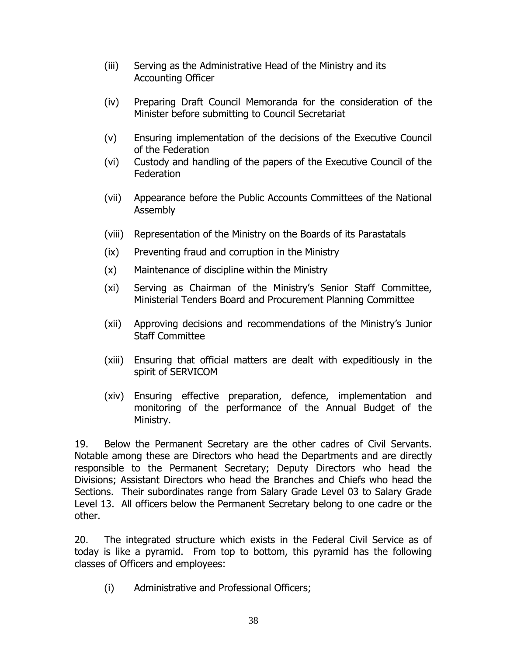- (iii) Serving as the Administrative Head of the Ministry and its Accounting Officer
- (iv) Preparing Draft Council Memoranda for the consideration of the Minister before submitting to Council Secretariat
- (v) Ensuring implementation of the decisions of the Executive Council of the Federation
- (vi) Custody and handling of the papers of the Executive Council of the **Federation**
- (vii) Appearance before the Public Accounts Committees of the National Assembly
- (viii) Representation of the Ministry on the Boards of its Parastatals
- (ix) Preventing fraud and corruption in the Ministry
- (x) Maintenance of discipline within the Ministry
- (xi) Serving as Chairman of the Ministry's Senior Staff Committee, Ministerial Tenders Board and Procurement Planning Committee
- (xii) Approving decisions and recommendations of the Ministry's Junior Staff Committee
- (xiii) Ensuring that official matters are dealt with expeditiously in the spirit of SERVICOM
- (xiv) Ensuring effective preparation, defence, implementation and monitoring of the performance of the Annual Budget of the Ministry.

19. Below the Permanent Secretary are the other cadres of Civil Servants. Notable among these are Directors who head the Departments and are directly responsible to the Permanent Secretary; Deputy Directors who head the Divisions; Assistant Directors who head the Branches and Chiefs who head the Sections. Their subordinates range from Salary Grade Level 03 to Salary Grade Level 13. All officers below the Permanent Secretary belong to one cadre or the other.

20. The integrated structure which exists in the Federal Civil Service as of today is like a pyramid. From top to bottom, this pyramid has the following classes of Officers and employees:

(i) Administrative and Professional Officers;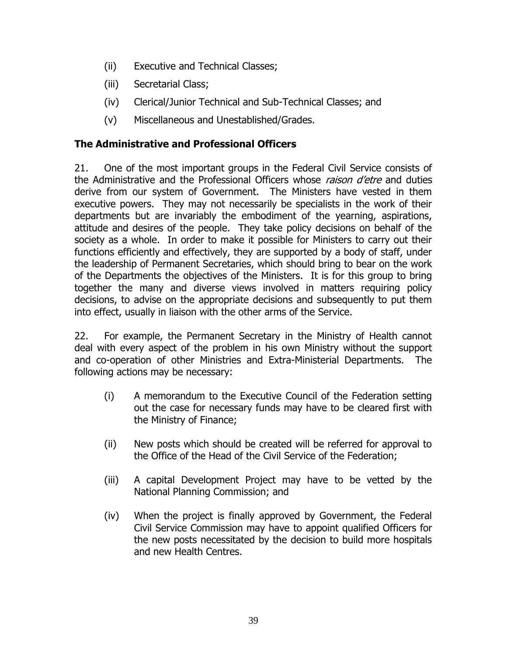- (ii) Executive and Technical Classes;
- (iii) Secretarial Class;
- (iv) Clerical/Junior Technical and Sub-Technical Classes; and
- (v) Miscellaneous and Unestablished/Grades.

# **The Administrative and Professional Officers**

21. One of the most important groups in the Federal Civil Service consists of the Administrative and the Professional Officers whose *raison d'etre* and duties derive from our system of Government. The Ministers have vested in them executive powers. They may not necessarily be specialists in the work of their departments but are invariably the embodiment of the yearning, aspirations, attitude and desires of the people. They take policy decisions on behalf of the society as a whole. In order to make it possible for Ministers to carry out their functions efficiently and effectively, they are supported by a body of staff, under the leadership of Permanent Secretaries, which should bring to bear on the work of the Departments the objectives of the Ministers. It is for this group to bring together the many and diverse views involved in matters requiring policy decisions, to advise on the appropriate decisions and subsequently to put them into effect, usually in liaison with the other arms of the Service.

22. For example, the Permanent Secretary in the Ministry of Health cannot deal with every aspect of the problem in his own Ministry without the support and co-operation of other Ministries and Extra-Ministerial Departments. The following actions may be necessary:

- (i) A memorandum to the Executive Council of the Federation setting out the case for necessary funds may have to be cleared first with the Ministry of Finance;
- (ii) New posts which should be created will be referred for approval to the Office of the Head of the Civil Service of the Federation;
- (iii) A capital Development Project may have to be vetted by the National Planning Commission; and
- (iv) When the project is finally approved by Government, the Federal Civil Service Commission may have to appoint qualified Officers for the new posts necessitated by the decision to build more hospitals and new Health Centres.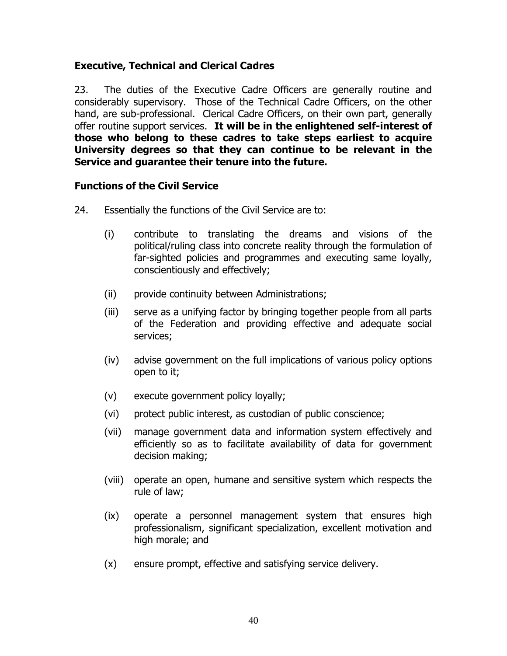## **Executive, Technical and Clerical Cadres**

23. The duties of the Executive Cadre Officers are generally routine and considerably supervisory. Those of the Technical Cadre Officers, on the other hand, are sub-professional. Clerical Cadre Officers, on their own part, generally offer routine support services. **It will be in the enlightened self-interest of those who belong to these cadres to take steps earliest to acquire University degrees so that they can continue to be relevant in the Service and guarantee their tenure into the future.**

#### **Functions of the Civil Service**

- 24. Essentially the functions of the Civil Service are to:
	- (i) contribute to translating the dreams and visions of the political/ruling class into concrete reality through the formulation of far-sighted policies and programmes and executing same loyally, conscientiously and effectively;
	- (ii) provide continuity between Administrations;
	- (iii) serve as a unifying factor by bringing together people from all parts of the Federation and providing effective and adequate social services;
	- (iv) advise government on the full implications of various policy options open to it;
	- (v) execute government policy loyally;
	- (vi) protect public interest, as custodian of public conscience;
	- (vii) manage government data and information system effectively and efficiently so as to facilitate availability of data for government decision making;
	- (viii) operate an open, humane and sensitive system which respects the rule of law;
	- (ix) operate a personnel management system that ensures high professionalism, significant specialization, excellent motivation and high morale; and
	- (x) ensure prompt, effective and satisfying service delivery.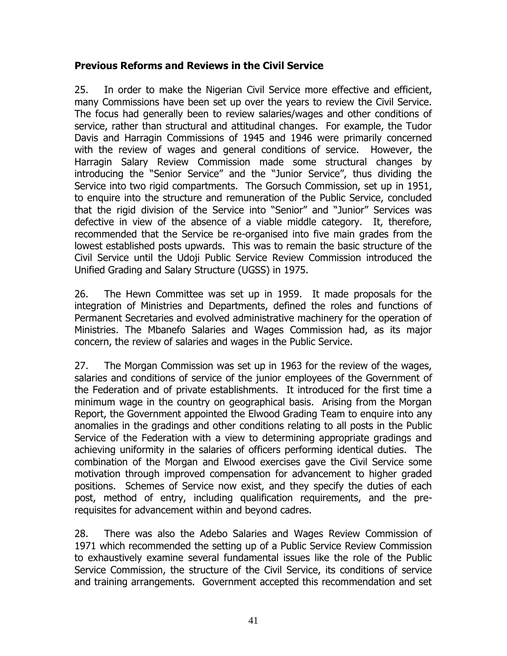# **Previous Reforms and Reviews in the Civil Service**

25. In order to make the Nigerian Civil Service more effective and efficient, many Commissions have been set up over the years to review the Civil Service. The focus had generally been to review salaries/wages and other conditions of service, rather than structural and attitudinal changes. For example, the Tudor Davis and Harragin Commissions of 1945 and 1946 were primarily concerned with the review of wages and general conditions of service. However, the Harragin Salary Review Commission made some structural changes by introducing the "Senior Service" and the "Junior Service", thus dividing the Service into two rigid compartments. The Gorsuch Commission, set up in 1951, to enquire into the structure and remuneration of the Public Service, concluded that the rigid division of the Service into "Senior" and "Junior" Services was defective in view of the absence of a viable middle category. It, therefore, recommended that the Service be re-organised into five main grades from the lowest established posts upwards. This was to remain the basic structure of the Civil Service until the Udoji Public Service Review Commission introduced the Unified Grading and Salary Structure (UGSS) in 1975.

26. The Hewn Committee was set up in 1959. It made proposals for the integration of Ministries and Departments, defined the roles and functions of Permanent Secretaries and evolved administrative machinery for the operation of Ministries. The Mbanefo Salaries and Wages Commission had, as its major concern, the review of salaries and wages in the Public Service.

27. The Morgan Commission was set up in 1963 for the review of the wages, salaries and conditions of service of the junior employees of the Government of the Federation and of private establishments. It introduced for the first time a minimum wage in the country on geographical basis. Arising from the Morgan Report, the Government appointed the Elwood Grading Team to enquire into any anomalies in the gradings and other conditions relating to all posts in the Public Service of the Federation with a view to determining appropriate gradings and achieving uniformity in the salaries of officers performing identical duties. The combination of the Morgan and Elwood exercises gave the Civil Service some motivation through improved compensation for advancement to higher graded positions. Schemes of Service now exist, and they specify the duties of each post, method of entry, including qualification requirements, and the prerequisites for advancement within and beyond cadres.

28. There was also the Adebo Salaries and Wages Review Commission of 1971 which recommended the setting up of a Public Service Review Commission to exhaustively examine several fundamental issues like the role of the Public Service Commission, the structure of the Civil Service, its conditions of service and training arrangements. Government accepted this recommendation and set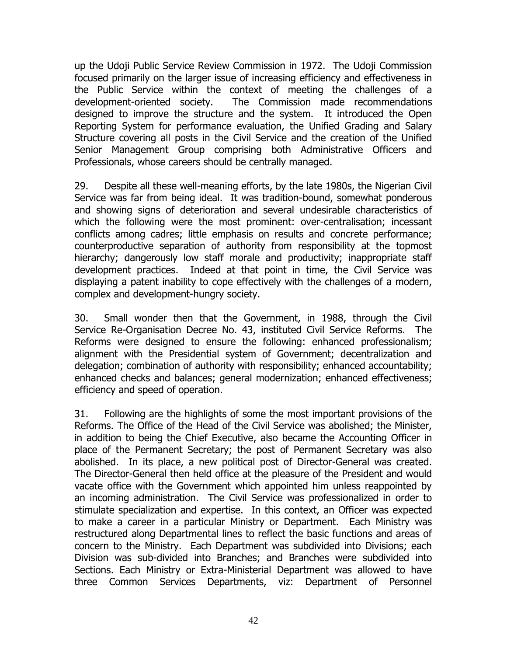up the Udoji Public Service Review Commission in 1972. The Udoji Commission focused primarily on the larger issue of increasing efficiency and effectiveness in the Public Service within the context of meeting the challenges of a development-oriented society. The Commission made recommendations designed to improve the structure and the system. It introduced the Open Reporting System for performance evaluation, the Unified Grading and Salary Structure covering all posts in the Civil Service and the creation of the Unified Senior Management Group comprising both Administrative Officers and Professionals, whose careers should be centrally managed.

29. Despite all these well-meaning efforts, by the late 1980s, the Nigerian Civil Service was far from being ideal. It was tradition-bound, somewhat ponderous and showing signs of deterioration and several undesirable characteristics of which the following were the most prominent: over-centralisation; incessant conflicts among cadres; little emphasis on results and concrete performance; counterproductive separation of authority from responsibility at the topmost hierarchy; dangerously low staff morale and productivity; inappropriate staff development practices. Indeed at that point in time, the Civil Service was displaying a patent inability to cope effectively with the challenges of a modern, complex and development-hungry society.

30. Small wonder then that the Government, in 1988, through the Civil Service Re-Organisation Decree No. 43, instituted Civil Service Reforms. The Reforms were designed to ensure the following: enhanced professionalism; alignment with the Presidential system of Government; decentralization and delegation; combination of authority with responsibility; enhanced accountability; enhanced checks and balances; general modernization; enhanced effectiveness; efficiency and speed of operation.

31. Following are the highlights of some the most important provisions of the Reforms. The Office of the Head of the Civil Service was abolished; the Minister, in addition to being the Chief Executive, also became the Accounting Officer in place of the Permanent Secretary; the post of Permanent Secretary was also abolished. In its place, a new political post of Director-General was created. The Director-General then held office at the pleasure of the President and would vacate office with the Government which appointed him unless reappointed by an incoming administration. The Civil Service was professionalized in order to stimulate specialization and expertise. In this context, an Officer was expected to make a career in a particular Ministry or Department. Each Ministry was restructured along Departmental lines to reflect the basic functions and areas of concern to the Ministry. Each Department was subdivided into Divisions; each Division was sub-divided into Branches; and Branches were subdivided into Sections. Each Ministry or Extra-Ministerial Department was allowed to have three Common Services Departments, viz: Department of Personnel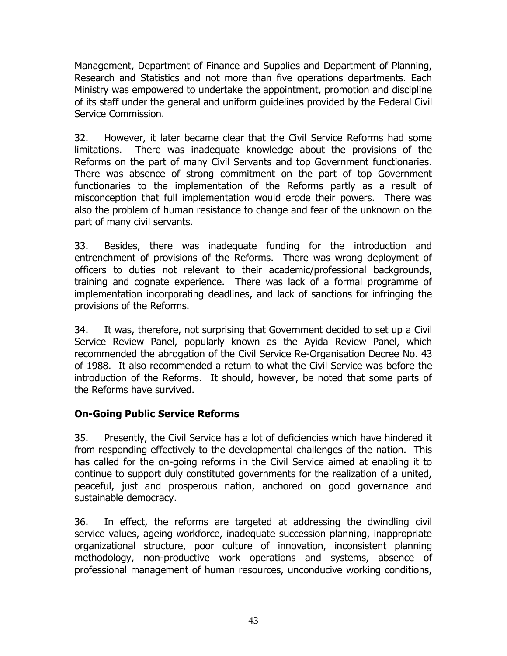Management, Department of Finance and Supplies and Department of Planning, Research and Statistics and not more than five operations departments. Each Ministry was empowered to undertake the appointment, promotion and discipline of its staff under the general and uniform guidelines provided by the Federal Civil Service Commission.

32. However, it later became clear that the Civil Service Reforms had some limitations. There was inadequate knowledge about the provisions of the Reforms on the part of many Civil Servants and top Government functionaries. There was absence of strong commitment on the part of top Government functionaries to the implementation of the Reforms partly as a result of misconception that full implementation would erode their powers. There was also the problem of human resistance to change and fear of the unknown on the part of many civil servants.

33. Besides, there was inadequate funding for the introduction and entrenchment of provisions of the Reforms. There was wrong deployment of officers to duties not relevant to their academic/professional backgrounds, training and cognate experience. There was lack of a formal programme of implementation incorporating deadlines, and lack of sanctions for infringing the provisions of the Reforms.

34. It was, therefore, not surprising that Government decided to set up a Civil Service Review Panel, popularly known as the Ayida Review Panel, which recommended the abrogation of the Civil Service Re-Organisation Decree No. 43 of 1988. It also recommended a return to what the Civil Service was before the introduction of the Reforms. It should, however, be noted that some parts of the Reforms have survived.

# **On-Going Public Service Reforms**

35. Presently, the Civil Service has a lot of deficiencies which have hindered it from responding effectively to the developmental challenges of the nation. This has called for the on-going reforms in the Civil Service aimed at enabling it to continue to support duly constituted governments for the realization of a united, peaceful, just and prosperous nation, anchored on good governance and sustainable democracy.

36. In effect, the reforms are targeted at addressing the dwindling civil service values, ageing workforce, inadequate succession planning, inappropriate organizational structure, poor culture of innovation, inconsistent planning methodology, non-productive work operations and systems, absence of professional management of human resources, unconducive working conditions,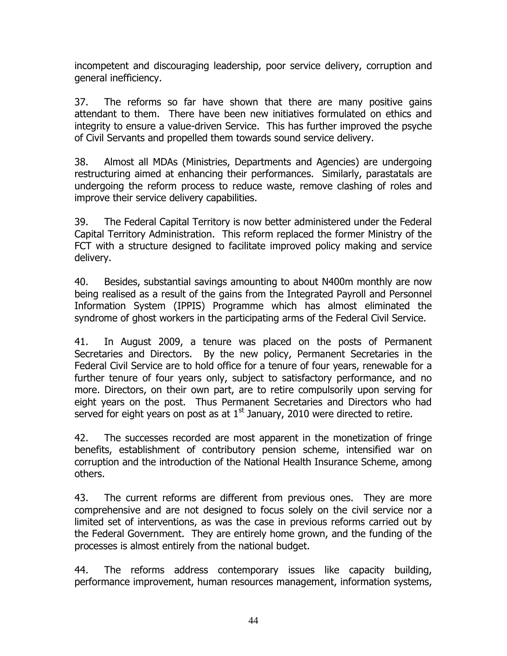incompetent and discouraging leadership, poor service delivery, corruption and general inefficiency.

37. The reforms so far have shown that there are many positive gains attendant to them. There have been new initiatives formulated on ethics and integrity to ensure a value-driven Service. This has further improved the psyche of Civil Servants and propelled them towards sound service delivery.

38. Almost all MDAs (Ministries, Departments and Agencies) are undergoing restructuring aimed at enhancing their performances. Similarly, parastatals are undergoing the reform process to reduce waste, remove clashing of roles and improve their service delivery capabilities.

39. The Federal Capital Territory is now better administered under the Federal Capital Territory Administration. This reform replaced the former Ministry of the FCT with a structure designed to facilitate improved policy making and service delivery.

40. Besides, substantial savings amounting to about N400m monthly are now being realised as a result of the gains from the Integrated Payroll and Personnel Information System (IPPIS) Programme which has almost eliminated the syndrome of ghost workers in the participating arms of the Federal Civil Service.

41. In August 2009, a tenure was placed on the posts of Permanent Secretaries and Directors. By the new policy, Permanent Secretaries in the Federal Civil Service are to hold office for a tenure of four years, renewable for a further tenure of four years only, subject to satisfactory performance, and no more. Directors, on their own part, are to retire compulsorily upon serving for eight years on the post. Thus Permanent Secretaries and Directors who had served for eight years on post as at  $1<sup>st</sup>$  January, 2010 were directed to retire.

42. The successes recorded are most apparent in the monetization of fringe benefits, establishment of contributory pension scheme, intensified war on corruption and the introduction of the National Health Insurance Scheme, among others.

43. The current reforms are different from previous ones. They are more comprehensive and are not designed to focus solely on the civil service nor a limited set of interventions, as was the case in previous reforms carried out by the Federal Government. They are entirely home grown, and the funding of the processes is almost entirely from the national budget.

44. The reforms address contemporary issues like capacity building, performance improvement, human resources management, information systems,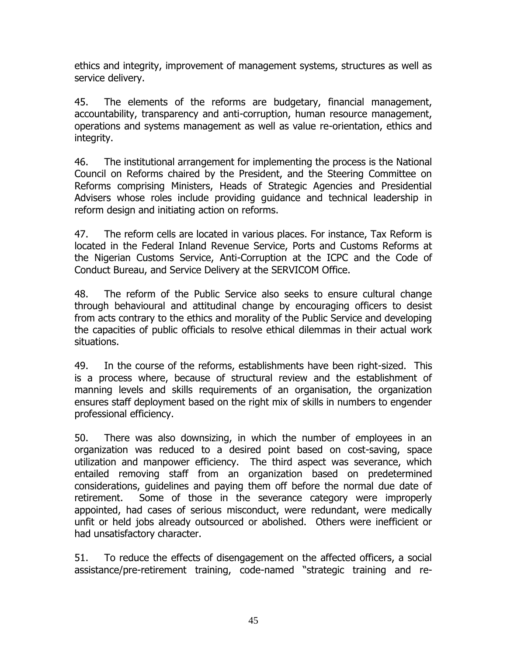ethics and integrity, improvement of management systems, structures as well as service delivery.

45. The elements of the reforms are budgetary, financial management, accountability, transparency and anti-corruption, human resource management, operations and systems management as well as value re-orientation, ethics and integrity.

46. The institutional arrangement for implementing the process is the National Council on Reforms chaired by the President, and the Steering Committee on Reforms comprising Ministers, Heads of Strategic Agencies and Presidential Advisers whose roles include providing guidance and technical leadership in reform design and initiating action on reforms.

47. The reform cells are located in various places. For instance, Tax Reform is located in the Federal Inland Revenue Service, Ports and Customs Reforms at the Nigerian Customs Service, Anti-Corruption at the ICPC and the Code of Conduct Bureau, and Service Delivery at the SERVICOM Office.

48. The reform of the Public Service also seeks to ensure cultural change through behavioural and attitudinal change by encouraging officers to desist from acts contrary to the ethics and morality of the Public Service and developing the capacities of public officials to resolve ethical dilemmas in their actual work situations.

49. In the course of the reforms, establishments have been right-sized. This is a process where, because of structural review and the establishment of manning levels and skills requirements of an organisation, the organization ensures staff deployment based on the right mix of skills in numbers to engender professional efficiency.

50. There was also downsizing, in which the number of employees in an organization was reduced to a desired point based on cost-saving, space utilization and manpower efficiency. The third aspect was severance, which entailed removing staff from an organization based on predetermined considerations, guidelines and paying them off before the normal due date of retirement. Some of those in the severance category were improperly appointed, had cases of serious misconduct, were redundant, were medically unfit or held jobs already outsourced or abolished. Others were inefficient or had unsatisfactory character.

51. To reduce the effects of disengagement on the affected officers, a social assistance/pre-retirement training, code-named "strategic training and re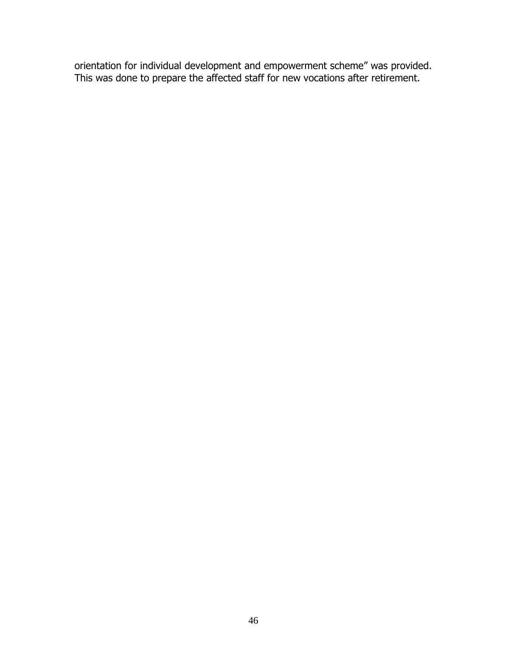orientation for individual development and empowerment scheme" was provided. This was done to prepare the affected staff for new vocations after retirement.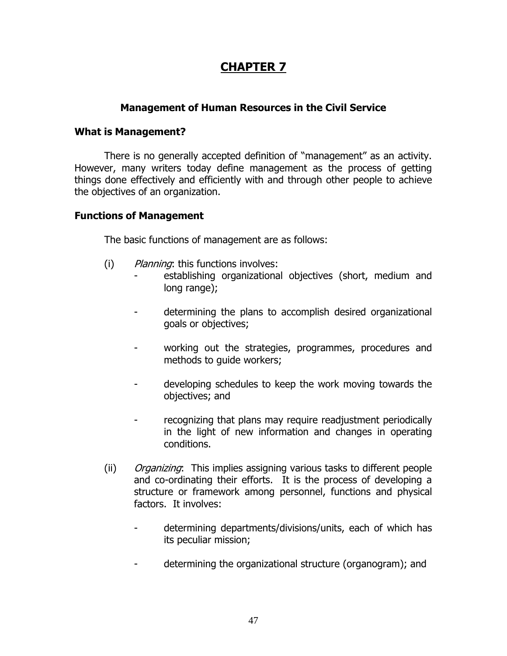# **CHAPTER 7**

# **Management of Human Resources in the Civil Service**

#### **What is Management?**

There is no generally accepted definition of "management" as an activity. However, many writers today define management as the process of getting things done effectively and efficiently with and through other people to achieve the objectives of an organization.

# **Functions of Management**

The basic functions of management are as follows:

- (i) Planning: this functions involves:
	- establishing organizational objectives (short, medium and long range);
	- determining the plans to accomplish desired organizational goals or objectives;
	- working out the strategies, programmes, procedures and methods to guide workers;
	- developing schedules to keep the work moving towards the objectives; and
	- recognizing that plans may require readjustment periodically in the light of new information and changes in operating conditions.
- (ii) *Organizing*: This implies assigning various tasks to different people and co-ordinating their efforts. It is the process of developing a structure or framework among personnel, functions and physical factors. It involves:
	- determining departments/divisions/units, each of which has its peculiar mission;
	- determining the organizational structure (organogram); and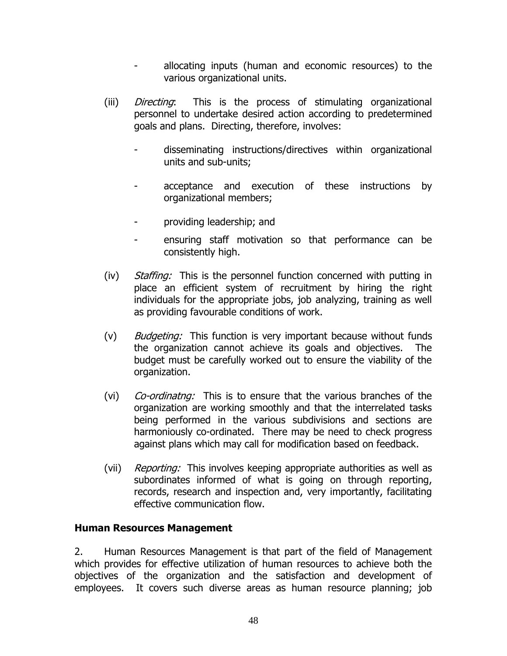- allocating inputs (human and economic resources) to the various organizational units.
- (iii) *Directing*: This is the process of stimulating organizational personnel to undertake desired action according to predetermined goals and plans. Directing, therefore, involves:
	- disseminating instructions/directives within organizational units and sub-units;
	- acceptance and execution of these instructions by organizational members;
	- providing leadership; and
	- ensuring staff motivation so that performance can be consistently high.
- (iv) Staffing: This is the personnel function concerned with putting in place an efficient system of recruitment by hiring the right individuals for the appropriate jobs, job analyzing, training as well as providing favourable conditions of work.
- $(v)$  *Budgeting:* This function is very important because without funds the organization cannot achieve its goals and objectives. The budget must be carefully worked out to ensure the viability of the organization.
- (vi) Co-ordinatng: This is to ensure that the various branches of the organization are working smoothly and that the interrelated tasks being performed in the various subdivisions and sections are harmoniously co-ordinated. There may be need to check progress against plans which may call for modification based on feedback.
- (vii) Reporting: This involves keeping appropriate authorities as well as subordinates informed of what is going on through reporting, records, research and inspection and, very importantly, facilitating effective communication flow.

#### **Human Resources Management**

2. Human Resources Management is that part of the field of Management which provides for effective utilization of human resources to achieve both the objectives of the organization and the satisfaction and development of employees. It covers such diverse areas as human resource planning; job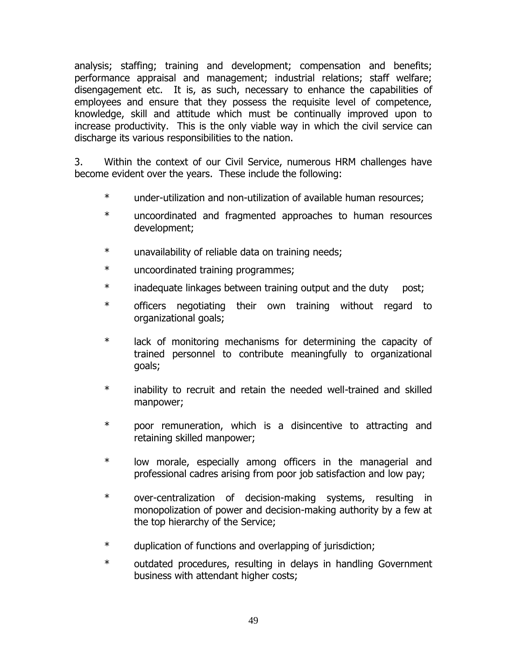analysis; staffing; training and development; compensation and benefits; performance appraisal and management; industrial relations; staff welfare; disengagement etc. It is, as such, necessary to enhance the capabilities of employees and ensure that they possess the requisite level of competence, knowledge, skill and attitude which must be continually improved upon to increase productivity. This is the only viable way in which the civil service can discharge its various responsibilities to the nation.

3. Within the context of our Civil Service, numerous HRM challenges have become evident over the years. These include the following:

- \* under-utilization and non-utilization of available human resources;
- \* uncoordinated and fragmented approaches to human resources development;
- \* unavailability of reliable data on training needs;
- \* uncoordinated training programmes;
- \* inadequate linkages between training output and the duty post;
- \* officers negotiating their own training without regard to organizational goals;
- \* lack of monitoring mechanisms for determining the capacity of trained personnel to contribute meaningfully to organizational goals;
- \* inability to recruit and retain the needed well-trained and skilled manpower;
- \* poor remuneration, which is a disincentive to attracting and retaining skilled manpower;
- \* low morale, especially among officers in the managerial and professional cadres arising from poor job satisfaction and low pay;
- \* over-centralization of decision-making systems, resulting in monopolization of power and decision-making authority by a few at the top hierarchy of the Service;
- \* duplication of functions and overlapping of jurisdiction;
- \* outdated procedures, resulting in delays in handling Government business with attendant higher costs;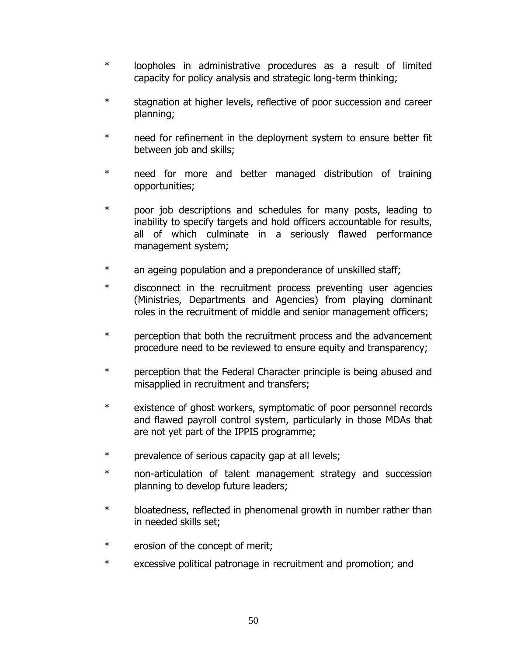- \* loopholes in administrative procedures as a result of limited capacity for policy analysis and strategic long-term thinking;
- \* stagnation at higher levels, reflective of poor succession and career planning;
- \* need for refinement in the deployment system to ensure better fit between job and skills;
- \* need for more and better managed distribution of training opportunities;
- \* poor job descriptions and schedules for many posts, leading to inability to specify targets and hold officers accountable for results, all of which culminate in a seriously flawed performance management system;
- \* an ageing population and a preponderance of unskilled staff;
- \* disconnect in the recruitment process preventing user agencies (Ministries, Departments and Agencies) from playing dominant roles in the recruitment of middle and senior management officers;
- \* perception that both the recruitment process and the advancement procedure need to be reviewed to ensure equity and transparency;
- \* perception that the Federal Character principle is being abused and misapplied in recruitment and transfers;
- \* existence of ghost workers, symptomatic of poor personnel records and flawed payroll control system, particularly in those MDAs that are not yet part of the IPPIS programme;
- \* prevalence of serious capacity gap at all levels;
- \* non-articulation of talent management strategy and succession planning to develop future leaders;
- \* bloatedness, reflected in phenomenal growth in number rather than in needed skills set;
- \* erosion of the concept of merit;
- \* excessive political patronage in recruitment and promotion; and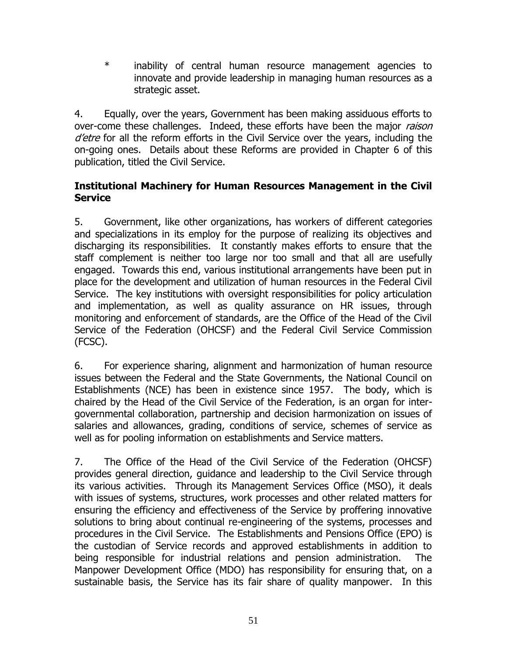\* inability of central human resource management agencies to innovate and provide leadership in managing human resources as a strategic asset.

4. Equally, over the years, Government has been making assiduous efforts to over-come these challenges. Indeed, these efforts have been the major *raison* d'etre for all the reform efforts in the Civil Service over the years, including the on-going ones. Details about these Reforms are provided in Chapter 6 of this publication, titled the Civil Service.

# **Institutional Machinery for Human Resources Management in the Civil Service**

5. Government, like other organizations, has workers of different categories and specializations in its employ for the purpose of realizing its objectives and discharging its responsibilities. It constantly makes efforts to ensure that the staff complement is neither too large nor too small and that all are usefully engaged. Towards this end, various institutional arrangements have been put in place for the development and utilization of human resources in the Federal Civil Service. The key institutions with oversight responsibilities for policy articulation and implementation, as well as quality assurance on HR issues, through monitoring and enforcement of standards, are the Office of the Head of the Civil Service of the Federation (OHCSF) and the Federal Civil Service Commission (FCSC).

6. For experience sharing, alignment and harmonization of human resource issues between the Federal and the State Governments, the National Council on Establishments (NCE) has been in existence since 1957. The body, which is chaired by the Head of the Civil Service of the Federation, is an organ for intergovernmental collaboration, partnership and decision harmonization on issues of salaries and allowances, grading, conditions of service, schemes of service as well as for pooling information on establishments and Service matters.

7. The Office of the Head of the Civil Service of the Federation (OHCSF) provides general direction, guidance and leadership to the Civil Service through its various activities. Through its Management Services Office (MSO), it deals with issues of systems, structures, work processes and other related matters for ensuring the efficiency and effectiveness of the Service by proffering innovative solutions to bring about continual re-engineering of the systems, processes and procedures in the Civil Service. The Establishments and Pensions Office (EPO) is the custodian of Service records and approved establishments in addition to being responsible for industrial relations and pension administration. The Manpower Development Office (MDO) has responsibility for ensuring that, on a sustainable basis, the Service has its fair share of quality manpower. In this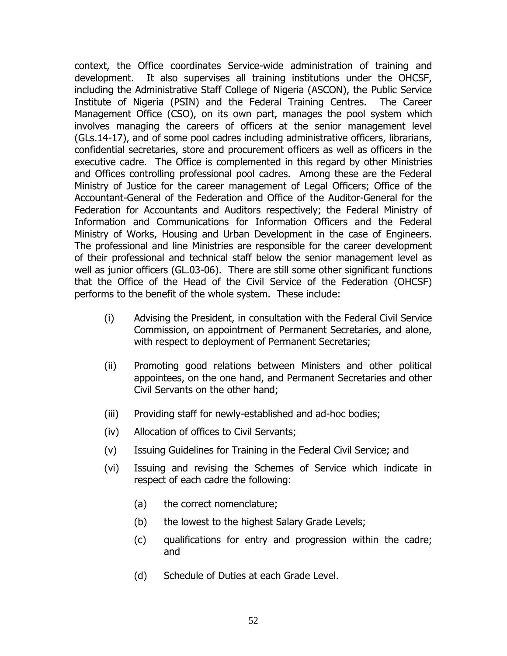context, the Office coordinates Service-wide administration of training and development. It also supervises all training institutions under the OHCSF, including the Administrative Staff College of Nigeria (ASCON), the Public Service Institute of Nigeria (PSIN) and the Federal Training Centres. The Career Management Office (CSO), on its own part, manages the pool system which involves managing the careers of officers at the senior management level (GLs.14-17), and of some pool cadres including administrative officers, librarians, confidential secretaries, store and procurement officers as well as officers in the executive cadre. The Office is complemented in this regard by other Ministries and Offices controlling professional pool cadres. Among these are the Federal Ministry of Justice for the career management of Legal Officers; Office of the Accountant-General of the Federation and Office of the Auditor-General for the Federation for Accountants and Auditors respectively; the Federal Ministry of Information and Communications for Information Officers and the Federal Ministry of Works, Housing and Urban Development in the case of Engineers. The professional and line Ministries are responsible for the career development of their professional and technical staff below the senior management level as well as junior officers (GL.03-06). There are still some other significant functions that the Office of the Head of the Civil Service of the Federation (OHCSF) performs to the benefit of the whole system. These include:

- (i) Advising the President, in consultation with the Federal Civil Service Commission, on appointment of Permanent Secretaries, and alone, with respect to deployment of Permanent Secretaries;
- (ii) Promoting good relations between Ministers and other political appointees, on the one hand, and Permanent Secretaries and other Civil Servants on the other hand;
- (iii) Providing staff for newly-established and ad-hoc bodies;
- (iv) Allocation of offices to Civil Servants;
- (v) Issuing Guidelines for Training in the Federal Civil Service; and
- (vi) Issuing and revising the Schemes of Service which indicate in respect of each cadre the following:
	- (a) the correct nomenclature;
	- (b) the lowest to the highest Salary Grade Levels;
	- (c) qualifications for entry and progression within the cadre; and
	- (d) Schedule of Duties at each Grade Level.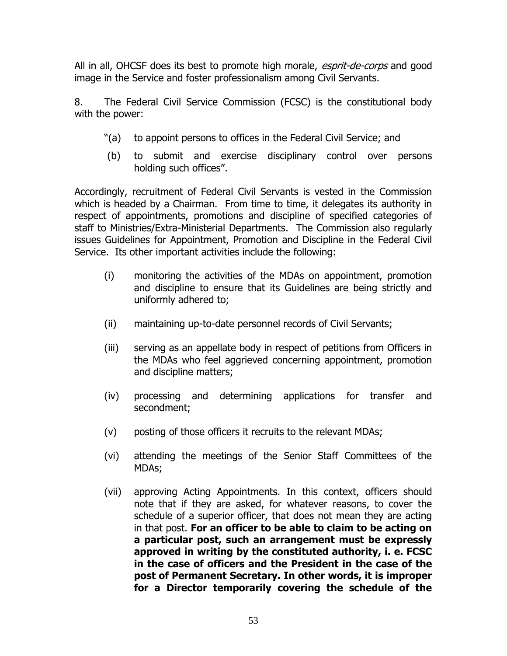All in all, OHCSF does its best to promote high morale, *esprit-de-corps* and good image in the Service and foster professionalism among Civil Servants.

8. The Federal Civil Service Commission (FCSC) is the constitutional body with the power:

- "(a) to appoint persons to offices in the Federal Civil Service; and
- (b) to submit and exercise disciplinary control over persons holding such offices".

Accordingly, recruitment of Federal Civil Servants is vested in the Commission which is headed by a Chairman. From time to time, it delegates its authority in respect of appointments, promotions and discipline of specified categories of staff to Ministries/Extra-Ministerial Departments. The Commission also regularly issues Guidelines for Appointment, Promotion and Discipline in the Federal Civil Service. Its other important activities include the following:

- (i) monitoring the activities of the MDAs on appointment, promotion and discipline to ensure that its Guidelines are being strictly and uniformly adhered to;
- (ii) maintaining up-to-date personnel records of Civil Servants;
- (iii) serving as an appellate body in respect of petitions from Officers in the MDAs who feel aggrieved concerning appointment, promotion and discipline matters;
- (iv) processing and determining applications for transfer and secondment;
- (v) posting of those officers it recruits to the relevant MDAs;
- (vi) attending the meetings of the Senior Staff Committees of the MDAs;
- (vii) approving Acting Appointments. In this context, officers should note that if they are asked, for whatever reasons, to cover the schedule of a superior officer, that does not mean they are acting in that post. **For an officer to be able to claim to be acting on a particular post, such an arrangement must be expressly approved in writing by the constituted authority, i. e. FCSC in the case of officers and the President in the case of the post of Permanent Secretary. In other words, it is improper for a Director temporarily covering the schedule of the**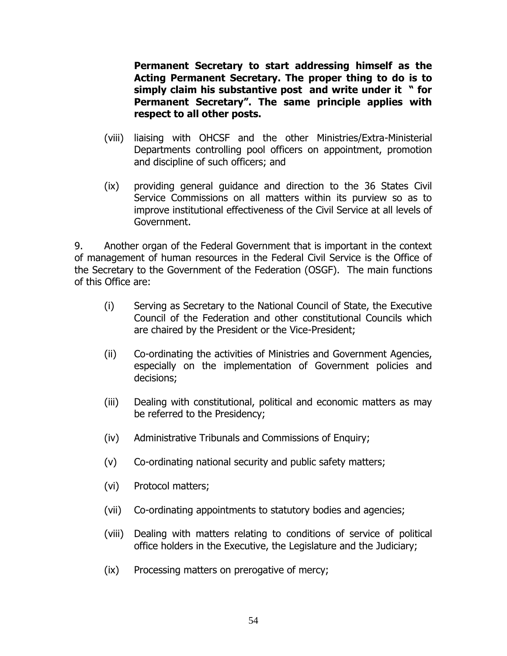**Permanent Secretary to start addressing himself as the Acting Permanent Secretary. The proper thing to do is to simply claim his substantive post and write under it " for Permanent Secretary". The same principle applies with respect to all other posts.**

- (viii) liaising with OHCSF and the other Ministries/Extra-Ministerial Departments controlling pool officers on appointment, promotion and discipline of such officers; and
- (ix) providing general guidance and direction to the 36 States Civil Service Commissions on all matters within its purview so as to improve institutional effectiveness of the Civil Service at all levels of Government.

9. Another organ of the Federal Government that is important in the context of management of human resources in the Federal Civil Service is the Office of the Secretary to the Government of the Federation (OSGF). The main functions of this Office are:

- (i) Serving as Secretary to the National Council of State, the Executive Council of the Federation and other constitutional Councils which are chaired by the President or the Vice-President;
- (ii) Co-ordinating the activities of Ministries and Government Agencies, especially on the implementation of Government policies and decisions;
- (iii) Dealing with constitutional, political and economic matters as may be referred to the Presidency;
- (iv) Administrative Tribunals and Commissions of Enquiry;
- (v) Co-ordinating national security and public safety matters;
- (vi) Protocol matters;
- (vii) Co-ordinating appointments to statutory bodies and agencies;
- (viii) Dealing with matters relating to conditions of service of political office holders in the Executive, the Legislature and the Judiciary;
- (ix) Processing matters on prerogative of mercy;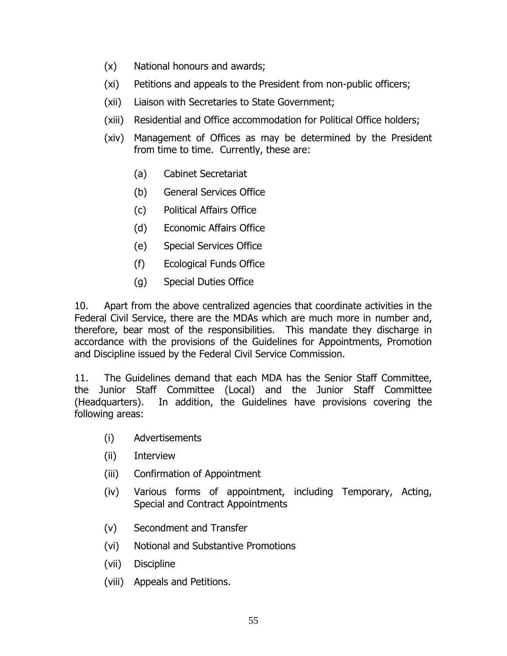- (x) National honours and awards;
- (xi) Petitions and appeals to the President from non-public officers;
- (xii) Liaison with Secretaries to State Government;
- (xiii) Residential and Office accommodation for Political Office holders;
- (xiv) Management of Offices as may be determined by the President from time to time. Currently, these are:
	- (a) Cabinet Secretariat
	- (b) General Services Office
	- (c) Political Affairs Office
	- (d) Economic Affairs Office
	- (e) Special Services Office
	- (f) Ecological Funds Office
	- (g) Special Duties Office

10. Apart from the above centralized agencies that coordinate activities in the Federal Civil Service, there are the MDAs which are much more in number and, therefore, bear most of the responsibilities. This mandate they discharge in accordance with the provisions of the Guidelines for Appointments, Promotion and Discipline issued by the Federal Civil Service Commission.

11. The Guidelines demand that each MDA has the Senior Staff Committee, the Junior Staff Committee (Local) and the Junior Staff Committee (Headquarters). In addition, the Guidelines have provisions covering the following areas:

- (i) Advertisements
- (ii) Interview
- (iii) Confirmation of Appointment
- (iv) Various forms of appointment, including Temporary, Acting, Special and Contract Appointments
- (v) Secondment and Transfer
- (vi) Notional and Substantive Promotions
- (vii) Discipline
- (viii) Appeals and Petitions.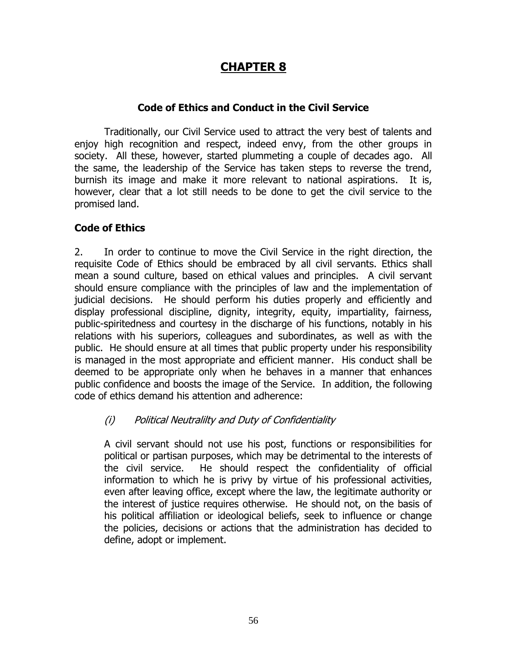# **CHAPTER 8**

# **Code of Ethics and Conduct in the Civil Service**

Traditionally, our Civil Service used to attract the very best of talents and enjoy high recognition and respect, indeed envy, from the other groups in society. All these, however, started plummeting a couple of decades ago. All the same, the leadership of the Service has taken steps to reverse the trend, burnish its image and make it more relevant to national aspirations. It is, however, clear that a lot still needs to be done to get the civil service to the promised land.

# **Code of Ethics**

2. In order to continue to move the Civil Service in the right direction, the requisite Code of Ethics should be embraced by all civil servants. Ethics shall mean a sound culture, based on ethical values and principles. A civil servant should ensure compliance with the principles of law and the implementation of judicial decisions. He should perform his duties properly and efficiently and display professional discipline, dignity, integrity, equity, impartiality, fairness, public-spiritedness and courtesy in the discharge of his functions, notably in his relations with his superiors, colleagues and subordinates, as well as with the public. He should ensure at all times that public property under his responsibility is managed in the most appropriate and efficient manner. His conduct shall be deemed to be appropriate only when he behaves in a manner that enhances public confidence and boosts the image of the Service. In addition, the following code of ethics demand his attention and adherence:

# (i) Political Neutralilty and Duty of Confidentiality

A civil servant should not use his post, functions or responsibilities for political or partisan purposes, which may be detrimental to the interests of the civil service. He should respect the confidentiality of official information to which he is privy by virtue of his professional activities, even after leaving office, except where the law, the legitimate authority or the interest of justice requires otherwise. He should not, on the basis of his political affiliation or ideological beliefs, seek to influence or change the policies, decisions or actions that the administration has decided to define, adopt or implement.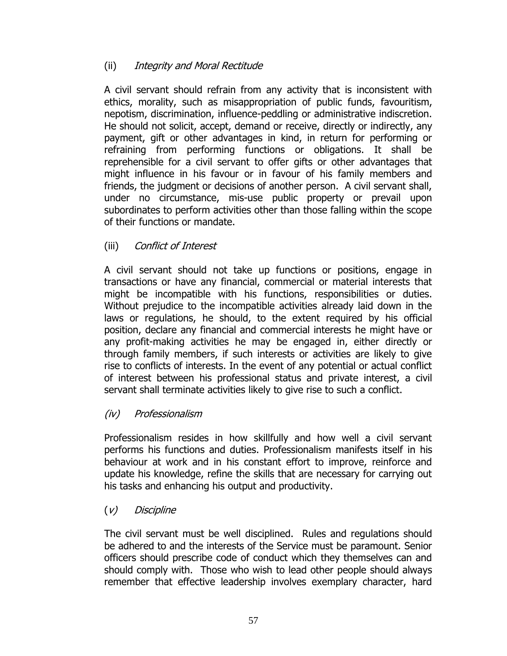# (ii) Integrity and Moral Rectitude

A civil servant should refrain from any activity that is inconsistent with ethics, morality, such as misappropriation of public funds, favouritism, nepotism, discrimination, influence-peddling or administrative indiscretion. He should not solicit, accept, demand or receive, directly or indirectly, any payment, gift or other advantages in kind, in return for performing or refraining from performing functions or obligations. It shall be reprehensible for a civil servant to offer gifts or other advantages that might influence in his favour or in favour of his family members and friends, the judgment or decisions of another person. A civil servant shall, under no circumstance, mis-use public property or prevail upon subordinates to perform activities other than those falling within the scope of their functions or mandate.

# (iii) Conflict of Interest

A civil servant should not take up functions or positions, engage in transactions or have any financial, commercial or material interests that might be incompatible with his functions, responsibilities or duties. Without prejudice to the incompatible activities already laid down in the laws or regulations, he should, to the extent required by his official position, declare any financial and commercial interests he might have or any profit-making activities he may be engaged in, either directly or through family members, if such interests or activities are likely to give rise to conflicts of interests. In the event of any potential or actual conflict of interest between his professional status and private interest, a civil servant shall terminate activities likely to give rise to such a conflict.

# (iv) Professionalism

Professionalism resides in how skillfully and how well a civil servant performs his functions and duties. Professionalism manifests itself in his behaviour at work and in his constant effort to improve, reinforce and update his knowledge, refine the skills that are necessary for carrying out his tasks and enhancing his output and productivity.

#### (v) Discipline

The civil servant must be well disciplined. Rules and regulations should be adhered to and the interests of the Service must be paramount. Senior officers should prescribe code of conduct which they themselves can and should comply with. Those who wish to lead other people should always remember that effective leadership involves exemplary character, hard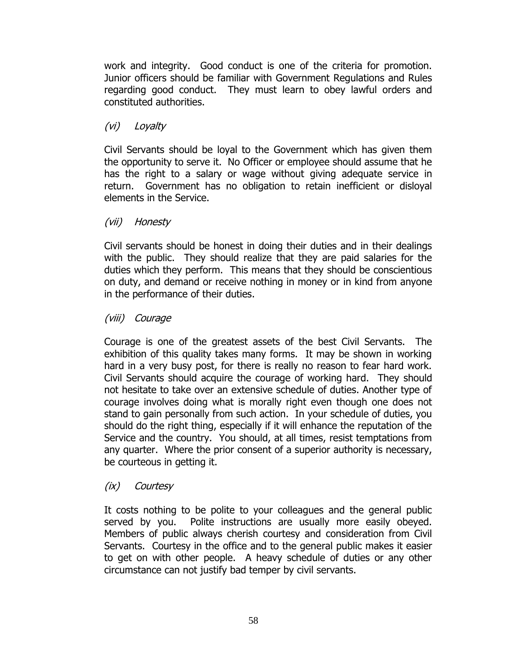work and integrity. Good conduct is one of the criteria for promotion. Junior officers should be familiar with Government Regulations and Rules regarding good conduct. They must learn to obey lawful orders and constituted authorities.

# (vi) Loyalty

Civil Servants should be loyal to the Government which has given them the opportunity to serve it. No Officer or employee should assume that he has the right to a salary or wage without giving adequate service in return. Government has no obligation to retain inefficient or disloyal elements in the Service.

# (vii) Honesty

Civil servants should be honest in doing their duties and in their dealings with the public. They should realize that they are paid salaries for the duties which they perform. This means that they should be conscientious on duty, and demand or receive nothing in money or in kind from anyone in the performance of their duties.

# (viii) Courage

Courage is one of the greatest assets of the best Civil Servants. The exhibition of this quality takes many forms. It may be shown in working hard in a very busy post, for there is really no reason to fear hard work. Civil Servants should acquire the courage of working hard. They should not hesitate to take over an extensive schedule of duties. Another type of courage involves doing what is morally right even though one does not stand to gain personally from such action. In your schedule of duties, you should do the right thing, especially if it will enhance the reputation of the Service and the country. You should, at all times, resist temptations from any quarter. Where the prior consent of a superior authority is necessary, be courteous in getting it.

# (ix) Courtesy

It costs nothing to be polite to your colleagues and the general public served by you. Polite instructions are usually more easily obeyed. Members of public always cherish courtesy and consideration from Civil Servants. Courtesy in the office and to the general public makes it easier to get on with other people. A heavy schedule of duties or any other circumstance can not justify bad temper by civil servants.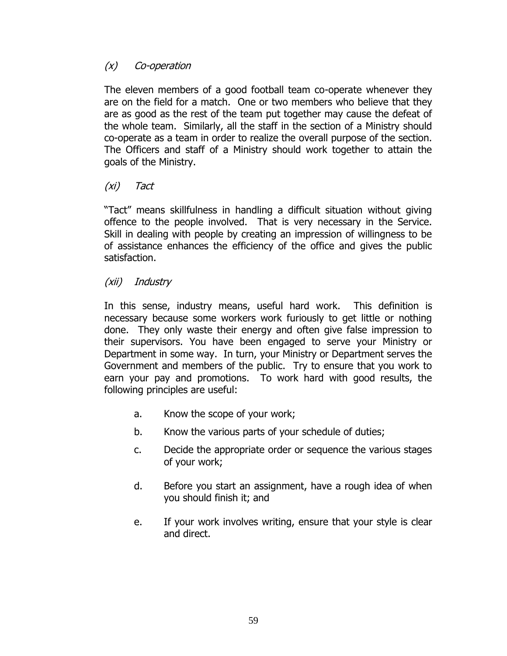# (x) Co-operation

The eleven members of a good football team co-operate whenever they are on the field for a match. One or two members who believe that they are as good as the rest of the team put together may cause the defeat of the whole team. Similarly, all the staff in the section of a Ministry should co-operate as a team in order to realize the overall purpose of the section. The Officers and staff of a Ministry should work together to attain the goals of the Ministry.

# (xi) Tact

"Tact" means skillfulness in handling a difficult situation without giving offence to the people involved. That is very necessary in the Service. Skill in dealing with people by creating an impression of willingness to be of assistance enhances the efficiency of the office and gives the public satisfaction.

# (xii) Industry

In this sense, industry means, useful hard work. This definition is necessary because some workers work furiously to get little or nothing done. They only waste their energy and often give false impression to their supervisors. You have been engaged to serve your Ministry or Department in some way. In turn, your Ministry or Department serves the Government and members of the public. Try to ensure that you work to earn your pay and promotions. To work hard with good results, the following principles are useful:

- a. Know the scope of your work;
- b. Know the various parts of your schedule of duties;
- c. Decide the appropriate order or sequence the various stages of your work;
- d. Before you start an assignment, have a rough idea of when you should finish it; and
- e. If your work involves writing, ensure that your style is clear and direct.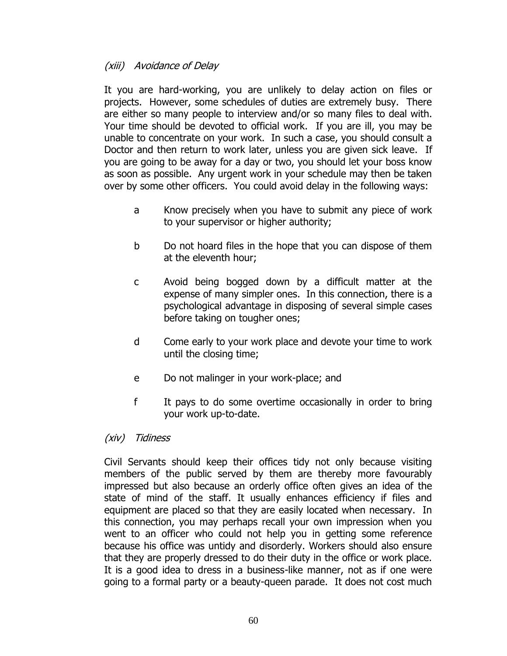#### (xiii) Avoidance of Delay

It you are hard-working, you are unlikely to delay action on files or projects. However, some schedules of duties are extremely busy. There are either so many people to interview and/or so many files to deal with. Your time should be devoted to official work. If you are ill, you may be unable to concentrate on your work. In such a case, you should consult a Doctor and then return to work later, unless you are given sick leave. If you are going to be away for a day or two, you should let your boss know as soon as possible. Any urgent work in your schedule may then be taken over by some other officers. You could avoid delay in the following ways:

- a Know precisely when you have to submit any piece of work to your supervisor or higher authority;
- b Do not hoard files in the hope that you can dispose of them at the eleventh hour;
- c Avoid being bogged down by a difficult matter at the expense of many simpler ones. In this connection, there is a psychological advantage in disposing of several simple cases before taking on tougher ones;
- d Come early to your work place and devote your time to work until the closing time;
- e Do not malinger in your work-place; and
- f It pays to do some overtime occasionally in order to bring your work up-to-date.

#### (xiv) Tidiness

Civil Servants should keep their offices tidy not only because visiting members of the public served by them are thereby more favourably impressed but also because an orderly office often gives an idea of the state of mind of the staff. It usually enhances efficiency if files and equipment are placed so that they are easily located when necessary. In this connection, you may perhaps recall your own impression when you went to an officer who could not help you in getting some reference because his office was untidy and disorderly. Workers should also ensure that they are properly dressed to do their duty in the office or work place. It is a good idea to dress in a business-like manner, not as if one were going to a formal party or a beauty-queen parade. It does not cost much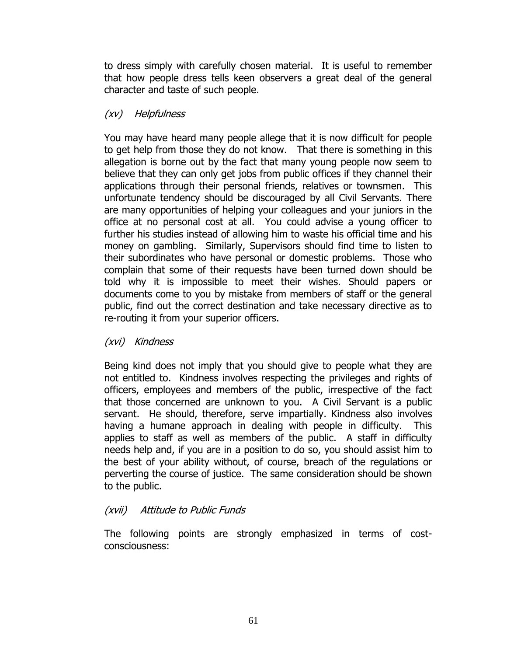to dress simply with carefully chosen material. It is useful to remember that how people dress tells keen observers a great deal of the general character and taste of such people.

#### (xv) Helpfulness

You may have heard many people allege that it is now difficult for people to get help from those they do not know. That there is something in this allegation is borne out by the fact that many young people now seem to believe that they can only get jobs from public offices if they channel their applications through their personal friends, relatives or townsmen. This unfortunate tendency should be discouraged by all Civil Servants. There are many opportunities of helping your colleagues and your juniors in the office at no personal cost at all. You could advise a young officer to further his studies instead of allowing him to waste his official time and his money on gambling. Similarly, Supervisors should find time to listen to their subordinates who have personal or domestic problems. Those who complain that some of their requests have been turned down should be told why it is impossible to meet their wishes. Should papers or documents come to you by mistake from members of staff or the general public, find out the correct destination and take necessary directive as to re-routing it from your superior officers.

#### (xvi) Kindness

Being kind does not imply that you should give to people what they are not entitled to. Kindness involves respecting the privileges and rights of officers, employees and members of the public, irrespective of the fact that those concerned are unknown to you. A Civil Servant is a public servant. He should, therefore, serve impartially. Kindness also involves having a humane approach in dealing with people in difficulty. This applies to staff as well as members of the public. A staff in difficulty needs help and, if you are in a position to do so, you should assist him to the best of your ability without, of course, breach of the regulations or perverting the course of justice. The same consideration should be shown to the public.

#### (xvii) Attitude to Public Funds

The following points are strongly emphasized in terms of costconsciousness: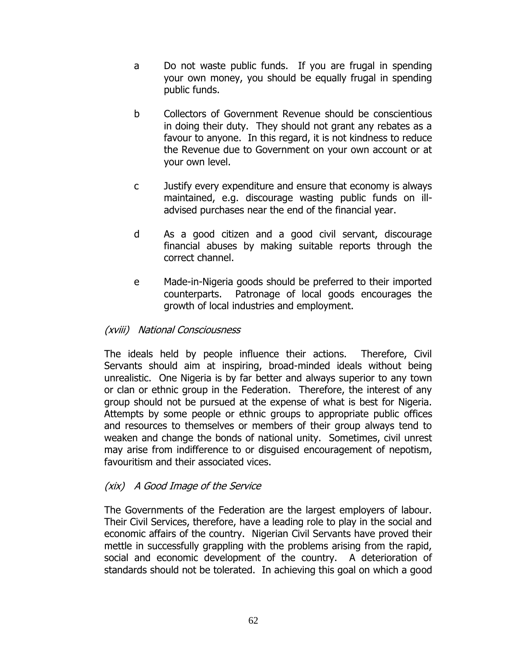- a Do not waste public funds. If you are frugal in spending your own money, you should be equally frugal in spending public funds.
- b Collectors of Government Revenue should be conscientious in doing their duty. They should not grant any rebates as a favour to anyone. In this regard, it is not kindness to reduce the Revenue due to Government on your own account or at your own level.
- c Justify every expenditure and ensure that economy is always maintained, e.g. discourage wasting public funds on illadvised purchases near the end of the financial year.
- d As a good citizen and a good civil servant, discourage financial abuses by making suitable reports through the correct channel.
- e Made-in-Nigeria goods should be preferred to their imported counterparts. Patronage of local goods encourages the growth of local industries and employment.

## (xviii) National Consciousness

The ideals held by people influence their actions. Therefore, Civil Servants should aim at inspiring, broad-minded ideals without being unrealistic. One Nigeria is by far better and always superior to any town or clan or ethnic group in the Federation. Therefore, the interest of any group should not be pursued at the expense of what is best for Nigeria. Attempts by some people or ethnic groups to appropriate public offices and resources to themselves or members of their group always tend to weaken and change the bonds of national unity. Sometimes, civil unrest may arise from indifference to or disguised encouragement of nepotism, favouritism and their associated vices.

# (xix) A Good Image of the Service

The Governments of the Federation are the largest employers of labour. Their Civil Services, therefore, have a leading role to play in the social and economic affairs of the country. Nigerian Civil Servants have proved their mettle in successfully grappling with the problems arising from the rapid, social and economic development of the country. A deterioration of standards should not be tolerated. In achieving this goal on which a good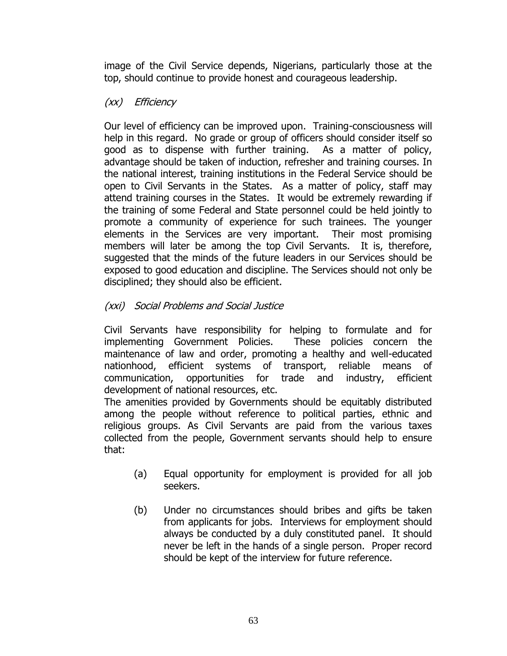image of the Civil Service depends, Nigerians, particularly those at the top, should continue to provide honest and courageous leadership.

# (xx) Efficiency

Our level of efficiency can be improved upon. Training-consciousness will help in this regard. No grade or group of officers should consider itself so good as to dispense with further training. As a matter of policy, advantage should be taken of induction, refresher and training courses. In the national interest, training institutions in the Federal Service should be open to Civil Servants in the States. As a matter of policy, staff may attend training courses in the States. It would be extremely rewarding if the training of some Federal and State personnel could be held jointly to promote a community of experience for such trainees. The younger elements in the Services are very important. Their most promising members will later be among the top Civil Servants. It is, therefore, suggested that the minds of the future leaders in our Services should be exposed to good education and discipline. The Services should not only be disciplined; they should also be efficient.

# (xxi) Social Problems and Social Justice

Civil Servants have responsibility for helping to formulate and for implementing Government Policies. These policies concern the maintenance of law and order, promoting a healthy and well-educated nationhood, efficient systems of transport, reliable means of communication, opportunities for trade and industry, efficient development of national resources, etc.

The amenities provided by Governments should be equitably distributed among the people without reference to political parties, ethnic and religious groups. As Civil Servants are paid from the various taxes collected from the people, Government servants should help to ensure that:

- (a) Equal opportunity for employment is provided for all job seekers.
- (b) Under no circumstances should bribes and gifts be taken from applicants for jobs. Interviews for employment should always be conducted by a duly constituted panel. It should never be left in the hands of a single person. Proper record should be kept of the interview for future reference.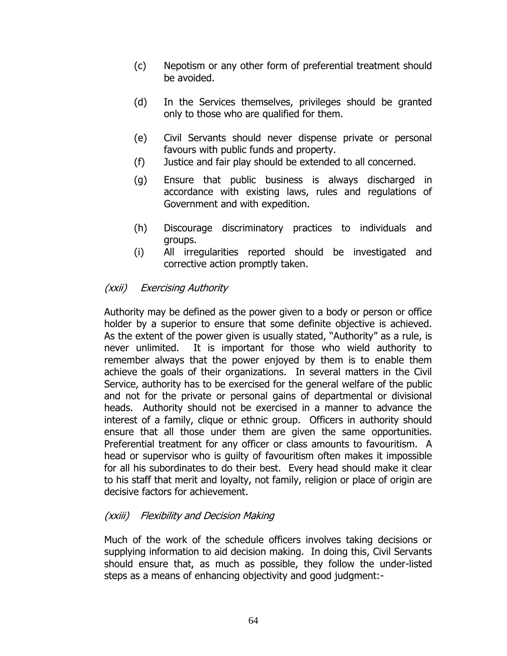- (c) Nepotism or any other form of preferential treatment should be avoided.
- (d) In the Services themselves, privileges should be granted only to those who are qualified for them.
- (e) Civil Servants should never dispense private or personal favours with public funds and property.
- (f) Justice and fair play should be extended to all concerned.
- (g) Ensure that public business is always discharged in accordance with existing laws, rules and regulations of Government and with expedition.
- (h) Discourage discriminatory practices to individuals and groups.
- (i) All irregularities reported should be investigated and corrective action promptly taken.

# (xxii) Exercising Authority

Authority may be defined as the power given to a body or person or office holder by a superior to ensure that some definite objective is achieved. As the extent of the power given is usually stated, "Authority" as a rule, is never unlimited. It is important for those who wield authority to remember always that the power enjoyed by them is to enable them achieve the goals of their organizations. In several matters in the Civil Service, authority has to be exercised for the general welfare of the public and not for the private or personal gains of departmental or divisional heads. Authority should not be exercised in a manner to advance the interest of a family, clique or ethnic group. Officers in authority should ensure that all those under them are given the same opportunities. Preferential treatment for any officer or class amounts to favouritism. A head or supervisor who is guilty of favouritism often makes it impossible for all his subordinates to do their best. Every head should make it clear to his staff that merit and loyalty, not family, religion or place of origin are decisive factors for achievement.

# (xxiii) Flexibility and Decision Making

Much of the work of the schedule officers involves taking decisions or supplying information to aid decision making. In doing this, Civil Servants should ensure that, as much as possible, they follow the under-listed steps as a means of enhancing objectivity and good judgment:-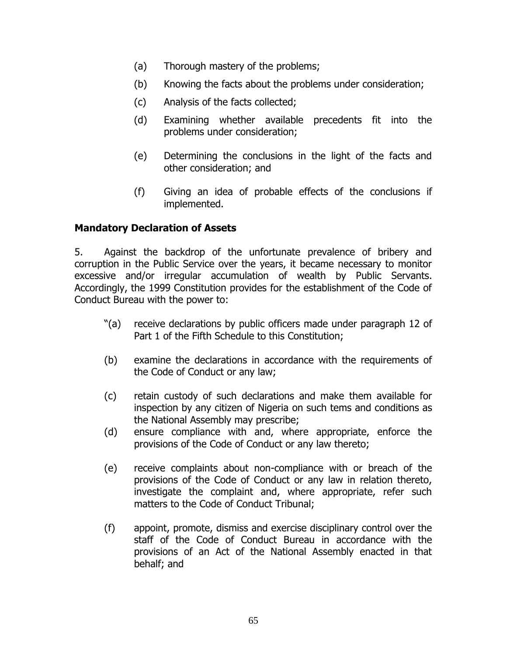- (a) Thorough mastery of the problems;
- (b) Knowing the facts about the problems under consideration;
- (c) Analysis of the facts collected;
- (d) Examining whether available precedents fit into the problems under consideration;
- (e) Determining the conclusions in the light of the facts and other consideration; and
- (f) Giving an idea of probable effects of the conclusions if implemented.

#### **Mandatory Declaration of Assets**

5. Against the backdrop of the unfortunate prevalence of bribery and corruption in the Public Service over the years, it became necessary to monitor excessive and/or irregular accumulation of wealth by Public Servants. Accordingly, the 1999 Constitution provides for the establishment of the Code of Conduct Bureau with the power to:

- ―(a) receive declarations by public officers made under paragraph 12 of Part 1 of the Fifth Schedule to this Constitution;
- (b) examine the declarations in accordance with the requirements of the Code of Conduct or any law;
- (c) retain custody of such declarations and make them available for inspection by any citizen of Nigeria on such tems and conditions as the National Assembly may prescribe;
- (d) ensure compliance with and, where appropriate, enforce the provisions of the Code of Conduct or any law thereto;
- (e) receive complaints about non-compliance with or breach of the provisions of the Code of Conduct or any law in relation thereto, investigate the complaint and, where appropriate, refer such matters to the Code of Conduct Tribunal;
- (f) appoint, promote, dismiss and exercise disciplinary control over the staff of the Code of Conduct Bureau in accordance with the provisions of an Act of the National Assembly enacted in that behalf; and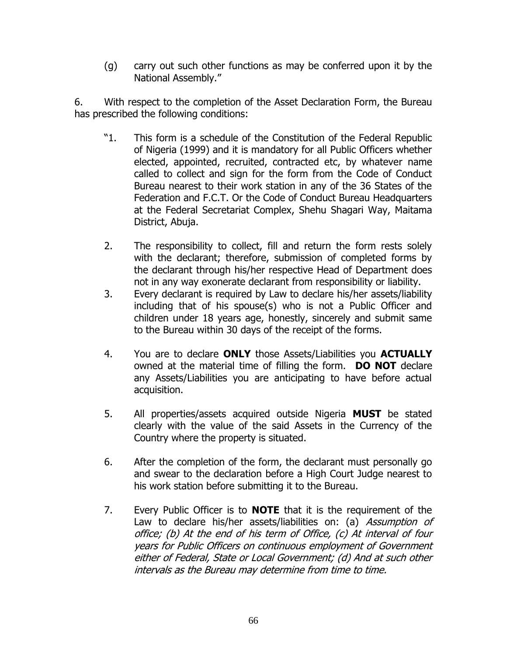(g) carry out such other functions as may be conferred upon it by the National Assembly."

6. With respect to the completion of the Asset Declaration Form, the Bureau has prescribed the following conditions:

- "1. This form is a schedule of the Constitution of the Federal Republic of Nigeria (1999) and it is mandatory for all Public Officers whether elected, appointed, recruited, contracted etc, by whatever name called to collect and sign for the form from the Code of Conduct Bureau nearest to their work station in any of the 36 States of the Federation and F.C.T. Or the Code of Conduct Bureau Headquarters at the Federal Secretariat Complex, Shehu Shagari Way, Maitama District, Abuja.
- 2. The responsibility to collect, fill and return the form rests solely with the declarant; therefore, submission of completed forms by the declarant through his/her respective Head of Department does not in any way exonerate declarant from responsibility or liability.
- 3. Every declarant is required by Law to declare his/her assets/liability including that of his spouse(s) who is not a Public Officer and children under 18 years age, honestly, sincerely and submit same to the Bureau within 30 days of the receipt of the forms.
- 4. You are to declare **ONLY** those Assets/Liabilities you **ACTUALLY** owned at the material time of filling the form. **DO NOT** declare any Assets/Liabilities you are anticipating to have before actual acquisition.
- 5. All properties/assets acquired outside Nigeria **MUST** be stated clearly with the value of the said Assets in the Currency of the Country where the property is situated.
- 6. After the completion of the form, the declarant must personally go and swear to the declaration before a High Court Judge nearest to his work station before submitting it to the Bureau.
- 7. Every Public Officer is to **NOTE** that it is the requirement of the Law to declare his/her assets/liabilities on: (a) Assumption of office; (b) At the end of his term of Office, (c) At interval of four years for Public Officers on continuous employment of Government either of Federal, State or Local Government; (d) And at such other intervals as the Bureau may determine from time to time.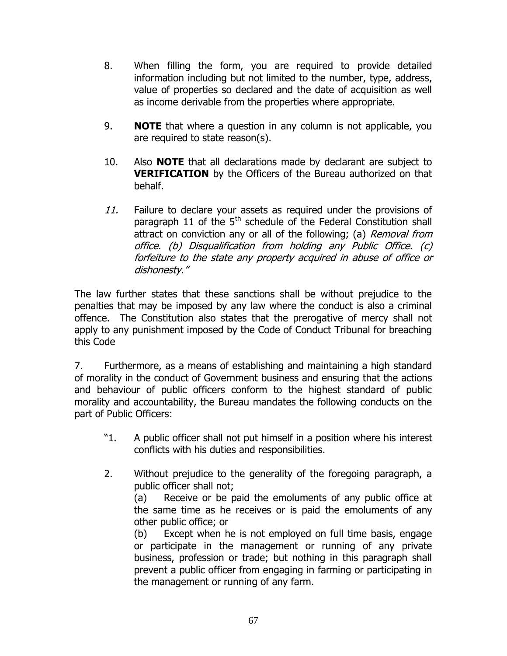- 8. When filling the form, you are required to provide detailed information including but not limited to the number, type, address, value of properties so declared and the date of acquisition as well as income derivable from the properties where appropriate.
- 9. **NOTE** that where a question in any column is not applicable, you are required to state reason(s).
- 10. Also **NOTE** that all declarations made by declarant are subject to **VERIFICATION** by the Officers of the Bureau authorized on that behalf.
- 11. Failure to declare your assets as required under the provisions of paragraph 11 of the  $5<sup>th</sup>$  schedule of the Federal Constitution shall attract on conviction any or all of the following; (a) Removal from office. (b) Disqualification from holding any Public Office. (c) forfeiture to the state any property acquired in abuse of office or dishonesty."

The law further states that these sanctions shall be without prejudice to the penalties that may be imposed by any law where the conduct is also a criminal offence. The Constitution also states that the prerogative of mercy shall not apply to any punishment imposed by the Code of Conduct Tribunal for breaching this Code

7. Furthermore, as a means of establishing and maintaining a high standard of morality in the conduct of Government business and ensuring that the actions and behaviour of public officers conform to the highest standard of public morality and accountability, the Bureau mandates the following conducts on the part of Public Officers:

- "1. A public officer shall not put himself in a position where his interest conflicts with his duties and responsibilities.
- 2. Without prejudice to the generality of the foregoing paragraph, a public officer shall not;

(a) Receive or be paid the emoluments of any public office at the same time as he receives or is paid the emoluments of any other public office; or

(b) Except when he is not employed on full time basis, engage or participate in the management or running of any private business, profession or trade; but nothing in this paragraph shall prevent a public officer from engaging in farming or participating in the management or running of any farm.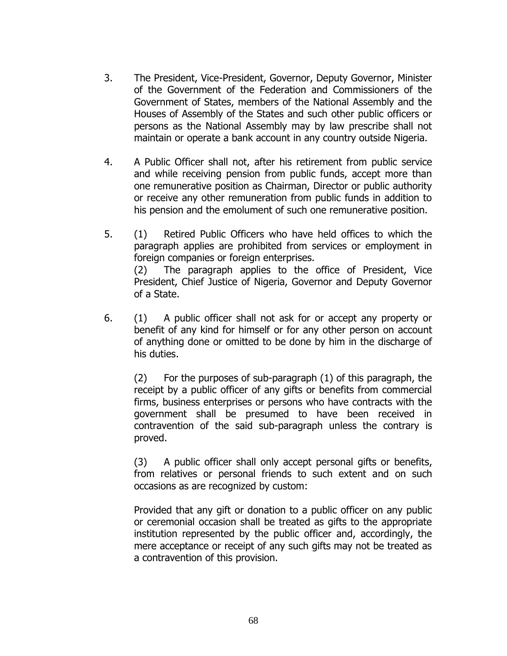- 3. The President, Vice-President, Governor, Deputy Governor, Minister of the Government of the Federation and Commissioners of the Government of States, members of the National Assembly and the Houses of Assembly of the States and such other public officers or persons as the National Assembly may by law prescribe shall not maintain or operate a bank account in any country outside Nigeria.
- 4. A Public Officer shall not, after his retirement from public service and while receiving pension from public funds, accept more than one remunerative position as Chairman, Director or public authority or receive any other remuneration from public funds in addition to his pension and the emolument of such one remunerative position.
- 5. (1) Retired Public Officers who have held offices to which the paragraph applies are prohibited from services or employment in foreign companies or foreign enterprises. (2) The paragraph applies to the office of President, Vice President, Chief Justice of Nigeria, Governor and Deputy Governor of a State.
- 6. (1) A public officer shall not ask for or accept any property or benefit of any kind for himself or for any other person on account of anything done or omitted to be done by him in the discharge of his duties.

(2) For the purposes of sub-paragraph (1) of this paragraph, the receipt by a public officer of any gifts or benefits from commercial firms, business enterprises or persons who have contracts with the government shall be presumed to have been received in contravention of the said sub-paragraph unless the contrary is proved.

(3) A public officer shall only accept personal gifts or benefits, from relatives or personal friends to such extent and on such occasions as are recognized by custom:

Provided that any gift or donation to a public officer on any public or ceremonial occasion shall be treated as gifts to the appropriate institution represented by the public officer and, accordingly, the mere acceptance or receipt of any such gifts may not be treated as a contravention of this provision.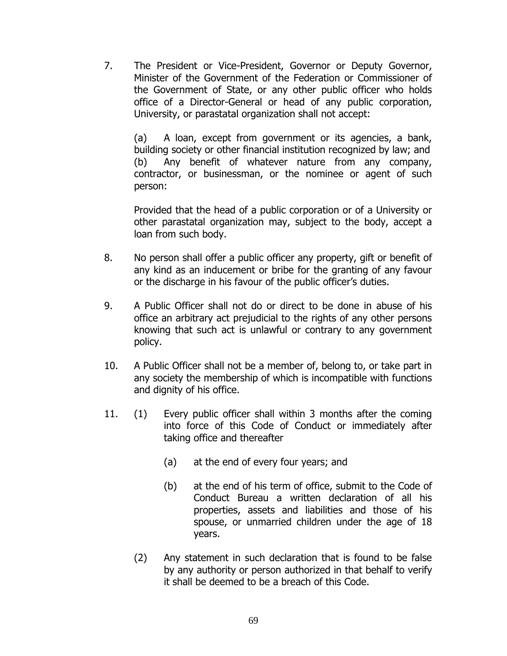7. The President or Vice-President, Governor or Deputy Governor, Minister of the Government of the Federation or Commissioner of the Government of State, or any other public officer who holds office of a Director-General or head of any public corporation, University, or parastatal organization shall not accept:

(a) A loan, except from government or its agencies, a bank, building society or other financial institution recognized by law; and (b) Any benefit of whatever nature from any company, contractor, or businessman, or the nominee or agent of such person:

Provided that the head of a public corporation or of a University or other parastatal organization may, subject to the body, accept a loan from such body.

- 8. No person shall offer a public officer any property, gift or benefit of any kind as an inducement or bribe for the granting of any favour or the discharge in his favour of the public officer's duties.
- 9. A Public Officer shall not do or direct to be done in abuse of his office an arbitrary act prejudicial to the rights of any other persons knowing that such act is unlawful or contrary to any government policy.
- 10. A Public Officer shall not be a member of, belong to, or take part in any society the membership of which is incompatible with functions and dignity of his office.
- 11. (1) Every public officer shall within 3 months after the coming into force of this Code of Conduct or immediately after taking office and thereafter
	- (a) at the end of every four years; and
	- (b) at the end of his term of office, submit to the Code of Conduct Bureau a written declaration of all his properties, assets and liabilities and those of his spouse, or unmarried children under the age of 18 years.
	- (2) Any statement in such declaration that is found to be false by any authority or person authorized in that behalf to verify it shall be deemed to be a breach of this Code.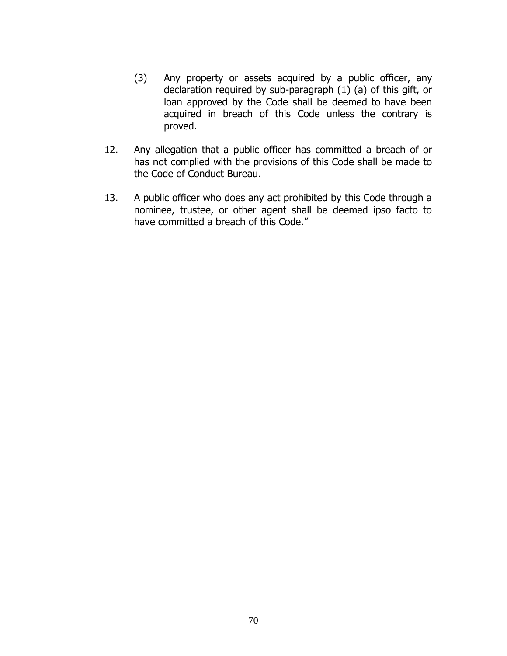- (3) Any property or assets acquired by a public officer, any declaration required by sub-paragraph (1) (a) of this gift, or loan approved by the Code shall be deemed to have been acquired in breach of this Code unless the contrary is proved.
- 12. Any allegation that a public officer has committed a breach of or has not complied with the provisions of this Code shall be made to the Code of Conduct Bureau.
- 13. A public officer who does any act prohibited by this Code through a nominee, trustee, or other agent shall be deemed ipso facto to have committed a breach of this Code."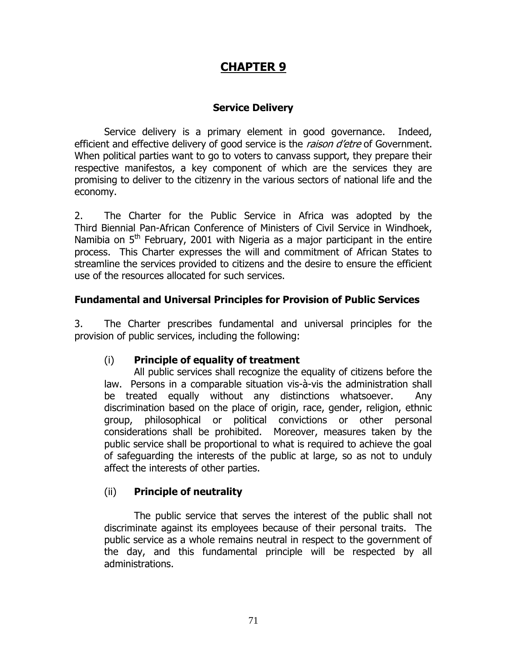# **CHAPTER 9**

## **Service Delivery**

Service delivery is a primary element in good governance. Indeed, efficient and effective delivery of good service is the *raison d'etre* of Government. When political parties want to go to voters to canvass support, they prepare their respective manifestos, a key component of which are the services they are promising to deliver to the citizenry in the various sectors of national life and the economy.

2. The Charter for the Public Service in Africa was adopted by the Third Biennial Pan-African Conference of Ministers of Civil Service in Windhoek, Namibia on  $5<sup>th</sup>$  February, 2001 with Nigeria as a major participant in the entire process. This Charter expresses the will and commitment of African States to streamline the services provided to citizens and the desire to ensure the efficient use of the resources allocated for such services.

# **Fundamental and Universal Principles for Provision of Public Services**

3. The Charter prescribes fundamental and universal principles for the provision of public services, including the following:

#### (i) **Principle of equality of treatment**

All public services shall recognize the equality of citizens before the law. Persons in a comparable situation vis-à-vis the administration shall be treated equally without any distinctions whatsoever. Any discrimination based on the place of origin, race, gender, religion, ethnic group, philosophical or political convictions or other personal considerations shall be prohibited. Moreover, measures taken by the public service shall be proportional to what is required to achieve the goal of safeguarding the interests of the public at large, so as not to unduly affect the interests of other parties.

# (ii) **Principle of neutrality**

The public service that serves the interest of the public shall not discriminate against its employees because of their personal traits. The public service as a whole remains neutral in respect to the government of the day, and this fundamental principle will be respected by all administrations.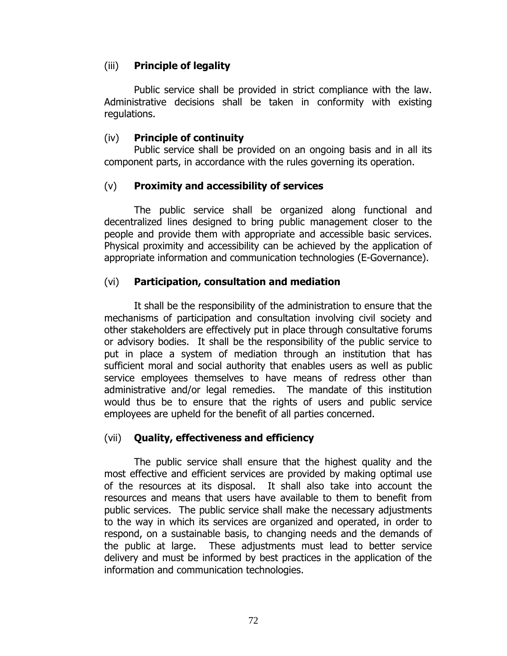#### (iii) **Principle of legality**

Public service shall be provided in strict compliance with the law. Administrative decisions shall be taken in conformity with existing regulations.

#### (iv) **Principle of continuity**

Public service shall be provided on an ongoing basis and in all its component parts, in accordance with the rules governing its operation.

#### (v) **Proximity and accessibility of services**

The public service shall be organized along functional and decentralized lines designed to bring public management closer to the people and provide them with appropriate and accessible basic services. Physical proximity and accessibility can be achieved by the application of appropriate information and communication technologies (E-Governance).

#### (vi) **Participation, consultation and mediation**

It shall be the responsibility of the administration to ensure that the mechanisms of participation and consultation involving civil society and other stakeholders are effectively put in place through consultative forums or advisory bodies. It shall be the responsibility of the public service to put in place a system of mediation through an institution that has sufficient moral and social authority that enables users as well as public service employees themselves to have means of redress other than administrative and/or legal remedies. The mandate of this institution would thus be to ensure that the rights of users and public service employees are upheld for the benefit of all parties concerned.

#### (vii) **Quality, effectiveness and efficiency**

The public service shall ensure that the highest quality and the most effective and efficient services are provided by making optimal use of the resources at its disposal. It shall also take into account the resources and means that users have available to them to benefit from public services. The public service shall make the necessary adjustments to the way in which its services are organized and operated, in order to respond, on a sustainable basis, to changing needs and the demands of the public at large. These adjustments must lead to better service delivery and must be informed by best practices in the application of the information and communication technologies.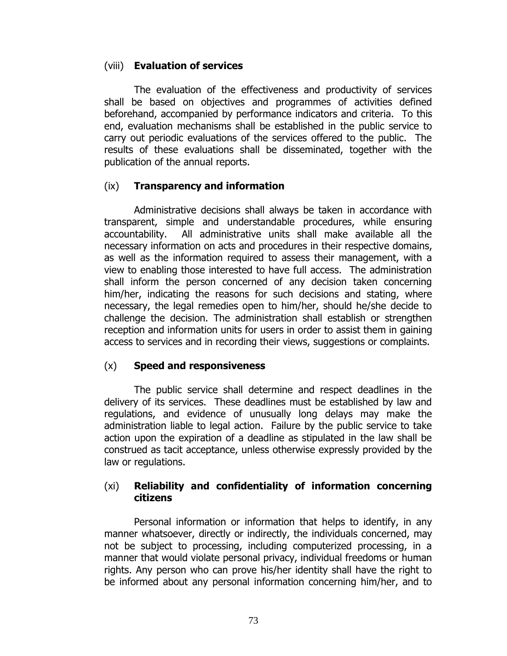#### (viii) **Evaluation of services**

The evaluation of the effectiveness and productivity of services shall be based on objectives and programmes of activities defined beforehand, accompanied by performance indicators and criteria. To this end, evaluation mechanisms shall be established in the public service to carry out periodic evaluations of the services offered to the public. The results of these evaluations shall be disseminated, together with the publication of the annual reports.

#### (ix) **Transparency and information**

Administrative decisions shall always be taken in accordance with transparent, simple and understandable procedures, while ensuring accountability. All administrative units shall make available all the necessary information on acts and procedures in their respective domains, as well as the information required to assess their management, with a view to enabling those interested to have full access. The administration shall inform the person concerned of any decision taken concerning him/her, indicating the reasons for such decisions and stating, where necessary, the legal remedies open to him/her, should he/she decide to challenge the decision. The administration shall establish or strengthen reception and information units for users in order to assist them in gaining access to services and in recording their views, suggestions or complaints.

#### (x) **Speed and responsiveness**

The public service shall determine and respect deadlines in the delivery of its services. These deadlines must be established by law and regulations, and evidence of unusually long delays may make the administration liable to legal action. Failure by the public service to take action upon the expiration of a deadline as stipulated in the law shall be construed as tacit acceptance, unless otherwise expressly provided by the law or regulations.

#### (xi) **Reliability and confidentiality of information concerning citizens**

Personal information or information that helps to identify, in any manner whatsoever, directly or indirectly, the individuals concerned, may not be subject to processing, including computerized processing, in a manner that would violate personal privacy, individual freedoms or human rights. Any person who can prove his/her identity shall have the right to be informed about any personal information concerning him/her, and to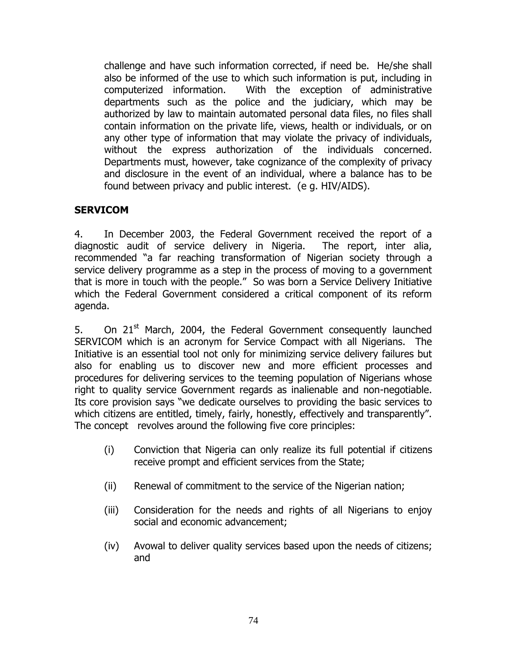challenge and have such information corrected, if need be. He/she shall also be informed of the use to which such information is put, including in computerized information. With the exception of administrative departments such as the police and the judiciary, which may be authorized by law to maintain automated personal data files, no files shall contain information on the private life, views, health or individuals, or on any other type of information that may violate the privacy of individuals, without the express authorization of the individuals concerned. Departments must, however, take cognizance of the complexity of privacy and disclosure in the event of an individual, where a balance has to be found between privacy and public interest. (e g. HIV/AIDS).

### **SERVICOM**

4. In December 2003, the Federal Government received the report of a diagnostic audit of service delivery in Nigeria. The report, inter alia, recommended "a far reaching transformation of Nigerian society through a service delivery programme as a step in the process of moving to a government that is more in touch with the people." So was born a Service Delivery Initiative which the Federal Government considered a critical component of its reform agenda.

5. On  $21<sup>st</sup>$  March, 2004, the Federal Government consequently launched SERVICOM which is an acronym for Service Compact with all Nigerians. The Initiative is an essential tool not only for minimizing service delivery failures but also for enabling us to discover new and more efficient processes and procedures for delivering services to the teeming population of Nigerians whose right to quality service Government regards as inalienable and non-negotiable. Its core provision says "we dedicate ourselves to providing the basic services to which citizens are entitled, timely, fairly, honestly, effectively and transparently". The concept revolves around the following five core principles:

- (i) Conviction that Nigeria can only realize its full potential if citizens receive prompt and efficient services from the State;
- (ii) Renewal of commitment to the service of the Nigerian nation;
- (iii) Consideration for the needs and rights of all Nigerians to enjoy social and economic advancement;
- (iv) Avowal to deliver quality services based upon the needs of citizens; and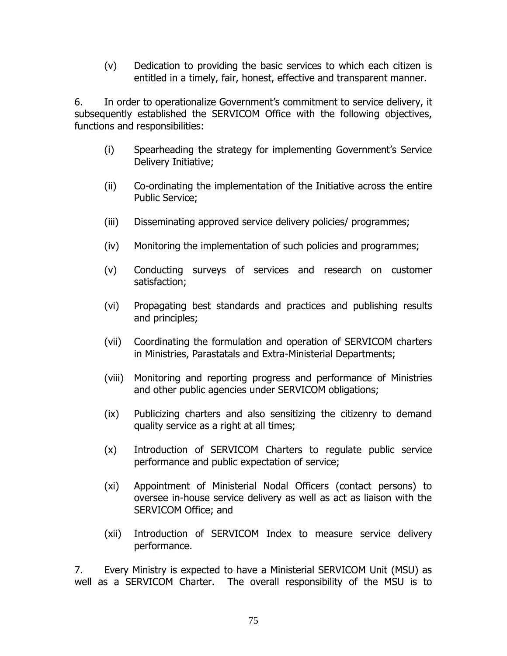(v) Dedication to providing the basic services to which each citizen is entitled in a timely, fair, honest, effective and transparent manner.

6. In order to operationalize Government's commitment to service delivery, it subsequently established the SERVICOM Office with the following objectives, functions and responsibilities:

- (i) Spearheading the strategy for implementing Government's Service Delivery Initiative;
- (ii) Co-ordinating the implementation of the Initiative across the entire Public Service;
- (iii) Disseminating approved service delivery policies/ programmes;
- (iv) Monitoring the implementation of such policies and programmes;
- (v) Conducting surveys of services and research on customer satisfaction;
- (vi) Propagating best standards and practices and publishing results and principles;
- (vii) Coordinating the formulation and operation of SERVICOM charters in Ministries, Parastatals and Extra-Ministerial Departments;
- (viii) Monitoring and reporting progress and performance of Ministries and other public agencies under SERVICOM obligations;
- (ix) Publicizing charters and also sensitizing the citizenry to demand quality service as a right at all times;
- (x) Introduction of SERVICOM Charters to regulate public service performance and public expectation of service;
- (xi) Appointment of Ministerial Nodal Officers (contact persons) to oversee in-house service delivery as well as act as liaison with the SERVICOM Office; and
- (xii) Introduction of SERVICOM Index to measure service delivery performance.

7. Every Ministry is expected to have a Ministerial SERVICOM Unit (MSU) as well as a SERVICOM Charter. The overall responsibility of the MSU is to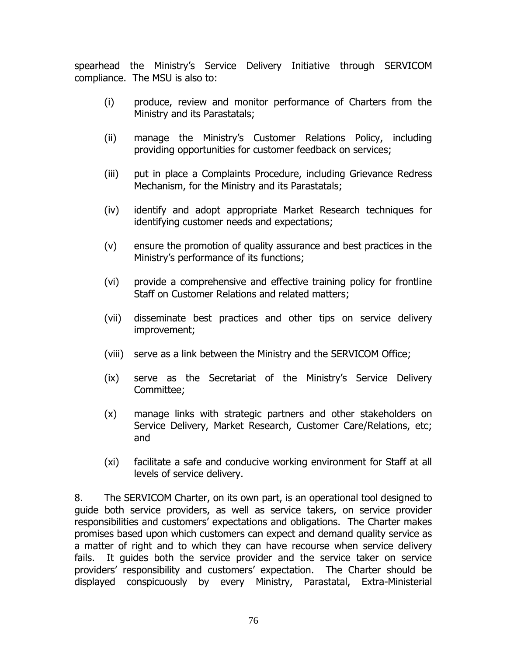spearhead the Ministry's Service Delivery Initiative through SERVICOM compliance. The MSU is also to:

- (i) produce, review and monitor performance of Charters from the Ministry and its Parastatals;
- (ii) manage the Ministry's Customer Relations Policy, including providing opportunities for customer feedback on services;
- (iii) put in place a Complaints Procedure, including Grievance Redress Mechanism, for the Ministry and its Parastatals;
- (iv) identify and adopt appropriate Market Research techniques for identifying customer needs and expectations;
- (v) ensure the promotion of quality assurance and best practices in the Ministry's performance of its functions;
- (vi) provide a comprehensive and effective training policy for frontline Staff on Customer Relations and related matters;
- (vii) disseminate best practices and other tips on service delivery improvement;
- (viii) serve as a link between the Ministry and the SERVICOM Office;
- (ix) serve as the Secretariat of the Ministry's Service Delivery Committee;
- (x) manage links with strategic partners and other stakeholders on Service Delivery, Market Research, Customer Care/Relations, etc; and
- (xi) facilitate a safe and conducive working environment for Staff at all levels of service delivery.

8. The SERVICOM Charter, on its own part, is an operational tool designed to guide both service providers, as well as service takers, on service provider responsibilities and customers' expectations and obligations. The Charter makes promises based upon which customers can expect and demand quality service as a matter of right and to which they can have recourse when service delivery fails. It guides both the service provider and the service taker on service providers' responsibility and customers' expectation. The Charter should be displayed conspicuously by every Ministry, Parastatal, Extra-Ministerial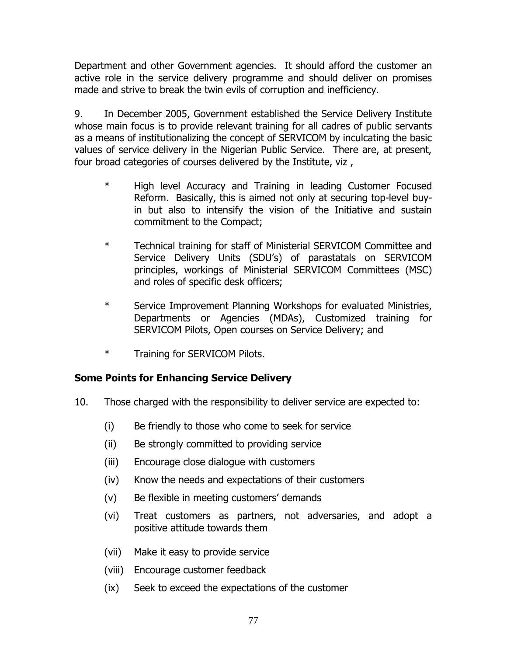Department and other Government agencies. It should afford the customer an active role in the service delivery programme and should deliver on promises made and strive to break the twin evils of corruption and inefficiency.

9. In December 2005, Government established the Service Delivery Institute whose main focus is to provide relevant training for all cadres of public servants as a means of institutionalizing the concept of SERVICOM by inculcating the basic values of service delivery in the Nigerian Public Service. There are, at present, four broad categories of courses delivered by the Institute, viz ,

- \* High level Accuracy and Training in leading Customer Focused Reform. Basically, this is aimed not only at securing top-level buyin but also to intensify the vision of the Initiative and sustain commitment to the Compact;
- \* Technical training for staff of Ministerial SERVICOM Committee and Service Delivery Units (SDU's) of parastatals on SERVICOM principles, workings of Ministerial SERVICOM Committees (MSC) and roles of specific desk officers;
- \* Service Improvement Planning Workshops for evaluated Ministries, Departments or Agencies (MDAs), Customized training for SERVICOM Pilots, Open courses on Service Delivery; and
- \* Training for SERVICOM Pilots.

# **Some Points for Enhancing Service Delivery**

- 10. Those charged with the responsibility to deliver service are expected to:
	- (i) Be friendly to those who come to seek for service
	- (ii) Be strongly committed to providing service
	- (iii) Encourage close dialogue with customers
	- (iv) Know the needs and expectations of their customers
	- (v) Be flexible in meeting customers' demands
	- (vi) Treat customers as partners, not adversaries, and adopt a positive attitude towards them
	- (vii) Make it easy to provide service
	- (viii) Encourage customer feedback
	- (ix) Seek to exceed the expectations of the customer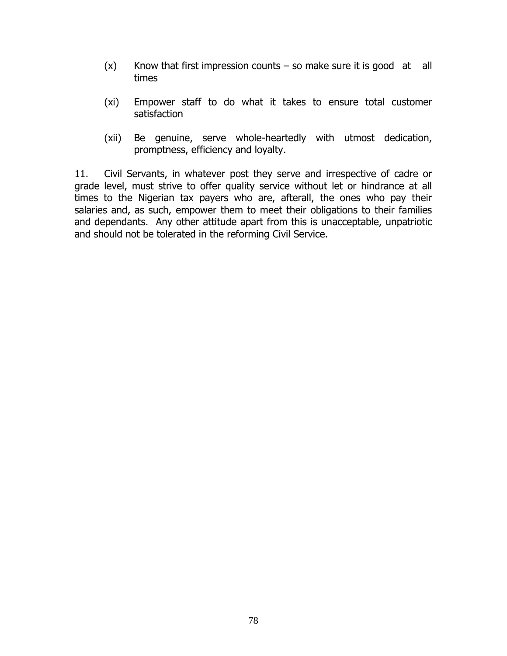- $(x)$  Know that first impression counts so make sure it is good at all times
- (xi) Empower staff to do what it takes to ensure total customer satisfaction
- (xii) Be genuine, serve whole-heartedly with utmost dedication, promptness, efficiency and loyalty.

11. Civil Servants, in whatever post they serve and irrespective of cadre or grade level, must strive to offer quality service without let or hindrance at all times to the Nigerian tax payers who are, afterall, the ones who pay their salaries and, as such, empower them to meet their obligations to their families and dependants. Any other attitude apart from this is unacceptable, unpatriotic and should not be tolerated in the reforming Civil Service.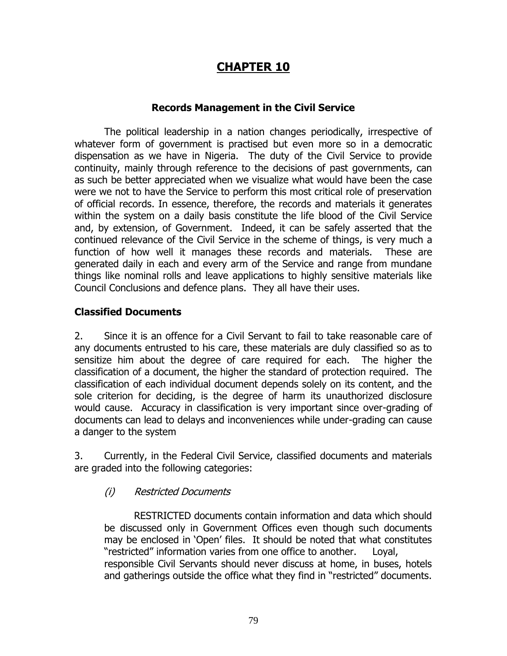# **CHAPTER 10**

#### **Records Management in the Civil Service**

The political leadership in a nation changes periodically, irrespective of whatever form of government is practised but even more so in a democratic dispensation as we have in Nigeria. The duty of the Civil Service to provide continuity, mainly through reference to the decisions of past governments, can as such be better appreciated when we visualize what would have been the case were we not to have the Service to perform this most critical role of preservation of official records. In essence, therefore, the records and materials it generates within the system on a daily basis constitute the life blood of the Civil Service and, by extension, of Government. Indeed, it can be safely asserted that the continued relevance of the Civil Service in the scheme of things, is very much a function of how well it manages these records and materials. These are generated daily in each and every arm of the Service and range from mundane things like nominal rolls and leave applications to highly sensitive materials like Council Conclusions and defence plans. They all have their uses.

#### **Classified Documents**

2. Since it is an offence for a Civil Servant to fail to take reasonable care of any documents entrusted to his care, these materials are duly classified so as to sensitize him about the degree of care required for each. The higher the classification of a document, the higher the standard of protection required. The classification of each individual document depends solely on its content, and the sole criterion for deciding, is the degree of harm its unauthorized disclosure would cause. Accuracy in classification is very important since over-grading of documents can lead to delays and inconveniences while under-grading can cause a danger to the system

3. Currently, in the Federal Civil Service, classified documents and materials are graded into the following categories:

### (i) Restricted Documents

RESTRICTED documents contain information and data which should be discussed only in Government Offices even though such documents may be enclosed in 'Open' files. It should be noted that what constitutes ―restricted‖ information varies from one office to another. Loyal, responsible Civil Servants should never discuss at home, in buses, hotels and gatherings outside the office what they find in "restricted" documents.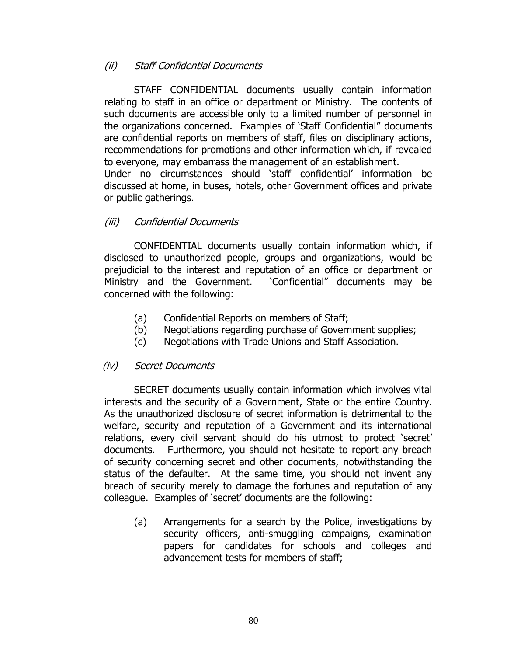#### (ii) Staff Confidential Documents

STAFF CONFIDENTIAL documents usually contain information relating to staff in an office or department or Ministry. The contents of such documents are accessible only to a limited number of personnel in the organizations concerned. Examples of 'Staff Confidential" documents are confidential reports on members of staff, files on disciplinary actions, recommendations for promotions and other information which, if revealed to everyone, may embarrass the management of an establishment. Under no circumstances should ‗staff confidential' information be discussed at home, in buses, hotels, other Government offices and private or public gatherings.

#### (iii) Confidential Documents

CONFIDENTIAL documents usually contain information which, if disclosed to unauthorized people, groups and organizations, would be prejudicial to the interest and reputation of an office or department or Ministry and the Government. 
Confidential" documents may be concerned with the following:

- (a) Confidential Reports on members of Staff;
- (b) Negotiations regarding purchase of Government supplies;
- (c) Negotiations with Trade Unions and Staff Association.

#### (iv) Secret Documents

SECRET documents usually contain information which involves vital interests and the security of a Government, State or the entire Country. As the unauthorized disclosure of secret information is detrimental to the welfare, security and reputation of a Government and its international relations, every civil servant should do his utmost to protect 'secret' documents. Furthermore, you should not hesitate to report any breach of security concerning secret and other documents, notwithstanding the status of the defaulter. At the same time, you should not invent any breach of security merely to damage the fortunes and reputation of any colleague. Examples of 'secret' documents are the following:

(a) Arrangements for a search by the Police, investigations by security officers, anti-smuggling campaigns, examination papers for candidates for schools and colleges and advancement tests for members of staff;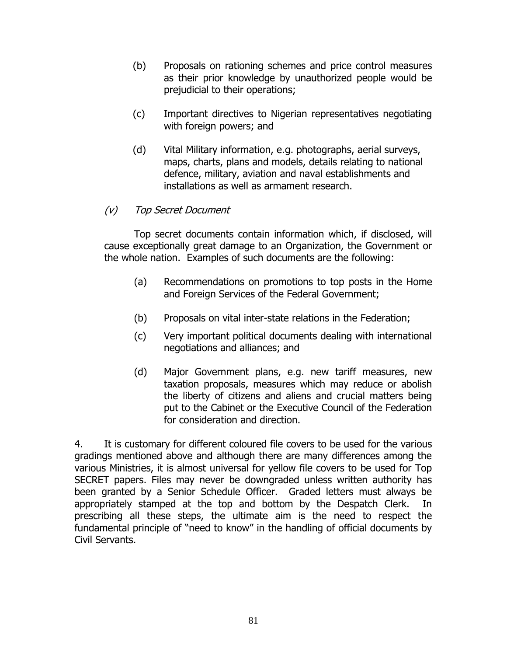- (b) Proposals on rationing schemes and price control measures as their prior knowledge by unauthorized people would be prejudicial to their operations;
- (c) Important directives to Nigerian representatives negotiating with foreign powers; and
- (d) Vital Military information, e.g. photographs, aerial surveys, maps, charts, plans and models, details relating to national defence, military, aviation and naval establishments and installations as well as armament research.

#### (v) Top Secret Document

Top secret documents contain information which, if disclosed, will cause exceptionally great damage to an Organization, the Government or the whole nation. Examples of such documents are the following:

- (a) Recommendations on promotions to top posts in the Home and Foreign Services of the Federal Government;
- (b) Proposals on vital inter-state relations in the Federation;
- (c) Very important political documents dealing with international negotiations and alliances; and
- (d) Major Government plans, e.g. new tariff measures, new taxation proposals, measures which may reduce or abolish the liberty of citizens and aliens and crucial matters being put to the Cabinet or the Executive Council of the Federation for consideration and direction.

4. It is customary for different coloured file covers to be used for the various gradings mentioned above and although there are many differences among the various Ministries, it is almost universal for yellow file covers to be used for Top SECRET papers. Files may never be downgraded unless written authority has been granted by a Senior Schedule Officer. Graded letters must always be appropriately stamped at the top and bottom by the Despatch Clerk. In prescribing all these steps, the ultimate aim is the need to respect the fundamental principle of "need to know" in the handling of official documents by Civil Servants.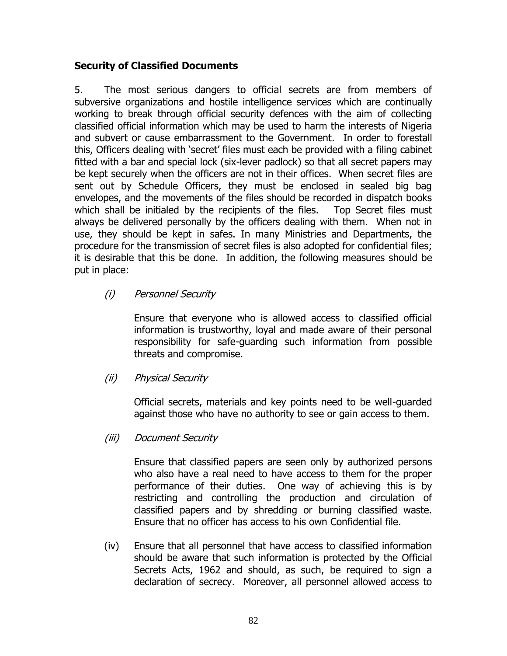#### **Security of Classified Documents**

5. The most serious dangers to official secrets are from members of subversive organizations and hostile intelligence services which are continually working to break through official security defences with the aim of collecting classified official information which may be used to harm the interests of Nigeria and subvert or cause embarrassment to the Government. In order to forestall this, Officers dealing with 'secret' files must each be provided with a filing cabinet fitted with a bar and special lock (six-lever padlock) so that all secret papers may be kept securely when the officers are not in their offices. When secret files are sent out by Schedule Officers, they must be enclosed in sealed big bag envelopes, and the movements of the files should be recorded in dispatch books which shall be initialed by the recipients of the files. Top Secret files must always be delivered personally by the officers dealing with them. When not in use, they should be kept in safes. In many Ministries and Departments, the procedure for the transmission of secret files is also adopted for confidential files; it is desirable that this be done. In addition, the following measures should be put in place:

#### (i) Personnel Security

Ensure that everyone who is allowed access to classified official information is trustworthy, loyal and made aware of their personal responsibility for safe-guarding such information from possible threats and compromise.

#### (ii) Physical Security

Official secrets, materials and key points need to be well-guarded against those who have no authority to see or gain access to them.

(iii) Document Security

Ensure that classified papers are seen only by authorized persons who also have a real need to have access to them for the proper performance of their duties. One way of achieving this is by restricting and controlling the production and circulation of classified papers and by shredding or burning classified waste. Ensure that no officer has access to his own Confidential file.

(iv) Ensure that all personnel that have access to classified information should be aware that such information is protected by the Official Secrets Acts, 1962 and should, as such, be required to sign a declaration of secrecy. Moreover, all personnel allowed access to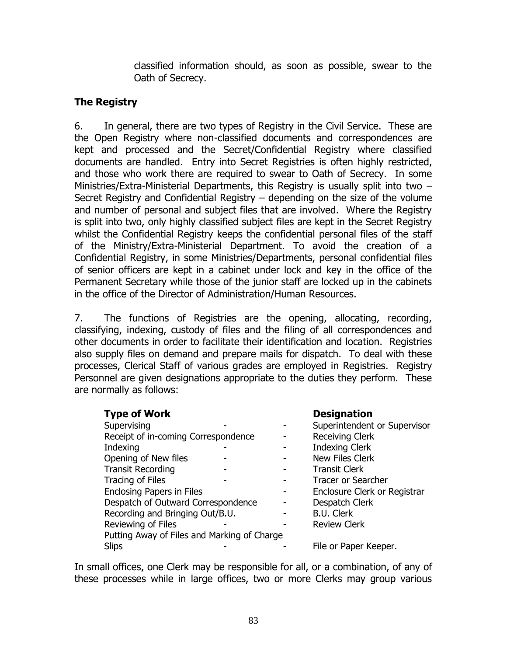classified information should, as soon as possible, swear to the Oath of Secrecy.

### **The Registry**

6. In general, there are two types of Registry in the Civil Service. These are the Open Registry where non-classified documents and correspondences are kept and processed and the Secret/Confidential Registry where classified documents are handled. Entry into Secret Registries is often highly restricted, and those who work there are required to swear to Oath of Secrecy. In some Ministries/Extra-Ministerial Departments, this Registry is usually split into two -Secret Registry and Confidential Registry – depending on the size of the volume and number of personal and subject files that are involved. Where the Registry is split into two, only highly classified subject files are kept in the Secret Registry whilst the Confidential Registry keeps the confidential personal files of the staff of the Ministry/Extra-Ministerial Department. To avoid the creation of a Confidential Registry, in some Ministries/Departments, personal confidential files of senior officers are kept in a cabinet under lock and key in the office of the Permanent Secretary while those of the junior staff are locked up in the cabinets in the office of the Director of Administration/Human Resources.

7. The functions of Registries are the opening, allocating, recording, classifying, indexing, custody of files and the filing of all correspondences and other documents in order to facilitate their identification and location. Registries also supply files on demand and prepare mails for dispatch. To deal with these processes, Clerical Staff of various grades are employed in Registries. Registry Personnel are given designations appropriate to the duties they perform. These are normally as follows:

| <b>Type of Work</b>                         |  | <b>Designation</b>           |
|---------------------------------------------|--|------------------------------|
| Supervising                                 |  | Superintendent or Supervisor |
| Receipt of in-coming Correspondence         |  | <b>Receiving Clerk</b>       |
| Indexing                                    |  | <b>Indexing Clerk</b>        |
| Opening of New files                        |  | <b>New Files Clerk</b>       |
| <b>Transit Recording</b>                    |  | <b>Transit Clerk</b>         |
| Tracing of Files                            |  | Tracer or Searcher           |
| Enclosing Papers in Files                   |  | Enclosure Clerk or Registrar |
| Despatch of Outward Correspondence          |  | Despatch Clerk               |
| Recording and Bringing Out/B.U.             |  | <b>B.U. Clerk</b>            |
| Reviewing of Files                          |  | <b>Review Clerk</b>          |
| Putting Away of Files and Marking of Charge |  |                              |
| <b>Slips</b>                                |  | File or Paper Keeper.        |

In small offices, one Clerk may be responsible for all, or a combination, of any of these processes while in large offices, two or more Clerks may group various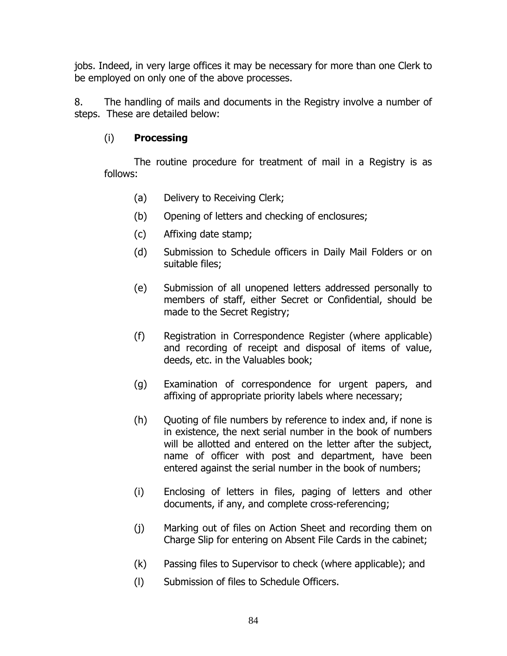jobs. Indeed, in very large offices it may be necessary for more than one Clerk to be employed on only one of the above processes.

8. The handling of mails and documents in the Registry involve a number of steps. These are detailed below:

### (i) **Processing**

The routine procedure for treatment of mail in a Registry is as follows:

- (a) Delivery to Receiving Clerk;
- (b) Opening of letters and checking of enclosures;
- (c) Affixing date stamp;
- (d) Submission to Schedule officers in Daily Mail Folders or on suitable files;
- (e) Submission of all unopened letters addressed personally to members of staff, either Secret or Confidential, should be made to the Secret Registry;
- (f) Registration in Correspondence Register (where applicable) and recording of receipt and disposal of items of value, deeds, etc. in the Valuables book;
- (g) Examination of correspondence for urgent papers, and affixing of appropriate priority labels where necessary;
- (h) Quoting of file numbers by reference to index and, if none is in existence, the next serial number in the book of numbers will be allotted and entered on the letter after the subject, name of officer with post and department, have been entered against the serial number in the book of numbers;
- (i) Enclosing of letters in files, paging of letters and other documents, if any, and complete cross-referencing;
- (j) Marking out of files on Action Sheet and recording them on Charge Slip for entering on Absent File Cards in the cabinet;
- (k) Passing files to Supervisor to check (where applicable); and
- (l) Submission of files to Schedule Officers.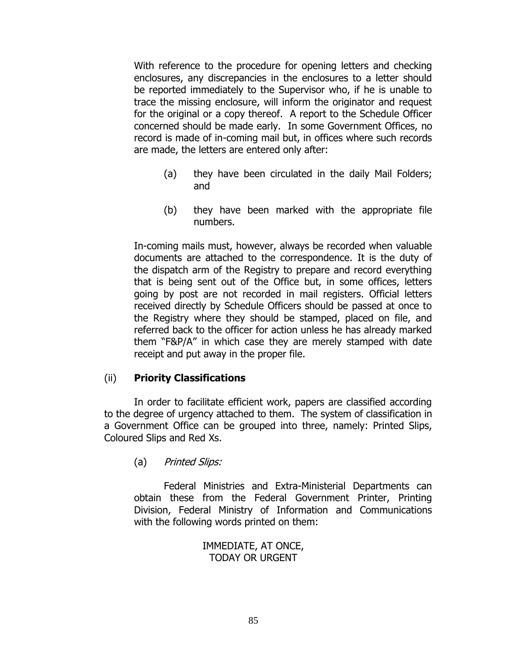With reference to the procedure for opening letters and checking enclosures, any discrepancies in the enclosures to a letter should be reported immediately to the Supervisor who, if he is unable to trace the missing enclosure, will inform the originator and request for the original or a copy thereof. A report to the Schedule Officer concerned should be made early. In some Government Offices, no record is made of in-coming mail but, in offices where such records are made, the letters are entered only after:

- (a) they have been circulated in the daily Mail Folders; and
- (b) they have been marked with the appropriate file numbers.

In-coming mails must, however, always be recorded when valuable documents are attached to the correspondence. It is the duty of the dispatch arm of the Registry to prepare and record everything that is being sent out of the Office but, in some offices, letters going by post are not recorded in mail registers. Official letters received directly by Schedule Officers should be passed at once to the Registry where they should be stamped, placed on file, and referred back to the officer for action unless he has already marked them "F&P/A" in which case they are merely stamped with date receipt and put away in the proper file.

#### (ii) **Priority Classifications**

In order to facilitate efficient work, papers are classified according to the degree of urgency attached to them. The system of classification in a Government Office can be grouped into three, namely: Printed Slips, Coloured Slips and Red Xs.

(a) Printed Slips:

Federal Ministries and Extra-Ministerial Departments can obtain these from the Federal Government Printer, Printing Division, Federal Ministry of Information and Communications with the following words printed on them:

> IMMEDIATE, AT ONCE, TODAY OR URGENT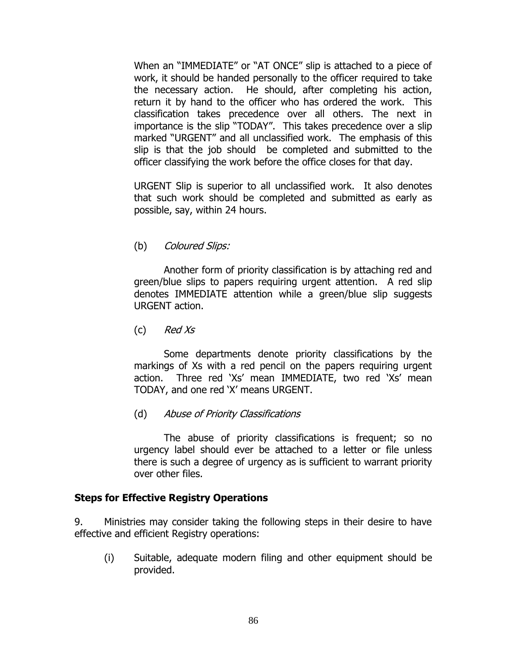When an "IMMEDIATE" or "AT ONCE" slip is attached to a piece of work, it should be handed personally to the officer required to take the necessary action. He should, after completing his action, return it by hand to the officer who has ordered the work. This classification takes precedence over all others. The next in importance is the slip "TODAY". This takes precedence over a slip marked "URGENT" and all unclassified work. The emphasis of this slip is that the job should be completed and submitted to the officer classifying the work before the office closes for that day.

URGENT Slip is superior to all unclassified work. It also denotes that such work should be completed and submitted as early as possible, say, within 24 hours.

(b) Coloured Slips:

Another form of priority classification is by attaching red and green/blue slips to papers requiring urgent attention. A red slip denotes IMMEDIATE attention while a green/blue slip suggests URGENT action.

 $\text{(c)}$  Red Xs

Some departments denote priority classifications by the markings of Xs with a red pencil on the papers requiring urgent action. Three red 'Xs' mean IMMEDIATE, two red 'Xs' mean TODAY, and one red 'X' means URGENT.

(d) Abuse of Priority Classifications

The abuse of priority classifications is frequent; so no urgency label should ever be attached to a letter or file unless there is such a degree of urgency as is sufficient to warrant priority over other files.

#### **Steps for Effective Registry Operations**

9. Ministries may consider taking the following steps in their desire to have effective and efficient Registry operations:

(i) Suitable, adequate modern filing and other equipment should be provided.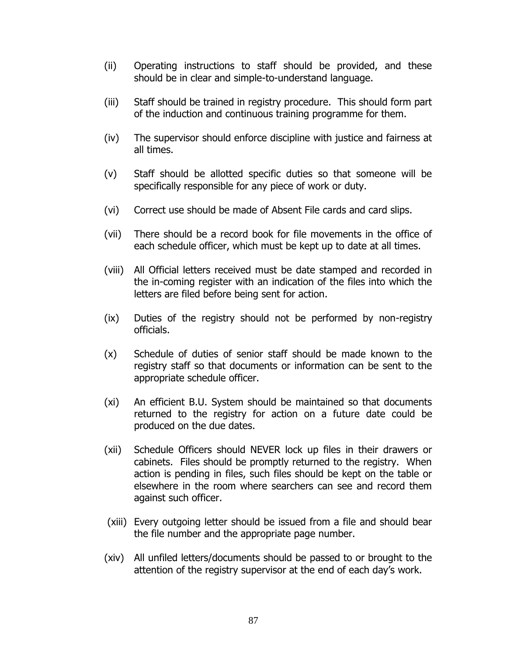- (ii) Operating instructions to staff should be provided, and these should be in clear and simple-to-understand language.
- (iii) Staff should be trained in registry procedure. This should form part of the induction and continuous training programme for them.
- (iv) The supervisor should enforce discipline with justice and fairness at all times.
- (v) Staff should be allotted specific duties so that someone will be specifically responsible for any piece of work or duty.
- (vi) Correct use should be made of Absent File cards and card slips.
- (vii) There should be a record book for file movements in the office of each schedule officer, which must be kept up to date at all times.
- (viii) All Official letters received must be date stamped and recorded in the in-coming register with an indication of the files into which the letters are filed before being sent for action.
- (ix) Duties of the registry should not be performed by non-registry officials.
- (x) Schedule of duties of senior staff should be made known to the registry staff so that documents or information can be sent to the appropriate schedule officer.
- (xi) An efficient B.U. System should be maintained so that documents returned to the registry for action on a future date could be produced on the due dates.
- (xii) Schedule Officers should NEVER lock up files in their drawers or cabinets. Files should be promptly returned to the registry. When action is pending in files, such files should be kept on the table or elsewhere in the room where searchers can see and record them against such officer.
- (xiii) Every outgoing letter should be issued from a file and should bear the file number and the appropriate page number.
- (xiv) All unfiled letters/documents should be passed to or brought to the attention of the registry supervisor at the end of each day's work.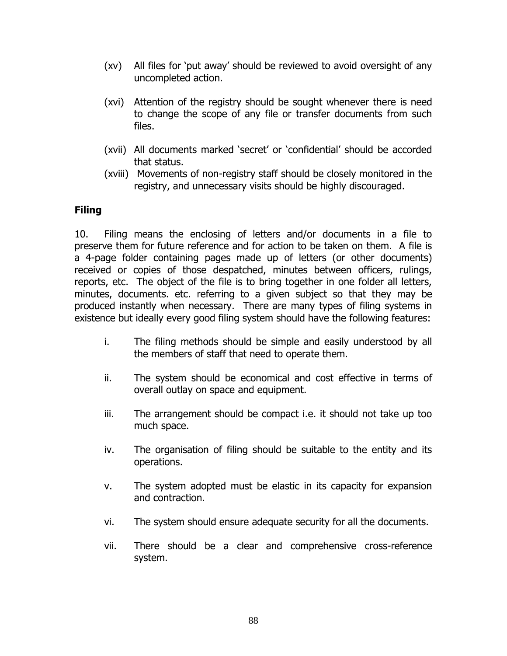- (xv) All files for 'put away' should be reviewed to avoid oversight of any uncompleted action.
- (xvi) Attention of the registry should be sought whenever there is need to change the scope of any file or transfer documents from such files.
- (xvii) All documents marked 'secret' or 'confidential' should be accorded that status.
- (xviii) Movements of non-registry staff should be closely monitored in the registry, and unnecessary visits should be highly discouraged.

#### **Filing**

10. Filing means the enclosing of letters and/or documents in a file to preserve them for future reference and for action to be taken on them. A file is a 4-page folder containing pages made up of letters (or other documents) received or copies of those despatched, minutes between officers, rulings, reports, etc. The object of the file is to bring together in one folder all letters, minutes, documents. etc. referring to a given subject so that they may be produced instantly when necessary. There are many types of filing systems in existence but ideally every good filing system should have the following features:

- i. The filing methods should be simple and easily understood by all the members of staff that need to operate them.
- ii. The system should be economical and cost effective in terms of overall outlay on space and equipment.
- iii. The arrangement should be compact i.e. it should not take up too much space.
- iv. The organisation of filing should be suitable to the entity and its operations.
- v. The system adopted must be elastic in its capacity for expansion and contraction.
- vi. The system should ensure adequate security for all the documents.
- vii. There should be a clear and comprehensive cross-reference system.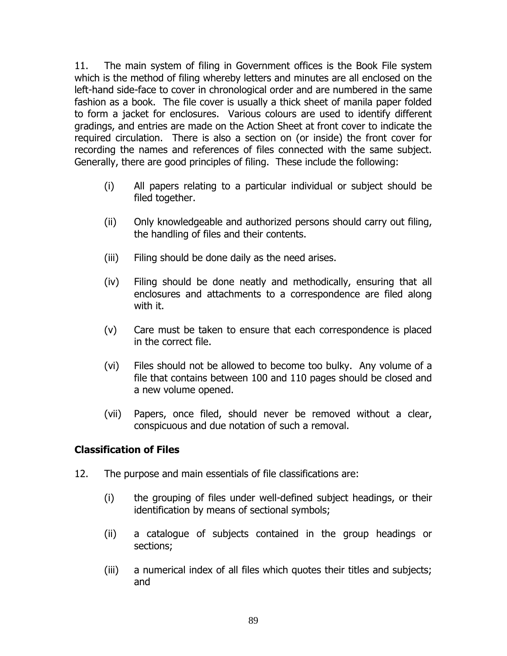11. The main system of filing in Government offices is the Book File system which is the method of filing whereby letters and minutes are all enclosed on the left-hand side-face to cover in chronological order and are numbered in the same fashion as a book. The file cover is usually a thick sheet of manila paper folded to form a jacket for enclosures. Various colours are used to identify different gradings, and entries are made on the Action Sheet at front cover to indicate the required circulation. There is also a section on (or inside) the front cover for recording the names and references of files connected with the same subject. Generally, there are good principles of filing. These include the following:

- (i) All papers relating to a particular individual or subject should be filed together.
- (ii) Only knowledgeable and authorized persons should carry out filing, the handling of files and their contents.
- (iii) Filing should be done daily as the need arises.
- (iv) Filing should be done neatly and methodically, ensuring that all enclosures and attachments to a correspondence are filed along with it.
- (v) Care must be taken to ensure that each correspondence is placed in the correct file.
- (vi) Files should not be allowed to become too bulky. Any volume of a file that contains between 100 and 110 pages should be closed and a new volume opened.
- (vii) Papers, once filed, should never be removed without a clear, conspicuous and due notation of such a removal.

### **Classification of Files**

- 12. The purpose and main essentials of file classifications are:
	- (i) the grouping of files under well-defined subject headings, or their identification by means of sectional symbols;
	- (ii) a catalogue of subjects contained in the group headings or sections;
	- (iii) a numerical index of all files which quotes their titles and subjects; and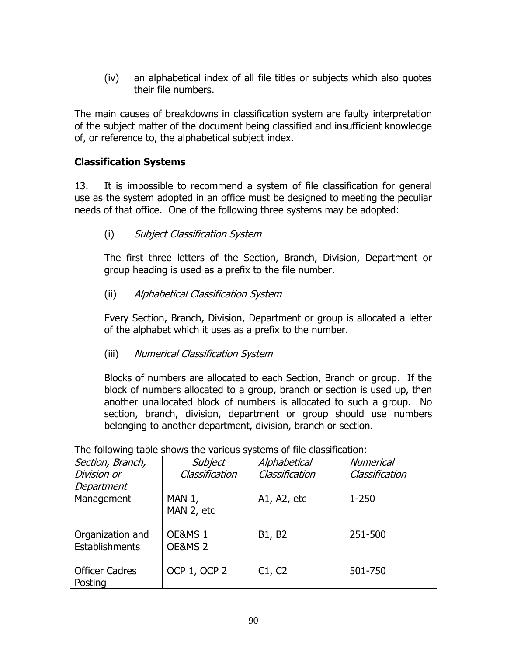(iv) an alphabetical index of all file titles or subjects which also quotes their file numbers.

The main causes of breakdowns in classification system are faulty interpretation of the subject matter of the document being classified and insufficient knowledge of, or reference to, the alphabetical subject index.

### **Classification Systems**

13. It is impossible to recommend a system of file classification for general use as the system adopted in an office must be designed to meeting the peculiar needs of that office. One of the following three systems may be adopted:

(i) Subject Classification System

The first three letters of the Section, Branch, Division, Department or group heading is used as a prefix to the file number.

(ii) Alphabetical Classification System

Every Section, Branch, Division, Department or group is allocated a letter of the alphabet which it uses as a prefix to the number.

#### (iii) Numerical Classification System

Blocks of numbers are allocated to each Section, Branch or group. If the block of numbers allocated to a group, branch or section is used up, then another unallocated block of numbers is allocated to such a group. No section, branch, division, department or group should use numbers belonging to another department, division, branch or section.

| Section, Branch,      | Subject             | Alphabetical   | Numerical      |
|-----------------------|---------------------|----------------|----------------|
| Division or           | Classification      | Classification | Classification |
| Department            |                     |                |                |
| Management            | MAN 1,              | A1, A2, etc    | $1 - 250$      |
|                       | MAN 2, etc          |                |                |
|                       |                     |                |                |
| Organization and      | <b>OE&amp;MS1</b>   | B1, B2         | 251-500        |
| <b>Establishments</b> | OE&MS <sub>2</sub>  |                |                |
|                       |                     |                |                |
| <b>Officer Cadres</b> | <b>OCP 1, OCP 2</b> | C1, C2         | 501-750        |
| Posting               |                     |                |                |

The following table shows the various systems of file classification: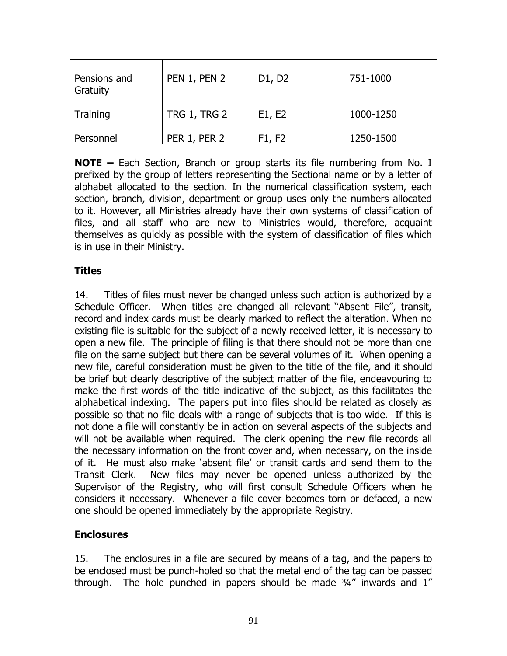| Pensions and<br>Gratuity | <b>PEN 1, PEN 2</b> | D <sub>1</sub> , D <sub>2</sub> | 751-1000  |
|--------------------------|---------------------|---------------------------------|-----------|
| Training                 | <b>TRG 1, TRG 2</b> | E1, E2                          | 1000-1250 |
| Personnel                | <b>PER 1, PER 2</b> | F <sub>1</sub> , F <sub>2</sub> | 1250-1500 |

**NOTE –** Each Section, Branch or group starts its file numbering from No. I prefixed by the group of letters representing the Sectional name or by a letter of alphabet allocated to the section. In the numerical classification system, each section, branch, division, department or group uses only the numbers allocated to it. However, all Ministries already have their own systems of classification of files, and all staff who are new to Ministries would, therefore, acquaint themselves as quickly as possible with the system of classification of files which is in use in their Ministry.

### **Titles**

14. Titles of files must never be changed unless such action is authorized by a Schedule Officer. When titles are changed all relevant "Absent File", transit, record and index cards must be clearly marked to reflect the alteration. When no existing file is suitable for the subject of a newly received letter, it is necessary to open a new file. The principle of filing is that there should not be more than one file on the same subject but there can be several volumes of it. When opening a new file, careful consideration must be given to the title of the file, and it should be brief but clearly descriptive of the subject matter of the file, endeavouring to make the first words of the title indicative of the subject, as this facilitates the alphabetical indexing. The papers put into files should be related as closely as possible so that no file deals with a range of subjects that is too wide. If this is not done a file will constantly be in action on several aspects of the subjects and will not be available when required. The clerk opening the new file records all the necessary information on the front cover and, when necessary, on the inside of it. He must also make 'absent file' or transit cards and send them to the Transit Clerk. New files may never be opened unless authorized by the Supervisor of the Registry, who will first consult Schedule Officers when he considers it necessary. Whenever a file cover becomes torn or defaced, a new one should be opened immediately by the appropriate Registry.

#### **Enclosures**

15. The enclosures in a file are secured by means of a tag, and the papers to be enclosed must be punch-holed so that the metal end of the tag can be passed through. The hole punched in papers should be made  $\frac{3}{4}$ " inwards and  $1$ "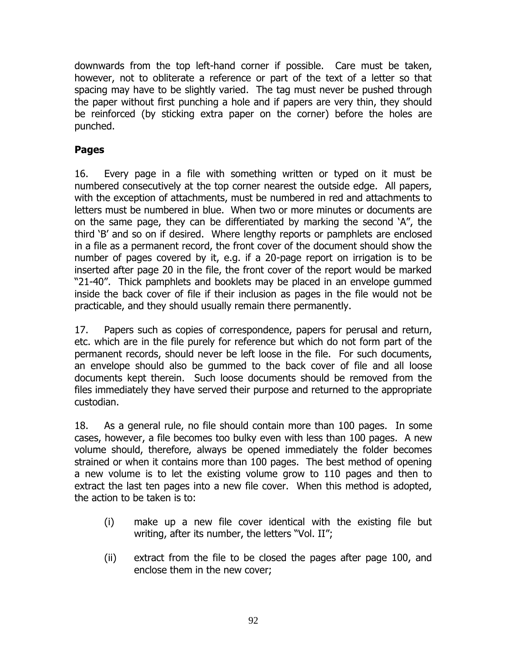downwards from the top left-hand corner if possible. Care must be taken, however, not to obliterate a reference or part of the text of a letter so that spacing may have to be slightly varied. The tag must never be pushed through the paper without first punching a hole and if papers are very thin, they should be reinforced (by sticking extra paper on the corner) before the holes are punched.

# **Pages**

16. Every page in a file with something written or typed on it must be numbered consecutively at the top corner nearest the outside edge. All papers, with the exception of attachments, must be numbered in red and attachments to letters must be numbered in blue. When two or more minutes or documents are on the same page, they can be differentiated by marking the second 'A", the third ‗B' and so on if desired. Where lengthy reports or pamphlets are enclosed in a file as a permanent record, the front cover of the document should show the number of pages covered by it, e.g. if a 20-page report on irrigation is to be inserted after page 20 in the file, the front cover of the report would be marked "21-40". Thick pamphlets and booklets may be placed in an envelope gummed inside the back cover of file if their inclusion as pages in the file would not be practicable, and they should usually remain there permanently.

17. Papers such as copies of correspondence, papers for perusal and return, etc. which are in the file purely for reference but which do not form part of the permanent records, should never be left loose in the file. For such documents, an envelope should also be gummed to the back cover of file and all loose documents kept therein. Such loose documents should be removed from the files immediately they have served their purpose and returned to the appropriate custodian.

18. As a general rule, no file should contain more than 100 pages. In some cases, however, a file becomes too bulky even with less than 100 pages. A new volume should, therefore, always be opened immediately the folder becomes strained or when it contains more than 100 pages. The best method of opening a new volume is to let the existing volume grow to 110 pages and then to extract the last ten pages into a new file cover. When this method is adopted, the action to be taken is to:

- (i) make up a new file cover identical with the existing file but writing, after its number, the letters "Vol. II";
- (ii) extract from the file to be closed the pages after page 100, and enclose them in the new cover;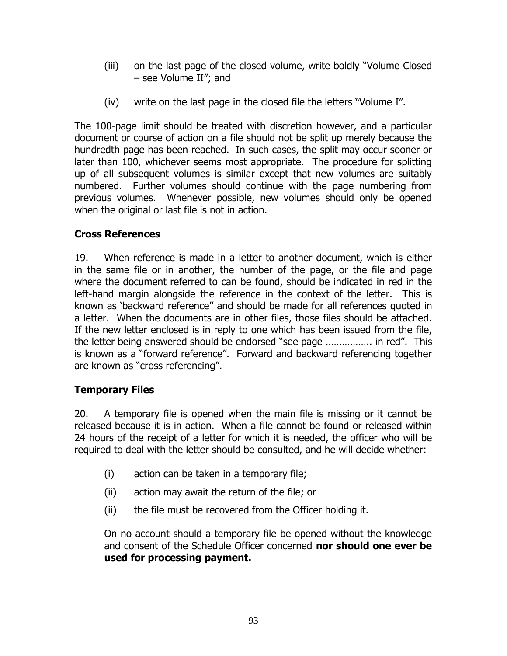- (iii) on the last page of the closed volume, write boldly "Volume Closed  $-$  see Volume II"; and
- $(iv)$  write on the last page in the closed file the letters "Volume I".

The 100-page limit should be treated with discretion however, and a particular document or course of action on a file should not be split up merely because the hundredth page has been reached. In such cases, the split may occur sooner or later than 100, whichever seems most appropriate. The procedure for splitting up of all subsequent volumes is similar except that new volumes are suitably numbered. Further volumes should continue with the page numbering from previous volumes. Whenever possible, new volumes should only be opened when the original or last file is not in action.

### **Cross References**

19. When reference is made in a letter to another document, which is either in the same file or in another, the number of the page, or the file and page where the document referred to can be found, should be indicated in red in the left-hand margin alongside the reference in the context of the letter. This is known as 'backward reference" and should be made for all references quoted in a letter. When the documents are in other files, those files should be attached. If the new letter enclosed is in reply to one which has been issued from the file, the letter being answered should be endorsed "see page ................. in red". This is known as a "forward reference". Forward and backward referencing together are known as "cross referencing".

# **Temporary Files**

20. A temporary file is opened when the main file is missing or it cannot be released because it is in action. When a file cannot be found or released within 24 hours of the receipt of a letter for which it is needed, the officer who will be required to deal with the letter should be consulted, and he will decide whether:

- (i) action can be taken in a temporary file;
- (ii) action may await the return of the file; or
- (ii) the file must be recovered from the Officer holding it.

On no account should a temporary file be opened without the knowledge and consent of the Schedule Officer concerned **nor should one ever be used for processing payment.**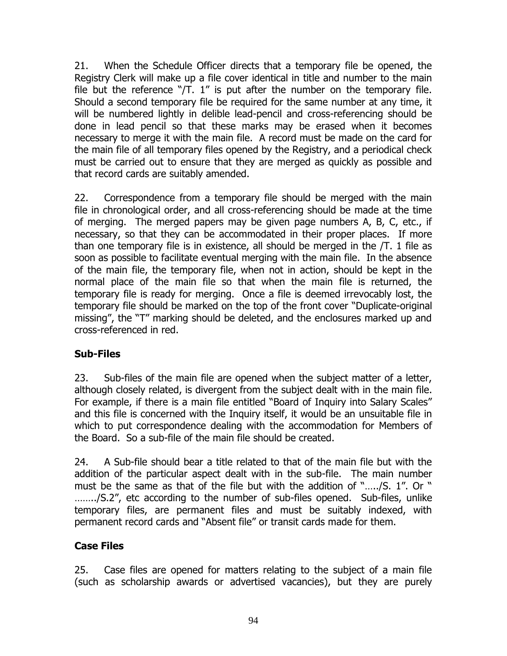21. When the Schedule Officer directs that a temporary file be opened, the Registry Clerk will make up a file cover identical in title and number to the main file but the reference  $\sqrt{T}$ . 1" is put after the number on the temporary file. Should a second temporary file be required for the same number at any time, it will be numbered lightly in delible lead-pencil and cross-referencing should be done in lead pencil so that these marks may be erased when it becomes necessary to merge it with the main file. A record must be made on the card for the main file of all temporary files opened by the Registry, and a periodical check must be carried out to ensure that they are merged as quickly as possible and that record cards are suitably amended.

22. Correspondence from a temporary file should be merged with the main file in chronological order, and all cross-referencing should be made at the time of merging. The merged papers may be given page numbers A, B, C, etc., if necessary, so that they can be accommodated in their proper places. If more than one temporary file is in existence, all should be merged in the /T. 1 file as soon as possible to facilitate eventual merging with the main file. In the absence of the main file, the temporary file, when not in action, should be kept in the normal place of the main file so that when the main file is returned, the temporary file is ready for merging. Once a file is deemed irrevocably lost, the temporary file should be marked on the top of the front cover "Duplicate-original missing", the "T" marking should be deleted, and the enclosures marked up and cross-referenced in red.

### **Sub-Files**

23. Sub-files of the main file are opened when the subject matter of a letter, although closely related, is divergent from the subject dealt with in the main file. For example, if there is a main file entitled "Board of Inquiry into Salary Scales" and this file is concerned with the Inquiry itself, it would be an unsuitable file in which to put correspondence dealing with the accommodation for Members of the Board. So a sub-file of the main file should be created.

24. A Sub-file should bear a title related to that of the main file but with the addition of the particular aspect dealt with in the sub-file. The main number must be the same as that of the file but with the addition of "...../S. 1". Or " ......../S.2", etc according to the number of sub-files opened. Sub-files, unlike temporary files, are permanent files and must be suitably indexed, with permanent record cards and "Absent file" or transit cards made for them.

### **Case Files**

25. Case files are opened for matters relating to the subject of a main file (such as scholarship awards or advertised vacancies), but they are purely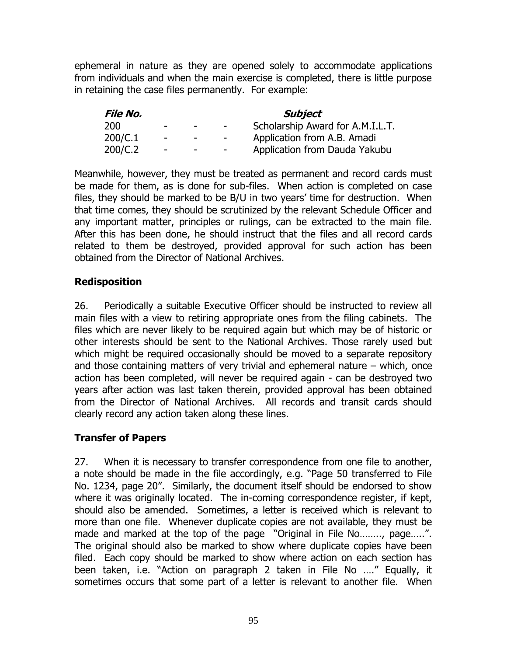ephemeral in nature as they are opened solely to accommodate applications from individuals and when the main exercise is completed, there is little purpose in retaining the case files permanently. For example:

| File No. |                          |                          |        | Subject                          |
|----------|--------------------------|--------------------------|--------|----------------------------------|
| 200      | $\overline{\phantom{0}}$ | $\overline{\phantom{0}}$ | $\sim$ | Scholarship Award for A.M.I.L.T. |
| 200/C.1  | $\overline{\phantom{a}}$ | $\overline{\phantom{0}}$ | $\sim$ | Application from A.B. Amadi      |
| 200/C.2  | $\overline{\phantom{a}}$ | $\overline{\phantom{0}}$ | $\sim$ | Application from Dauda Yakubu    |

Meanwhile, however, they must be treated as permanent and record cards must be made for them, as is done for sub-files. When action is completed on case files, they should be marked to be B/U in two years' time for destruction. When that time comes, they should be scrutinized by the relevant Schedule Officer and any important matter, principles or rulings, can be extracted to the main file. After this has been done, he should instruct that the files and all record cards related to them be destroyed, provided approval for such action has been obtained from the Director of National Archives.

### **Redisposition**

26. Periodically a suitable Executive Officer should be instructed to review all main files with a view to retiring appropriate ones from the filing cabinets. The files which are never likely to be required again but which may be of historic or other interests should be sent to the National Archives. Those rarely used but which might be required occasionally should be moved to a separate repository and those containing matters of very trivial and ephemeral nature – which, once action has been completed, will never be required again - can be destroyed two years after action was last taken therein, provided approval has been obtained from the Director of National Archives. All records and transit cards should clearly record any action taken along these lines.

### **Transfer of Papers**

27. When it is necessary to transfer correspondence from one file to another, a note should be made in the file accordingly, e.g. "Page 50 transferred to File No. 1234, page 20". Similarly, the document itself should be endorsed to show where it was originally located. The in-coming correspondence register, if kept, should also be amended. Sometimes, a letter is received which is relevant to more than one file. Whenever duplicate copies are not available, they must be made and marked at the top of the page "Original in File No........, page.....". The original should also be marked to show where duplicate copies have been filed. Each copy should be marked to show where action on each section has been taken, i.e. "Action on paragraph 2 taken in File No ...." Equally, it sometimes occurs that some part of a letter is relevant to another file. When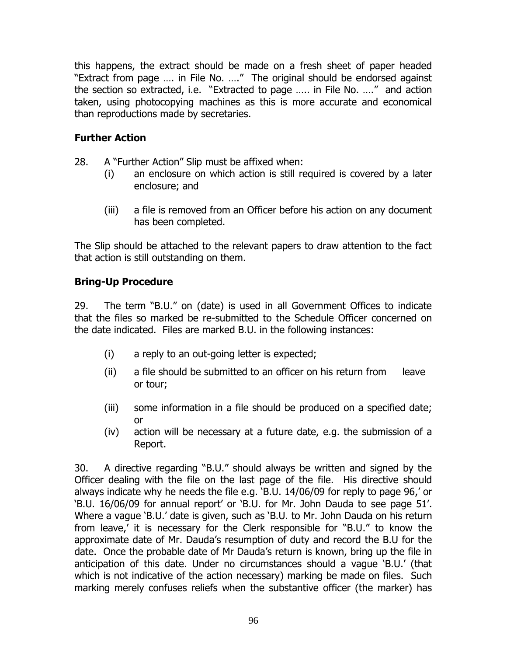this happens, the extract should be made on a fresh sheet of paper headed "Extract from page .... in File No. ...." The original should be endorsed against the section so extracted, i.e. "Extracted to page ..... in File No. ...." and action taken, using photocopying machines as this is more accurate and economical than reproductions made by secretaries.

### **Further Action**

- 28. A "Further Action" Slip must be affixed when:
	- (i) an enclosure on which action is still required is covered by a later enclosure; and
	- (iii) a file is removed from an Officer before his action on any document has been completed.

The Slip should be attached to the relevant papers to draw attention to the fact that action is still outstanding on them.

### **Bring-Up Procedure**

29. The term "B.U." on (date) is used in all Government Offices to indicate that the files so marked be re-submitted to the Schedule Officer concerned on the date indicated. Files are marked B.U. in the following instances:

- (i) a reply to an out-going letter is expected;
- (ii) a file should be submitted to an officer on his return from leave or tour;
- (iii) some information in a file should be produced on a specified date; or
- (iv) action will be necessary at a future date, e.g. the submission of a Report.

30. A directive regarding "B.U." should always be written and signed by the Officer dealing with the file on the last page of the file. His directive should always indicate why he needs the file e.g. 'B.U. 14/06/09 for reply to page 96,' or ‗B.U. 16/06/09 for annual report' or ‗B.U. for Mr. John Dauda to see page 51'. Where a vague 'B.U.' date is given, such as 'B.U. to Mr. John Dauda on his return from leave,' it is necessary for the Clerk responsible for "B.U." to know the approximate date of Mr. Dauda's resumption of duty and record the B.U for the date. Once the probable date of Mr Dauda's return is known, bring up the file in anticipation of this date. Under no circumstances should a vague 'B.U.' (that which is not indicative of the action necessary) marking be made on files. Such marking merely confuses reliefs when the substantive officer (the marker) has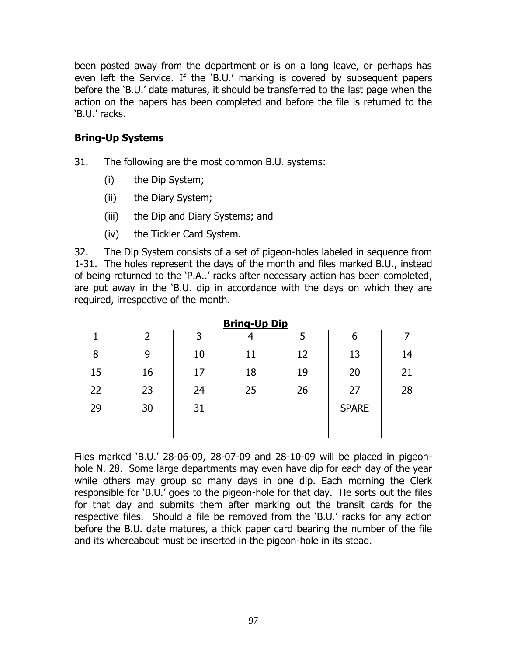been posted away from the department or is on a long leave, or perhaps has even left the Service. If the 'B.U.' marking is covered by subsequent papers before the 'B.U.' date matures, it should be transferred to the last page when the action on the papers has been completed and before the file is returned to the ‗B.U.' racks.

### **Bring-Up Systems**

- 31. The following are the most common B.U. systems:
	- (i) the Dip System;
	- (ii) the Diary System;
	- (iii) the Dip and Diary Systems; and
	- (iv) the Tickler Card System.

32. The Dip System consists of a set of pigeon-holes labeled in sequence from 1-31. The holes represent the days of the month and files marked B.U., instead of being returned to the 'P.A..' racks after necessary action has been completed, are put away in the 'B.U. dip in accordance with the days on which they are required, irrespective of the month.

| <u>Bring-Up Dip</u> |    |    |    |    |              |    |
|---------------------|----|----|----|----|--------------|----|
|                     | 2  | 3  | 4  | 5  | 6            |    |
| 8                   | 9  | 10 | 11 | 12 | 13           | 14 |
| 15                  | 16 | 17 | 18 | 19 | 20           | 21 |
| 22                  | 23 | 24 | 25 | 26 | 27           | 28 |
| 29                  | 30 | 31 |    |    | <b>SPARE</b> |    |
|                     |    |    |    |    |              |    |

**Bring-Up Dip**

Files marked 'B.U.' 28-06-09, 28-07-09 and 28-10-09 will be placed in pigeonhole N. 28. Some large departments may even have dip for each day of the year while others may group so many days in one dip. Each morning the Clerk responsible for 'B.U.' goes to the pigeon-hole for that day. He sorts out the files for that day and submits them after marking out the transit cards for the respective files. Should a file be removed from the 'B.U.' racks for any action before the B.U. date matures, a thick paper card bearing the number of the file and its whereabout must be inserted in the pigeon-hole in its stead.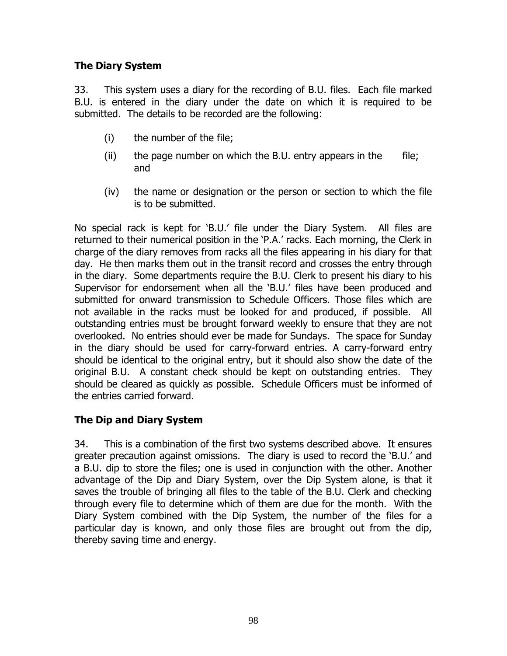### **The Diary System**

33. This system uses a diary for the recording of B.U. files. Each file marked B.U. is entered in the diary under the date on which it is required to be submitted. The details to be recorded are the following:

- (i) the number of the file;
- (ii) the page number on which the B.U. entry appears in the  $\frac{f}{f}$  file; and
- (iv) the name or designation or the person or section to which the file is to be submitted.

No special rack is kept for 'B.U.' file under the Diary System. All files are returned to their numerical position in the 'P.A.' racks. Each morning, the Clerk in charge of the diary removes from racks all the files appearing in his diary for that day. He then marks them out in the transit record and crosses the entry through in the diary. Some departments require the B.U. Clerk to present his diary to his Supervisor for endorsement when all the 'B.U.' files have been produced and submitted for onward transmission to Schedule Officers. Those files which are not available in the racks must be looked for and produced, if possible. All outstanding entries must be brought forward weekly to ensure that they are not overlooked. No entries should ever be made for Sundays. The space for Sunday in the diary should be used for carry-forward entries. A carry-forward entry should be identical to the original entry, but it should also show the date of the original B.U. A constant check should be kept on outstanding entries. They should be cleared as quickly as possible. Schedule Officers must be informed of the entries carried forward.

# **The Dip and Diary System**

34. This is a combination of the first two systems described above. It ensures greater precaution against omissions. The diary is used to record the 'B.U.' and a B.U. dip to store the files; one is used in conjunction with the other. Another advantage of the Dip and Diary System, over the Dip System alone, is that it saves the trouble of bringing all files to the table of the B.U. Clerk and checking through every file to determine which of them are due for the month. With the Diary System combined with the Dip System, the number of the files for a particular day is known, and only those files are brought out from the dip, thereby saving time and energy.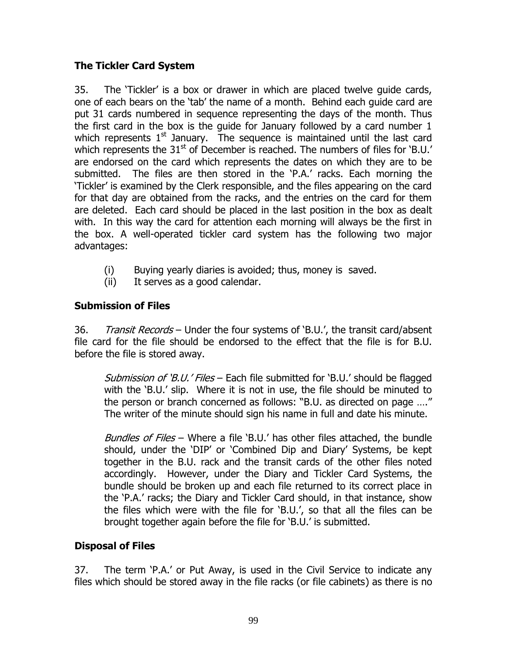### **The Tickler Card System**

35. The ‗Tickler' is a box or drawer in which are placed twelve guide cards, one of each bears on the 'tab' the name of a month. Behind each guide card are put 31 cards numbered in sequence representing the days of the month. Thus the first card in the box is the guide for January followed by a card number 1 which represents  $1<sup>st</sup>$  January. The sequence is maintained until the last card which represents the  $31<sup>st</sup>$  of December is reached. The numbers of files for 'B.U.' are endorsed on the card which represents the dates on which they are to be submitted. The files are then stored in the 'P.A.' racks. Each morning the ‗Tickler' is examined by the Clerk responsible, and the files appearing on the card for that day are obtained from the racks, and the entries on the card for them are deleted. Each card should be placed in the last position in the box as dealt with. In this way the card for attention each morning will always be the first in the box. A well-operated tickler card system has the following two major advantages:

- (i) Buying yearly diaries is avoided; thus, money is saved.
- (ii) It serves as a good calendar.

### **Submission of Files**

36. Transit Records – Under the four systems of 'B.U.', the transit card/absent file card for the file should be endorsed to the effect that the file is for B.U. before the file is stored away.

Submission of 'B.U.' Files – Each file submitted for 'B.U.' should be flagged with the 'B.U.' slip. Where it is not in use, the file should be minuted to the person or branch concerned as follows: "B.U. as directed on page ...." The writer of the minute should sign his name in full and date his minute.

*Bundles of Files* – Where a file 'B.U.' has other files attached, the bundle should, under the 'DIP' or 'Combined Dip and Diary' Systems, be kept together in the B.U. rack and the transit cards of the other files noted accordingly. However, under the Diary and Tickler Card Systems, the bundle should be broken up and each file returned to its correct place in the ‗P.A.' racks; the Diary and Tickler Card should, in that instance, show the files which were with the file for 'B.U.', so that all the files can be brought together again before the file for 'B.U.' is submitted.

### **Disposal of Files**

37. The term 'P.A.' or Put Away, is used in the Civil Service to indicate any files which should be stored away in the file racks (or file cabinets) as there is no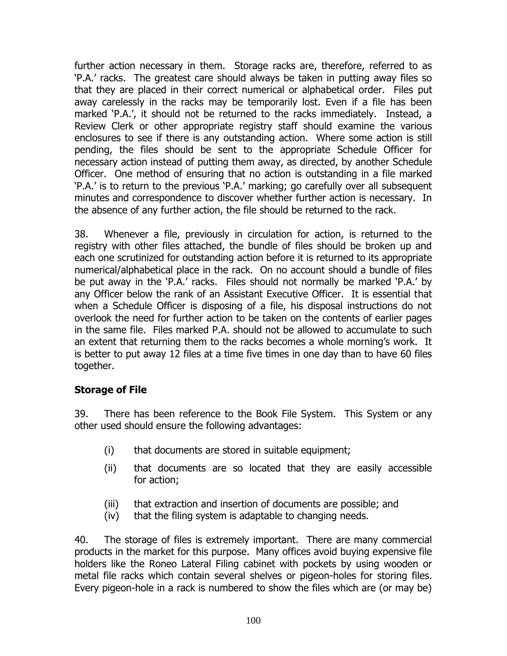further action necessary in them. Storage racks are, therefore, referred to as ‗P.A.' racks. The greatest care should always be taken in putting away files so that they are placed in their correct numerical or alphabetical order. Files put away carelessly in the racks may be temporarily lost. Even if a file has been marked 'P.A.', it should not be returned to the racks immediately. Instead, a Review Clerk or other appropriate registry staff should examine the various enclosures to see if there is any outstanding action. Where some action is still pending, the files should be sent to the appropriate Schedule Officer for necessary action instead of putting them away, as directed, by another Schedule Officer. One method of ensuring that no action is outstanding in a file marked ‗P.A.' is to return to the previous ‗P.A.' marking; go carefully over all subsequent minutes and correspondence to discover whether further action is necessary. In the absence of any further action, the file should be returned to the rack.

38. Whenever a file, previously in circulation for action, is returned to the registry with other files attached, the bundle of files should be broken up and each one scrutinized for outstanding action before it is returned to its appropriate numerical/alphabetical place in the rack. On no account should a bundle of files be put away in the 'P.A.' racks. Files should not normally be marked 'P.A.' by any Officer below the rank of an Assistant Executive Officer. It is essential that when a Schedule Officer is disposing of a file, his disposal instructions do not overlook the need for further action to be taken on the contents of earlier pages in the same file. Files marked P.A. should not be allowed to accumulate to such an extent that returning them to the racks becomes a whole morning's work. It is better to put away 12 files at a time five times in one day than to have 60 files together.

### **Storage of File**

39. There has been reference to the Book File System. This System or any other used should ensure the following advantages:

- (i) that documents are stored in suitable equipment;
- (ii) that documents are so located that they are easily accessible for action;
- (iii) that extraction and insertion of documents are possible; and
- (iv) that the filing system is adaptable to changing needs.

40. The storage of files is extremely important. There are many commercial products in the market for this purpose. Many offices avoid buying expensive file holders like the Roneo Lateral Filing cabinet with pockets by using wooden or metal file racks which contain several shelves or pigeon-holes for storing files. Every pigeon-hole in a rack is numbered to show the files which are (or may be)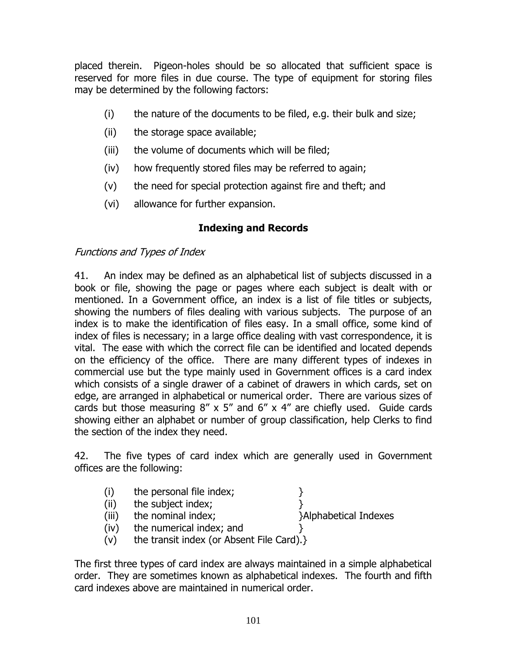placed therein. Pigeon-holes should be so allocated that sufficient space is reserved for more files in due course. The type of equipment for storing files may be determined by the following factors:

- (i) the nature of the documents to be filed, e.g. their bulk and size;
- (ii) the storage space available;
- (iii) the volume of documents which will be filed;
- (iv) how frequently stored files may be referred to again;
- (v) the need for special protection against fire and theft; and
- (vi) allowance for further expansion.

### **Indexing and Records**

#### Functions and Types of Index

41. An index may be defined as an alphabetical list of subjects discussed in a book or file, showing the page or pages where each subject is dealt with or mentioned. In a Government office, an index is a list of file titles or subjects, showing the numbers of files dealing with various subjects. The purpose of an index is to make the identification of files easy. In a small office, some kind of index of files is necessary; in a large office dealing with vast correspondence, it is vital. The ease with which the correct file can be identified and located depends on the efficiency of the office. There are many different types of indexes in commercial use but the type mainly used in Government offices is a card index which consists of a single drawer of a cabinet of drawers in which cards, set on edge, are arranged in alphabetical or numerical order. There are various sizes of cards but those measuring  $8''$  x  $5''$  and  $6''$  x  $4''$  are chiefly used. Guide cards showing either an alphabet or number of group classification, help Clerks to find the section of the index they need.

42. The five types of card index which are generally used in Government offices are the following:

- (i) the personal file index; (ii) the subject index;
- (iii) the nominal index;  $\overline{\phantom{a}}$  }Alphabetical Indexes
- 
- $(iv)$  the numerical index; and
- (v) the transit index (or Absent File Card).}

The first three types of card index are always maintained in a simple alphabetical order. They are sometimes known as alphabetical indexes. The fourth and fifth card indexes above are maintained in numerical order.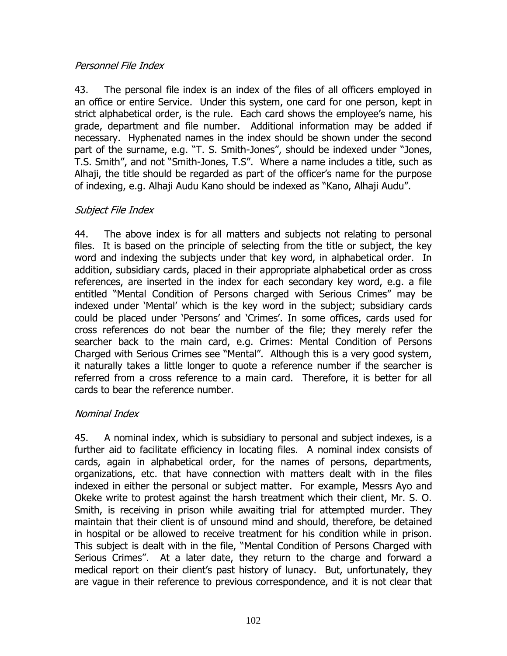### Personnel File Index

43. The personal file index is an index of the files of all officers employed in an office or entire Service. Under this system, one card for one person, kept in strict alphabetical order, is the rule. Each card shows the employee's name, his grade, department and file number. Additional information may be added if necessary. Hyphenated names in the index should be shown under the second part of the surname, e.g. "T. S. Smith-Jones", should be indexed under "Jones, T.S. Smith", and not "Smith-Jones, T.S". Where a name includes a title, such as Alhaji, the title should be regarded as part of the officer's name for the purpose of indexing, e.g. Alhaji Audu Kano should be indexed as "Kano, Alhaji Audu".

### Subject File Index

44. The above index is for all matters and subjects not relating to personal files. It is based on the principle of selecting from the title or subject, the key word and indexing the subjects under that key word, in alphabetical order. In addition, subsidiary cards, placed in their appropriate alphabetical order as cross references, are inserted in the index for each secondary key word, e.g. a file entitled "Mental Condition of Persons charged with Serious Crimes" may be indexed under 'Mental' which is the key word in the subject; subsidiary cards could be placed under 'Persons' and 'Crimes'. In some offices, cards used for cross references do not bear the number of the file; they merely refer the searcher back to the main card, e.g. Crimes: Mental Condition of Persons Charged with Serious Crimes see "Mental". Although this is a very good system, it naturally takes a little longer to quote a reference number if the searcher is referred from a cross reference to a main card. Therefore, it is better for all cards to bear the reference number.

### Nominal Index

45. A nominal index, which is subsidiary to personal and subject indexes, is a further aid to facilitate efficiency in locating files. A nominal index consists of cards, again in alphabetical order, for the names of persons, departments, organizations, etc. that have connection with matters dealt with in the files indexed in either the personal or subject matter. For example, Messrs Ayo and Okeke write to protest against the harsh treatment which their client, Mr. S. O. Smith, is receiving in prison while awaiting trial for attempted murder. They maintain that their client is of unsound mind and should, therefore, be detained in hospital or be allowed to receive treatment for his condition while in prison. This subject is dealt with in the file, "Mental Condition of Persons Charged with Serious Crimes". At a later date, they return to the charge and forward a medical report on their client's past history of lunacy. But, unfortunately, they are vague in their reference to previous correspondence, and it is not clear that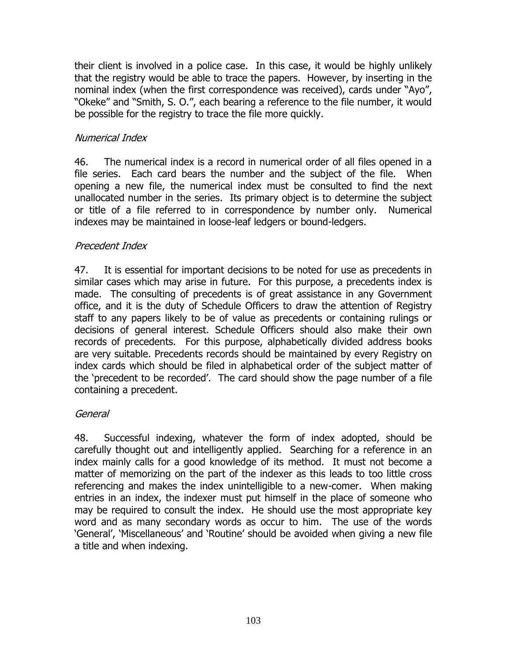their client is involved in a police case. In this case, it would be highly unlikely that the registry would be able to trace the papers. However, by inserting in the nominal index (when the first correspondence was received), cards under "Ayo", "Okeke" and "Smith, S. O.", each bearing a reference to the file number, it would be possible for the registry to trace the file more quickly.

### Numerical Index

46. The numerical index is a record in numerical order of all files opened in a file series. Each card bears the number and the subject of the file. When opening a new file, the numerical index must be consulted to find the next unallocated number in the series. Its primary object is to determine the subject or title of a file referred to in correspondence by number only. Numerical indexes may be maintained in loose-leaf ledgers or bound-ledgers.

#### Precedent Index

47. It is essential for important decisions to be noted for use as precedents in similar cases which may arise in future. For this purpose, a precedents index is made. The consulting of precedents is of great assistance in any Government office, and it is the duty of Schedule Officers to draw the attention of Registry staff to any papers likely to be of value as precedents or containing rulings or decisions of general interest. Schedule Officers should also make their own records of precedents. For this purpose, alphabetically divided address books are very suitable. Precedents records should be maintained by every Registry on index cards which should be filed in alphabetical order of the subject matter of the 'precedent to be recorded'. The card should show the page number of a file containing a precedent.

#### General

48. Successful indexing, whatever the form of index adopted, should be carefully thought out and intelligently applied. Searching for a reference in an index mainly calls for a good knowledge of its method. It must not become a matter of memorizing on the part of the indexer as this leads to too little cross referencing and makes the index unintelligible to a new-comer. When making entries in an index, the indexer must put himself in the place of someone who may be required to consult the index. He should use the most appropriate key word and as many secondary words as occur to him. The use of the words ‗General', ‗Miscellaneous' and ‗Routine' should be avoided when giving a new file a title and when indexing.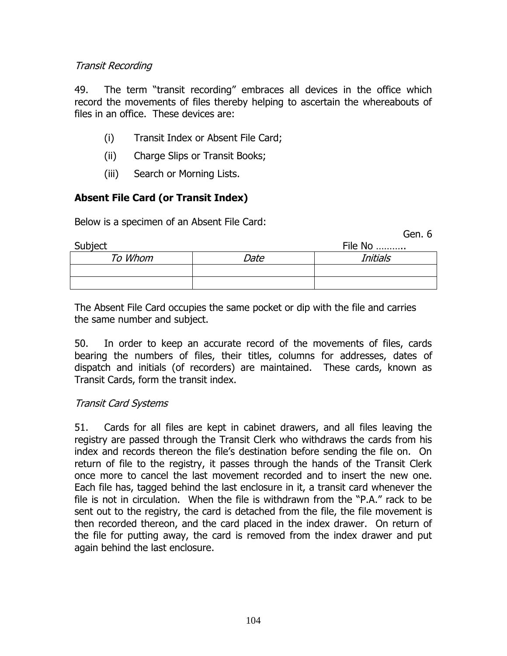#### Transit Recording

49. The term "transit recording" embraces all devices in the office which record the movements of files thereby helping to ascertain the whereabouts of files in an office. These devices are:

- (i) Transit Index or Absent File Card;
- (ii) Charge Slips or Transit Books;
- (iii) Search or Morning Lists.

### **Absent File Card (or Transit Index)**

Below is a specimen of an Absent File Card:

Gen. 6

| Subject |      | File No  |
|---------|------|----------|
| To Whom | Date | Initials |
|         |      |          |
|         |      |          |

The Absent File Card occupies the same pocket or dip with the file and carries the same number and subject.

50. In order to keep an accurate record of the movements of files, cards bearing the numbers of files, their titles, columns for addresses, dates of dispatch and initials (of recorders) are maintained. These cards, known as Transit Cards, form the transit index.

#### Transit Card Systems

51. Cards for all files are kept in cabinet drawers, and all files leaving the registry are passed through the Transit Clerk who withdraws the cards from his index and records thereon the file's destination before sending the file on. On return of file to the registry, it passes through the hands of the Transit Clerk once more to cancel the last movement recorded and to insert the new one. Each file has, tagged behind the last enclosure in it, a transit card whenever the file is not in circulation. When the file is withdrawn from the "P.A." rack to be sent out to the registry, the card is detached from the file, the file movement is then recorded thereon, and the card placed in the index drawer. On return of the file for putting away, the card is removed from the index drawer and put again behind the last enclosure.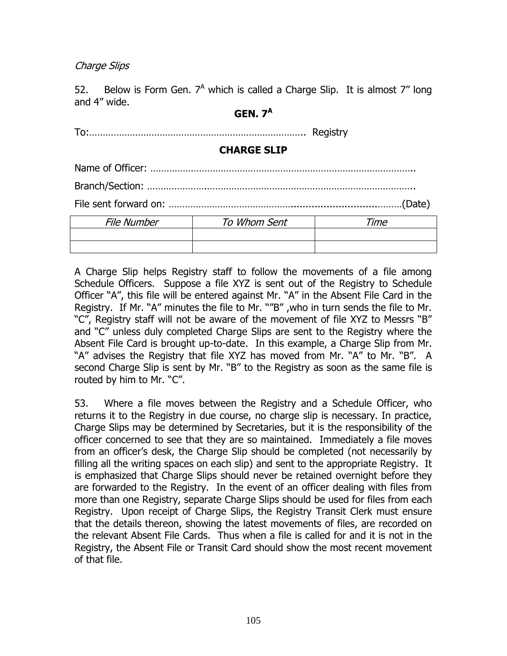#### Charge Slips

52. Below is Form Gen.  $7^A$  which is called a Charge Slip. It is almost  $7''$  long and 4" wide. **GEN. 7<sup>A</sup>**

| Registry<br>To∴ |                    |      |  |  |
|-----------------|--------------------|------|--|--|
|                 | <b>CHARGE SLIP</b> |      |  |  |
|                 |                    |      |  |  |
|                 |                    |      |  |  |
| (Date)          |                    |      |  |  |
| File Number     | To Whom Sent       | Time |  |  |
|                 |                    |      |  |  |
|                 |                    |      |  |  |

A Charge Slip helps Registry staff to follow the movements of a file among Schedule Officers. Suppose a file XYZ is sent out of the Registry to Schedule Officer "A", this file will be entered against Mr. "A" in the Absent File Card in the Registry. If Mr. "A" minutes the file to Mr. ""B", who in turn sends the file to Mr. "C", Registry staff will not be aware of the movement of file XYZ to Messrs "B" and "C" unless duly completed Charge Slips are sent to the Registry where the Absent File Card is brought up-to-date. In this example, a Charge Slip from Mr. "A" advises the Registry that file XYZ has moved from Mr. "A" to Mr. "B". A second Charge Slip is sent by Mr. "B" to the Registry as soon as the same file is routed by him to Mr. "C".

53. Where a file moves between the Registry and a Schedule Officer, who returns it to the Registry in due course, no charge slip is necessary. In practice, Charge Slips may be determined by Secretaries, but it is the responsibility of the officer concerned to see that they are so maintained. Immediately a file moves from an officer's desk, the Charge Slip should be completed (not necessarily by filling all the writing spaces on each slip) and sent to the appropriate Registry. It is emphasized that Charge Slips should never be retained overnight before they are forwarded to the Registry. In the event of an officer dealing with files from more than one Registry, separate Charge Slips should be used for files from each Registry. Upon receipt of Charge Slips, the Registry Transit Clerk must ensure that the details thereon, showing the latest movements of files, are recorded on the relevant Absent File Cards. Thus when a file is called for and it is not in the Registry, the Absent File or Transit Card should show the most recent movement of that file.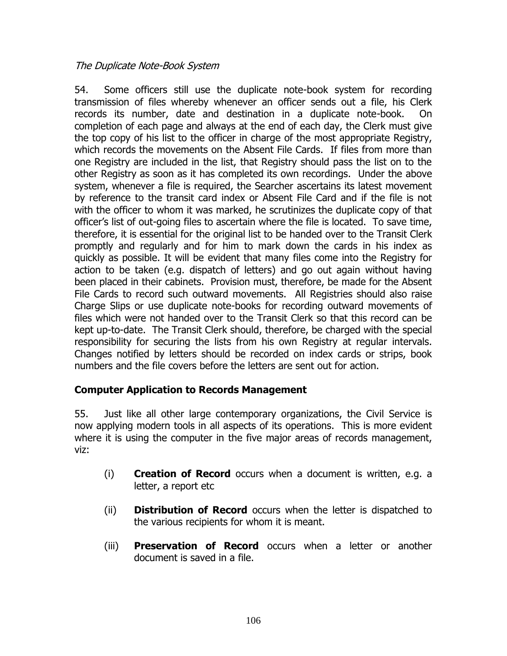#### The Duplicate Note-Book System

54. Some officers still use the duplicate note-book system for recording transmission of files whereby whenever an officer sends out a file, his Clerk records its number, date and destination in a duplicate note-book. On completion of each page and always at the end of each day, the Clerk must give the top copy of his list to the officer in charge of the most appropriate Registry, which records the movements on the Absent File Cards. If files from more than one Registry are included in the list, that Registry should pass the list on to the other Registry as soon as it has completed its own recordings. Under the above system, whenever a file is required, the Searcher ascertains its latest movement by reference to the transit card index or Absent File Card and if the file is not with the officer to whom it was marked, he scrutinizes the duplicate copy of that officer's list of out-going files to ascertain where the file is located. To save time, therefore, it is essential for the original list to be handed over to the Transit Clerk promptly and regularly and for him to mark down the cards in his index as quickly as possible. It will be evident that many files come into the Registry for action to be taken (e.g. dispatch of letters) and go out again without having been placed in their cabinets. Provision must, therefore, be made for the Absent File Cards to record such outward movements. All Registries should also raise Charge Slips or use duplicate note-books for recording outward movements of files which were not handed over to the Transit Clerk so that this record can be kept up-to-date. The Transit Clerk should, therefore, be charged with the special responsibility for securing the lists from his own Registry at regular intervals. Changes notified by letters should be recorded on index cards or strips, book numbers and the file covers before the letters are sent out for action.

### **Computer Application to Records Management**

55. Just like all other large contemporary organizations, the Civil Service is now applying modern tools in all aspects of its operations. This is more evident where it is using the computer in the five major areas of records management, viz:

- (i) **Creation of Record** occurs when a document is written, e.g. a letter, a report etc
- (ii) **Distribution of Record** occurs when the letter is dispatched to the various recipients for whom it is meant.
- (iii) **Preservation of Record** occurs when a letter or another document is saved in a file.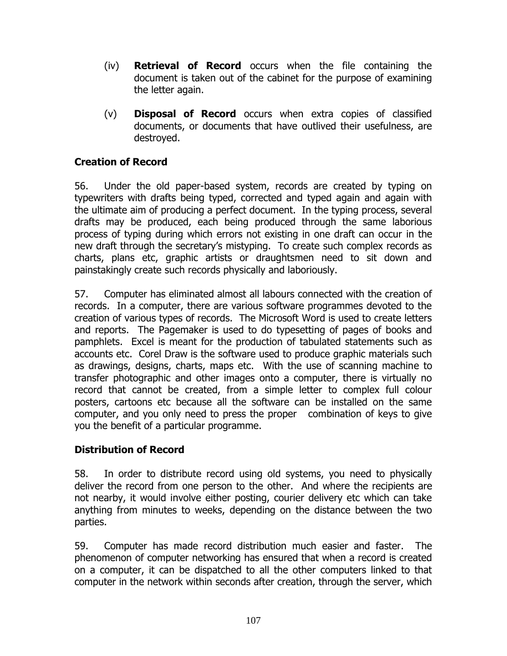- (iv) **Retrieval of Record** occurs when the file containing the document is taken out of the cabinet for the purpose of examining the letter again.
- (v) **Disposal of Record** occurs when extra copies of classified documents, or documents that have outlived their usefulness, are destroyed.

### **Creation of Record**

56. Under the old paper-based system, records are created by typing on typewriters with drafts being typed, corrected and typed again and again with the ultimate aim of producing a perfect document. In the typing process, several drafts may be produced, each being produced through the same laborious process of typing during which errors not existing in one draft can occur in the new draft through the secretary's mistyping. To create such complex records as charts, plans etc, graphic artists or draughtsmen need to sit down and painstakingly create such records physically and laboriously.

57. Computer has eliminated almost all labours connected with the creation of records. In a computer, there are various software programmes devoted to the creation of various types of records. The Microsoft Word is used to create letters and reports. The Pagemaker is used to do typesetting of pages of books and pamphlets. Excel is meant for the production of tabulated statements such as accounts etc. Corel Draw is the software used to produce graphic materials such as drawings, designs, charts, maps etc. With the use of scanning machine to transfer photographic and other images onto a computer, there is virtually no record that cannot be created, from a simple letter to complex full colour posters, cartoons etc because all the software can be installed on the same computer, and you only need to press the proper combination of keys to give you the benefit of a particular programme.

### **Distribution of Record**

58. In order to distribute record using old systems, you need to physically deliver the record from one person to the other. And where the recipients are not nearby, it would involve either posting, courier delivery etc which can take anything from minutes to weeks, depending on the distance between the two parties.

59. Computer has made record distribution much easier and faster. The phenomenon of computer networking has ensured that when a record is created on a computer, it can be dispatched to all the other computers linked to that computer in the network within seconds after creation, through the server, which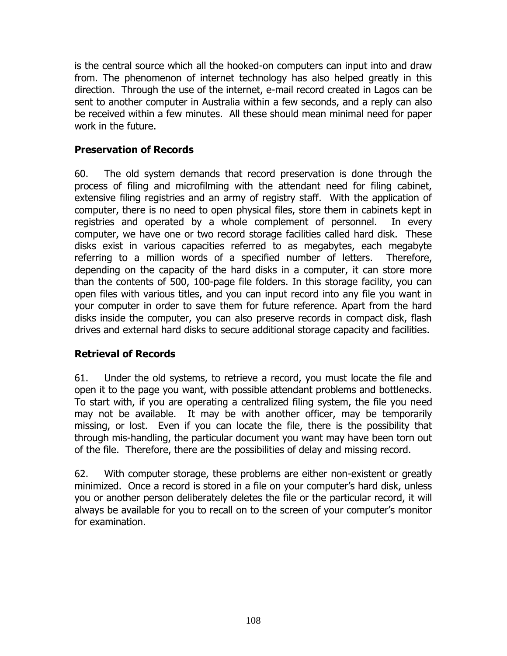is the central source which all the hooked-on computers can input into and draw from. The phenomenon of internet technology has also helped greatly in this direction. Through the use of the internet, e-mail record created in Lagos can be sent to another computer in Australia within a few seconds, and a reply can also be received within a few minutes. All these should mean minimal need for paper work in the future.

### **Preservation of Records**

60. The old system demands that record preservation is done through the process of filing and microfilming with the attendant need for filing cabinet, extensive filing registries and an army of registry staff. With the application of computer, there is no need to open physical files, store them in cabinets kept in registries and operated by a whole complement of personnel. In every computer, we have one or two record storage facilities called hard disk. These disks exist in various capacities referred to as megabytes, each megabyte referring to a million words of a specified number of letters. Therefore, depending on the capacity of the hard disks in a computer, it can store more than the contents of 500, 100-page file folders. In this storage facility, you can open files with various titles, and you can input record into any file you want in your computer in order to save them for future reference. Apart from the hard disks inside the computer, you can also preserve records in compact disk, flash drives and external hard disks to secure additional storage capacity and facilities.

### **Retrieval of Records**

61. Under the old systems, to retrieve a record, you must locate the file and open it to the page you want, with possible attendant problems and bottlenecks. To start with, if you are operating a centralized filing system, the file you need may not be available. It may be with another officer, may be temporarily missing, or lost. Even if you can locate the file, there is the possibility that through mis-handling, the particular document you want may have been torn out of the file. Therefore, there are the possibilities of delay and missing record.

62. With computer storage, these problems are either non-existent or greatly minimized. Once a record is stored in a file on your computer's hard disk, unless you or another person deliberately deletes the file or the particular record, it will always be available for you to recall on to the screen of your computer's monitor for examination.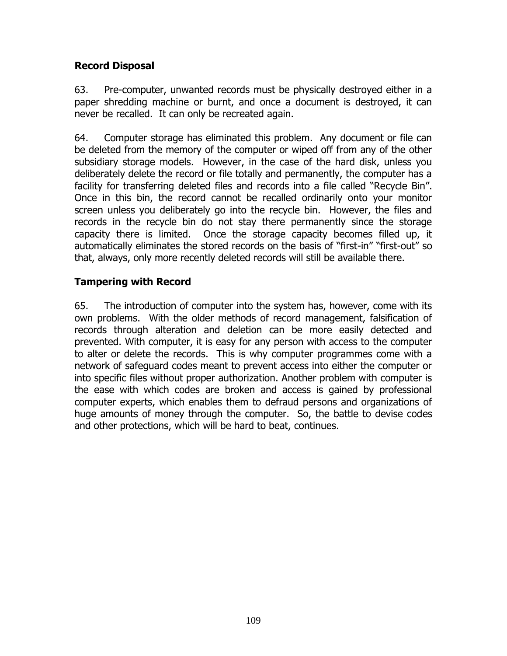### **Record Disposal**

63. Pre-computer, unwanted records must be physically destroyed either in a paper shredding machine or burnt, and once a document is destroyed, it can never be recalled. It can only be recreated again.

64. Computer storage has eliminated this problem. Any document or file can be deleted from the memory of the computer or wiped off from any of the other subsidiary storage models. However, in the case of the hard disk, unless you deliberately delete the record or file totally and permanently, the computer has a facility for transferring deleted files and records into a file called "Recycle Bin". Once in this bin, the record cannot be recalled ordinarily onto your monitor screen unless you deliberately go into the recycle bin. However, the files and records in the recycle bin do not stay there permanently since the storage capacity there is limited. Once the storage capacity becomes filled up, it automatically eliminates the stored records on the basis of "first-in" "first-out" so that, always, only more recently deleted records will still be available there.

### **Tampering with Record**

65. The introduction of computer into the system has, however, come with its own problems. With the older methods of record management, falsification of records through alteration and deletion can be more easily detected and prevented. With computer, it is easy for any person with access to the computer to alter or delete the records. This is why computer programmes come with a network of safeguard codes meant to prevent access into either the computer or into specific files without proper authorization. Another problem with computer is the ease with which codes are broken and access is gained by professional computer experts, which enables them to defraud persons and organizations of huge amounts of money through the computer. So, the battle to devise codes and other protections, which will be hard to beat, continues.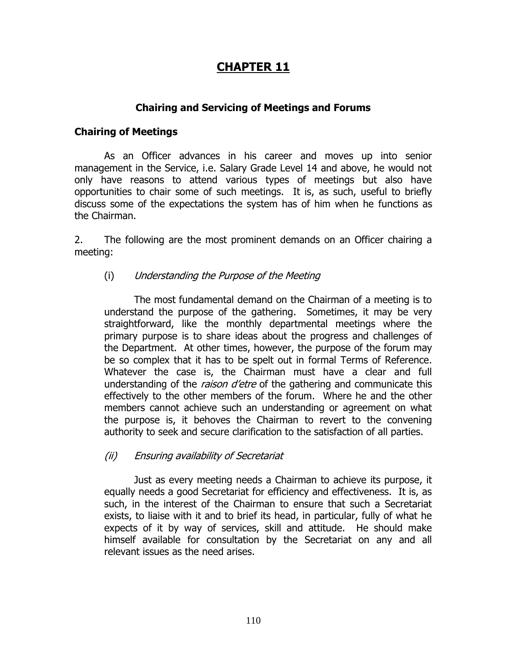# **CHAPTER 11**

#### **Chairing and Servicing of Meetings and Forums**

#### **Chairing of Meetings**

As an Officer advances in his career and moves up into senior management in the Service, i.e. Salary Grade Level 14 and above, he would not only have reasons to attend various types of meetings but also have opportunities to chair some of such meetings. It is, as such, useful to briefly discuss some of the expectations the system has of him when he functions as the Chairman.

2. The following are the most prominent demands on an Officer chairing a meeting:

### (i) Understanding the Purpose of the Meeting

The most fundamental demand on the Chairman of a meeting is to understand the purpose of the gathering. Sometimes, it may be very straightforward, like the monthly departmental meetings where the primary purpose is to share ideas about the progress and challenges of the Department. At other times, however, the purpose of the forum may be so complex that it has to be spelt out in formal Terms of Reference. Whatever the case is, the Chairman must have a clear and full understanding of the *raison d'etre* of the gathering and communicate this effectively to the other members of the forum. Where he and the other members cannot achieve such an understanding or agreement on what the purpose is, it behoves the Chairman to revert to the convening authority to seek and secure clarification to the satisfaction of all parties.

#### (ii) Ensuring availability of Secretariat

Just as every meeting needs a Chairman to achieve its purpose, it equally needs a good Secretariat for efficiency and effectiveness. It is, as such, in the interest of the Chairman to ensure that such a Secretariat exists, to liaise with it and to brief its head, in particular, fully of what he expects of it by way of services, skill and attitude. He should make himself available for consultation by the Secretariat on any and all relevant issues as the need arises.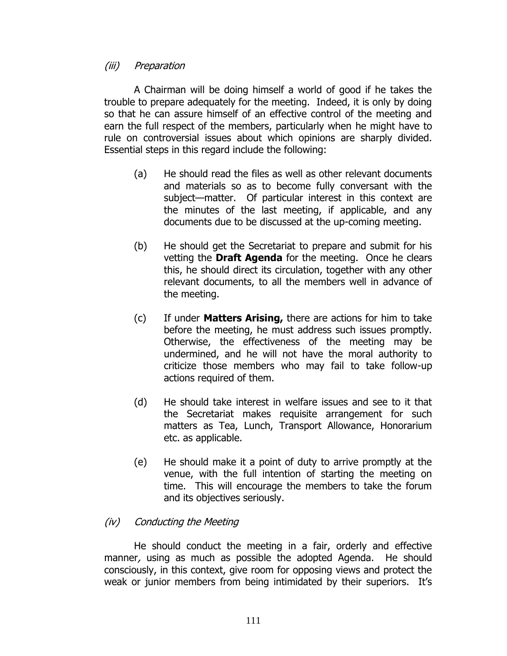#### (iii) Preparation

A Chairman will be doing himself a world of good if he takes the trouble to prepare adequately for the meeting. Indeed, it is only by doing so that he can assure himself of an effective control of the meeting and earn the full respect of the members, particularly when he might have to rule on controversial issues about which opinions are sharply divided. Essential steps in this regard include the following:

- (a) He should read the files as well as other relevant documents and materials so as to become fully conversant with the subject—matter. Of particular interest in this context are the minutes of the last meeting, if applicable, and any documents due to be discussed at the up-coming meeting.
- (b) He should get the Secretariat to prepare and submit for his vetting the **Draft Agenda** for the meeting. Once he clears this, he should direct its circulation, together with any other relevant documents, to all the members well in advance of the meeting.
- (c) If under **Matters Arising,** there are actions for him to take before the meeting, he must address such issues promptly. Otherwise, the effectiveness of the meeting may be undermined, and he will not have the moral authority to criticize those members who may fail to take follow-up actions required of them.
- (d) He should take interest in welfare issues and see to it that the Secretariat makes requisite arrangement for such matters as Tea, Lunch, Transport Allowance, Honorarium etc. as applicable.
- (e) He should make it a point of duty to arrive promptly at the venue, with the full intention of starting the meeting on time. This will encourage the members to take the forum and its objectives seriously.

### (iv) Conducting the Meeting

He should conduct the meeting in a fair, orderly and effective manner, using as much as possible the adopted Agenda. He should consciously, in this context, give room for opposing views and protect the weak or junior members from being intimidated by their superiors. It's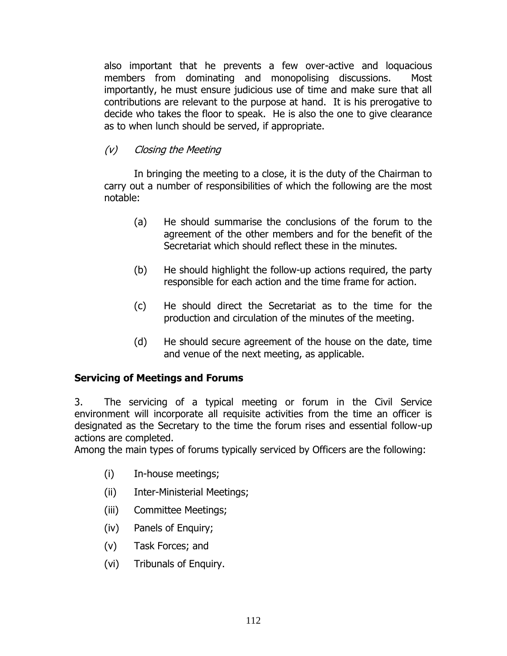also important that he prevents a few over-active and loquacious members from dominating and monopolising discussions. Most importantly, he must ensure judicious use of time and make sure that all contributions are relevant to the purpose at hand. It is his prerogative to decide who takes the floor to speak. He is also the one to give clearance as to when lunch should be served, if appropriate.

### (v) Closing the Meeting

In bringing the meeting to a close, it is the duty of the Chairman to carry out a number of responsibilities of which the following are the most notable:

- (a) He should summarise the conclusions of the forum to the agreement of the other members and for the benefit of the Secretariat which should reflect these in the minutes.
- (b) He should highlight the follow-up actions required, the party responsible for each action and the time frame for action.
- (c) He should direct the Secretariat as to the time for the production and circulation of the minutes of the meeting.
- (d) He should secure agreement of the house on the date, time and venue of the next meeting, as applicable.

### **Servicing of Meetings and Forums**

3. The servicing of a typical meeting or forum in the Civil Service environment will incorporate all requisite activities from the time an officer is designated as the Secretary to the time the forum rises and essential follow-up actions are completed.

Among the main types of forums typically serviced by Officers are the following:

- (i) In-house meetings;
- (ii) Inter-Ministerial Meetings;
- (iii) Committee Meetings;
- (iv) Panels of Enquiry;
- (v) Task Forces; and
- (vi) Tribunals of Enquiry.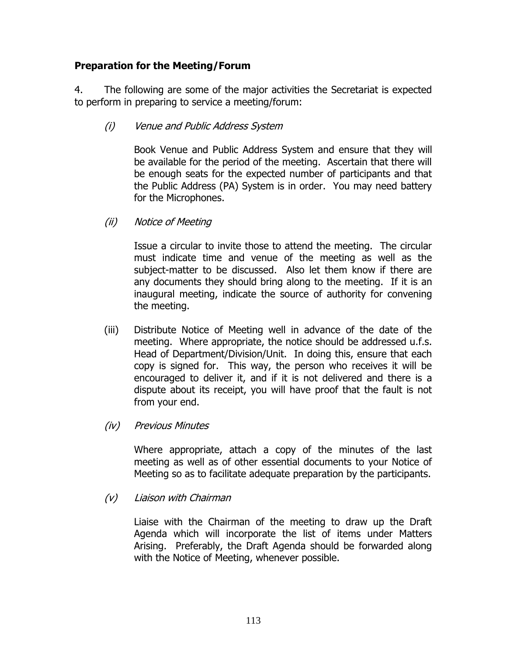### **Preparation for the Meeting/Forum**

4. The following are some of the major activities the Secretariat is expected to perform in preparing to service a meeting/forum:

(i) Venue and Public Address System

Book Venue and Public Address System and ensure that they will be available for the period of the meeting. Ascertain that there will be enough seats for the expected number of participants and that the Public Address (PA) System is in order. You may need battery for the Microphones.

(ii) Notice of Meeting

Issue a circular to invite those to attend the meeting. The circular must indicate time and venue of the meeting as well as the subject-matter to be discussed. Also let them know if there are any documents they should bring along to the meeting. If it is an inaugural meeting, indicate the source of authority for convening the meeting.

- (iii) Distribute Notice of Meeting well in advance of the date of the meeting. Where appropriate, the notice should be addressed u.f.s. Head of Department/Division/Unit. In doing this, ensure that each copy is signed for. This way, the person who receives it will be encouraged to deliver it, and if it is not delivered and there is a dispute about its receipt, you will have proof that the fault is not from your end.
- (iv) Previous Minutes

Where appropriate, attach a copy of the minutes of the last meeting as well as of other essential documents to your Notice of Meeting so as to facilitate adequate preparation by the participants.

(v) Liaison with Chairman

Liaise with the Chairman of the meeting to draw up the Draft Agenda which will incorporate the list of items under Matters Arising. Preferably, the Draft Agenda should be forwarded along with the Notice of Meeting, whenever possible.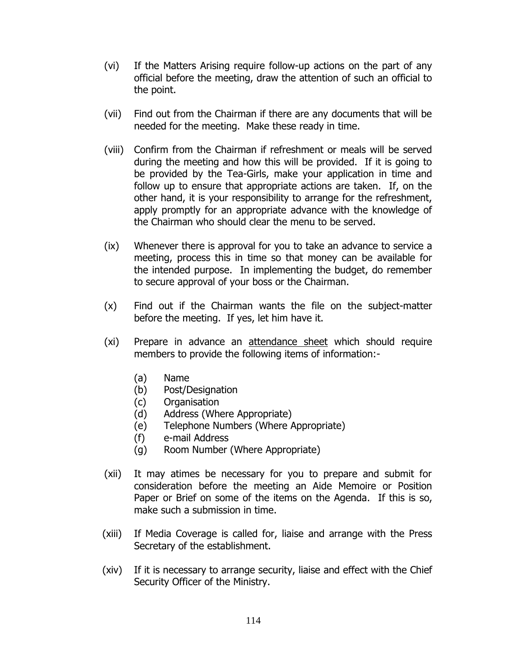- (vi) If the Matters Arising require follow-up actions on the part of any official before the meeting, draw the attention of such an official to the point.
- (vii) Find out from the Chairman if there are any documents that will be needed for the meeting. Make these ready in time.
- (viii) Confirm from the Chairman if refreshment or meals will be served during the meeting and how this will be provided. If it is going to be provided by the Tea-Girls, make your application in time and follow up to ensure that appropriate actions are taken. If, on the other hand, it is your responsibility to arrange for the refreshment, apply promptly for an appropriate advance with the knowledge of the Chairman who should clear the menu to be served.
- (ix) Whenever there is approval for you to take an advance to service a meeting, process this in time so that money can be available for the intended purpose. In implementing the budget, do remember to secure approval of your boss or the Chairman.
- (x) Find out if the Chairman wants the file on the subject-matter before the meeting. If yes, let him have it.
- (xi) Prepare in advance an attendance sheet which should require members to provide the following items of information:-
	- (a) Name
	- (b) Post/Designation
	- (c) Organisation
	- (d) Address (Where Appropriate)
	- (e) Telephone Numbers (Where Appropriate)
	- (f) e-mail Address
	- (g) Room Number (Where Appropriate)
- (xii) It may atimes be necessary for you to prepare and submit for consideration before the meeting an Aide Memoire or Position Paper or Brief on some of the items on the Agenda. If this is so, make such a submission in time.
- (xiii) If Media Coverage is called for, liaise and arrange with the Press Secretary of the establishment.
- (xiv) If it is necessary to arrange security, liaise and effect with the Chief Security Officer of the Ministry.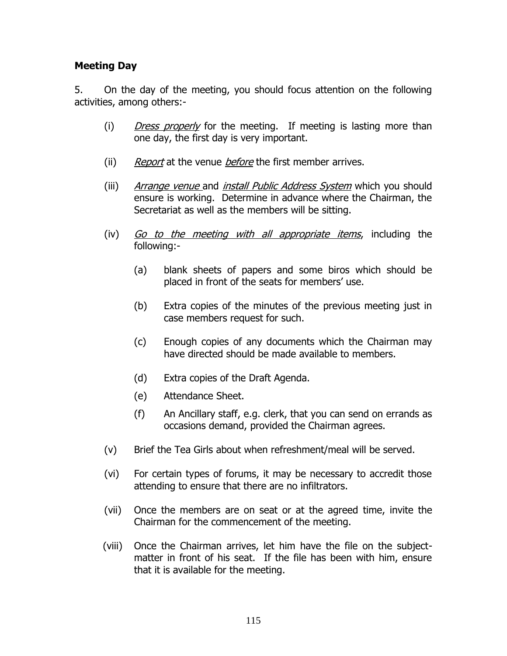#### **Meeting Day**

5. On the day of the meeting, you should focus attention on the following activities, among others:-

- (i) *Dress properly* for the meeting. If meeting is lasting more than one day, the first day is very important.
- (ii) Report at the venue before the first member arrives.
- (iii) Arrange venue and *install Public Address System* which you should ensure is working. Determine in advance where the Chairman, the Secretariat as well as the members will be sitting.
- (iv)  $Go$  to the meeting with all appropriate items, including the following:-
	- (a) blank sheets of papers and some biros which should be placed in front of the seats for members' use.
	- (b) Extra copies of the minutes of the previous meeting just in case members request for such.
	- (c) Enough copies of any documents which the Chairman may have directed should be made available to members.
	- (d) Extra copies of the Draft Agenda.
	- (e) Attendance Sheet.
	- (f) An Ancillary staff, e.g. clerk, that you can send on errands as occasions demand, provided the Chairman agrees.
- (v) Brief the Tea Girls about when refreshment/meal will be served.
- (vi) For certain types of forums, it may be necessary to accredit those attending to ensure that there are no infiltrators.
- (vii) Once the members are on seat or at the agreed time, invite the Chairman for the commencement of the meeting.
- (viii) Once the Chairman arrives, let him have the file on the subjectmatter in front of his seat. If the file has been with him, ensure that it is available for the meeting.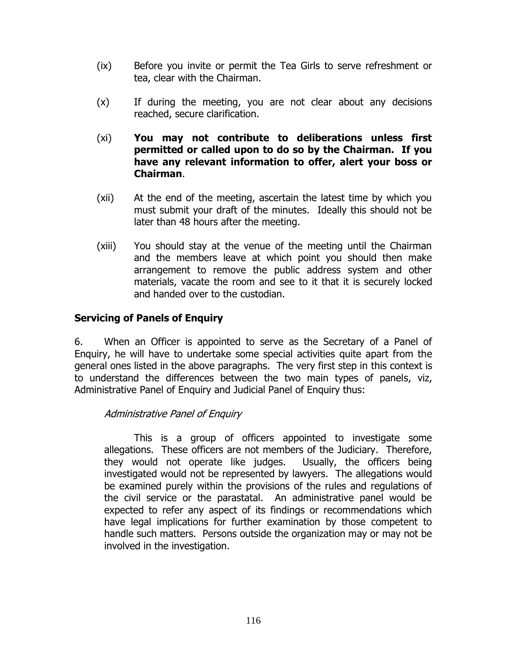- (ix) Before you invite or permit the Tea Girls to serve refreshment or tea, clear with the Chairman.
- (x) If during the meeting, you are not clear about any decisions reached, secure clarification.
- (xi) **You may not contribute to deliberations unless first permitted or called upon to do so by the Chairman. If you have any relevant information to offer, alert your boss or Chairman**.
- (xii) At the end of the meeting, ascertain the latest time by which you must submit your draft of the minutes. Ideally this should not be later than 48 hours after the meeting.
- (xiii) You should stay at the venue of the meeting until the Chairman and the members leave at which point you should then make arrangement to remove the public address system and other materials, vacate the room and see to it that it is securely locked and handed over to the custodian.

#### **Servicing of Panels of Enquiry**

6. When an Officer is appointed to serve as the Secretary of a Panel of Enquiry, he will have to undertake some special activities quite apart from the general ones listed in the above paragraphs. The very first step in this context is to understand the differences between the two main types of panels, viz, Administrative Panel of Enquiry and Judicial Panel of Enquiry thus:

#### Administrative Panel of Enquiry

This is a group of officers appointed to investigate some allegations. These officers are not members of the Judiciary. Therefore, they would not operate like judges. Usually, the officers being investigated would not be represented by lawyers. The allegations would be examined purely within the provisions of the rules and regulations of the civil service or the parastatal. An administrative panel would be expected to refer any aspect of its findings or recommendations which have legal implications for further examination by those competent to handle such matters. Persons outside the organization may or may not be involved in the investigation.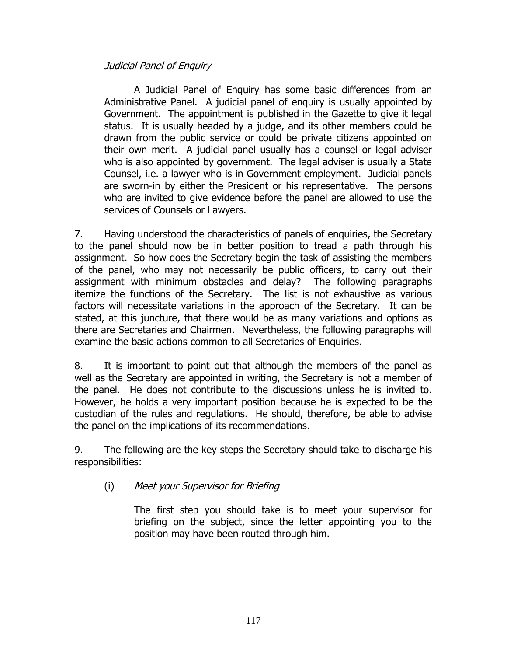#### Judicial Panel of Enquiry

A Judicial Panel of Enquiry has some basic differences from an Administrative Panel. A judicial panel of enquiry is usually appointed by Government. The appointment is published in the Gazette to give it legal status. It is usually headed by a judge, and its other members could be drawn from the public service or could be private citizens appointed on their own merit. A judicial panel usually has a counsel or legal adviser who is also appointed by government. The legal adviser is usually a State Counsel, i.e. a lawyer who is in Government employment. Judicial panels are sworn-in by either the President or his representative. The persons who are invited to give evidence before the panel are allowed to use the services of Counsels or Lawyers.

7. Having understood the characteristics of panels of enquiries, the Secretary to the panel should now be in better position to tread a path through his assignment. So how does the Secretary begin the task of assisting the members of the panel, who may not necessarily be public officers, to carry out their assignment with minimum obstacles and delay? The following paragraphs itemize the functions of the Secretary. The list is not exhaustive as various factors will necessitate variations in the approach of the Secretary. It can be stated, at this juncture, that there would be as many variations and options as there are Secretaries and Chairmen. Nevertheless, the following paragraphs will examine the basic actions common to all Secretaries of Enquiries.

8. It is important to point out that although the members of the panel as well as the Secretary are appointed in writing, the Secretary is not a member of the panel. He does not contribute to the discussions unless he is invited to. However, he holds a very important position because he is expected to be the custodian of the rules and regulations. He should, therefore, be able to advise the panel on the implications of its recommendations.

9. The following are the key steps the Secretary should take to discharge his responsibilities:

### (i) Meet your Supervisor for Briefing

The first step you should take is to meet your supervisor for briefing on the subject, since the letter appointing you to the position may have been routed through him.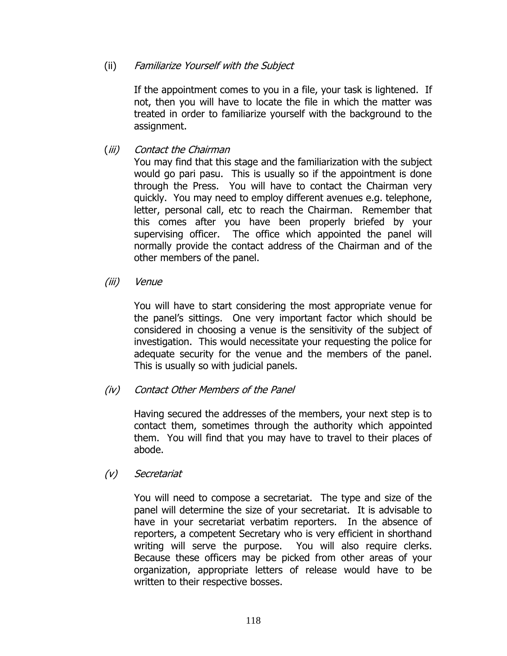#### (ii) Familiarize Yourself with the Subject

If the appointment comes to you in a file, your task is lightened. If not, then you will have to locate the file in which the matter was treated in order to familiarize yourself with the background to the assignment.

(iii) Contact the Chairman

You may find that this stage and the familiarization with the subject would go pari pasu. This is usually so if the appointment is done through the Press. You will have to contact the Chairman very quickly. You may need to employ different avenues e.g. telephone, letter, personal call, etc to reach the Chairman. Remember that this comes after you have been properly briefed by your supervising officer. The office which appointed the panel will normally provide the contact address of the Chairman and of the other members of the panel.

(iii) Venue

You will have to start considering the most appropriate venue for the panel's sittings. One very important factor which should be considered in choosing a venue is the sensitivity of the subject of investigation. This would necessitate your requesting the police for adequate security for the venue and the members of the panel. This is usually so with judicial panels.

#### (iv) Contact Other Members of the Panel

Having secured the addresses of the members, your next step is to contact them, sometimes through the authority which appointed them. You will find that you may have to travel to their places of abode.

#### (v) Secretariat

You will need to compose a secretariat. The type and size of the panel will determine the size of your secretariat. It is advisable to have in your secretariat verbatim reporters. In the absence of reporters, a competent Secretary who is very efficient in shorthand writing will serve the purpose. You will also require clerks. Because these officers may be picked from other areas of your organization, appropriate letters of release would have to be written to their respective bosses.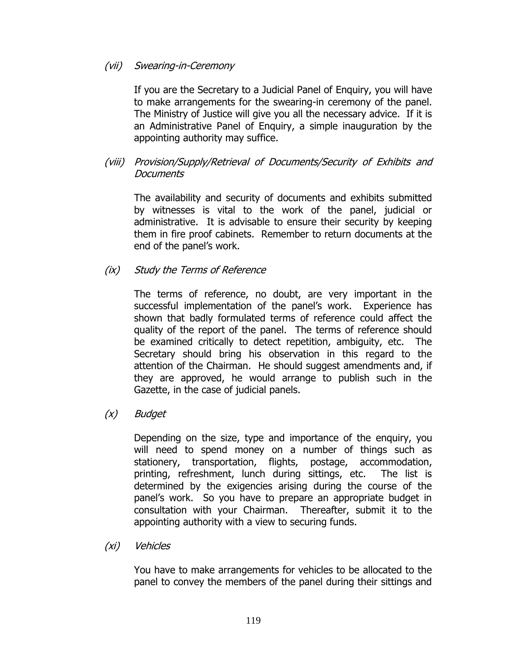#### (vii) Swearing-in-Ceremony

If you are the Secretary to a Judicial Panel of Enquiry, you will have to make arrangements for the swearing-in ceremony of the panel. The Ministry of Justice will give you all the necessary advice. If it is an Administrative Panel of Enquiry, a simple inauguration by the appointing authority may suffice.

#### (viii) Provision/Supply/Retrieval of Documents/Security of Exhibits and **Documents**

The availability and security of documents and exhibits submitted by witnesses is vital to the work of the panel, judicial or administrative. It is advisable to ensure their security by keeping them in fire proof cabinets. Remember to return documents at the end of the panel's work.

### (ix) Study the Terms of Reference

The terms of reference, no doubt, are very important in the successful implementation of the panel's work. Experience has shown that badly formulated terms of reference could affect the quality of the report of the panel. The terms of reference should be examined critically to detect repetition, ambiguity, etc. The Secretary should bring his observation in this regard to the attention of the Chairman. He should suggest amendments and, if they are approved, he would arrange to publish such in the Gazette, in the case of judicial panels.

#### (x) Budget

Depending on the size, type and importance of the enquiry, you will need to spend money on a number of things such as stationery, transportation, flights, postage, accommodation, printing, refreshment, lunch during sittings, etc. The list is determined by the exigencies arising during the course of the panel's work. So you have to prepare an appropriate budget in consultation with your Chairman. Thereafter, submit it to the appointing authority with a view to securing funds.

#### (xi) Vehicles

You have to make arrangements for vehicles to be allocated to the panel to convey the members of the panel during their sittings and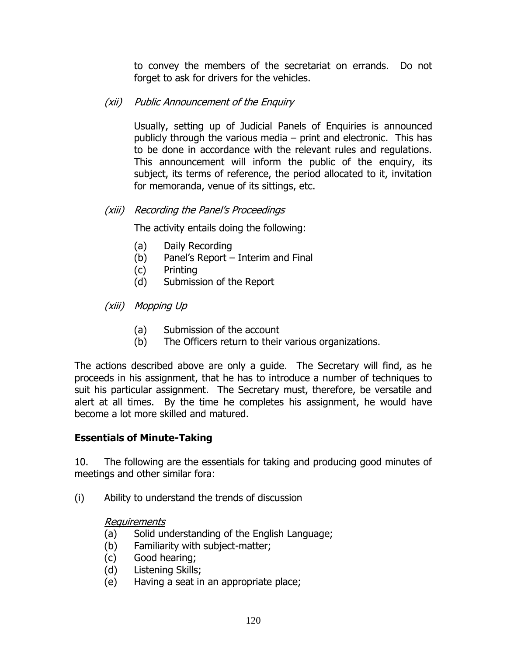to convey the members of the secretariat on errands. Do not forget to ask for drivers for the vehicles.

(xii) Public Announcement of the Enquiry

Usually, setting up of Judicial Panels of Enquiries is announced publicly through the various media – print and electronic. This has to be done in accordance with the relevant rules and regulations. This announcement will inform the public of the enquiry, its subject, its terms of reference, the period allocated to it, invitation for memoranda, venue of its sittings, etc.

### (xiii) Recording the Panel's Proceedings

The activity entails doing the following:

- (a) Daily Recording
- (b) Panel's Report Interim and Final
- (c) Printing
- (d) Submission of the Report

(xiii) Mopping Up

- (a) Submission of the account
- (b) The Officers return to their various organizations.

The actions described above are only a guide. The Secretary will find, as he proceeds in his assignment, that he has to introduce a number of techniques to suit his particular assignment. The Secretary must, therefore, be versatile and alert at all times. By the time he completes his assignment, he would have become a lot more skilled and matured.

#### **Essentials of Minute-Taking**

10. The following are the essentials for taking and producing good minutes of meetings and other similar fora:

(i) Ability to understand the trends of discussion

#### Requirements

- (a) Solid understanding of the English Language;
- (b) Familiarity with subject-matter;
- (c) Good hearing;
- (d) Listening Skills;
- (e) Having a seat in an appropriate place;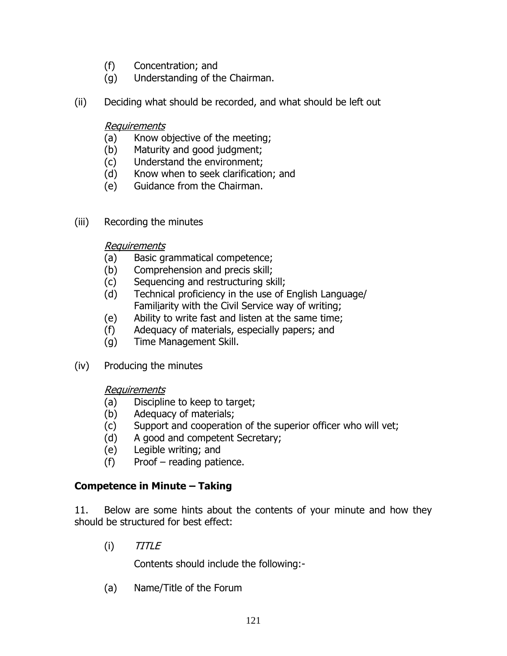- (f) Concentration; and
- (g) Understanding of the Chairman.
- (ii) Deciding what should be recorded, and what should be left out

#### Requirements

- (a) Know objective of the meeting;
- (b) Maturity and good judgment;
- (c) Understand the environment;
- (d) Know when to seek clarification; and
- (e) Guidance from the Chairman.
- (iii) Recording the minutes

#### Requirements

- (a) Basic grammatical competence;
- (b) Comprehension and precis skill;
- (c) Sequencing and restructuring skill;
- (d) Technical proficiency in the use of English Language/ Familiarity with the Civil Service way of writing;
- (e) Ability to write fast and listen at the same time;
- (f) Adequacy of materials, especially papers; and
- (g) Time Management Skill.
- (iv) Producing the minutes

#### **Requirements**

- (a) Discipline to keep to target;
- (b) Adequacy of materials;
- (c) Support and cooperation of the superior officer who will vet;
- (d) A good and competent Secretary;
- (e) Legible writing; and
- (f) Proof reading patience.

#### **Competence in Minute – Taking**

11. Below are some hints about the contents of your minute and how they should be structured for best effect:

 $(i)$   $TITLE$ 

Contents should include the following:-

(a) Name/Title of the Forum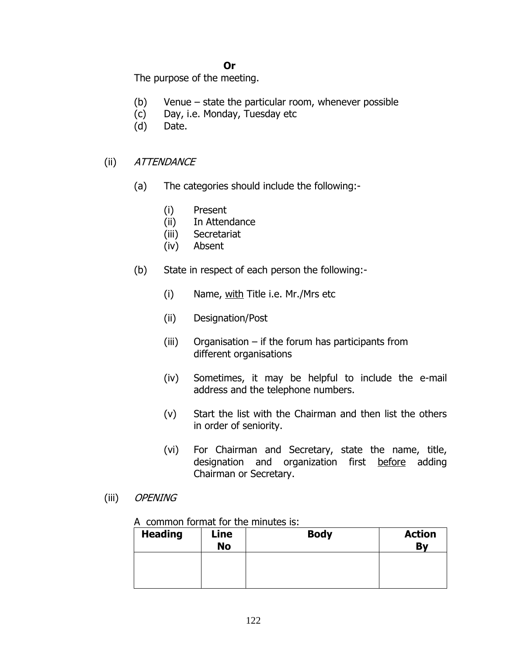#### **Or**

The purpose of the meeting.

- (b) Venue state the particular room, whenever possible
- (c) Day, i.e. Monday, Tuesday etc
- (d) Date.
- (ii) ATTENDANCE
	- (a) The categories should include the following:-
		- (i) Present
		- (ii) In Attendance
		- (iii) Secretariat
		- (iv) Absent
	- (b) State in respect of each person the following:-
		- (i) Name, with Title i.e. Mr./Mrs etc
		- (ii) Designation/Post
		- (iii) Organisation if the forum has participants from different organisations
		- (iv) Sometimes, it may be helpful to include the e-mail address and the telephone numbers.
		- (v) Start the list with the Chairman and then list the others in order of seniority.
		- (vi) For Chairman and Secretary, state the name, title, designation and organization first before adding Chairman or Secretary.
- (iii) OPENING

#### A common format for the minutes is:

| <b>Heading</b> | <b>Line</b><br><b>No</b> | <b>Body</b> | <b>Action</b><br><b>By</b> |
|----------------|--------------------------|-------------|----------------------------|
|                |                          |             |                            |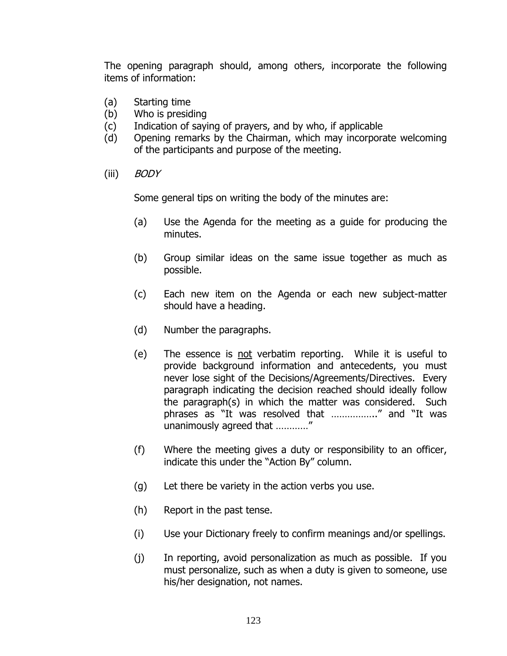The opening paragraph should, among others, incorporate the following items of information:

- (a) Starting time
- (b) Who is presiding
- (c) Indication of saying of prayers, and by who, if applicable
- (d) Opening remarks by the Chairman, which may incorporate welcoming of the participants and purpose of the meeting.
- (iii) *BODY*

Some general tips on writing the body of the minutes are:

- (a) Use the Agenda for the meeting as a guide for producing the minutes.
- (b) Group similar ideas on the same issue together as much as possible.
- (c) Each new item on the Agenda or each new subject-matter should have a heading.
- (d) Number the paragraphs.
- (e) The essence is not verbatim reporting. While it is useful to provide background information and antecedents, you must never lose sight of the Decisions/Agreements/Directives. Every paragraph indicating the decision reached should ideally follow the paragraph(s) in which the matter was considered. Such phrases as "It was resolved that ................." and "It was unanimously agreed that ............"
- (f) Where the meeting gives a duty or responsibility to an officer, indicate this under the "Action By" column.
- (g) Let there be variety in the action verbs you use.
- (h) Report in the past tense.
- (i) Use your Dictionary freely to confirm meanings and/or spellings.
- (j) In reporting, avoid personalization as much as possible. If you must personalize, such as when a duty is given to someone, use his/her designation, not names.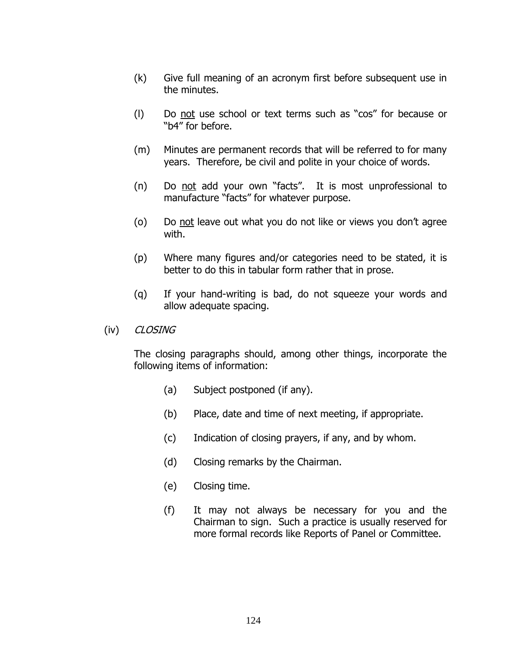- (k) Give full meaning of an acronym first before subsequent use in the minutes.
- (I) Do not use school or text terms such as " $cos"$  for because or "b4" for before.
- (m) Minutes are permanent records that will be referred to for many years. Therefore, be civil and polite in your choice of words.
- $(n)$  Do not add your own "facts". It is most unprofessional to manufacture "facts" for whatever purpose.
- (o) Do not leave out what you do not like or views you don't agree with.
- (p) Where many figures and/or categories need to be stated, it is better to do this in tabular form rather that in prose.
- (q) If your hand-writing is bad, do not squeeze your words and allow adequate spacing.
- (iv) CLOSING

The closing paragraphs should, among other things, incorporate the following items of information:

- (a) Subject postponed (if any).
- (b) Place, date and time of next meeting, if appropriate.
- (c) Indication of closing prayers, if any, and by whom.
- (d) Closing remarks by the Chairman.
- (e) Closing time.
- (f) It may not always be necessary for you and the Chairman to sign. Such a practice is usually reserved for more formal records like Reports of Panel or Committee.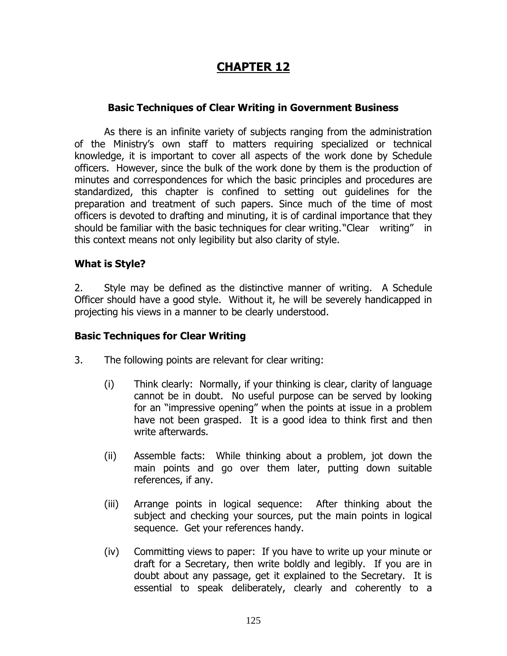# **CHAPTER 12**

#### **Basic Techniques of Clear Writing in Government Business**

As there is an infinite variety of subjects ranging from the administration of the Ministry's own staff to matters requiring specialized or technical knowledge, it is important to cover all aspects of the work done by Schedule officers. However, since the bulk of the work done by them is the production of minutes and correspondences for which the basic principles and procedures are standardized, this chapter is confined to setting out guidelines for the preparation and treatment of such papers. Since much of the time of most officers is devoted to drafting and minuting, it is of cardinal importance that they should be familiar with the basic techniques for clear writing. "Clear writing" in this context means not only legibility but also clarity of style.

#### **What is Style?**

2. Style may be defined as the distinctive manner of writing. A Schedule Officer should have a good style. Without it, he will be severely handicapped in projecting his views in a manner to be clearly understood.

#### **Basic Techniques for Clear Writing**

- 3. The following points are relevant for clear writing:
	- (i) Think clearly: Normally, if your thinking is clear, clarity of language cannot be in doubt. No useful purpose can be served by looking for an "impressive opening" when the points at issue in a problem have not been grasped. It is a good idea to think first and then write afterwards.
	- (ii) Assemble facts: While thinking about a problem, jot down the main points and go over them later, putting down suitable references, if any.
	- (iii) Arrange points in logical sequence: After thinking about the subject and checking your sources, put the main points in logical sequence. Get your references handy.
	- (iv) Committing views to paper: If you have to write up your minute or draft for a Secretary, then write boldly and legibly. If you are in doubt about any passage, get it explained to the Secretary. It is essential to speak deliberately, clearly and coherently to a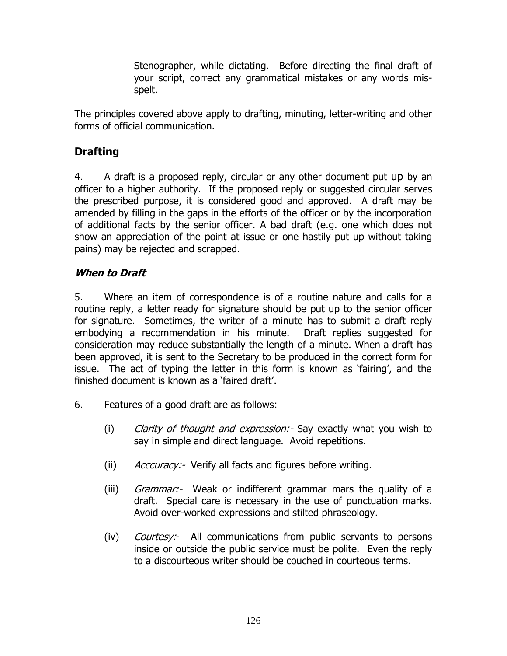Stenographer, while dictating. Before directing the final draft of your script, correct any grammatical mistakes or any words misspelt.

The principles covered above apply to drafting, minuting, letter-writing and other forms of official communication.

# **Drafting**

4. A draft is a proposed reply, circular or any other document put up by an officer to a higher authority. If the proposed reply or suggested circular serves the prescribed purpose, it is considered good and approved. A draft may be amended by filling in the gaps in the efforts of the officer or by the incorporation of additional facts by the senior officer. A bad draft (e.g. one which does not show an appreciation of the point at issue or one hastily put up without taking pains) may be rejected and scrapped.

### **When to Draft**

5. Where an item of correspondence is of a routine nature and calls for a routine reply, a letter ready for signature should be put up to the senior officer for signature. Sometimes, the writer of a minute has to submit a draft reply embodying a recommendation in his minute. Draft replies suggested for consideration may reduce substantially the length of a minute. When a draft has been approved, it is sent to the Secretary to be produced in the correct form for issue. The act of typing the letter in this form is known as 'fairing', and the finished document is known as a 'faired draft'.

- 6. Features of a good draft are as follows:
	- (i) Clarity of thought and expression: Say exactly what you wish to say in simple and direct language. Avoid repetitions.
	- (ii) Accouracy: Verify all facts and figures before writing.
	- (iii) *Grammar:* Weak or indifferent grammar mars the quality of a draft. Special care is necessary in the use of punctuation marks. Avoid over-worked expressions and stilted phraseology.
	- (iv) *Courtesy:* All communications from public servants to persons inside or outside the public service must be polite. Even the reply to a discourteous writer should be couched in courteous terms.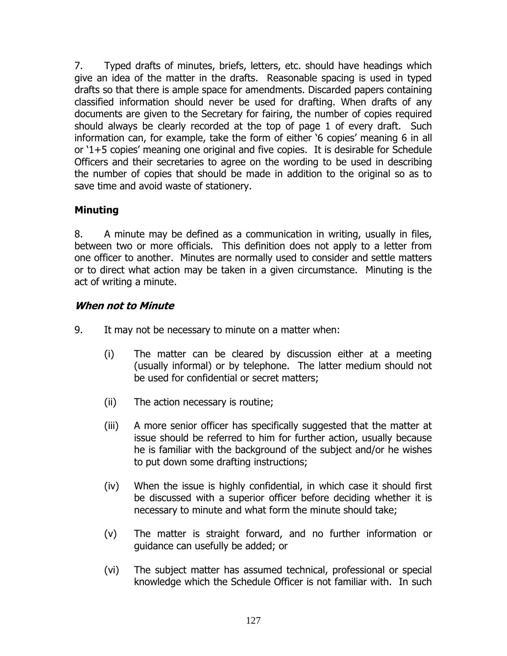7. Typed drafts of minutes, briefs, letters, etc. should have headings which give an idea of the matter in the drafts. Reasonable spacing is used in typed drafts so that there is ample space for amendments. Discarded papers containing classified information should never be used for drafting. When drafts of any documents are given to the Secretary for fairing, the number of copies required should always be clearly recorded at the top of page 1 of every draft. Such information can, for example, take the form of either '6 copies' meaning 6 in all or  $1+5$  copies' meaning one original and five copies. It is desirable for Schedule Officers and their secretaries to agree on the wording to be used in describing the number of copies that should be made in addition to the original so as to save time and avoid waste of stationery.

### **Minuting**

8. A minute may be defined as a communication in writing, usually in files, between two or more officials. This definition does not apply to a letter from one officer to another. Minutes are normally used to consider and settle matters or to direct what action may be taken in a given circumstance. Minuting is the act of writing a minute.

### **When not to Minute**

- 9. It may not be necessary to minute on a matter when:
	- (i) The matter can be cleared by discussion either at a meeting (usually informal) or by telephone. The latter medium should not be used for confidential or secret matters;
	- (ii) The action necessary is routine;
	- (iii) A more senior officer has specifically suggested that the matter at issue should be referred to him for further action, usually because he is familiar with the background of the subject and/or he wishes to put down some drafting instructions;
	- (iv) When the issue is highly confidential, in which case it should first be discussed with a superior officer before deciding whether it is necessary to minute and what form the minute should take;
	- (v) The matter is straight forward, and no further information or guidance can usefully be added; or
	- (vi) The subject matter has assumed technical, professional or special knowledge which the Schedule Officer is not familiar with. In such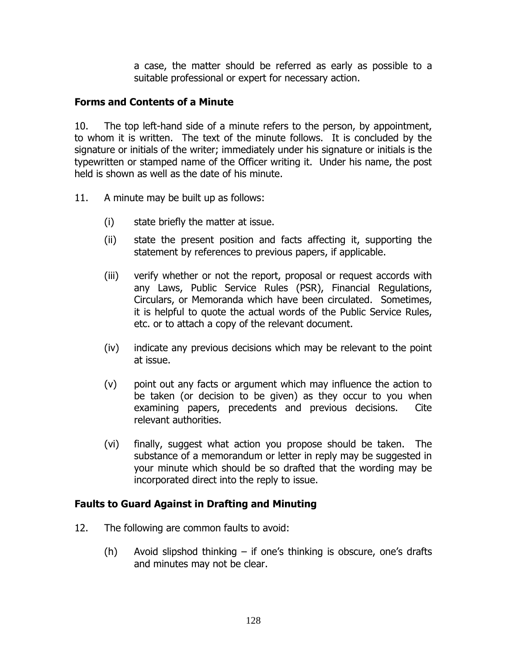a case, the matter should be referred as early as possible to a suitable professional or expert for necessary action.

#### **Forms and Contents of a Minute**

10. The top left-hand side of a minute refers to the person, by appointment, to whom it is written. The text of the minute follows. It is concluded by the signature or initials of the writer; immediately under his signature or initials is the typewritten or stamped name of the Officer writing it. Under his name, the post held is shown as well as the date of his minute.

- 11. A minute may be built up as follows:
	- (i) state briefly the matter at issue.
	- (ii) state the present position and facts affecting it, supporting the statement by references to previous papers, if applicable.
	- (iii) verify whether or not the report, proposal or request accords with any Laws, Public Service Rules (PSR), Financial Regulations, Circulars, or Memoranda which have been circulated. Sometimes, it is helpful to quote the actual words of the Public Service Rules, etc. or to attach a copy of the relevant document.
	- (iv) indicate any previous decisions which may be relevant to the point at issue.
	- (v) point out any facts or argument which may influence the action to be taken (or decision to be given) as they occur to you when examining papers, precedents and previous decisions. Cite relevant authorities.
	- (vi) finally, suggest what action you propose should be taken. The substance of a memorandum or letter in reply may be suggested in your minute which should be so drafted that the wording may be incorporated direct into the reply to issue.

#### **Faults to Guard Against in Drafting and Minuting**

- 12. The following are common faults to avoid:
	- (h) Avoid slipshod thinking if one's thinking is obscure, one's drafts and minutes may not be clear.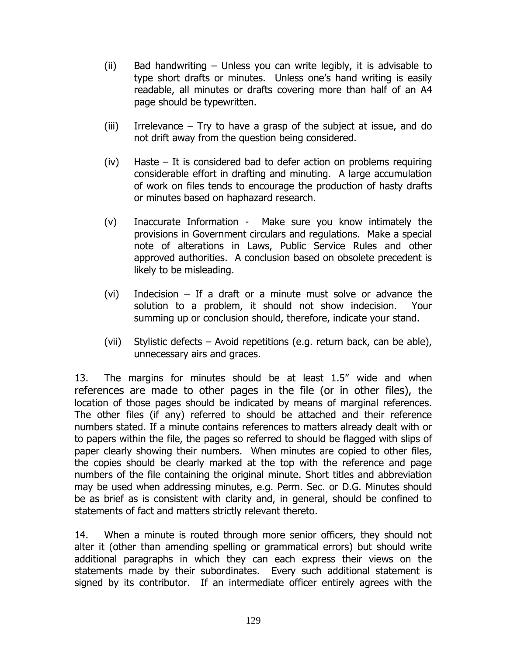- (ii) Bad handwriting Unless you can write legibly, it is advisable to type short drafts or minutes. Unless one's hand writing is easily readable, all minutes or drafts covering more than half of an A4 page should be typewritten.
- (iii) Irrelevance  $-$  Try to have a grasp of the subject at issue, and do not drift away from the question being considered.
- (iv) Haste It is considered bad to defer action on problems requiring considerable effort in drafting and minuting. A large accumulation of work on files tends to encourage the production of hasty drafts or minutes based on haphazard research.
- (v) Inaccurate Information Make sure you know intimately the provisions in Government circulars and regulations. Make a special note of alterations in Laws, Public Service Rules and other approved authorities. A conclusion based on obsolete precedent is likely to be misleading.
- (vi) Indecision If a draft or a minute must solve or advance the solution to a problem, it should not show indecision. Your summing up or conclusion should, therefore, indicate your stand.
- (vii) Stylistic defects Avoid repetitions (e.g. return back, can be able), unnecessary airs and graces.

13. The margins for minutes should be at least 1.5" wide and when references are made to other pages in the file (or in other files), the location of those pages should be indicated by means of marginal references. The other files (if any) referred to should be attached and their reference numbers stated. If a minute contains references to matters already dealt with or to papers within the file, the pages so referred to should be flagged with slips of paper clearly showing their numbers. When minutes are copied to other files, the copies should be clearly marked at the top with the reference and page numbers of the file containing the original minute. Short titles and abbreviation may be used when addressing minutes, e.g. Perm. Sec. or D.G. Minutes should be as brief as is consistent with clarity and, in general, should be confined to statements of fact and matters strictly relevant thereto.

14. When a minute is routed through more senior officers, they should not alter it (other than amending spelling or grammatical errors) but should write additional paragraphs in which they can each express their views on the statements made by their subordinates. Every such additional statement is signed by its contributor. If an intermediate officer entirely agrees with the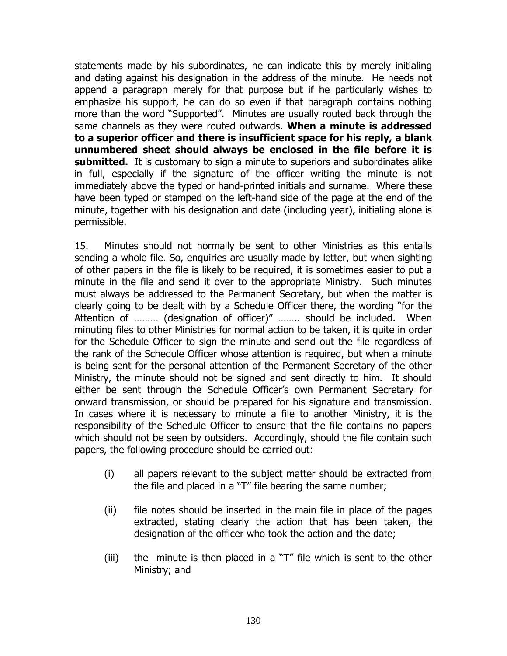statements made by his subordinates, he can indicate this by merely initialing and dating against his designation in the address of the minute. He needs not append a paragraph merely for that purpose but if he particularly wishes to emphasize his support, he can do so even if that paragraph contains nothing more than the word "Supported". Minutes are usually routed back through the same channels as they were routed outwards. **When a minute is addressed to a superior officer and there is insufficient space for his reply, a blank unnumbered sheet should always be enclosed in the file before it is submitted.** It is customary to sign a minute to superiors and subordinates alike in full, especially if the signature of the officer writing the minute is not immediately above the typed or hand-printed initials and surname. Where these have been typed or stamped on the left-hand side of the page at the end of the minute, together with his designation and date (including year), initialing alone is permissible.

15. Minutes should not normally be sent to other Ministries as this entails sending a whole file. So, enquiries are usually made by letter, but when sighting of other papers in the file is likely to be required, it is sometimes easier to put a minute in the file and send it over to the appropriate Ministry. Such minutes must always be addressed to the Permanent Secretary, but when the matter is clearly going to be dealt with by a Schedule Officer there, the wording "for the Attention of ……… (designation of officer)" ……… should be included. When minuting files to other Ministries for normal action to be taken, it is quite in order for the Schedule Officer to sign the minute and send out the file regardless of the rank of the Schedule Officer whose attention is required, but when a minute is being sent for the personal attention of the Permanent Secretary of the other Ministry, the minute should not be signed and sent directly to him. It should either be sent through the Schedule Officer's own Permanent Secretary for onward transmission, or should be prepared for his signature and transmission. In cases where it is necessary to minute a file to another Ministry, it is the responsibility of the Schedule Officer to ensure that the file contains no papers which should not be seen by outsiders. Accordingly, should the file contain such papers, the following procedure should be carried out:

- (i) all papers relevant to the subject matter should be extracted from the file and placed in a "T" file bearing the same number;
- (ii) file notes should be inserted in the main file in place of the pages extracted, stating clearly the action that has been taken, the designation of the officer who took the action and the date;
- (iii) the minute is then placed in a "T" file which is sent to the other Ministry; and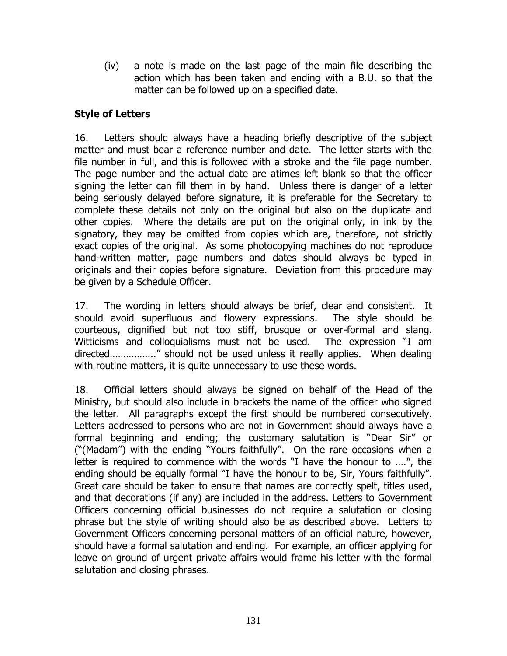(iv) a note is made on the last page of the main file describing the action which has been taken and ending with a B.U. so that the matter can be followed up on a specified date.

### **Style of Letters**

16. Letters should always have a heading briefly descriptive of the subject matter and must bear a reference number and date. The letter starts with the file number in full, and this is followed with a stroke and the file page number. The page number and the actual date are atimes left blank so that the officer signing the letter can fill them in by hand. Unless there is danger of a letter being seriously delayed before signature, it is preferable for the Secretary to complete these details not only on the original but also on the duplicate and other copies. Where the details are put on the original only, in ink by the signatory, they may be omitted from copies which are, therefore, not strictly exact copies of the original. As some photocopying machines do not reproduce hand-written matter, page numbers and dates should always be typed in originals and their copies before signature. Deviation from this procedure may be given by a Schedule Officer.

17. The wording in letters should always be brief, clear and consistent. It should avoid superfluous and flowery expressions. The style should be courteous, dignified but not too stiff, brusque or over-formal and slang. Witticisms and colloquialisms must not be used. The expression "I am directed.................." should not be used unless it really applies. When dealing with routine matters, it is quite unnecessary to use these words.

18. Official letters should always be signed on behalf of the Head of the Ministry, but should also include in brackets the name of the officer who signed the letter. All paragraphs except the first should be numbered consecutively. Letters addressed to persons who are not in Government should always have a formal beginning and ending; the customary salutation is "Dear Sir" or ("(Madam") with the ending "Yours faithfully". On the rare occasions when a letter is required to commence with the words "I have the honour to ....", the ending should be equally formal "I have the honour to be, Sir, Yours faithfully". Great care should be taken to ensure that names are correctly spelt, titles used, and that decorations (if any) are included in the address. Letters to Government Officers concerning official businesses do not require a salutation or closing phrase but the style of writing should also be as described above. Letters to Government Officers concerning personal matters of an official nature, however, should have a formal salutation and ending. For example, an officer applying for leave on ground of urgent private affairs would frame his letter with the formal salutation and closing phrases.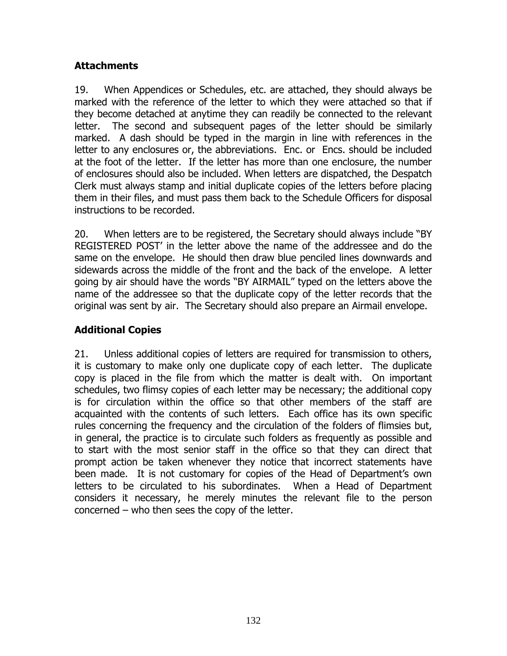### **Attachments**

19. When Appendices or Schedules, etc. are attached, they should always be marked with the reference of the letter to which they were attached so that if they become detached at anytime they can readily be connected to the relevant letter. The second and subsequent pages of the letter should be similarly marked. A dash should be typed in the margin in line with references in the letter to any enclosures or, the abbreviations. Enc. or Encs. should be included at the foot of the letter. If the letter has more than one enclosure, the number of enclosures should also be included. When letters are dispatched, the Despatch Clerk must always stamp and initial duplicate copies of the letters before placing them in their files, and must pass them back to the Schedule Officers for disposal instructions to be recorded.

20. When letters are to be registered, the Secretary should always include "BY REGISTERED POST' in the letter above the name of the addressee and do the same on the envelope. He should then draw blue penciled lines downwards and sidewards across the middle of the front and the back of the envelope. A letter going by air should have the words "BY AIRMAIL" typed on the letters above the name of the addressee so that the duplicate copy of the letter records that the original was sent by air. The Secretary should also prepare an Airmail envelope.

### **Additional Copies**

21. Unless additional copies of letters are required for transmission to others, it is customary to make only one duplicate copy of each letter. The duplicate copy is placed in the file from which the matter is dealt with. On important schedules, two flimsy copies of each letter may be necessary; the additional copy is for circulation within the office so that other members of the staff are acquainted with the contents of such letters. Each office has its own specific rules concerning the frequency and the circulation of the folders of flimsies but, in general, the practice is to circulate such folders as frequently as possible and to start with the most senior staff in the office so that they can direct that prompt action be taken whenever they notice that incorrect statements have been made. It is not customary for copies of the Head of Department's own letters to be circulated to his subordinates. When a Head of Department considers it necessary, he merely minutes the relevant file to the person concerned – who then sees the copy of the letter.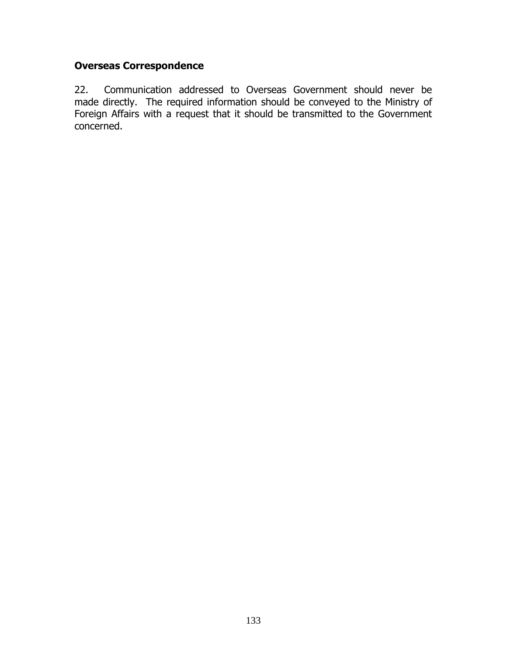### **Overseas Correspondence**

22. Communication addressed to Overseas Government should never be made directly. The required information should be conveyed to the Ministry of Foreign Affairs with a request that it should be transmitted to the Government concerned.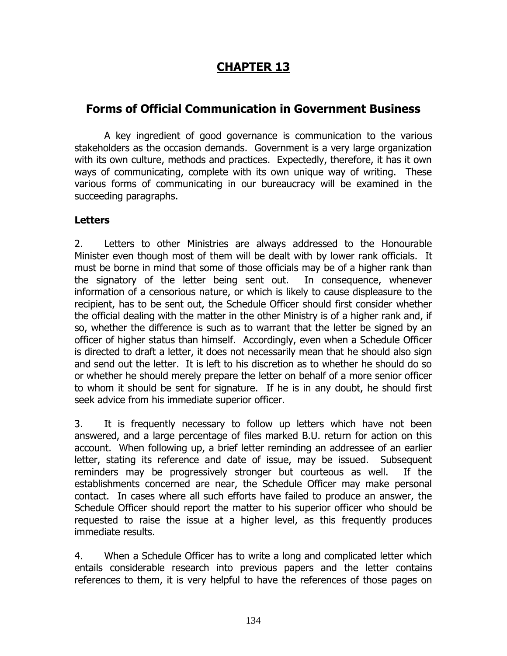# **CHAPTER 13**

# **Forms of Official Communication in Government Business**

A key ingredient of good governance is communication to the various stakeholders as the occasion demands. Government is a very large organization with its own culture, methods and practices. Expectedly, therefore, it has it own ways of communicating, complete with its own unique way of writing. These various forms of communicating in our bureaucracy will be examined in the succeeding paragraphs.

#### **Letters**

2. Letters to other Ministries are always addressed to the Honourable Minister even though most of them will be dealt with by lower rank officials. It must be borne in mind that some of those officials may be of a higher rank than the signatory of the letter being sent out. In consequence, whenever information of a censorious nature, or which is likely to cause displeasure to the recipient, has to be sent out, the Schedule Officer should first consider whether the official dealing with the matter in the other Ministry is of a higher rank and, if so, whether the difference is such as to warrant that the letter be signed by an officer of higher status than himself. Accordingly, even when a Schedule Officer is directed to draft a letter, it does not necessarily mean that he should also sign and send out the letter. It is left to his discretion as to whether he should do so or whether he should merely prepare the letter on behalf of a more senior officer to whom it should be sent for signature. If he is in any doubt, he should first seek advice from his immediate superior officer.

3. It is frequently necessary to follow up letters which have not been answered, and a large percentage of files marked B.U. return for action on this account. When following up, a brief letter reminding an addressee of an earlier letter, stating its reference and date of issue, may be issued. Subsequent reminders may be progressively stronger but courteous as well. If the establishments concerned are near, the Schedule Officer may make personal contact. In cases where all such efforts have failed to produce an answer, the Schedule Officer should report the matter to his superior officer who should be requested to raise the issue at a higher level, as this frequently produces immediate results.

4. When a Schedule Officer has to write a long and complicated letter which entails considerable research into previous papers and the letter contains references to them, it is very helpful to have the references of those pages on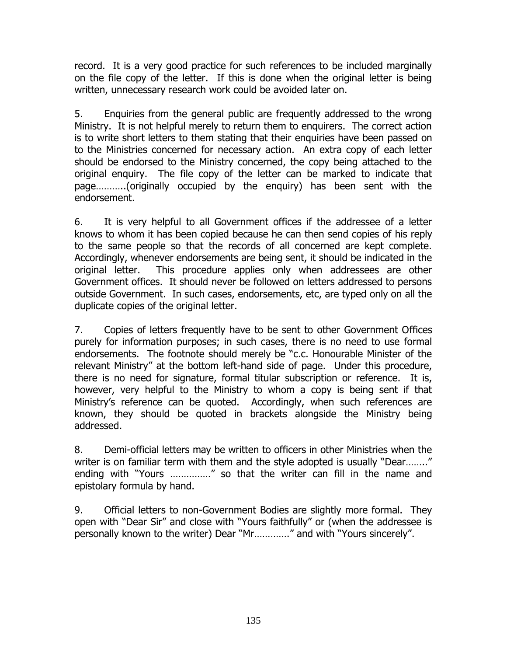record. It is a very good practice for such references to be included marginally on the file copy of the letter. If this is done when the original letter is being written, unnecessary research work could be avoided later on.

5. Enquiries from the general public are frequently addressed to the wrong Ministry. It is not helpful merely to return them to enquirers. The correct action is to write short letters to them stating that their enquiries have been passed on to the Ministries concerned for necessary action. An extra copy of each letter should be endorsed to the Ministry concerned, the copy being attached to the original enquiry. The file copy of the letter can be marked to indicate that page………..(originally occupied by the enquiry) has been sent with the endorsement.

6. It is very helpful to all Government offices if the addressee of a letter knows to whom it has been copied because he can then send copies of his reply to the same people so that the records of all concerned are kept complete. Accordingly, whenever endorsements are being sent, it should be indicated in the original letter. This procedure applies only when addressees are other Government offices. It should never be followed on letters addressed to persons outside Government. In such cases, endorsements, etc, are typed only on all the duplicate copies of the original letter.

7. Copies of letters frequently have to be sent to other Government Offices purely for information purposes; in such cases, there is no need to use formal endorsements. The footnote should merely be "c.c. Honourable Minister of the relevant Ministry" at the bottom left-hand side of page. Under this procedure, there is no need for signature, formal titular subscription or reference. It is, however, very helpful to the Ministry to whom a copy is being sent if that Ministry's reference can be quoted. Accordingly, when such references are known, they should be quoted in brackets alongside the Ministry being addressed.

8. Demi-official letters may be written to officers in other Ministries when the writer is on familiar term with them and the style adopted is usually "Dear........" ending with "Yours ..............." so that the writer can fill in the name and epistolary formula by hand.

9. Official letters to non-Government Bodies are slightly more formal. They open with "Dear Sir" and close with "Yours faithfully" or (when the addressee is personally known to the writer) Dear "Mr............." and with "Yours sincerely".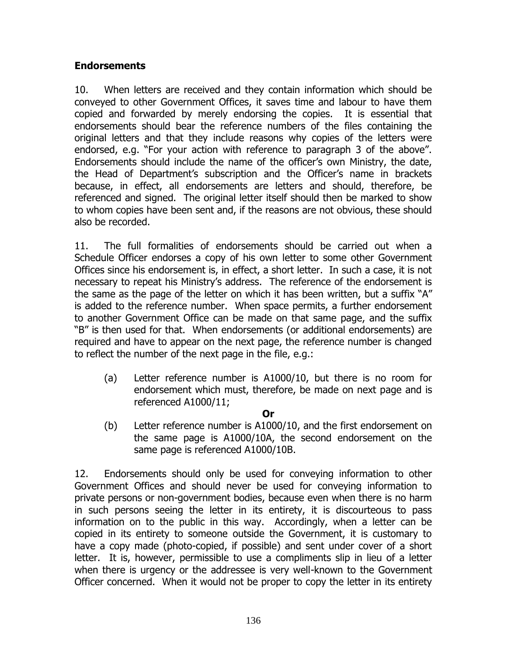### **Endorsements**

10. When letters are received and they contain information which should be conveyed to other Government Offices, it saves time and labour to have them copied and forwarded by merely endorsing the copies. It is essential that endorsements should bear the reference numbers of the files containing the original letters and that they include reasons why copies of the letters were endorsed, e.g. "For your action with reference to paragraph 3 of the above". Endorsements should include the name of the officer's own Ministry, the date, the Head of Department's subscription and the Officer's name in brackets because, in effect, all endorsements are letters and should, therefore, be referenced and signed. The original letter itself should then be marked to show to whom copies have been sent and, if the reasons are not obvious, these should also be recorded.

11. The full formalities of endorsements should be carried out when a Schedule Officer endorses a copy of his own letter to some other Government Offices since his endorsement is, in effect, a short letter. In such a case, it is not necessary to repeat his Ministry's address. The reference of the endorsement is the same as the page of the letter on which it has been written, but a suffix "A" is added to the reference number. When space permits, a further endorsement to another Government Office can be made on that same page, and the suffix "B" is then used for that. When endorsements (or additional endorsements) are required and have to appear on the next page, the reference number is changed to reflect the number of the next page in the file, e.g.:

- (a) Letter reference number is A1000/10, but there is no room for endorsement which must, therefore, be made on next page and is referenced A1000/11;
	- **Or**
- (b) Letter reference number is A1000/10, and the first endorsement on the same page is A1000/10A, the second endorsement on the same page is referenced A1000/10B.

12. Endorsements should only be used for conveying information to other Government Offices and should never be used for conveying information to private persons or non-government bodies, because even when there is no harm in such persons seeing the letter in its entirety, it is discourteous to pass information on to the public in this way. Accordingly, when a letter can be copied in its entirety to someone outside the Government, it is customary to have a copy made (photo-copied, if possible) and sent under cover of a short letter. It is, however, permissible to use a compliments slip in lieu of a letter when there is urgency or the addressee is very well-known to the Government Officer concerned. When it would not be proper to copy the letter in its entirety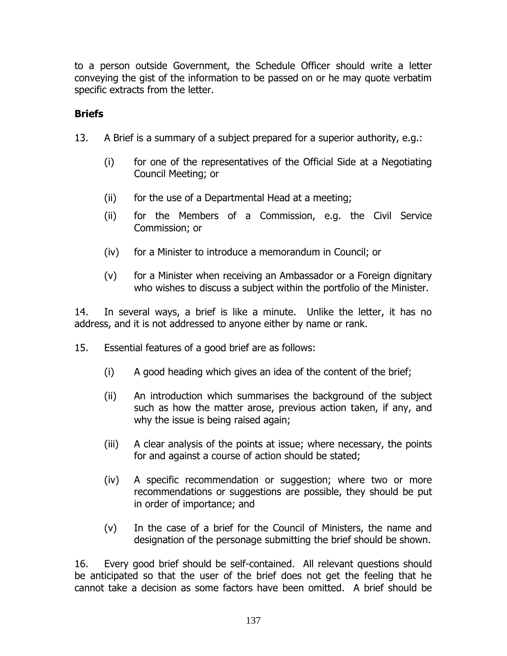to a person outside Government, the Schedule Officer should write a letter conveying the gist of the information to be passed on or he may quote verbatim specific extracts from the letter.

### **Briefs**

- 13. A Brief is a summary of a subject prepared for a superior authority, e.g.:
	- (i) for one of the representatives of the Official Side at a Negotiating Council Meeting; or
	- (ii) for the use of a Departmental Head at a meeting;
	- (ii) for the Members of a Commission, e.g. the Civil Service Commission; or
	- (iv) for a Minister to introduce a memorandum in Council; or
	- (v) for a Minister when receiving an Ambassador or a Foreign dignitary who wishes to discuss a subject within the portfolio of the Minister.

14. In several ways, a brief is like a minute. Unlike the letter, it has no address, and it is not addressed to anyone either by name or rank.

- 15. Essential features of a good brief are as follows:
	- (i) A good heading which gives an idea of the content of the brief;
	- (ii) An introduction which summarises the background of the subject such as how the matter arose, previous action taken, if any, and why the issue is being raised again;
	- (iii) A clear analysis of the points at issue; where necessary, the points for and against a course of action should be stated;
	- (iv) A specific recommendation or suggestion; where two or more recommendations or suggestions are possible, they should be put in order of importance; and
	- (v) In the case of a brief for the Council of Ministers, the name and designation of the personage submitting the brief should be shown.

16. Every good brief should be self-contained. All relevant questions should be anticipated so that the user of the brief does not get the feeling that he cannot take a decision as some factors have been omitted. A brief should be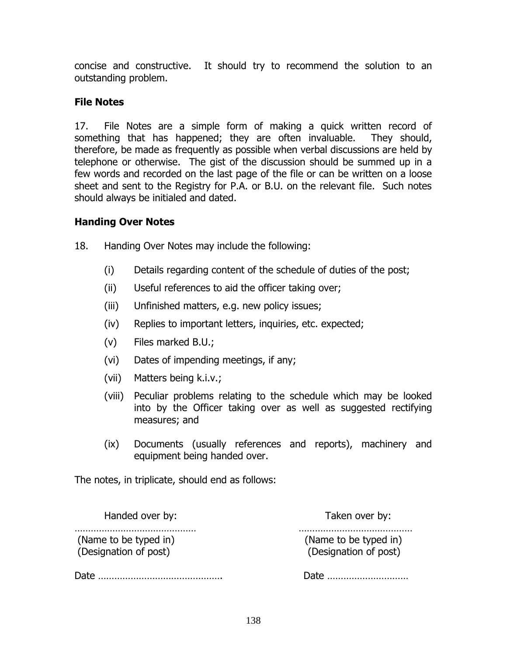concise and constructive. It should try to recommend the solution to an outstanding problem.

#### **File Notes**

17. File Notes are a simple form of making a quick written record of something that has happened; they are often invaluable. They should, therefore, be made as frequently as possible when verbal discussions are held by telephone or otherwise. The gist of the discussion should be summed up in a few words and recorded on the last page of the file or can be written on a loose sheet and sent to the Registry for P.A. or B.U. on the relevant file. Such notes should always be initialed and dated.

### **Handing Over Notes**

- 18. Handing Over Notes may include the following:
	- (i) Details regarding content of the schedule of duties of the post;
	- (ii) Useful references to aid the officer taking over;
	- (iii) Unfinished matters, e.g. new policy issues;
	- (iv) Replies to important letters, inquiries, etc. expected;
	- (v) Files marked B.U.;
	- (vi) Dates of impending meetings, if any;
	- (vii) Matters being k.i.v.;
	- (viii) Peculiar problems relating to the schedule which may be looked into by the Officer taking over as well as suggested rectifying measures; and
	- (ix) Documents (usually references and reports), machinery and equipment being handed over.

The notes, in triplicate, should end as follows:

| Handed over by:                                | Taken over by:                                 |
|------------------------------------------------|------------------------------------------------|
| (Name to be typed in)<br>(Designation of post) | (Name to be typed in)<br>(Designation of post) |
|                                                | Date                                           |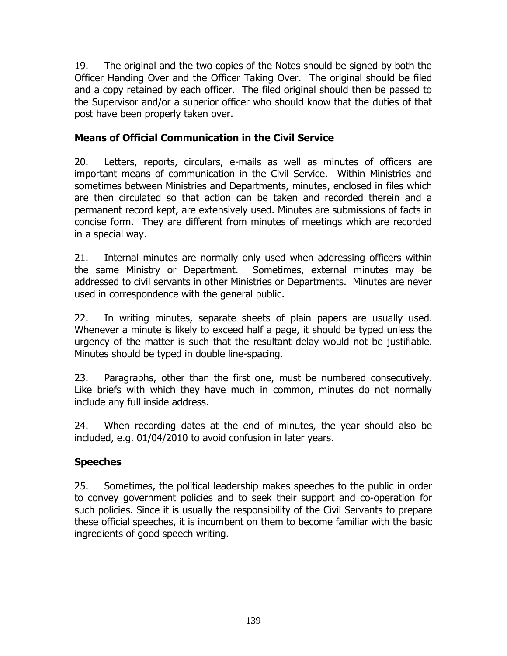19. The original and the two copies of the Notes should be signed by both the Officer Handing Over and the Officer Taking Over. The original should be filed and a copy retained by each officer. The filed original should then be passed to the Supervisor and/or a superior officer who should know that the duties of that post have been properly taken over.

### **Means of Official Communication in the Civil Service**

20. Letters, reports, circulars, e-mails as well as minutes of officers are important means of communication in the Civil Service. Within Ministries and sometimes between Ministries and Departments, minutes, enclosed in files which are then circulated so that action can be taken and recorded therein and a permanent record kept, are extensively used. Minutes are submissions of facts in concise form. They are different from minutes of meetings which are recorded in a special way.

21. Internal minutes are normally only used when addressing officers within the same Ministry or Department. Sometimes, external minutes may be addressed to civil servants in other Ministries or Departments. Minutes are never used in correspondence with the general public.

22. In writing minutes, separate sheets of plain papers are usually used. Whenever a minute is likely to exceed half a page, it should be typed unless the urgency of the matter is such that the resultant delay would not be justifiable. Minutes should be typed in double line-spacing.

23. Paragraphs, other than the first one, must be numbered consecutively. Like briefs with which they have much in common, minutes do not normally include any full inside address.

24. When recording dates at the end of minutes, the year should also be included, e.g. 01/04/2010 to avoid confusion in later years.

# **Speeches**

25. Sometimes, the political leadership makes speeches to the public in order to convey government policies and to seek their support and co-operation for such policies. Since it is usually the responsibility of the Civil Servants to prepare these official speeches, it is incumbent on them to become familiar with the basic ingredients of good speech writing.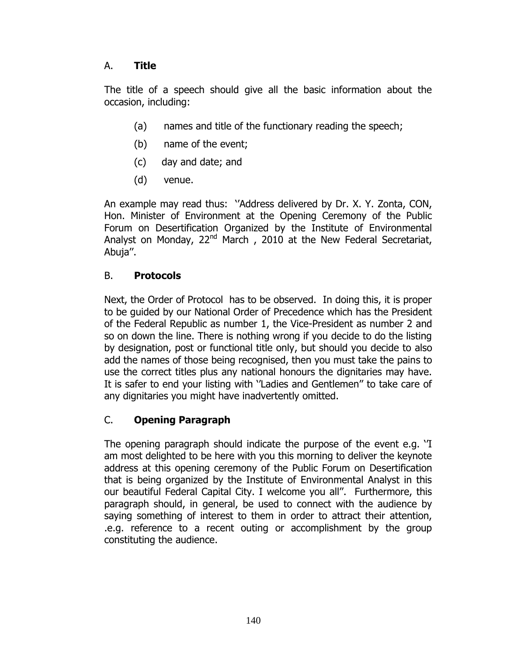### A. **Title**

The title of a speech should give all the basic information about the occasion, including:

- (a) names and title of the functionary reading the speech;
- (b) name of the event;
- (c) day and date; and
- (d) venue.

An example may read thus: "Address delivered by Dr. X. Y. Zonta, CON, Hon. Minister of Environment at the Opening Ceremony of the Public Forum on Desertification Organized by the Institute of Environmental Analyst on Monday, 22<sup>nd</sup> March, 2010 at the New Federal Secretariat, Abuja''.

#### B. **Protocols**

Next, the Order of Protocol has to be observed. In doing this, it is proper to be guided by our National Order of Precedence which has the President of the Federal Republic as number 1, the Vice-President as number 2 and so on down the line. There is nothing wrong if you decide to do the listing by designation, post or functional title only, but should you decide to also add the names of those being recognised, then you must take the pains to use the correct titles plus any national honours the dignitaries may have. It is safer to end your listing with "Ladies and Gentlemen" to take care of any dignitaries you might have inadvertently omitted.

### C. **Opening Paragraph**

The opening paragraph should indicate the purpose of the event e.g. "I am most delighted to be here with you this morning to deliver the keynote address at this opening ceremony of the Public Forum on Desertification that is being organized by the Institute of Environmental Analyst in this our beautiful Federal Capital City. I welcome you all''. Furthermore, this paragraph should, in general, be used to connect with the audience by saying something of interest to them in order to attract their attention, .e.g. reference to a recent outing or accomplishment by the group constituting the audience.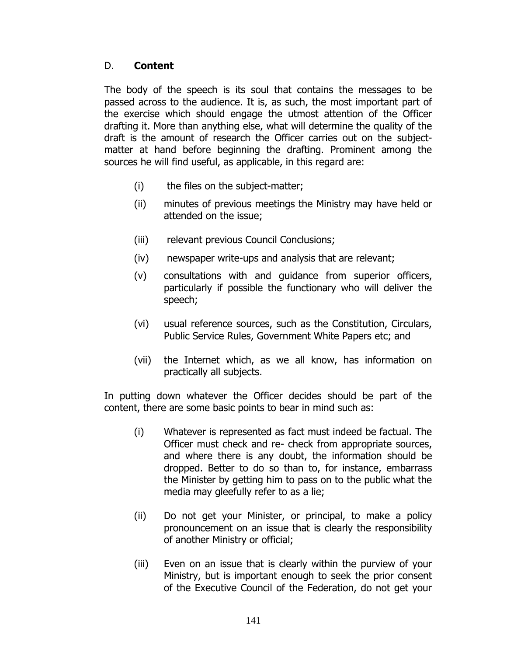#### D. **Content**

The body of the speech is its soul that contains the messages to be passed across to the audience. It is, as such, the most important part of the exercise which should engage the utmost attention of the Officer drafting it. More than anything else, what will determine the quality of the draft is the amount of research the Officer carries out on the subjectmatter at hand before beginning the drafting. Prominent among the sources he will find useful, as applicable, in this regard are:

- (i) the files on the subject-matter;
- (ii) minutes of previous meetings the Ministry may have held or attended on the issue;
- (iii) relevant previous Council Conclusions;
- (iv) newspaper write-ups and analysis that are relevant;
- (v) consultations with and guidance from superior officers, particularly if possible the functionary who will deliver the speech;
- (vi) usual reference sources, such as the Constitution, Circulars, Public Service Rules, Government White Papers etc; and
- (vii) the Internet which, as we all know, has information on practically all subjects.

In putting down whatever the Officer decides should be part of the content, there are some basic points to bear in mind such as:

- (i) Whatever is represented as fact must indeed be factual. The Officer must check and re- check from appropriate sources, and where there is any doubt, the information should be dropped. Better to do so than to, for instance, embarrass the Minister by getting him to pass on to the public what the media may gleefully refer to as a lie;
- (ii) Do not get your Minister, or principal, to make a policy pronouncement on an issue that is clearly the responsibility of another Ministry or official;
- (iii) Even on an issue that is clearly within the purview of your Ministry, but is important enough to seek the prior consent of the Executive Council of the Federation, do not get your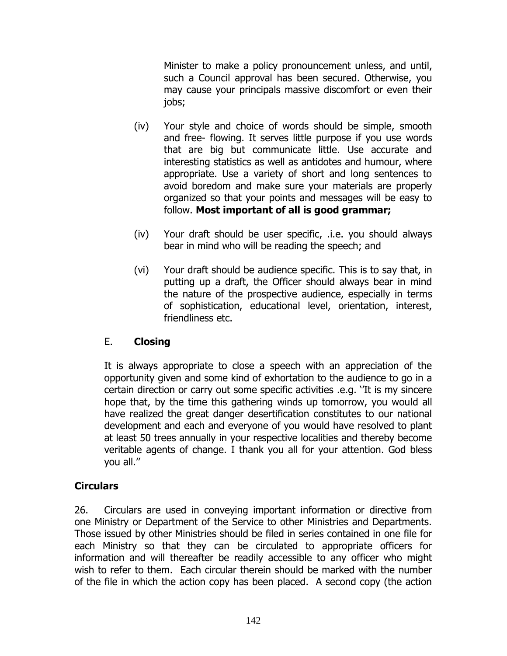Minister to make a policy pronouncement unless, and until, such a Council approval has been secured. Otherwise, you may cause your principals massive discomfort or even their jobs;

- (iv) Your style and choice of words should be simple, smooth and free- flowing. It serves little purpose if you use words that are big but communicate little. Use accurate and interesting statistics as well as antidotes and humour, where appropriate. Use a variety of short and long sentences to avoid boredom and make sure your materials are properly organized so that your points and messages will be easy to follow. **Most important of all is good grammar;**
- (iv) Your draft should be user specific, .i.e. you should always bear in mind who will be reading the speech; and
- (vi) Your draft should be audience specific. This is to say that, in putting up a draft, the Officer should always bear in mind the nature of the prospective audience, especially in terms of sophistication, educational level, orientation, interest, friendliness etc.

### E. **Closing**

It is always appropriate to close a speech with an appreciation of the opportunity given and some kind of exhortation to the audience to go in a certain direction or carry out some specific activities .e.g. "It is my sincere hope that, by the time this gathering winds up tomorrow, you would all have realized the great danger desertification constitutes to our national development and each and everyone of you would have resolved to plant at least 50 trees annually in your respective localities and thereby become veritable agents of change. I thank you all for your attention. God bless you all.''

# **Circulars**

26. Circulars are used in conveying important information or directive from one Ministry or Department of the Service to other Ministries and Departments. Those issued by other Ministries should be filed in series contained in one file for each Ministry so that they can be circulated to appropriate officers for information and will thereafter be readily accessible to any officer who might wish to refer to them. Each circular therein should be marked with the number of the file in which the action copy has been placed. A second copy (the action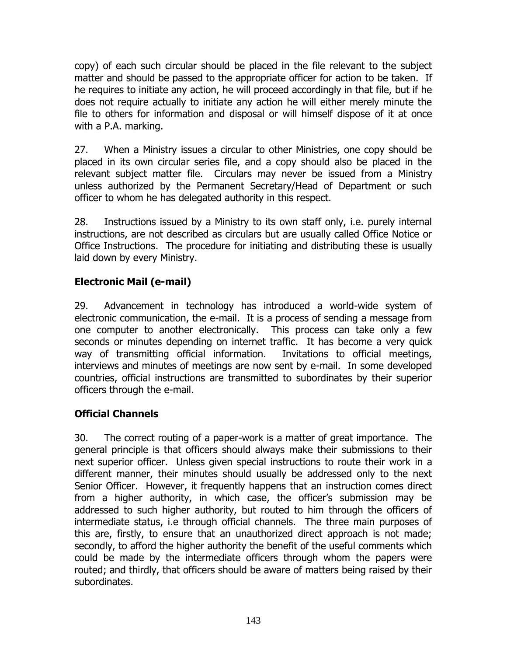copy) of each such circular should be placed in the file relevant to the subject matter and should be passed to the appropriate officer for action to be taken. If he requires to initiate any action, he will proceed accordingly in that file, but if he does not require actually to initiate any action he will either merely minute the file to others for information and disposal or will himself dispose of it at once with a P.A. marking.

27. When a Ministry issues a circular to other Ministries, one copy should be placed in its own circular series file, and a copy should also be placed in the relevant subject matter file. Circulars may never be issued from a Ministry unless authorized by the Permanent Secretary/Head of Department or such officer to whom he has delegated authority in this respect.

28. Instructions issued by a Ministry to its own staff only, i.e. purely internal instructions, are not described as circulars but are usually called Office Notice or Office Instructions. The procedure for initiating and distributing these is usually laid down by every Ministry.

# **Electronic Mail (e-mail)**

29. Advancement in technology has introduced a world-wide system of electronic communication, the e-mail. It is a process of sending a message from one computer to another electronically. This process can take only a few seconds or minutes depending on internet traffic. It has become a very quick way of transmitting official information. Invitations to official meetings, interviews and minutes of meetings are now sent by e-mail. In some developed countries, official instructions are transmitted to subordinates by their superior officers through the e-mail.

# **Official Channels**

30. The correct routing of a paper-work is a matter of great importance. The general principle is that officers should always make their submissions to their next superior officer. Unless given special instructions to route their work in a different manner, their minutes should usually be addressed only to the next Senior Officer. However, it frequently happens that an instruction comes direct from a higher authority, in which case, the officer's submission may be addressed to such higher authority, but routed to him through the officers of intermediate status, i.e through official channels. The three main purposes of this are, firstly, to ensure that an unauthorized direct approach is not made; secondly, to afford the higher authority the benefit of the useful comments which could be made by the intermediate officers through whom the papers were routed; and thirdly, that officers should be aware of matters being raised by their subordinates.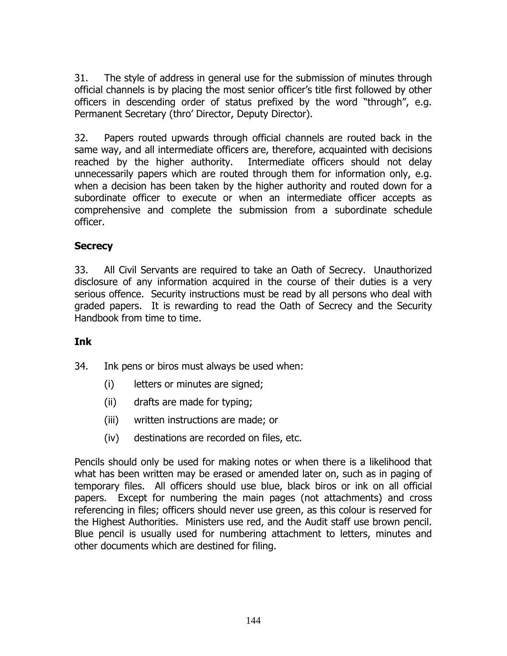31. The style of address in general use for the submission of minutes through official channels is by placing the most senior officer's title first followed by other officers in descending order of status prefixed by the word "through", e.g. Permanent Secretary (thro' Director, Deputy Director).

32. Papers routed upwards through official channels are routed back in the same way, and all intermediate officers are, therefore, acquainted with decisions reached by the higher authority. Intermediate officers should not delay unnecessarily papers which are routed through them for information only, e.g. when a decision has been taken by the higher authority and routed down for a subordinate officer to execute or when an intermediate officer accepts as comprehensive and complete the submission from a subordinate schedule officer.

### **Secrecy**

33. All Civil Servants are required to take an Oath of Secrecy. Unauthorized disclosure of any information acquired in the course of their duties is a very serious offence. Security instructions must be read by all persons who deal with graded papers. It is rewarding to read the Oath of Secrecy and the Security Handbook from time to time.

### **Ink**

34. Ink pens or biros must always be used when:

- (i) letters or minutes are signed;
- (ii) drafts are made for typing;
- (iii) written instructions are made; or
- (iv) destinations are recorded on files, etc.

Pencils should only be used for making notes or when there is a likelihood that what has been written may be erased or amended later on, such as in paging of temporary files. All officers should use blue, black biros or ink on all official papers. Except for numbering the main pages (not attachments) and cross referencing in files; officers should never use green, as this colour is reserved for the Highest Authorities. Ministers use red, and the Audit staff use brown pencil. Blue pencil is usually used for numbering attachment to letters, minutes and other documents which are destined for filing.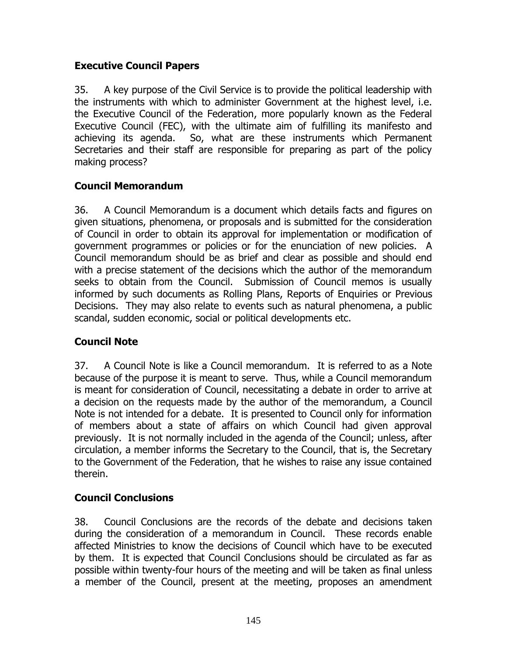## **Executive Council Papers**

35. A key purpose of the Civil Service is to provide the political leadership with the instruments with which to administer Government at the highest level, i.e. the Executive Council of the Federation, more popularly known as the Federal Executive Council (FEC), with the ultimate aim of fulfilling its manifesto and achieving its agenda. So, what are these instruments which Permanent Secretaries and their staff are responsible for preparing as part of the policy making process?

## **Council Memorandum**

36. A Council Memorandum is a document which details facts and figures on given situations, phenomena, or proposals and is submitted for the consideration of Council in order to obtain its approval for implementation or modification of government programmes or policies or for the enunciation of new policies. A Council memorandum should be as brief and clear as possible and should end with a precise statement of the decisions which the author of the memorandum seeks to obtain from the Council. Submission of Council memos is usually informed by such documents as Rolling Plans, Reports of Enquiries or Previous Decisions. They may also relate to events such as natural phenomena, a public scandal, sudden economic, social or political developments etc.

## **Council Note**

37. A Council Note is like a Council memorandum. It is referred to as a Note because of the purpose it is meant to serve. Thus, while a Council memorandum is meant for consideration of Council, necessitating a debate in order to arrive at a decision on the requests made by the author of the memorandum, a Council Note is not intended for a debate. It is presented to Council only for information of members about a state of affairs on which Council had given approval previously. It is not normally included in the agenda of the Council; unless, after circulation, a member informs the Secretary to the Council, that is, the Secretary to the Government of the Federation, that he wishes to raise any issue contained therein.

### **Council Conclusions**

38. Council Conclusions are the records of the debate and decisions taken during the consideration of a memorandum in Council. These records enable affected Ministries to know the decisions of Council which have to be executed by them. It is expected that Council Conclusions should be circulated as far as possible within twenty-four hours of the meeting and will be taken as final unless a member of the Council, present at the meeting, proposes an amendment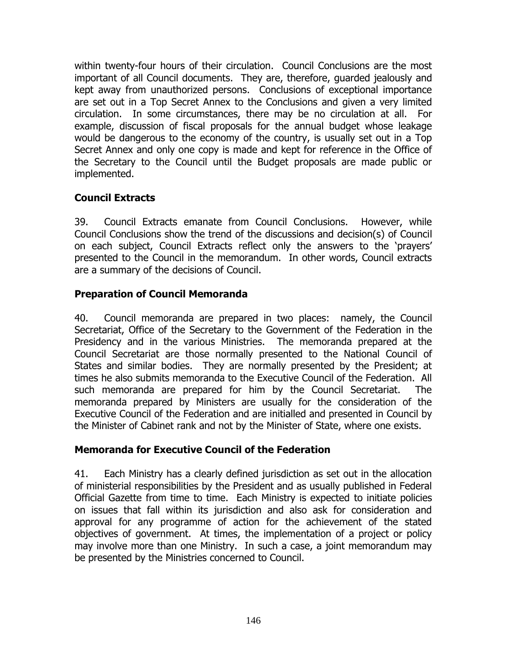within twenty-four hours of their circulation. Council Conclusions are the most important of all Council documents. They are, therefore, guarded jealously and kept away from unauthorized persons. Conclusions of exceptional importance are set out in a Top Secret Annex to the Conclusions and given a very limited circulation. In some circumstances, there may be no circulation at all. For example, discussion of fiscal proposals for the annual budget whose leakage would be dangerous to the economy of the country, is usually set out in a Top Secret Annex and only one copy is made and kept for reference in the Office of the Secretary to the Council until the Budget proposals are made public or implemented.

## **Council Extracts**

39. Council Extracts emanate from Council Conclusions. However, while Council Conclusions show the trend of the discussions and decision(s) of Council on each subject, Council Extracts reflect only the answers to the 'prayers' presented to the Council in the memorandum. In other words, Council extracts are a summary of the decisions of Council.

## **Preparation of Council Memoranda**

40. Council memoranda are prepared in two places: namely, the Council Secretariat, Office of the Secretary to the Government of the Federation in the Presidency and in the various Ministries. The memoranda prepared at the Council Secretariat are those normally presented to the National Council of States and similar bodies. They are normally presented by the President; at times he also submits memoranda to the Executive Council of the Federation. All such memoranda are prepared for him by the Council Secretariat. The memoranda prepared by Ministers are usually for the consideration of the Executive Council of the Federation and are initialled and presented in Council by the Minister of Cabinet rank and not by the Minister of State, where one exists.

## **Memoranda for Executive Council of the Federation**

41. Each Ministry has a clearly defined jurisdiction as set out in the allocation of ministerial responsibilities by the President and as usually published in Federal Official Gazette from time to time. Each Ministry is expected to initiate policies on issues that fall within its jurisdiction and also ask for consideration and approval for any programme of action for the achievement of the stated objectives of government. At times, the implementation of a project or policy may involve more than one Ministry. In such a case, a joint memorandum may be presented by the Ministries concerned to Council.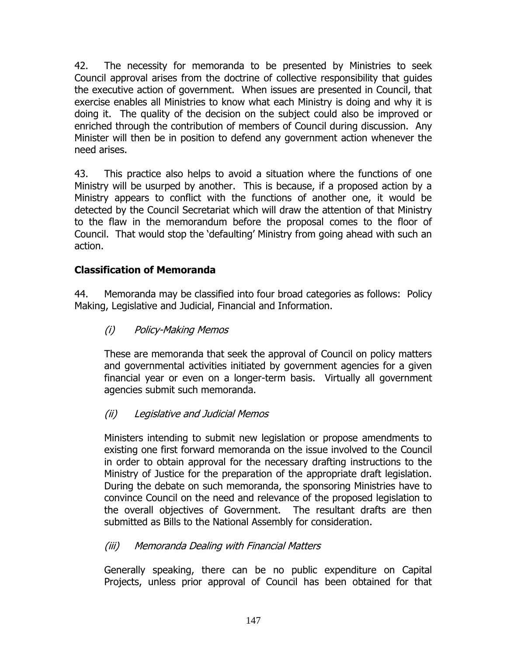42. The necessity for memoranda to be presented by Ministries to seek Council approval arises from the doctrine of collective responsibility that guides the executive action of government. When issues are presented in Council, that exercise enables all Ministries to know what each Ministry is doing and why it is doing it. The quality of the decision on the subject could also be improved or enriched through the contribution of members of Council during discussion. Any Minister will then be in position to defend any government action whenever the need arises.

43. This practice also helps to avoid a situation where the functions of one Ministry will be usurped by another. This is because, if a proposed action by a Ministry appears to conflict with the functions of another one, it would be detected by the Council Secretariat which will draw the attention of that Ministry to the flaw in the memorandum before the proposal comes to the floor of Council. That would stop the 'defaulting' Ministry from going ahead with such an action.

## **Classification of Memoranda**

44. Memoranda may be classified into four broad categories as follows: Policy Making, Legislative and Judicial, Financial and Information.

## (i) Policy-Making Memos

These are memoranda that seek the approval of Council on policy matters and governmental activities initiated by government agencies for a given financial year or even on a longer-term basis. Virtually all government agencies submit such memoranda.

## (ii) Legislative and Judicial Memos

Ministers intending to submit new legislation or propose amendments to existing one first forward memoranda on the issue involved to the Council in order to obtain approval for the necessary drafting instructions to the Ministry of Justice for the preparation of the appropriate draft legislation. During the debate on such memoranda, the sponsoring Ministries have to convince Council on the need and relevance of the proposed legislation to the overall objectives of Government. The resultant drafts are then submitted as Bills to the National Assembly for consideration.

## (iii) Memoranda Dealing with Financial Matters

Generally speaking, there can be no public expenditure on Capital Projects, unless prior approval of Council has been obtained for that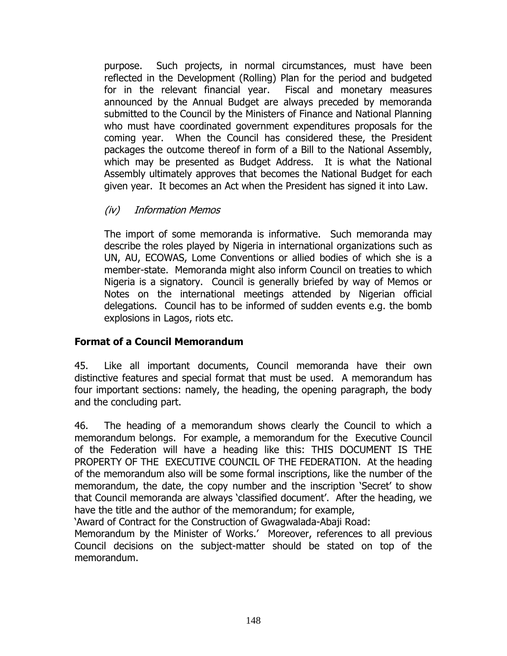purpose. Such projects, in normal circumstances, must have been reflected in the Development (Rolling) Plan for the period and budgeted for in the relevant financial year. Fiscal and monetary measures announced by the Annual Budget are always preceded by memoranda submitted to the Council by the Ministers of Finance and National Planning who must have coordinated government expenditures proposals for the coming year. When the Council has considered these, the President packages the outcome thereof in form of a Bill to the National Assembly, which may be presented as Budget Address. It is what the National Assembly ultimately approves that becomes the National Budget for each given year. It becomes an Act when the President has signed it into Law.

### (iv) Information Memos

The import of some memoranda is informative. Such memoranda may describe the roles played by Nigeria in international organizations such as UN, AU, ECOWAS, Lome Conventions or allied bodies of which she is a member-state. Memoranda might also inform Council on treaties to which Nigeria is a signatory. Council is generally briefed by way of Memos or Notes on the international meetings attended by Nigerian official delegations. Council has to be informed of sudden events e.g. the bomb explosions in Lagos, riots etc.

### **Format of a Council Memorandum**

45. Like all important documents, Council memoranda have their own distinctive features and special format that must be used. A memorandum has four important sections: namely, the heading, the opening paragraph, the body and the concluding part.

46. The heading of a memorandum shows clearly the Council to which a memorandum belongs. For example, a memorandum for the Executive Council of the Federation will have a heading like this: THIS DOCUMENT IS THE PROPERTY OF THE EXECUTIVE COUNCIL OF THE FEDERATION. At the heading of the memorandum also will be some formal inscriptions, like the number of the memorandum, the date, the copy number and the inscription 'Secret' to show that Council memoranda are always ‗classified document'. After the heading, we have the title and the author of the memorandum; for example,

'Award of Contract for the Construction of Gwagwalada-Abaji Road:

Memorandum by the Minister of Works.' Moreover, references to all previous Council decisions on the subject-matter should be stated on top of the memorandum.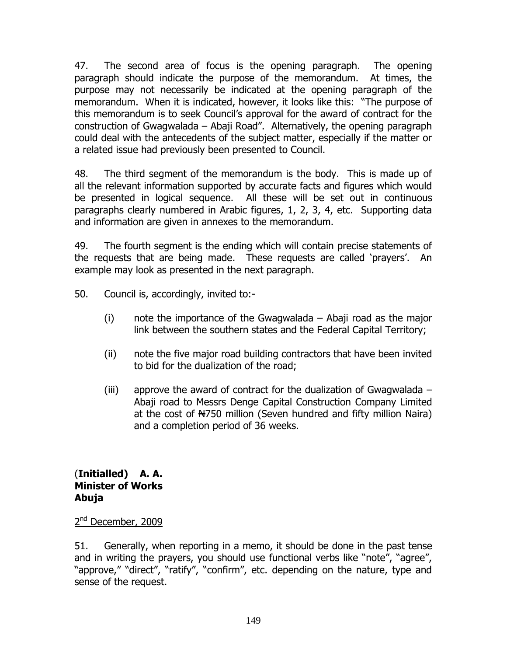47. The second area of focus is the opening paragraph. The opening paragraph should indicate the purpose of the memorandum. At times, the purpose may not necessarily be indicated at the opening paragraph of the memorandum. When it is indicated, however, it looks like this: "The purpose of this memorandum is to seek Council's approval for the award of contract for the construction of Gwagwalada – Abaji Road". Alternatively, the opening paragraph could deal with the antecedents of the subject matter, especially if the matter or a related issue had previously been presented to Council.

48. The third segment of the memorandum is the body. This is made up of all the relevant information supported by accurate facts and figures which would be presented in logical sequence. All these will be set out in continuous paragraphs clearly numbered in Arabic figures, 1, 2, 3, 4, etc. Supporting data and information are given in annexes to the memorandum.

49. The fourth segment is the ending which will contain precise statements of the requests that are being made. These requests are called 'prayers'. An example may look as presented in the next paragraph.

- 50. Council is, accordingly, invited to:-
	- (i) note the importance of the Gwagwalada Abaji road as the major link between the southern states and the Federal Capital Territory;
	- (ii) note the five major road building contractors that have been invited to bid for the dualization of the road;
	- (iii) approve the award of contract for the dualization of Gwagwalada  $-$ Abaji road to Messrs Denge Capital Construction Company Limited at the cost of  $\frac{14750}{1000}$  million (Seven hundred and fifty million Naira) and a completion period of 36 weeks.

#### (**Initialled) A. A. Minister of Works Abuja**

2<sup>nd</sup> December, 2009

51. Generally, when reporting in a memo, it should be done in the past tense and in writing the prayers, you should use functional verbs like "note", "agree", "approve," "direct", "ratify", "confirm", etc. depending on the nature, type and sense of the request.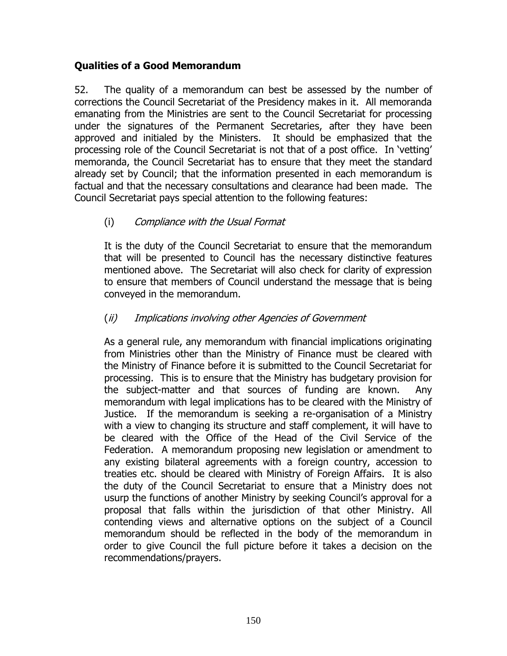### **Qualities of a Good Memorandum**

52. The quality of a memorandum can best be assessed by the number of corrections the Council Secretariat of the Presidency makes in it. All memoranda emanating from the Ministries are sent to the Council Secretariat for processing under the signatures of the Permanent Secretaries, after they have been approved and initialed by the Ministers. It should be emphasized that the processing role of the Council Secretariat is not that of a post office. In 'vetting' memoranda, the Council Secretariat has to ensure that they meet the standard already set by Council; that the information presented in each memorandum is factual and that the necessary consultations and clearance had been made. The Council Secretariat pays special attention to the following features:

## (i) Compliance with the Usual Format

It is the duty of the Council Secretariat to ensure that the memorandum that will be presented to Council has the necessary distinctive features mentioned above. The Secretariat will also check for clarity of expression to ensure that members of Council understand the message that is being conveyed in the memorandum.

### (ii) Implications involving other Agencies of Government

As a general rule, any memorandum with financial implications originating from Ministries other than the Ministry of Finance must be cleared with the Ministry of Finance before it is submitted to the Council Secretariat for processing. This is to ensure that the Ministry has budgetary provision for the subject-matter and that sources of funding are known. Any memorandum with legal implications has to be cleared with the Ministry of Justice. If the memorandum is seeking a re-organisation of a Ministry with a view to changing its structure and staff complement, it will have to be cleared with the Office of the Head of the Civil Service of the Federation. A memorandum proposing new legislation or amendment to any existing bilateral agreements with a foreign country, accession to treaties etc. should be cleared with Ministry of Foreign Affairs. It is also the duty of the Council Secretariat to ensure that a Ministry does not usurp the functions of another Ministry by seeking Council's approval for a proposal that falls within the jurisdiction of that other Ministry. All contending views and alternative options on the subject of a Council memorandum should be reflected in the body of the memorandum in order to give Council the full picture before it takes a decision on the recommendations/prayers.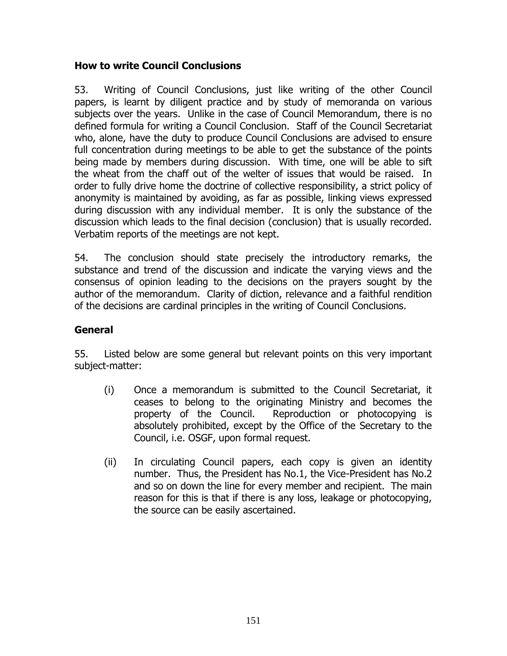### **How to write Council Conclusions**

53. Writing of Council Conclusions, just like writing of the other Council papers, is learnt by diligent practice and by study of memoranda on various subjects over the years. Unlike in the case of Council Memorandum, there is no defined formula for writing a Council Conclusion. Staff of the Council Secretariat who, alone, have the duty to produce Council Conclusions are advised to ensure full concentration during meetings to be able to get the substance of the points being made by members during discussion. With time, one will be able to sift the wheat from the chaff out of the welter of issues that would be raised. In order to fully drive home the doctrine of collective responsibility, a strict policy of anonymity is maintained by avoiding, as far as possible, linking views expressed during discussion with any individual member. It is only the substance of the discussion which leads to the final decision (conclusion) that is usually recorded. Verbatim reports of the meetings are not kept.

54. The conclusion should state precisely the introductory remarks, the substance and trend of the discussion and indicate the varying views and the consensus of opinion leading to the decisions on the prayers sought by the author of the memorandum. Clarity of diction, relevance and a faithful rendition of the decisions are cardinal principles in the writing of Council Conclusions.

## **General**

55. Listed below are some general but relevant points on this very important subject-matter:

- (i) Once a memorandum is submitted to the Council Secretariat, it ceases to belong to the originating Ministry and becomes the property of the Council. Reproduction or photocopying is absolutely prohibited, except by the Office of the Secretary to the Council, i.e. OSGF, upon formal request.
- (ii) In circulating Council papers, each copy is given an identity number. Thus, the President has No.1, the Vice-President has No.2 and so on down the line for every member and recipient. The main reason for this is that if there is any loss, leakage or photocopying, the source can be easily ascertained.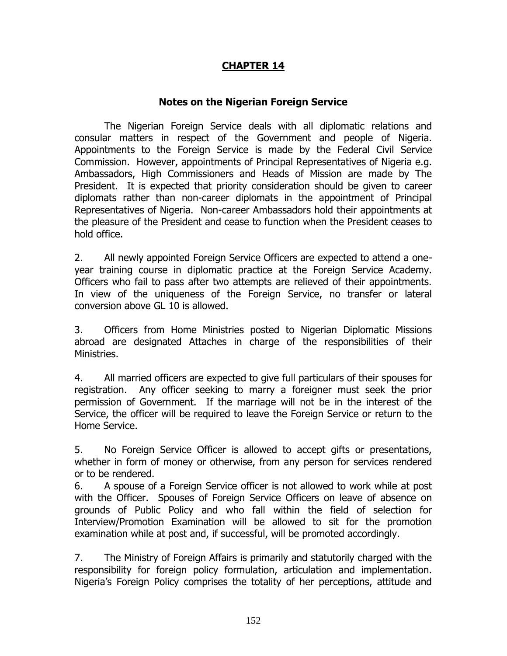#### **Notes on the Nigerian Foreign Service**

The Nigerian Foreign Service deals with all diplomatic relations and consular matters in respect of the Government and people of Nigeria. Appointments to the Foreign Service is made by the Federal Civil Service Commission. However, appointments of Principal Representatives of Nigeria e.g. Ambassadors, High Commissioners and Heads of Mission are made by The President. It is expected that priority consideration should be given to career diplomats rather than non-career diplomats in the appointment of Principal Representatives of Nigeria. Non-career Ambassadors hold their appointments at the pleasure of the President and cease to function when the President ceases to hold office.

2. All newly appointed Foreign Service Officers are expected to attend a oneyear training course in diplomatic practice at the Foreign Service Academy. Officers who fail to pass after two attempts are relieved of their appointments. In view of the uniqueness of the Foreign Service, no transfer or lateral conversion above GL 10 is allowed.

3. Officers from Home Ministries posted to Nigerian Diplomatic Missions abroad are designated Attaches in charge of the responsibilities of their Ministries.

4. All married officers are expected to give full particulars of their spouses for registration. Any officer seeking to marry a foreigner must seek the prior permission of Government. If the marriage will not be in the interest of the Service, the officer will be required to leave the Foreign Service or return to the Home Service.

5. No Foreign Service Officer is allowed to accept gifts or presentations, whether in form of money or otherwise, from any person for services rendered or to be rendered.

6. A spouse of a Foreign Service officer is not allowed to work while at post with the Officer. Spouses of Foreign Service Officers on leave of absence on grounds of Public Policy and who fall within the field of selection for Interview/Promotion Examination will be allowed to sit for the promotion examination while at post and, if successful, will be promoted accordingly.

7. The Ministry of Foreign Affairs is primarily and statutorily charged with the responsibility for foreign policy formulation, articulation and implementation. Nigeria's Foreign Policy comprises the totality of her perceptions, attitude and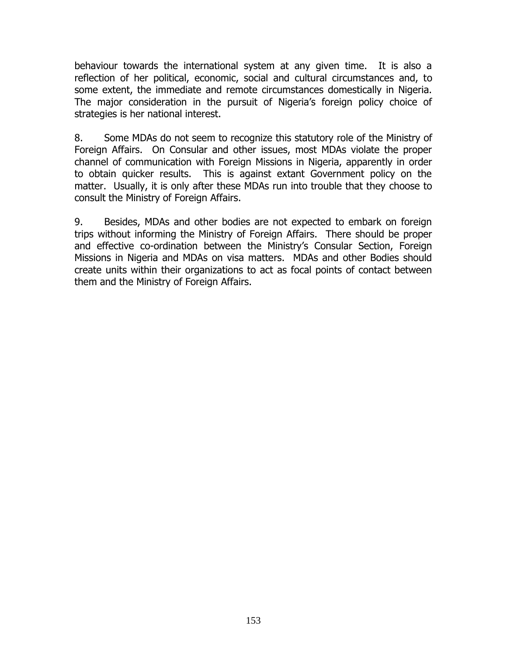behaviour towards the international system at any given time. It is also a reflection of her political, economic, social and cultural circumstances and, to some extent, the immediate and remote circumstances domestically in Nigeria. The major consideration in the pursuit of Nigeria's foreign policy choice of strategies is her national interest.

8. Some MDAs do not seem to recognize this statutory role of the Ministry of Foreign Affairs. On Consular and other issues, most MDAs violate the proper channel of communication with Foreign Missions in Nigeria, apparently in order to obtain quicker results. This is against extant Government policy on the matter. Usually, it is only after these MDAs run into trouble that they choose to consult the Ministry of Foreign Affairs.

9. Besides, MDAs and other bodies are not expected to embark on foreign trips without informing the Ministry of Foreign Affairs. There should be proper and effective co-ordination between the Ministry's Consular Section, Foreign Missions in Nigeria and MDAs on visa matters. MDAs and other Bodies should create units within their organizations to act as focal points of contact between them and the Ministry of Foreign Affairs.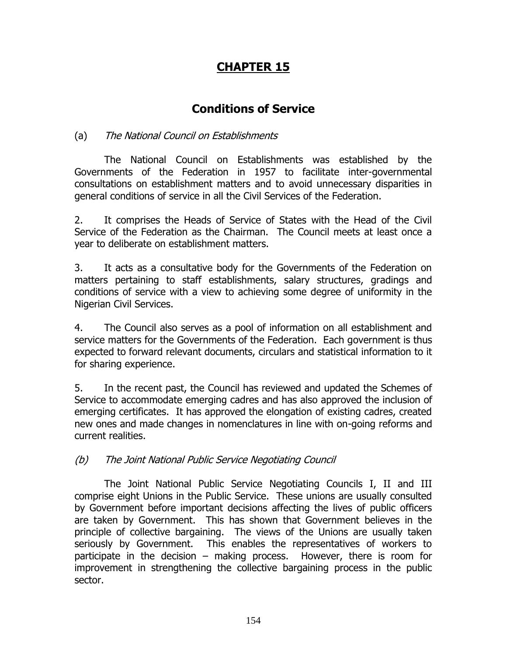# **Conditions of Service**

### (a) The National Council on Establishments

The National Council on Establishments was established by the Governments of the Federation in 1957 to facilitate inter-governmental consultations on establishment matters and to avoid unnecessary disparities in general conditions of service in all the Civil Services of the Federation.

2. It comprises the Heads of Service of States with the Head of the Civil Service of the Federation as the Chairman. The Council meets at least once a year to deliberate on establishment matters.

3. It acts as a consultative body for the Governments of the Federation on matters pertaining to staff establishments, salary structures, gradings and conditions of service with a view to achieving some degree of uniformity in the Nigerian Civil Services.

4. The Council also serves as a pool of information on all establishment and service matters for the Governments of the Federation. Each government is thus expected to forward relevant documents, circulars and statistical information to it for sharing experience.

5. In the recent past, the Council has reviewed and updated the Schemes of Service to accommodate emerging cadres and has also approved the inclusion of emerging certificates. It has approved the elongation of existing cadres, created new ones and made changes in nomenclatures in line with on-going reforms and current realities.

## (b) The Joint National Public Service Negotiating Council

The Joint National Public Service Negotiating Councils I, II and III comprise eight Unions in the Public Service. These unions are usually consulted by Government before important decisions affecting the lives of public officers are taken by Government. This has shown that Government believes in the principle of collective bargaining. The views of the Unions are usually taken seriously by Government. This enables the representatives of workers to participate in the decision – making process. However, there is room for improvement in strengthening the collective bargaining process in the public sector.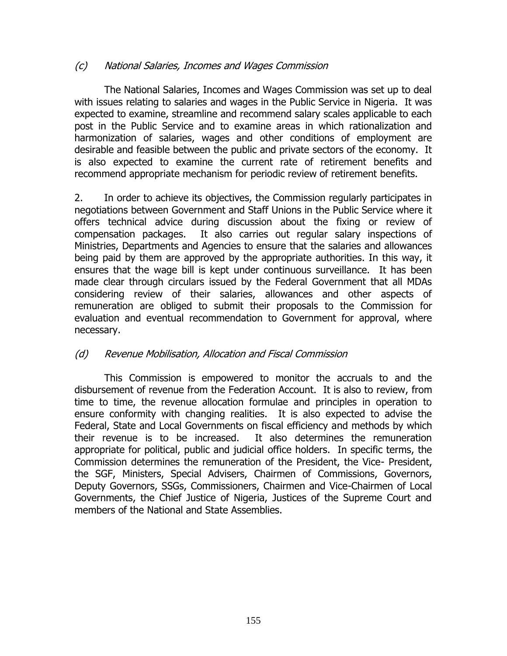#### (c) National Salaries, Incomes and Wages Commission

The National Salaries, Incomes and Wages Commission was set up to deal with issues relating to salaries and wages in the Public Service in Nigeria. It was expected to examine, streamline and recommend salary scales applicable to each post in the Public Service and to examine areas in which rationalization and harmonization of salaries, wages and other conditions of employment are desirable and feasible between the public and private sectors of the economy. It is also expected to examine the current rate of retirement benefits and recommend appropriate mechanism for periodic review of retirement benefits.

2. In order to achieve its objectives, the Commission regularly participates in negotiations between Government and Staff Unions in the Public Service where it offers technical advice during discussion about the fixing or review of compensation packages. It also carries out regular salary inspections of Ministries, Departments and Agencies to ensure that the salaries and allowances being paid by them are approved by the appropriate authorities. In this way, it ensures that the wage bill is kept under continuous surveillance. It has been made clear through circulars issued by the Federal Government that all MDAs considering review of their salaries, allowances and other aspects of remuneration are obliged to submit their proposals to the Commission for evaluation and eventual recommendation to Government for approval, where necessary.

### (d) Revenue Mobilisation, Allocation and Fiscal Commission

This Commission is empowered to monitor the accruals to and the disbursement of revenue from the Federation Account. It is also to review, from time to time, the revenue allocation formulae and principles in operation to ensure conformity with changing realities. It is also expected to advise the Federal, State and Local Governments on fiscal efficiency and methods by which their revenue is to be increased. It also determines the remuneration appropriate for political, public and judicial office holders. In specific terms, the Commission determines the remuneration of the President, the Vice- President, the SGF, Ministers, Special Advisers, Chairmen of Commissions, Governors, Deputy Governors, SSGs, Commissioners, Chairmen and Vice-Chairmen of Local Governments, the Chief Justice of Nigeria, Justices of the Supreme Court and members of the National and State Assemblies.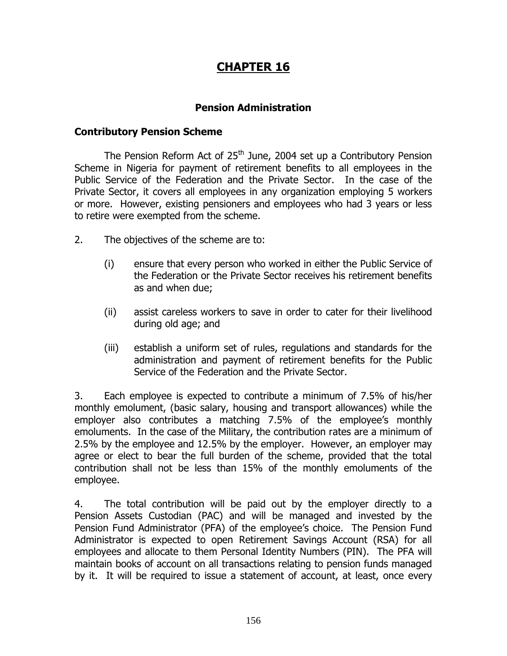#### **Pension Administration**

#### **Contributory Pension Scheme**

The Pension Reform Act of 25<sup>th</sup> June, 2004 set up a Contributory Pension Scheme in Nigeria for payment of retirement benefits to all employees in the Public Service of the Federation and the Private Sector. In the case of the Private Sector, it covers all employees in any organization employing 5 workers or more. However, existing pensioners and employees who had 3 years or less to retire were exempted from the scheme.

- 2. The objectives of the scheme are to:
	- (i) ensure that every person who worked in either the Public Service of the Federation or the Private Sector receives his retirement benefits as and when due;
	- (ii) assist careless workers to save in order to cater for their livelihood during old age; and
	- (iii) establish a uniform set of rules, regulations and standards for the administration and payment of retirement benefits for the Public Service of the Federation and the Private Sector.

3. Each employee is expected to contribute a minimum of 7.5% of his/her monthly emolument, (basic salary, housing and transport allowances) while the employer also contributes a matching 7.5% of the employee's monthly emoluments. In the case of the Military, the contribution rates are a minimum of 2.5% by the employee and 12.5% by the employer. However, an employer may agree or elect to bear the full burden of the scheme, provided that the total contribution shall not be less than 15% of the monthly emoluments of the employee.

4. The total contribution will be paid out by the employer directly to a Pension Assets Custodian (PAC) and will be managed and invested by the Pension Fund Administrator (PFA) of the employee's choice. The Pension Fund Administrator is expected to open Retirement Savings Account (RSA) for all employees and allocate to them Personal Identity Numbers (PIN). The PFA will maintain books of account on all transactions relating to pension funds managed by it. It will be required to issue a statement of account, at least, once every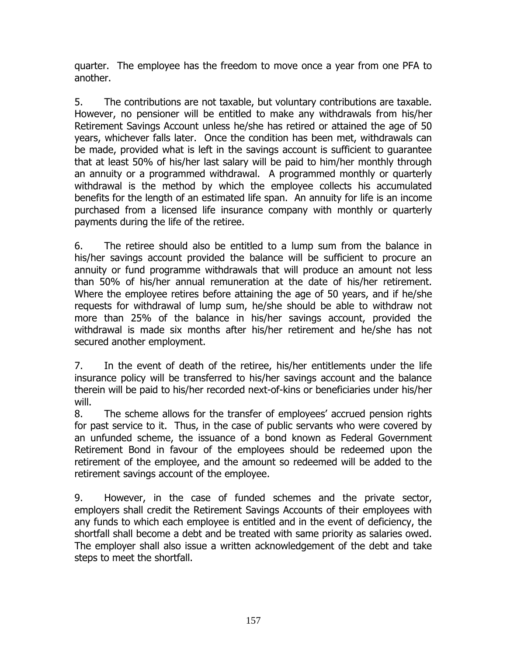quarter. The employee has the freedom to move once a year from one PFA to another.

5. The contributions are not taxable, but voluntary contributions are taxable. However, no pensioner will be entitled to make any withdrawals from his/her Retirement Savings Account unless he/she has retired or attained the age of 50 years, whichever falls later. Once the condition has been met, withdrawals can be made, provided what is left in the savings account is sufficient to guarantee that at least 50% of his/her last salary will be paid to him/her monthly through an annuity or a programmed withdrawal. A programmed monthly or quarterly withdrawal is the method by which the employee collects his accumulated benefits for the length of an estimated life span. An annuity for life is an income purchased from a licensed life insurance company with monthly or quarterly payments during the life of the retiree.

6. The retiree should also be entitled to a lump sum from the balance in his/her savings account provided the balance will be sufficient to procure an annuity or fund programme withdrawals that will produce an amount not less than 50% of his/her annual remuneration at the date of his/her retirement. Where the employee retires before attaining the age of 50 years, and if he/she requests for withdrawal of lump sum, he/she should be able to withdraw not more than 25% of the balance in his/her savings account, provided the withdrawal is made six months after his/her retirement and he/she has not secured another employment.

7. In the event of death of the retiree, his/her entitlements under the life insurance policy will be transferred to his/her savings account and the balance therein will be paid to his/her recorded next-of-kins or beneficiaries under his/her will.

8. The scheme allows for the transfer of employees' accrued pension rights for past service to it. Thus, in the case of public servants who were covered by an unfunded scheme, the issuance of a bond known as Federal Government Retirement Bond in favour of the employees should be redeemed upon the retirement of the employee, and the amount so redeemed will be added to the retirement savings account of the employee.

9. However, in the case of funded schemes and the private sector, employers shall credit the Retirement Savings Accounts of their employees with any funds to which each employee is entitled and in the event of deficiency, the shortfall shall become a debt and be treated with same priority as salaries owed. The employer shall also issue a written acknowledgement of the debt and take steps to meet the shortfall.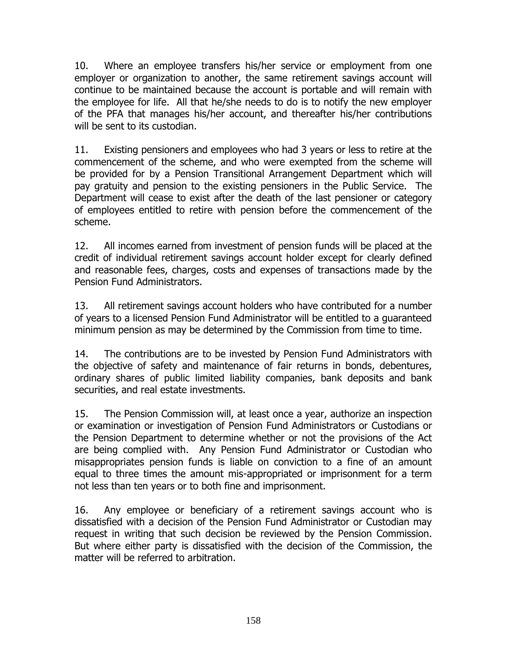10. Where an employee transfers his/her service or employment from one employer or organization to another, the same retirement savings account will continue to be maintained because the account is portable and will remain with the employee for life. All that he/she needs to do is to notify the new employer of the PFA that manages his/her account, and thereafter his/her contributions will be sent to its custodian.

11. Existing pensioners and employees who had 3 years or less to retire at the commencement of the scheme, and who were exempted from the scheme will be provided for by a Pension Transitional Arrangement Department which will pay gratuity and pension to the existing pensioners in the Public Service. The Department will cease to exist after the death of the last pensioner or category of employees entitled to retire with pension before the commencement of the scheme.

12. All incomes earned from investment of pension funds will be placed at the credit of individual retirement savings account holder except for clearly defined and reasonable fees, charges, costs and expenses of transactions made by the Pension Fund Administrators.

13. All retirement savings account holders who have contributed for a number of years to a licensed Pension Fund Administrator will be entitled to a guaranteed minimum pension as may be determined by the Commission from time to time.

14. The contributions are to be invested by Pension Fund Administrators with the objective of safety and maintenance of fair returns in bonds, debentures, ordinary shares of public limited liability companies, bank deposits and bank securities, and real estate investments.

15. The Pension Commission will, at least once a year, authorize an inspection or examination or investigation of Pension Fund Administrators or Custodians or the Pension Department to determine whether or not the provisions of the Act are being complied with. Any Pension Fund Administrator or Custodian who misappropriates pension funds is liable on conviction to a fine of an amount equal to three times the amount mis-appropriated or imprisonment for a term not less than ten years or to both fine and imprisonment.

16. Any employee or beneficiary of a retirement savings account who is dissatisfied with a decision of the Pension Fund Administrator or Custodian may request in writing that such decision be reviewed by the Pension Commission. But where either party is dissatisfied with the decision of the Commission, the matter will be referred to arbitration.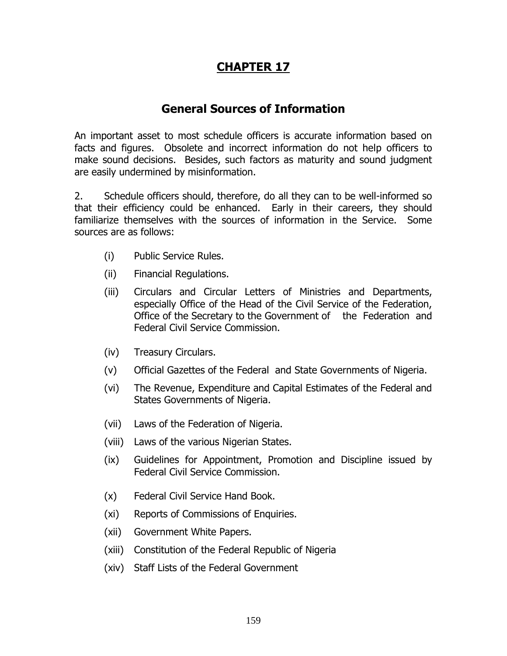# **General Sources of Information**

An important asset to most schedule officers is accurate information based on facts and figures. Obsolete and incorrect information do not help officers to make sound decisions. Besides, such factors as maturity and sound judgment are easily undermined by misinformation.

2. Schedule officers should, therefore, do all they can to be well-informed so that their efficiency could be enhanced. Early in their careers, they should familiarize themselves with the sources of information in the Service. Some sources are as follows:

- (i) Public Service Rules.
- (ii) Financial Regulations.
- (iii) Circulars and Circular Letters of Ministries and Departments, especially Office of the Head of the Civil Service of the Federation, Office of the Secretary to the Government of the Federation and Federal Civil Service Commission.
- (iv) Treasury Circulars.
- (v) Official Gazettes of the Federal and State Governments of Nigeria.
- (vi) The Revenue, Expenditure and Capital Estimates of the Federal and States Governments of Nigeria.
- (vii) Laws of the Federation of Nigeria.
- (viii) Laws of the various Nigerian States.
- (ix) Guidelines for Appointment, Promotion and Discipline issued by Federal Civil Service Commission.
- (x) Federal Civil Service Hand Book.
- (xi) Reports of Commissions of Enquiries.
- (xii) Government White Papers.
- (xiii) Constitution of the Federal Republic of Nigeria
- (xiv) Staff Lists of the Federal Government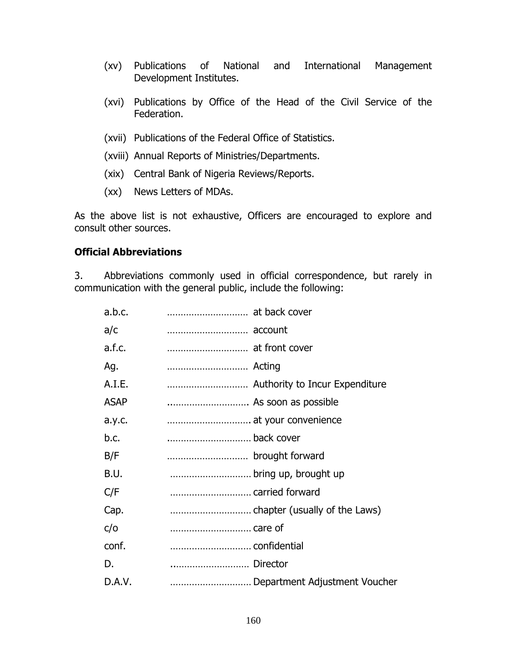- (xv) Publications of National and International Management Development Institutes.
- (xvi) Publications by Office of the Head of the Civil Service of the Federation.
- (xvii) Publications of the Federal Office of Statistics.
- (xviii) Annual Reports of Ministries/Departments.
- (xix) Central Bank of Nigeria Reviews/Reports.
- (xx) News Letters of MDAs.

As the above list is not exhaustive, Officers are encouraged to explore and consult other sources.

### **Official Abbreviations**

3. Abbreviations commonly used in official correspondence, but rarely in communication with the general public, include the following:

| a.b.c.      |                                |
|-------------|--------------------------------|
| a/c         |                                |
| a.f.c.      |                                |
| Ag.         |                                |
| A.I.E.      | Authority to Incur Expenditure |
| <b>ASAP</b> | As soon as possible            |
| a.y.c.      |                                |
| b.c.        |                                |
| B/F         |                                |
| B.U.        |                                |
| C/F         |                                |
| Cap.        |                                |
| C/O         |                                |
| conf.       |                                |
| D.          |                                |
| D.A.V.      | Department Adjustment Voucher  |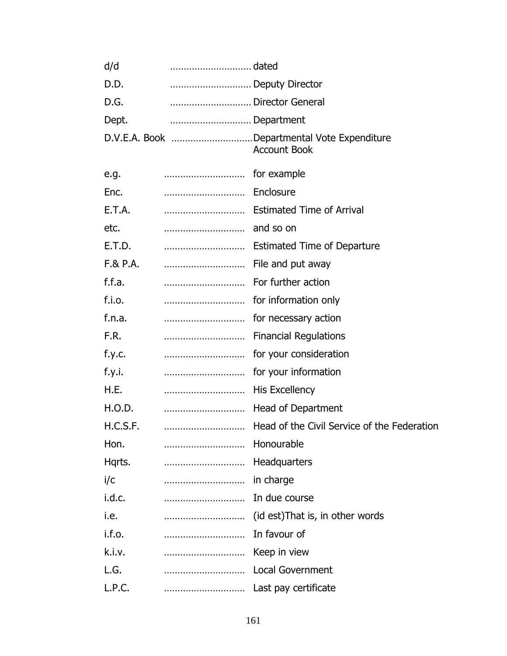| d/d                 |                  |                                                                    |
|---------------------|------------------|--------------------------------------------------------------------|
| D.D.                |                  |                                                                    |
| D.G.                | Director General |                                                                    |
| Dept.               | Department       |                                                                    |
|                     |                  | D.V.E.A. Book Departmental Vote Expenditure<br><b>Account Book</b> |
| e.g.                |                  |                                                                    |
| Enc.                |                  | Enclosure                                                          |
| E.T.A.              |                  | <b>Estimated Time of Arrival</b>                                   |
| etc.                |                  | and so on                                                          |
| E.T.D.              |                  | <b>Estimated Time of Departure</b>                                 |
| <b>F.&amp; P.A.</b> |                  | File and put away                                                  |
| f.f.a.              |                  | For further action                                                 |
| f.i.o.              |                  | for information only                                               |
| f.n.a.              |                  | for necessary action                                               |
| F.R.                |                  | <b>Financial Regulations</b>                                       |
| f.y.c.              |                  | for your consideration                                             |
| f.y.i.              |                  | for your information                                               |
| H.E.                |                  | <b>His Excellency</b>                                              |
| H.O.D.              |                  | <b>Head of Department</b>                                          |
| H.C.S.F             |                  | Head of the Civil Service of the Federation                        |
| Hon.                |                  | Honourable                                                         |
| Hqrts.              |                  | Headquarters                                                       |
| i/c                 |                  | in charge                                                          |
| i.d.c.              |                  | In due course                                                      |
| i.e.                |                  | (id est) That is, in other words                                   |
| i.f.o.              |                  | In favour of                                                       |
| k.i.v.              |                  | Keep in view                                                       |
| L.G.                |                  | <b>Local Government</b>                                            |
| L.P.C.              |                  | Last pay certificate                                               |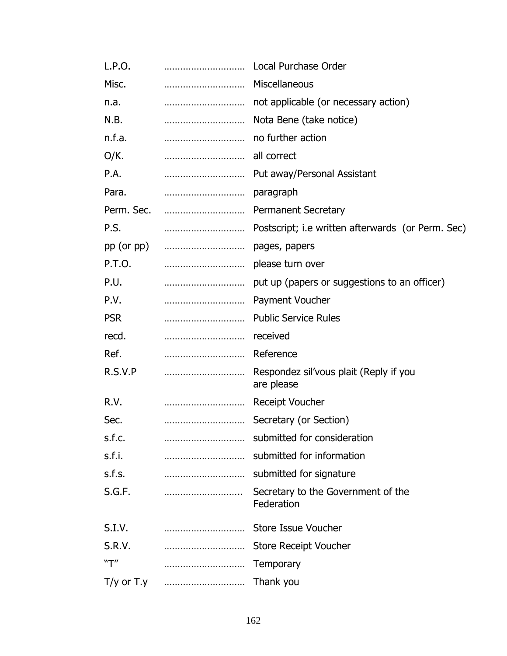| L.P.O.         | Local Purchase Order                                 |
|----------------|------------------------------------------------------|
| Misc.          | Miscellaneous                                        |
| n.a.           | not applicable (or necessary action)                 |
| N.B.           | Nota Bene (take notice)                              |
| n.f.a.         | no further action                                    |
| O/K.           | all correct                                          |
| P.A.           | Put away/Personal Assistant                          |
| Para.          | paragraph                                            |
| Perm. Sec.     | <b>Permanent Secretary</b>                           |
| P.S.           | Postscript; i.e written afterwards (or Perm. Sec)    |
| pp (or pp)     | pages, papers                                        |
| P.T.O.         | please turn over                                     |
| P.U.           | <br>put up (papers or suggestions to an officer)     |
| P.V.           | Payment Voucher                                      |
| <b>PSR</b>     | <b>Public Service Rules</b>                          |
| recd.          | received                                             |
| Ref.           | Reference                                            |
| R.S.V.P        | Respondez sil'vous plait (Reply if you<br>are please |
| R.V.           | <b>Receipt Voucher</b>                               |
| Sec.           | <br>Secretary (or Section)                           |
| s.f.c.         | submitted for consideration                          |
| s.f.i.         | submitted for information                            |
| s.f.s.         | submitted for signature                              |
| S.G.F.         | Secretary to the Government of the<br>Federation     |
| S.I.V.         | Store Issue Voucher                                  |
| S.R.V.         | <b>Store Receipt Voucher</b>                         |
| "T"            | Temporary                                            |
| $T/y$ or $T.y$ | Thank you                                            |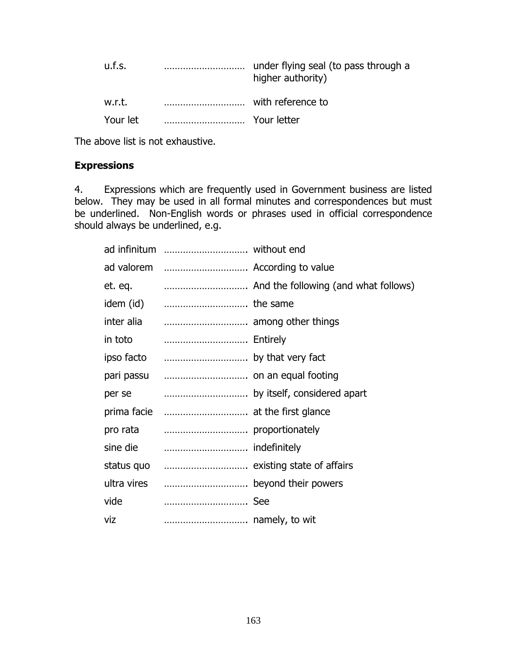| u.f.s.   | under flying seal (to pass through a<br>higher authority) |
|----------|-----------------------------------------------------------|
| w.r.t.   | with reference to                                         |
| Your let | Your letter                                               |

The above list is not exhaustive.

## **Expressions**

4. Expressions which are frequently used in Government business are listed below. They may be used in all formal minutes and correspondences but must be underlined. Non-English words or phrases used in official correspondence should always be underlined, e.g.

| et. eq.     |          |  |
|-------------|----------|--|
| idem (id)   |          |  |
| inter alia  |          |  |
| in toto     | Entirely |  |
| ipso facto  |          |  |
| pari passu  |          |  |
| per se      |          |  |
| prima facie |          |  |
| pro rata    |          |  |
| sine die    |          |  |
| status quo  |          |  |
| ultra vires |          |  |
| vide        |          |  |
| viz         |          |  |
|             |          |  |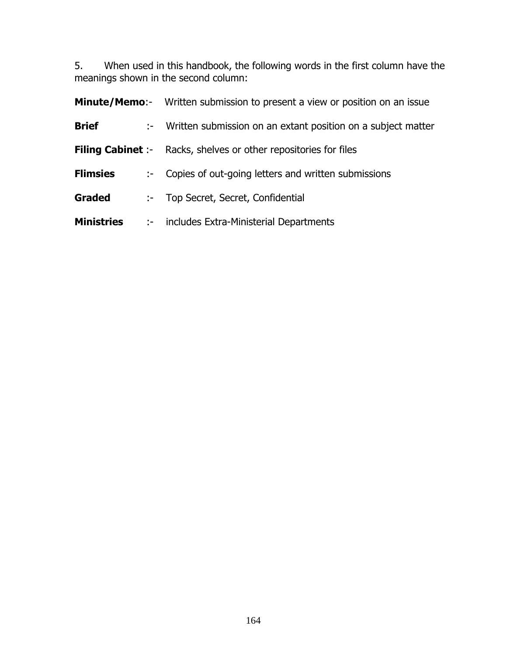5. When used in this handbook, the following words in the first column have the meanings shown in the second column:

|                                                 | <b>Minute/Memo:</b> Written submission to present a view or position on an issue |  |
|-------------------------------------------------|----------------------------------------------------------------------------------|--|
| <b>Brief</b><br>$\sim$ $-$                      | Written submission on an extant position on a subject matter                     |  |
|                                                 | <b>Filing Cabinet :-</b> Racks, shelves or other repositories for files          |  |
| <b>Flimsies</b><br>$1 - 1$                      | Copies of out-going letters and written submissions                              |  |
| <b>Graded</b>                                   | :- Top Secret, Secret, Confidential                                              |  |
| <b>Ministries</b><br>$\mathcal{C}^{\text{max}}$ | includes Extra-Ministerial Departments                                           |  |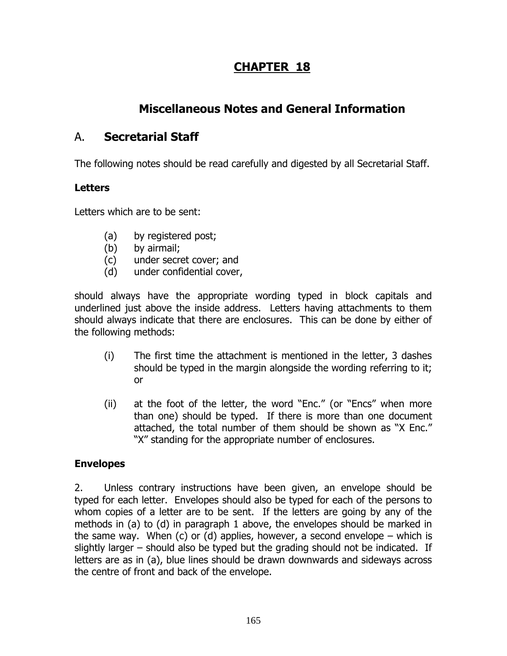# **Miscellaneous Notes and General Information**

# A. **Secretarial Staff**

The following notes should be read carefully and digested by all Secretarial Staff.

## **Letters**

Letters which are to be sent:

- (a) by registered post;
- (b) by airmail;
- (c) under secret cover; and
- (d) under confidential cover,

should always have the appropriate wording typed in block capitals and underlined just above the inside address. Letters having attachments to them should always indicate that there are enclosures. This can be done by either of the following methods:

- (i) The first time the attachment is mentioned in the letter, 3 dashes should be typed in the margin alongside the wording referring to it; or
- (ii) at the foot of the letter, the word "Enc." (or "Encs" when more than one) should be typed. If there is more than one document attached, the total number of them should be shown as "X Enc." "X" standing for the appropriate number of enclosures.

## **Envelopes**

2. Unless contrary instructions have been given, an envelope should be typed for each letter. Envelopes should also be typed for each of the persons to whom copies of a letter are to be sent. If the letters are going by any of the methods in (a) to (d) in paragraph 1 above, the envelopes should be marked in the same way. When  $(c)$  or  $(d)$  applies, however, a second envelope – which is slightly larger – should also be typed but the grading should not be indicated. If letters are as in (a), blue lines should be drawn downwards and sideways across the centre of front and back of the envelope.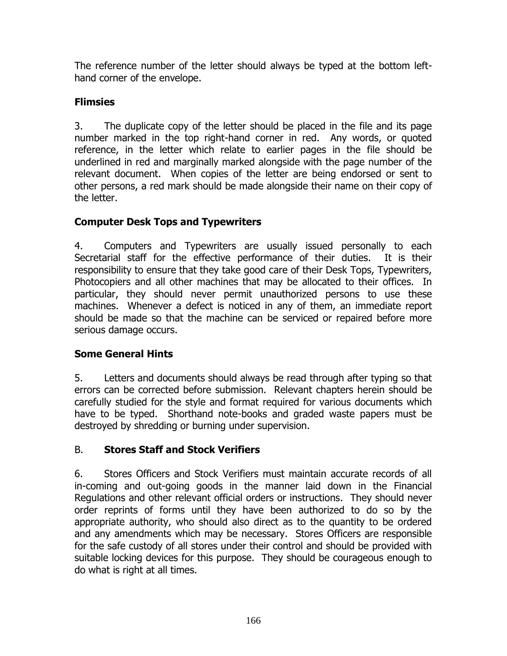The reference number of the letter should always be typed at the bottom lefthand corner of the envelope.

## **Flimsies**

3. The duplicate copy of the letter should be placed in the file and its page number marked in the top right-hand corner in red. Any words, or quoted reference, in the letter which relate to earlier pages in the file should be underlined in red and marginally marked alongside with the page number of the relevant document. When copies of the letter are being endorsed or sent to other persons, a red mark should be made alongside their name on their copy of the letter.

## **Computer Desk Tops and Typewriters**

4. Computers and Typewriters are usually issued personally to each Secretarial staff for the effective performance of their duties. It is their responsibility to ensure that they take good care of their Desk Tops, Typewriters, Photocopiers and all other machines that may be allocated to their offices. In particular, they should never permit unauthorized persons to use these machines. Whenever a defect is noticed in any of them, an immediate report should be made so that the machine can be serviced or repaired before more serious damage occurs.

## **Some General Hints**

5. Letters and documents should always be read through after typing so that errors can be corrected before submission. Relevant chapters herein should be carefully studied for the style and format required for various documents which have to be typed. Shorthand note-books and graded waste papers must be destroyed by shredding or burning under supervision.

## B. **Stores Staff and Stock Verifiers**

6. Stores Officers and Stock Verifiers must maintain accurate records of all in-coming and out-going goods in the manner laid down in the Financial Regulations and other relevant official orders or instructions. They should never order reprints of forms until they have been authorized to do so by the appropriate authority, who should also direct as to the quantity to be ordered and any amendments which may be necessary. Stores Officers are responsible for the safe custody of all stores under their control and should be provided with suitable locking devices for this purpose. They should be courageous enough to do what is right at all times.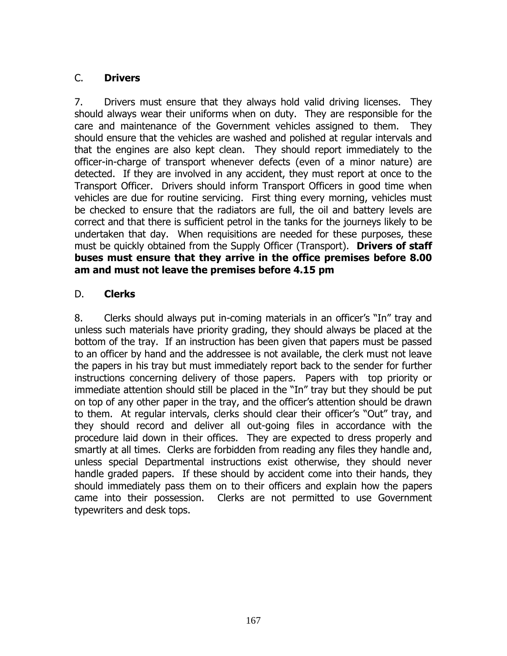## C. **Drivers**

7. Drivers must ensure that they always hold valid driving licenses. They should always wear their uniforms when on duty. They are responsible for the care and maintenance of the Government vehicles assigned to them. They should ensure that the vehicles are washed and polished at regular intervals and that the engines are also kept clean. They should report immediately to the officer-in-charge of transport whenever defects (even of a minor nature) are detected. If they are involved in any accident, they must report at once to the Transport Officer. Drivers should inform Transport Officers in good time when vehicles are due for routine servicing. First thing every morning, vehicles must be checked to ensure that the radiators are full, the oil and battery levels are correct and that there is sufficient petrol in the tanks for the journeys likely to be undertaken that day. When requisitions are needed for these purposes, these must be quickly obtained from the Supply Officer (Transport). **Drivers of staff buses must ensure that they arrive in the office premises before 8.00 am and must not leave the premises before 4.15 pm**

### D. **Clerks**

8. Clerks should always put in-coming materials in an officer's "In" tray and unless such materials have priority grading, they should always be placed at the bottom of the tray. If an instruction has been given that papers must be passed to an officer by hand and the addressee is not available, the clerk must not leave the papers in his tray but must immediately report back to the sender for further instructions concerning delivery of those papers. Papers with top priority or immediate attention should still be placed in the "In" tray but they should be put on top of any other paper in the tray, and the officer's attention should be drawn to them. At regular intervals, clerks should clear their officer's "Out" tray, and they should record and deliver all out-going files in accordance with the procedure laid down in their offices. They are expected to dress properly and smartly at all times. Clerks are forbidden from reading any files they handle and, unless special Departmental instructions exist otherwise, they should never handle graded papers. If these should by accident come into their hands, they should immediately pass them on to their officers and explain how the papers came into their possession. Clerks are not permitted to use Government typewriters and desk tops.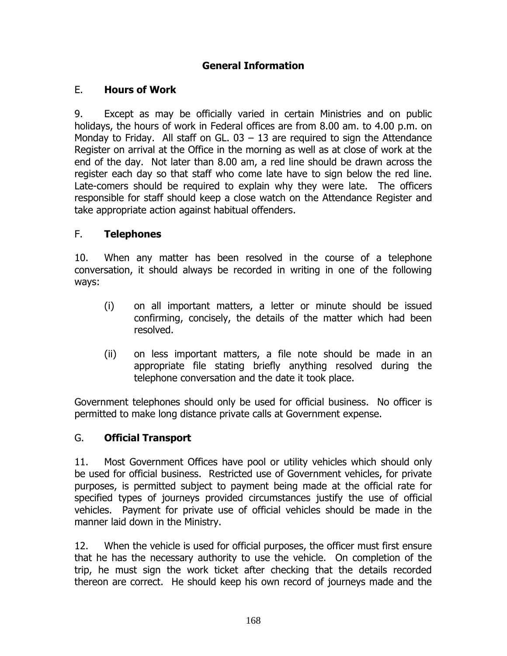## **General Information**

## E. **Hours of Work**

9. Except as may be officially varied in certain Ministries and on public holidays, the hours of work in Federal offices are from 8.00 am. to 4.00 p.m. on Monday to Friday. All staff on GL.  $03 - 13$  are required to sign the Attendance Register on arrival at the Office in the morning as well as at close of work at the end of the day. Not later than 8.00 am, a red line should be drawn across the register each day so that staff who come late have to sign below the red line. Late-comers should be required to explain why they were late. The officers responsible for staff should keep a close watch on the Attendance Register and take appropriate action against habitual offenders.

### F. **Telephones**

10. When any matter has been resolved in the course of a telephone conversation, it should always be recorded in writing in one of the following ways:

- (i) on all important matters, a letter or minute should be issued confirming, concisely, the details of the matter which had been resolved.
- (ii) on less important matters, a file note should be made in an appropriate file stating briefly anything resolved during the telephone conversation and the date it took place.

Government telephones should only be used for official business. No officer is permitted to make long distance private calls at Government expense.

### G. **Official Transport**

11. Most Government Offices have pool or utility vehicles which should only be used for official business. Restricted use of Government vehicles, for private purposes, is permitted subject to payment being made at the official rate for specified types of journeys provided circumstances justify the use of official vehicles. Payment for private use of official vehicles should be made in the manner laid down in the Ministry.

12. When the vehicle is used for official purposes, the officer must first ensure that he has the necessary authority to use the vehicle. On completion of the trip, he must sign the work ticket after checking that the details recorded thereon are correct. He should keep his own record of journeys made and the